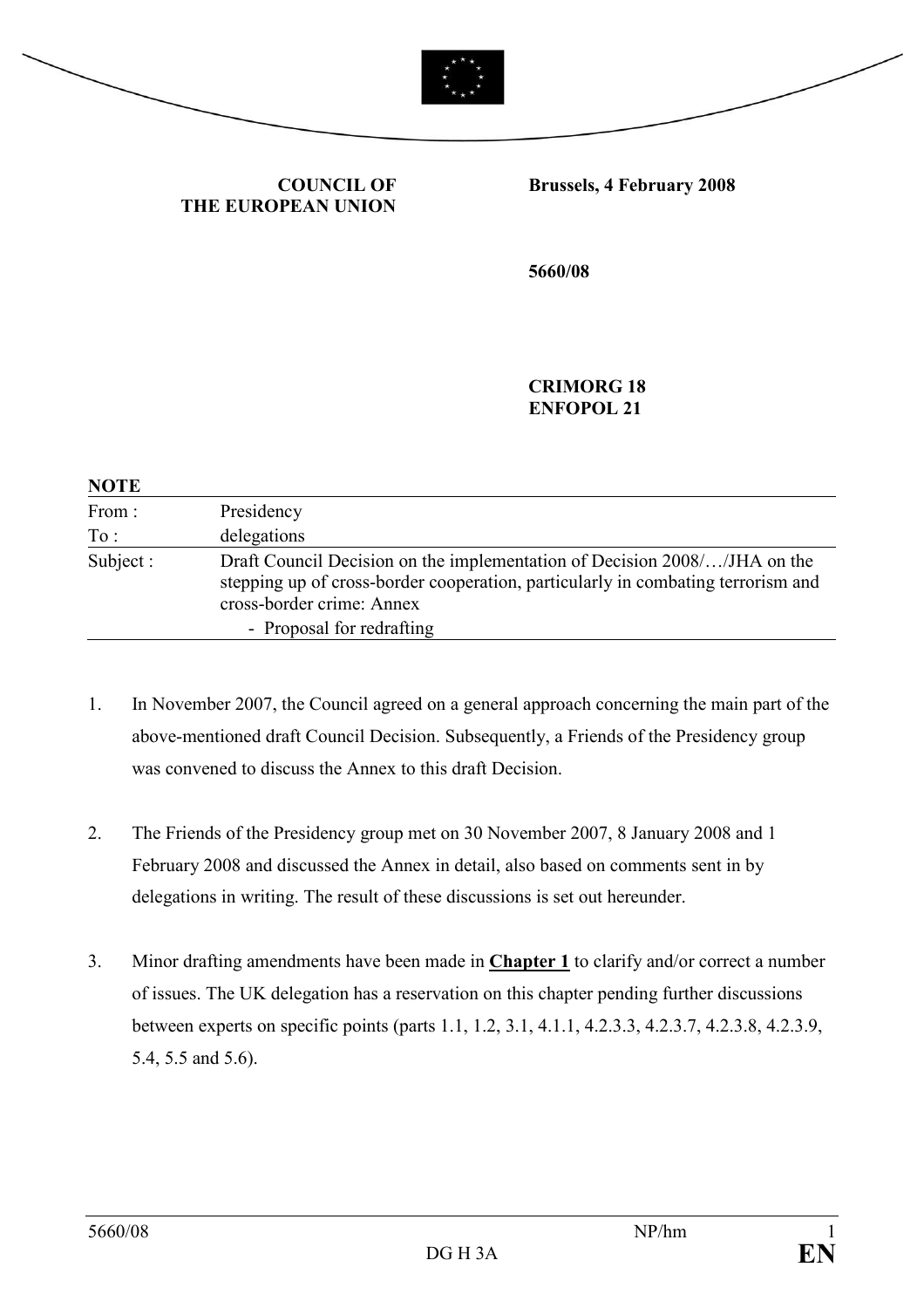



# COUNCIL OF THE EUROPEAN UNION

#### Brussels, 4 February 2008

5660/08

CRIMORG 18 ENFOPOL 21

| <b>NOTE</b> |                                                                                                                                                                                            |
|-------------|--------------------------------------------------------------------------------------------------------------------------------------------------------------------------------------------|
| From:       | Presidency                                                                                                                                                                                 |
| To:         | delegations                                                                                                                                                                                |
| Subject:    | Draft Council Decision on the implementation of Decision 2008//JHA on the<br>stepping up of cross-border cooperation, particularly in combating terrorism and<br>cross-border crime: Annex |
|             | - Proposal for redrafting                                                                                                                                                                  |

- 1. In November 2007, the Council agreed on a general approach concerning the main part of the above-mentioned draft Council Decision. Subsequently, a Friends of the Presidency group was convened to discuss the Annex to this draft Decision.
- 2. The Friends of the Presidency group met on 30 November 2007, 8 January 2008 and 1 February 2008 and discussed the Annex in detail, also based on comments sent in by delegations in writing. The result of these discussions is set out hereunder.
- 3. Minor drafting amendments have been made in Chapter 1 to clarify and/or correct a number of issues. The UK delegation has a reservation on this chapter pending further discussions between experts on specific points (parts 1.1, 1.2, 3.1, 4.1.1, 4.2.3.3, 4.2.3.7, 4.2.3.8, 4.2.3.9, 5.4, 5.5 and 5.6).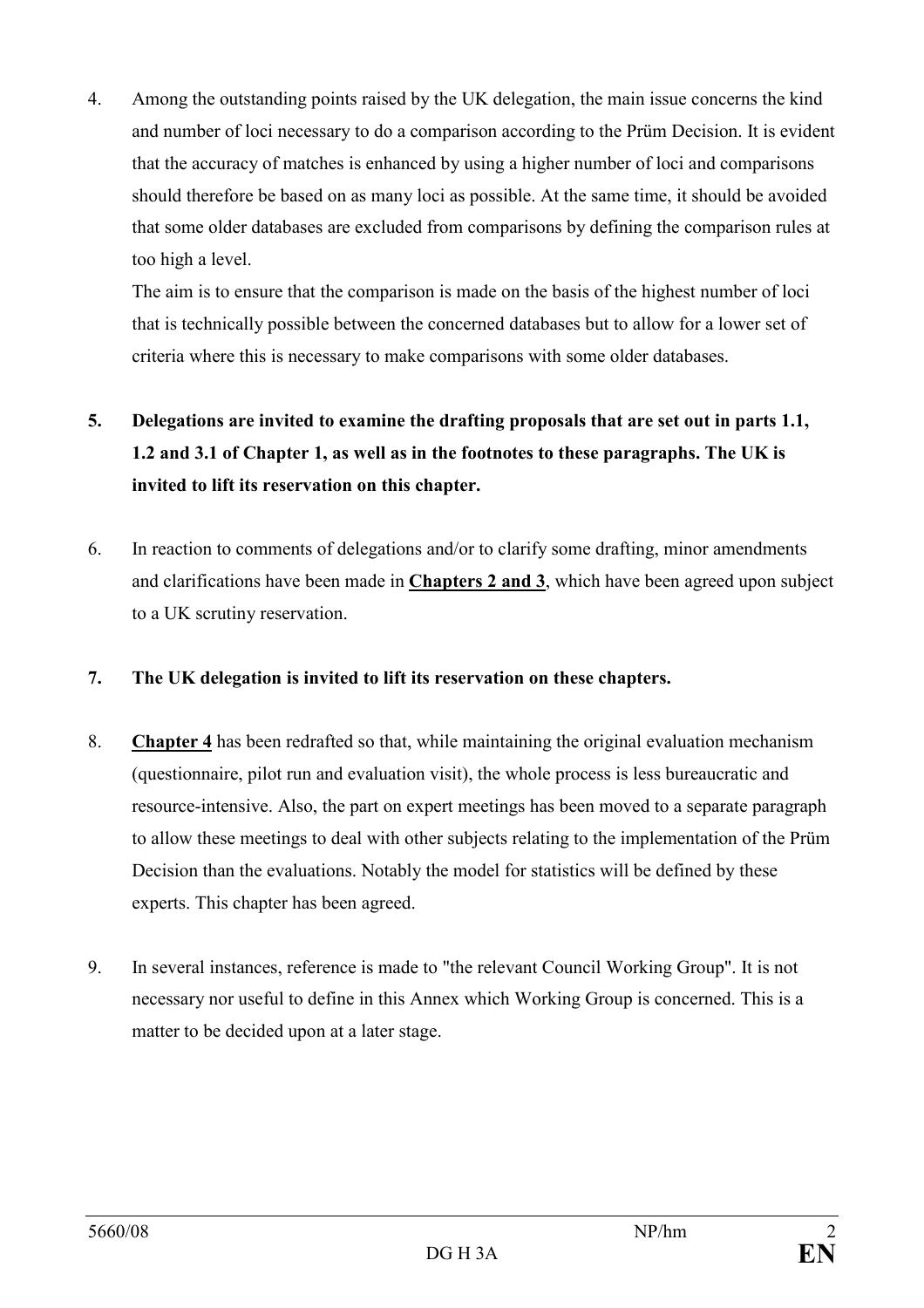4. Among the outstanding points raised by the UK delegation, the main issue concerns the kind and number of loci necessary to do a comparison according to the Prüm Decision. It is evident that the accuracy of matches is enhanced by using a higher number of loci and comparisons should therefore be based on as many loci as possible. At the same time, it should be avoided that some older databases are excluded from comparisons by defining the comparison rules at too high a level.

 The aim is to ensure that the comparison is made on the basis of the highest number of loci that is technically possible between the concerned databases but to allow for a lower set of criteria where this is necessary to make comparisons with some older databases.

# 5. Delegations are invited to examine the drafting proposals that are set out in parts 1.1, 1.2 and 3.1 of Chapter 1, as well as in the footnotes to these paragraphs. The UK is invited to lift its reservation on this chapter.

- 6. In reaction to comments of delegations and/or to clarify some drafting, minor amendments and clarifications have been made in Chapters 2 and 3, which have been agreed upon subject to a UK scrutiny reservation.
- 7. The UK delegation is invited to lift its reservation on these chapters.
- 8. Chapter 4 has been redrafted so that, while maintaining the original evaluation mechanism (questionnaire, pilot run and evaluation visit), the whole process is less bureaucratic and resource-intensive. Also, the part on expert meetings has been moved to a separate paragraph to allow these meetings to deal with other subjects relating to the implementation of the Prüm Decision than the evaluations. Notably the model for statistics will be defined by these experts. This chapter has been agreed.
- 9. In several instances, reference is made to "the relevant Council Working Group". It is not necessary nor useful to define in this Annex which Working Group is concerned. This is a matter to be decided upon at a later stage.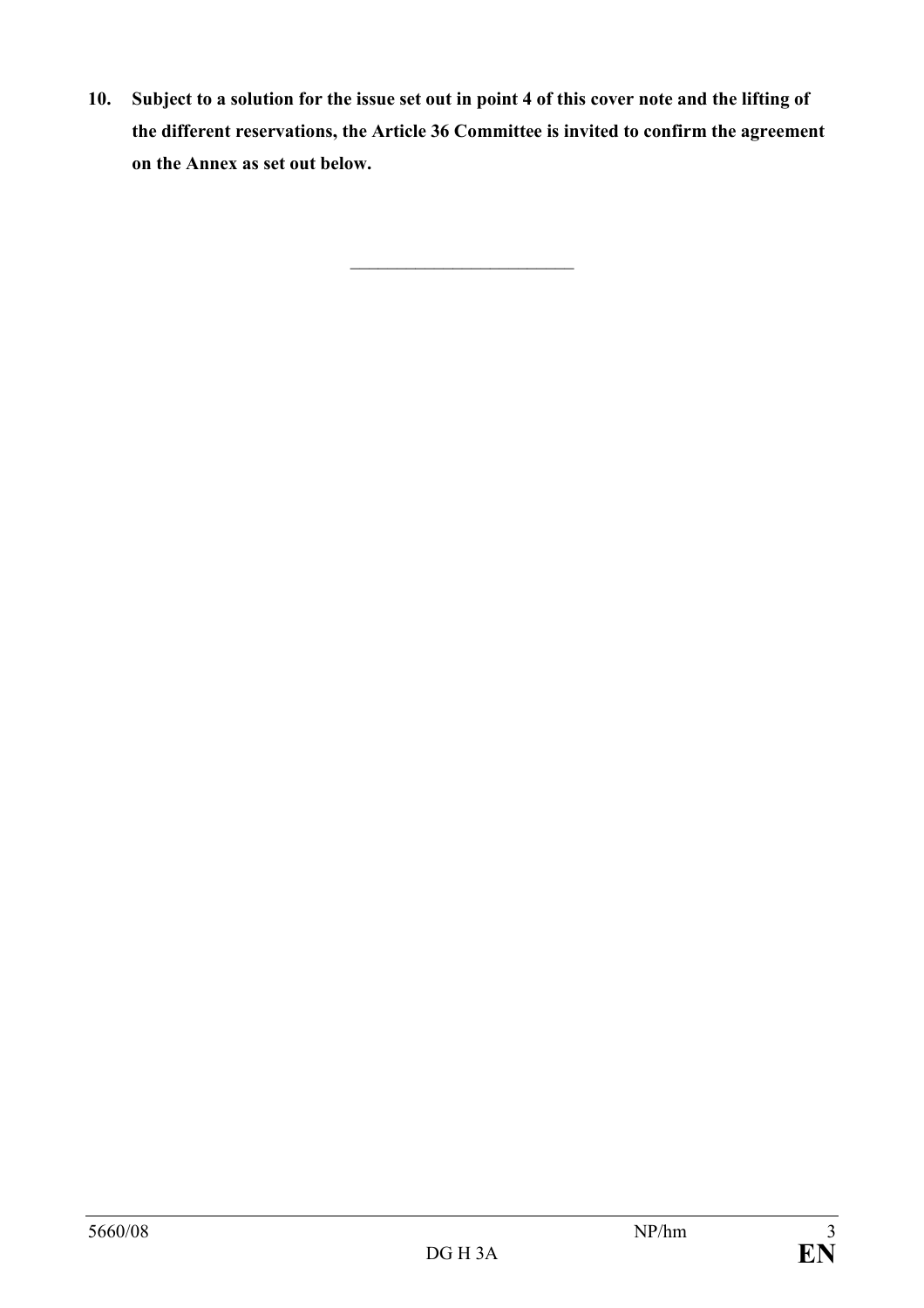10. Subject to a solution for the issue set out in point 4 of this cover note and the lifting of the different reservations, the Article 36 Committee is invited to confirm the agreement on the Annex as set out below.

\_\_\_\_\_\_\_\_\_\_\_\_\_\_\_\_\_\_\_\_\_\_\_\_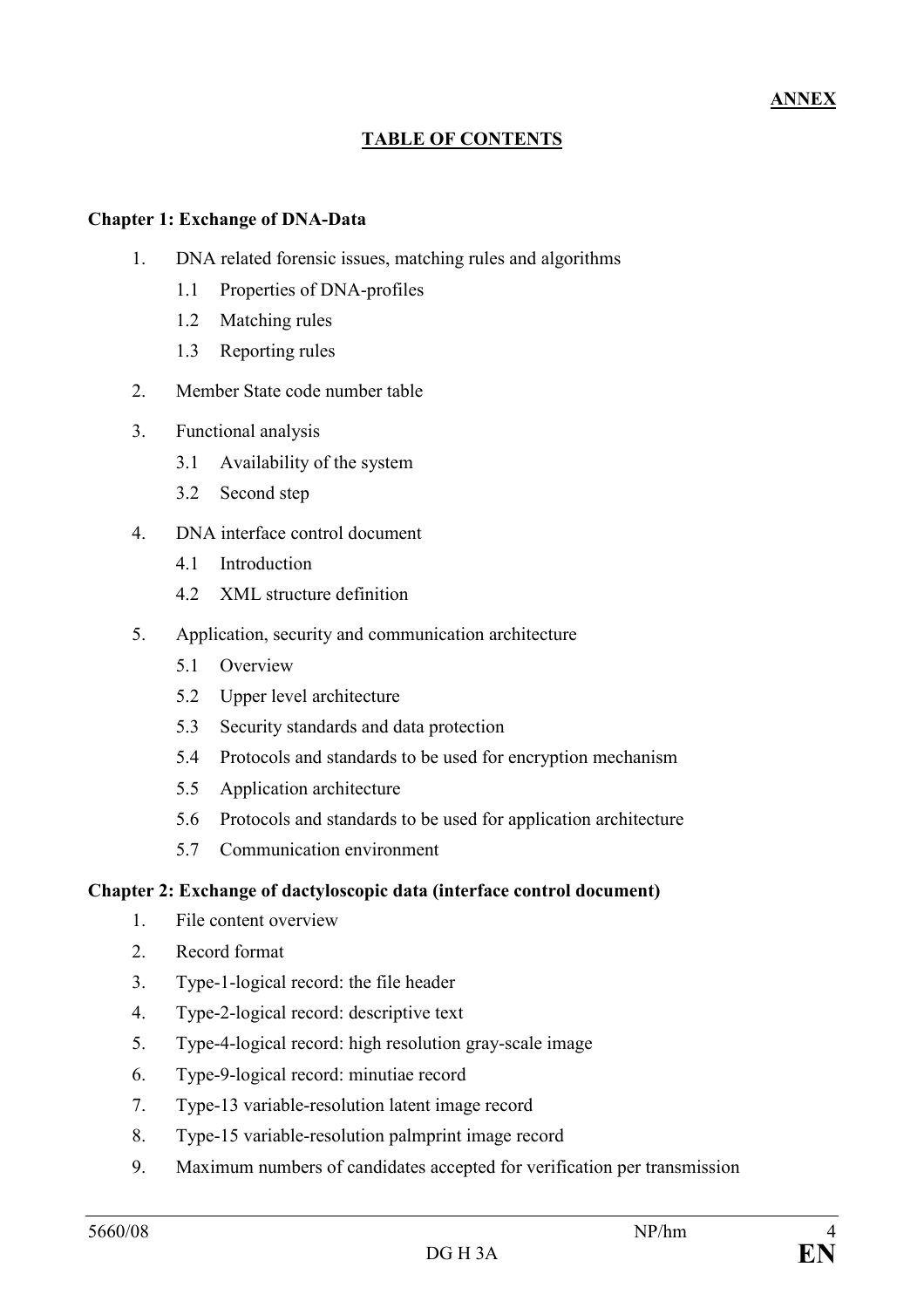# TABLE OF CONTENTS

### Chapter 1: Exchange of DNA-Data

- 1. DNA related forensic issues, matching rules and algorithms
	- 1.1 Properties of DNA-profiles
	- 1.2 Matching rules
	- 1.3 Reporting rules
- 2. Member State code number table
- 3. Functional analysis
	- 3.1 Availability of the system
	- 3.2 Second step
- 4. DNA interface control document
	- 4.1 Introduction
	- 4.2 XML structure definition
- 5. Application, security and communication architecture
	- 5.1 Overview
	- 5.2 Upper level architecture
	- 5.3 Security standards and data protection
	- 5.4 Protocols and standards to be used for encryption mechanism
	- 5.5 Application architecture
	- 5.6 Protocols and standards to be used for application architecture
	- 5.7 Communication environment

#### Chapter 2: Exchange of dactyloscopic data (interface control document)

- 1. File content overview
- 2. Record format
- 3. Type-1-logical record: the file header
- 4. Type-2-logical record: descriptive text
- 5. Type-4-logical record: high resolution gray-scale image
- 6. Type-9-logical record: minutiae record
- 7. Type-13 variable-resolution latent image record
- 8. Type-15 variable-resolution palmprint image record
- 9. Maximum numbers of candidates accepted for verification per transmission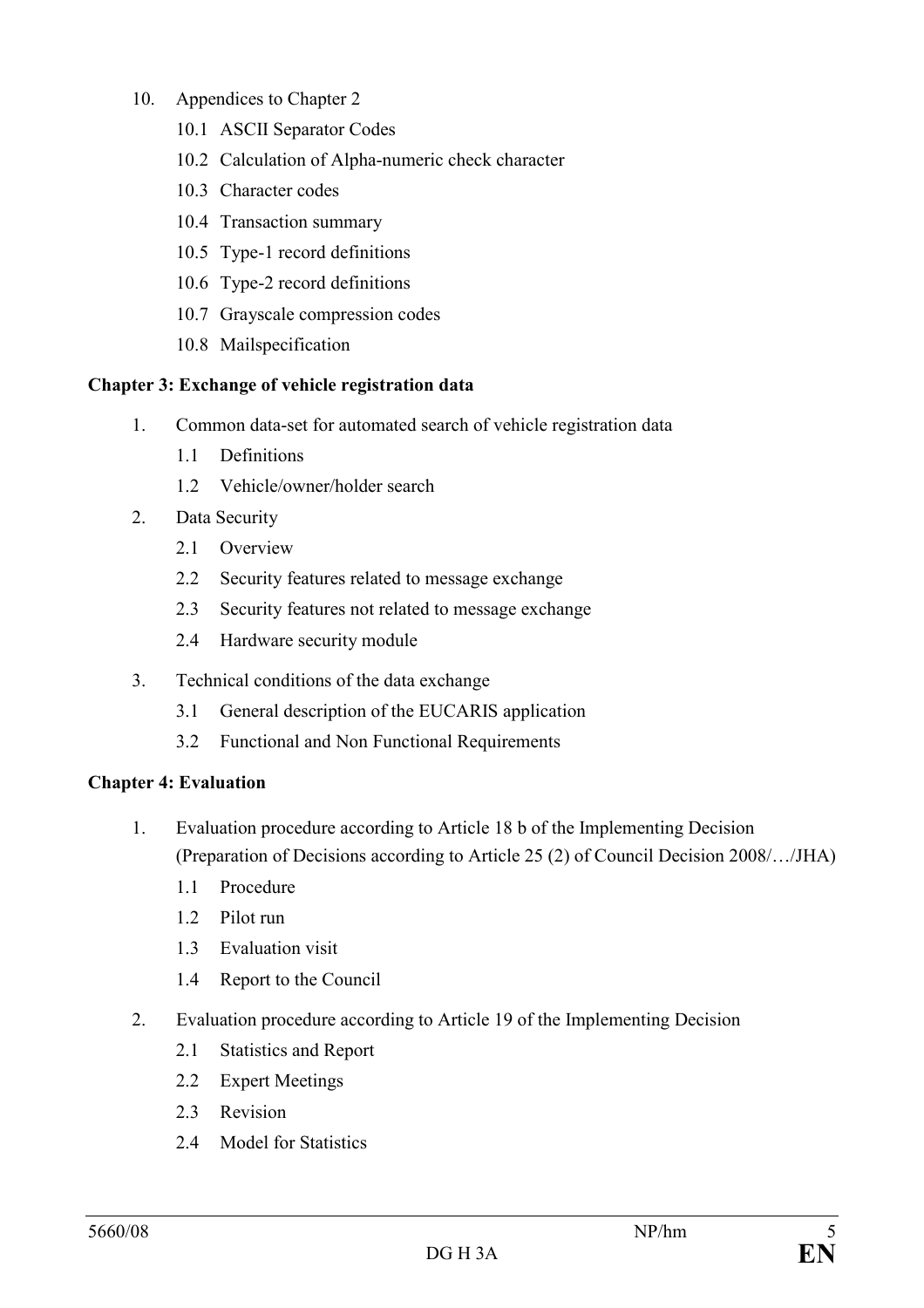## 10. Appendices to Chapter 2

- 10.1 ASCII Separator Codes
- 10.2 Calculation of Alpha-numeric check character
- 10.3 Character codes
- 10.4 Transaction summary
- 10.5 Type-1 record definitions
- 10.6 Type-2 record definitions
- 10.7 Grayscale compression codes
- 10.8 Mailspecification

### Chapter 3: Exchange of vehicle registration data

- 1. Common data-set for automated search of vehicle registration data
	- 1.1 Definitions
	- 1.2 Vehicle/owner/holder search
- 2. Data Security
	- 2.1 Overview
	- 2.2 Security features related to message exchange
	- 2.3 Security features not related to message exchange
	- 2.4 Hardware security module
- 3. Technical conditions of the data exchange
	- 3.1 General description of the EUCARIS application
	- 3.2 Functional and Non Functional Requirements

### Chapter 4: Evaluation

- 1. Evaluation procedure according to Article 18 b of the Implementing Decision (Preparation of Decisions according to Article 25 (2) of Council Decision 2008/…/JHA)
	- 1.1 Procedure
	- 1.2 Pilot run
	- 1.3 Evaluation visit
	- 1.4 Report to the Council
- 2. Evaluation procedure according to Article 19 of the Implementing Decision
	- 2.1 Statistics and Report
	- 2.2 Expert Meetings
	- 2.3 Revision
	- 2.4 Model for Statistics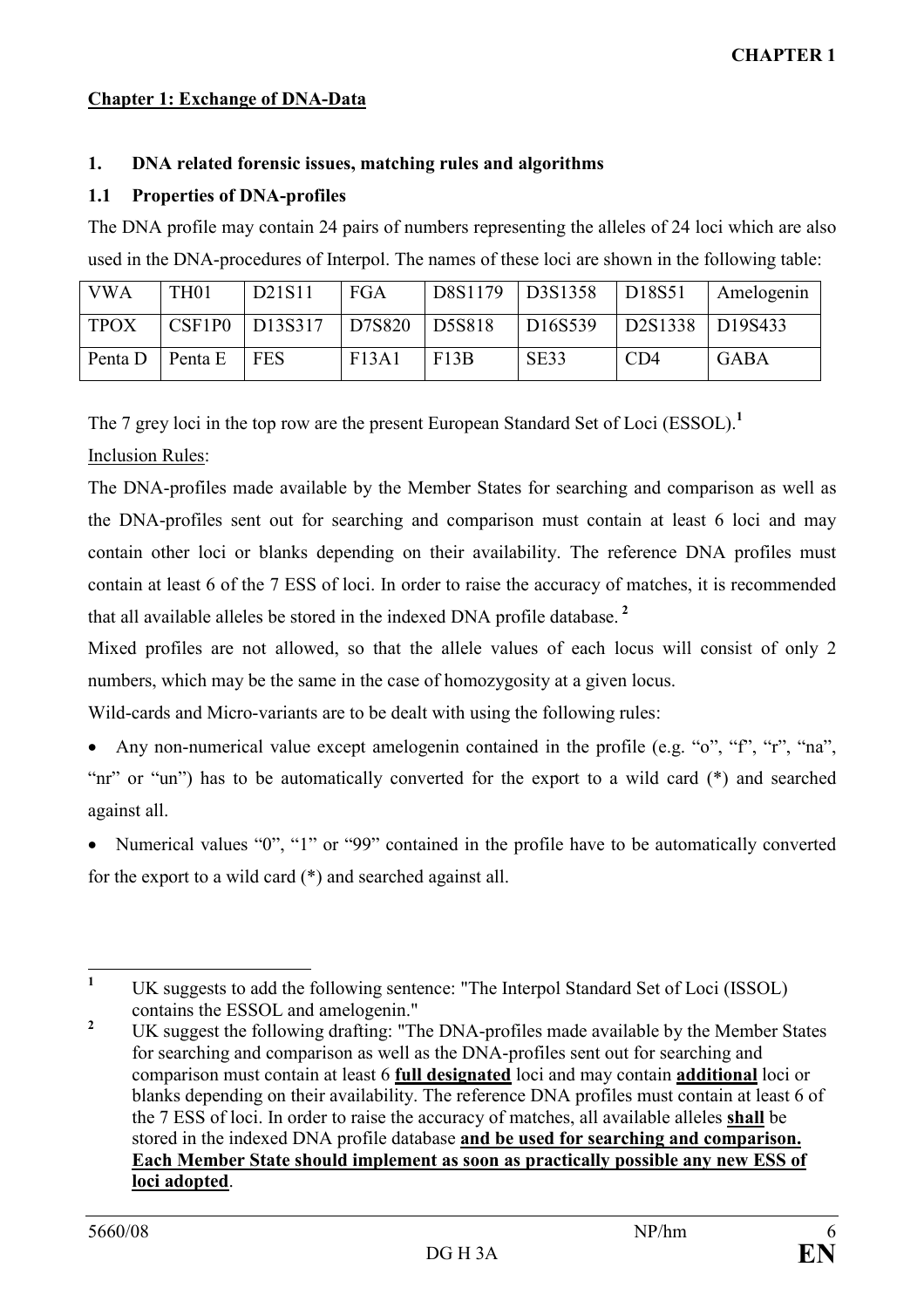## Chapter 1: Exchange of DNA-Data

### 1. DNA related forensic issues, matching rules and algorithms

### 1.1 Properties of DNA-profiles

The DNA profile may contain 24 pairs of numbers representing the alleles of 24 loci which are also used in the DNA-procedures of Interpol. The names of these loci are shown in the following table:

| <b>VWA</b>  | TH <sub>01</sub> | D21S11               | <b>FGA</b> | D8S1179 | $\vert$ D3S1358      | D18S51          | Amelogenin  |
|-------------|------------------|----------------------|------------|---------|----------------------|-----------------|-------------|
| <b>TPOX</b> |                  | $CSF1P0$   $D13S317$ | D7S820     | D5S818  | D <sub>16</sub> S539 | D2S1338 D19S433 |             |
| Penta D     | Penta E          | <b>FES</b>           | F13A1      | F13B    | SE33                 | CD4             | <b>GABA</b> |

The 7 grey loci in the top row are the present European Standard Set of Loci (ESSOL).<sup>1</sup>

# Inclusion Rules:

The DNA-profiles made available by the Member States for searching and comparison as well as the DNA-profiles sent out for searching and comparison must contain at least 6 loci and may contain other loci or blanks depending on their availability. The reference DNA profiles must contain at least 6 of the 7 ESS of loci. In order to raise the accuracy of matches, it is recommended that all available alleles be stored in the indexed DNA profile database. $<sup>2</sup>$ </sup>

Mixed profiles are not allowed, so that the allele values of each locus will consist of only 2 numbers, which may be the same in the case of homozygosity at a given locus.

Wild-cards and Micro-variants are to be dealt with using the following rules:

• Any non-numerical value except amelogenin contained in the profile (e.g. "o", "f", "r", "na", "nr" or "un") has to be automatically converted for the export to a wild card (\*) and searched against all.

• Numerical values "0", "1" or "99" contained in the profile have to be automatically converted for the export to a wild card (\*) and searched against all.

 $\frac{1}{1}$  UK suggests to add the following sentence: "The Interpol Standard Set of Loci (ISSOL) contains the ESSOL and amelogenin."

<sup>2</sup> UK suggest the following drafting: "The DNA-profiles made available by the Member States for searching and comparison as well as the DNA-profiles sent out for searching and comparison must contain at least 6 full designated loci and may contain additional loci or blanks depending on their availability. The reference DNA profiles must contain at least 6 of the 7 ESS of loci. In order to raise the accuracy of matches, all available alleles shall be stored in the indexed DNA profile database and be used for searching and comparison. Each Member State should implement as soon as practically possible any new ESS of loci adopted.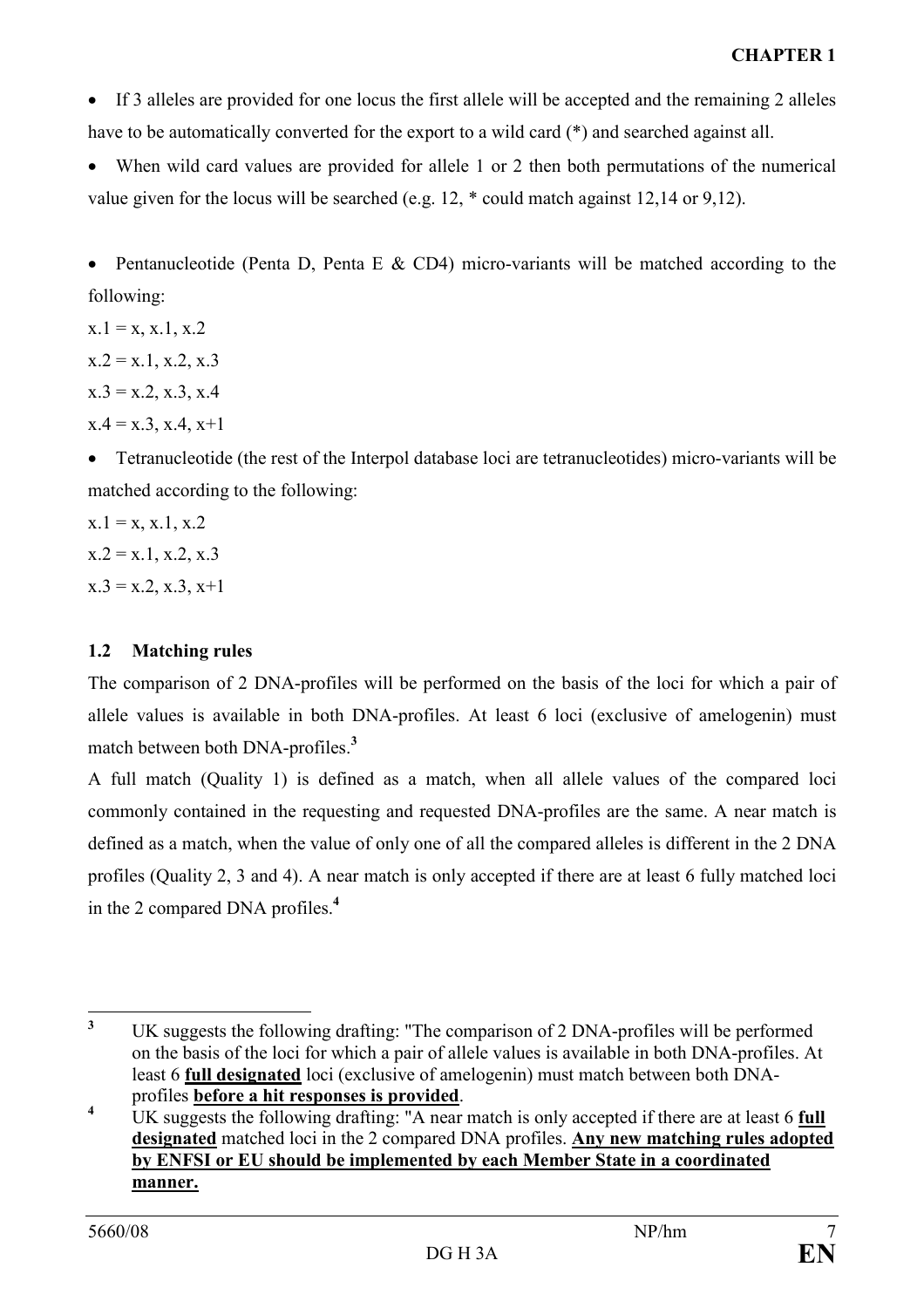• If 3 alleles are provided for one locus the first allele will be accepted and the remaining 2 alleles have to be automatically converted for the export to a wild card (\*) and searched against all.

• When wild card values are provided for allele 1 or 2 then both permutations of the numerical value given for the locus will be searched (e.g. 12, \* could match against 12,14 or 9,12).

• Pentanucleotide (Penta D, Penta E & CD4) micro-variants will be matched according to the following:

 $x.1 = x, x.1, x.2$  $x.2 = x.1, x.2, x.3$  $x.3 = x.2, x.3, x.4$  $x.4 = x.3$ ,  $x.4$ ,  $x+1$ 

• Tetranucleotide (the rest of the Interpol database loci are tetranucleotides) micro-variants will be matched according to the following:

 $x.1 = x, x.1, x.2$  $x.2 = x.1, x.2, x.3$  $x.3 = x.2, x.3, x+1$ 

# 1.2 Matching rules

The comparison of 2 DNA-profiles will be performed on the basis of the loci for which a pair of allele values is available in both DNA-profiles. At least 6 loci (exclusive of amelogenin) must match between both DNA-profiles.<sup>3</sup>

A full match (Quality 1) is defined as a match, when all allele values of the compared loci commonly contained in the requesting and requested DNA-profiles are the same. A near match is defined as a match, when the value of only one of all the compared alleles is different in the 2 DNA profiles (Quality 2, 3 and 4). A near match is only accepted if there are at least 6 fully matched loci in the 2 compared DNA profiles.<sup>4</sup>

<sup>&</sup>lt;sup>3</sup> UK suggests the following drafting: "The comparison of 2 DNA-profiles will be performed on the basis of the loci for which a pair of allele values is available in both DNA-profiles. At least 6 full designated loci (exclusive of amelogenin) must match between both DNAprofiles before a hit responses is provided.

<sup>4</sup> UK suggests the following drafting: "A near match is only accepted if there are at least 6 full designated matched loci in the 2 compared DNA profiles. Any new matching rules adopted by ENFSI or EU should be implemented by each Member State in a coordinated manner.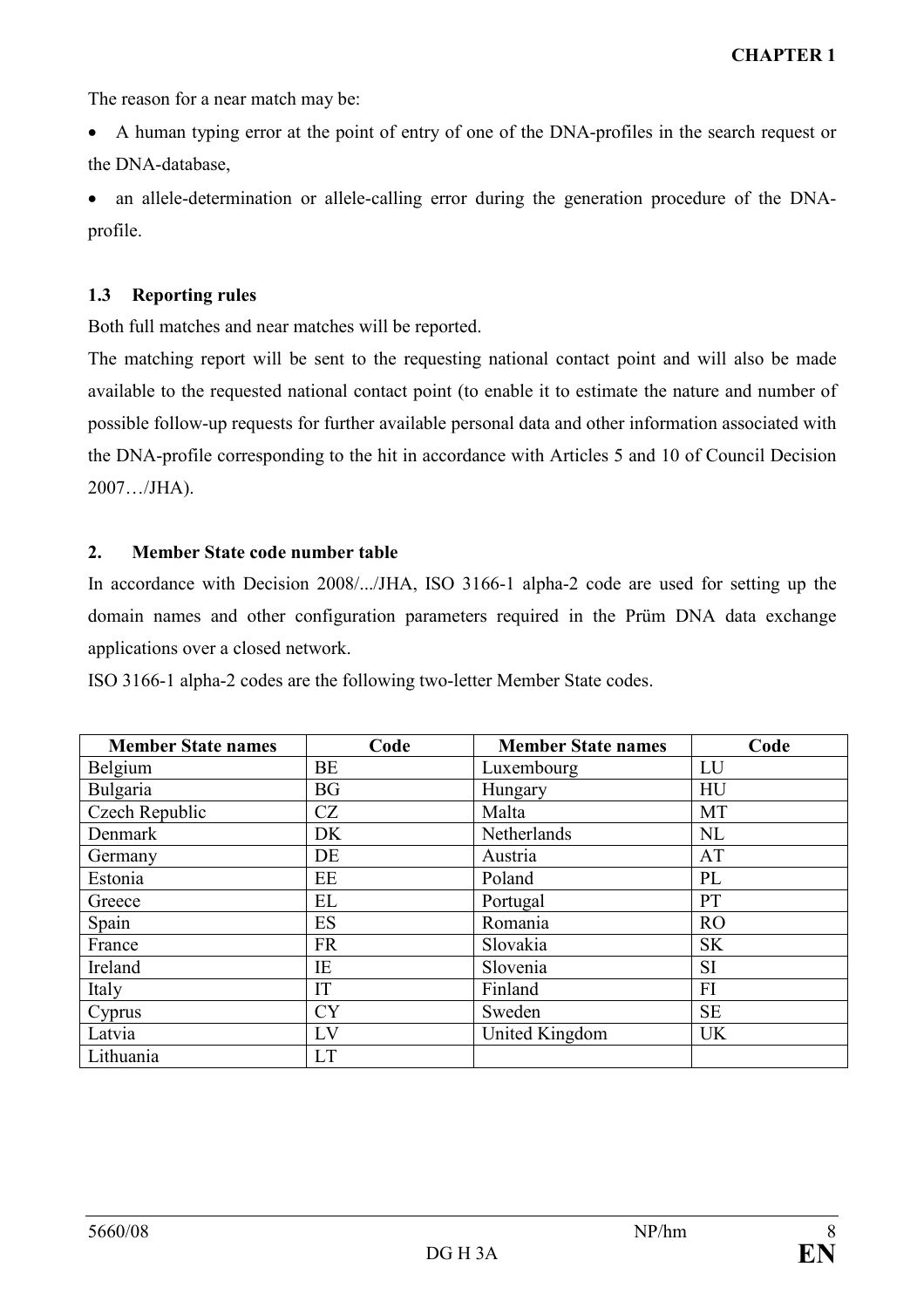The reason for a near match may be:

• A human typing error at the point of entry of one of the DNA-profiles in the search request or the DNA-database,

• an allele-determination or allele-calling error during the generation procedure of the DNAprofile.

#### 1.3 Reporting rules

Both full matches and near matches will be reported.

The matching report will be sent to the requesting national contact point and will also be made available to the requested national contact point (to enable it to estimate the nature and number of possible follow-up requests for further available personal data and other information associated with the DNA-profile corresponding to the hit in accordance with Articles 5 and 10 of Council Decision 2007…/JHA).

### 2. Member State code number table

In accordance with Decision 2008/.../JHA, ISO 3166-1 alpha-2 code are used for setting up the domain names and other configuration parameters required in the Prüm DNA data exchange applications over a closed network.

ISO 3166-1 alpha-2 codes are the following two-letter Member State codes.

| <b>Member State names</b> | Code      | <b>Member State names</b> | Code      |
|---------------------------|-----------|---------------------------|-----------|
| Belgium                   | BE        | Luxembourg                | LU        |
| Bulgaria                  | <b>BG</b> | Hungary                   | HU        |
| Czech Republic            | CZ        | Malta                     | <b>MT</b> |
| Denmark                   | DK        | Netherlands               | <b>NL</b> |
| Germany                   | DE        | Austria                   | AT        |
| Estonia                   | EE        | Poland                    | PL        |
| Greece                    | EL        | Portugal                  | PT        |
| Spain                     | ES        | Romania                   | <b>RO</b> |
| France                    | <b>FR</b> | Slovakia                  | <b>SK</b> |
| Ireland                   | IE        | Slovenia                  | SI        |
| Italy                     | IT        | Finland                   | FI        |
| Cyprus                    | <b>CY</b> | Sweden                    | <b>SE</b> |
| Latvia                    | LV        | United Kingdom            | <b>UK</b> |
| Lithuania                 | <b>LT</b> |                           |           |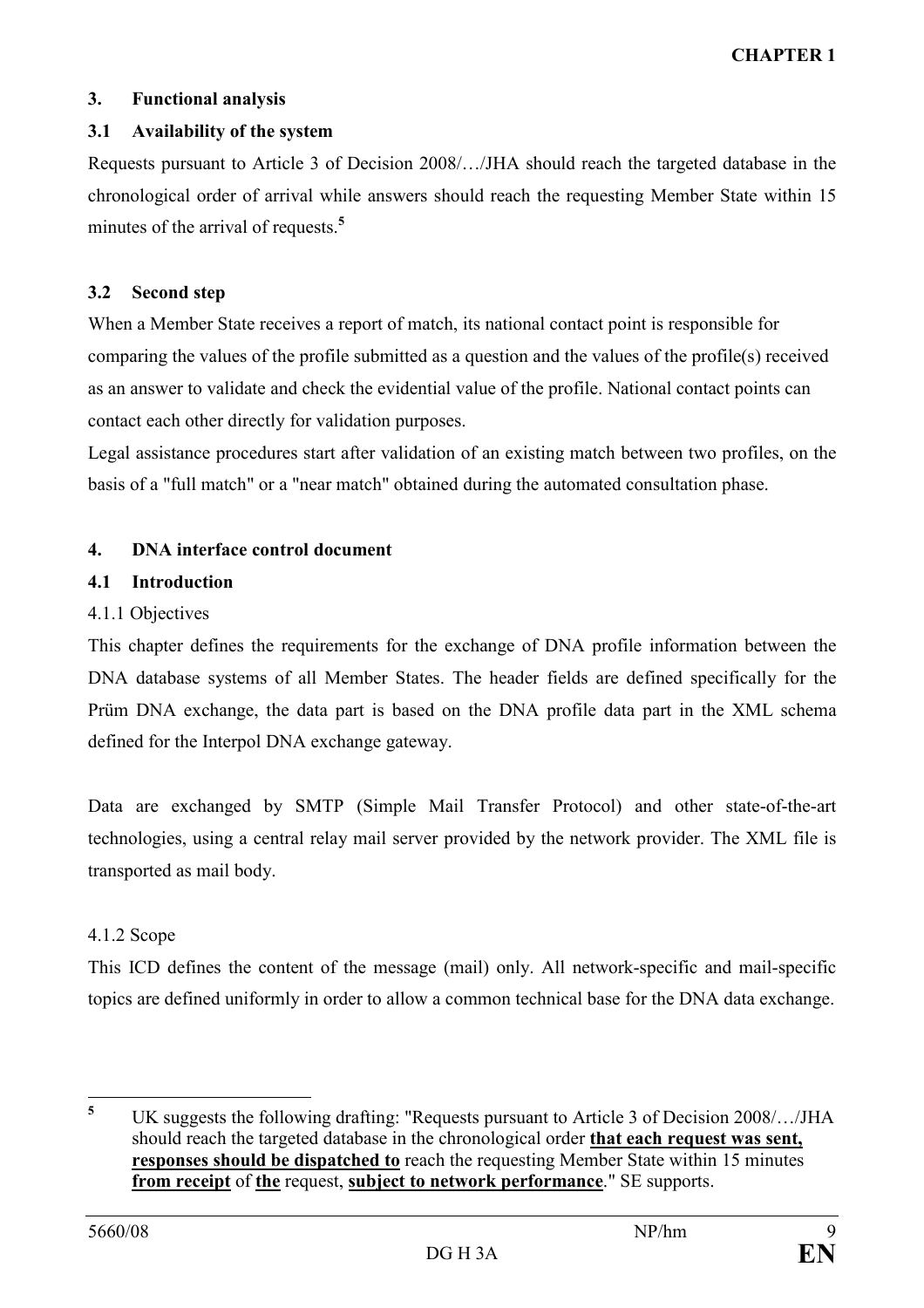## 3. Functional analysis

## 3.1 Availability of the system

Requests pursuant to Article 3 of Decision 2008/…/JHA should reach the targeted database in the chronological order of arrival while answers should reach the requesting Member State within 15 minutes of the arrival of requests.<sup>5</sup>

### 3.2 Second step

When a Member State receives a report of match, its national contact point is responsible for comparing the values of the profile submitted as a question and the values of the profile(s) received as an answer to validate and check the evidential value of the profile. National contact points can contact each other directly for validation purposes.

Legal assistance procedures start after validation of an existing match between two profiles, on the basis of a "full match" or a "near match" obtained during the automated consultation phase.

## 4. DNA interface control document

## 4.1 Introduction

## 4.1.1 Objectives

This chapter defines the requirements for the exchange of DNA profile information between the DNA database systems of all Member States. The header fields are defined specifically for the Prüm DNA exchange, the data part is based on the DNA profile data part in the XML schema defined for the Interpol DNA exchange gateway.

Data are exchanged by SMTP (Simple Mail Transfer Protocol) and other state-of-the-art technologies, using a central relay mail server provided by the network provider. The XML file is transported as mail body.

# 4.1.2 Scope

This ICD defines the content of the message (mail) only. All network-specific and mail-specific topics are defined uniformly in order to allow a common technical base for the DNA data exchange.

 5 UK suggests the following drafting: "Requests pursuant to Article 3 of Decision 2008/…/JHA should reach the targeted database in the chronological order that each request was sent, responses should be dispatched to reach the requesting Member State within 15 minutes from receipt of the request, subject to network performance." SE supports.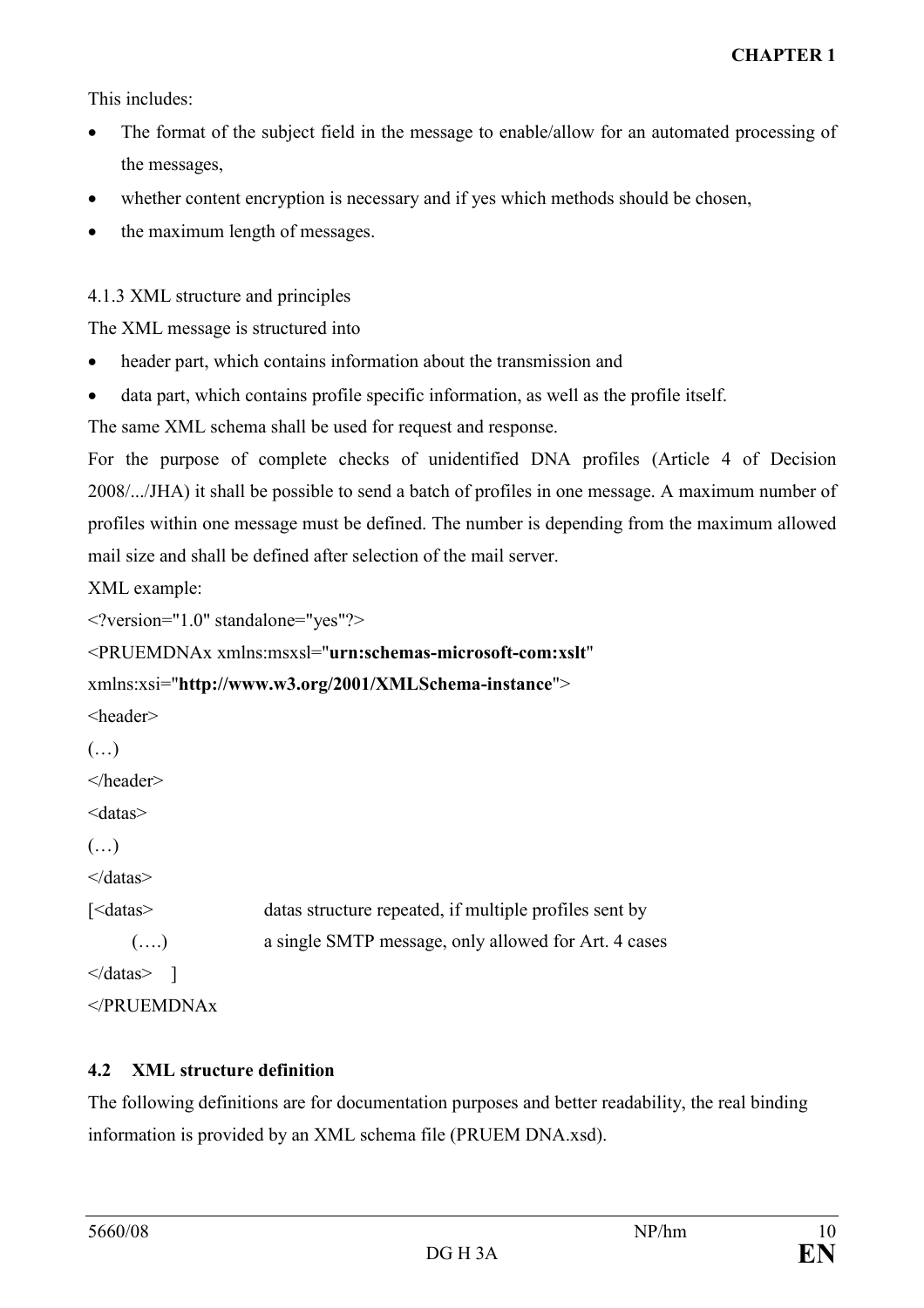This includes:

- The format of the subject field in the message to enable/allow for an automated processing of the messages,
- whether content encryption is necessary and if yes which methods should be chosen.
- the maximum length of messages.

4.1.3 XML structure and principles

The XML message is structured into

- header part, which contains information about the transmission and
- data part, which contains profile specific information, as well as the profile itself.

The same XML schema shall be used for request and response.

For the purpose of complete checks of unidentified DNA profiles (Article 4 of Decision 2008/.../JHA) it shall be possible to send a batch of profiles in one message. A maximum number of profiles within one message must be defined. The number is depending from the maximum allowed mail size and shall be defined after selection of the mail server.

XML example:

```
<?version="1.0" standalone="yes"?>
```

```
<PRUEMDNAx xmlns:msxsl="urn:schemas-microsoft-com:xslt"
```

```
xmlns:xsi="http://www.w3.org/2001/XMLSchema-instance">
```

```
<header>
```

```
(…)
```
</header>

```
<datas>
```
(…)

</datas>

[<datas> datas structure repeated, if multiple profiles sent by (….) a single SMTP message, only allowed for Art. 4 cases

```
\leq datas> \qquad
```

```
</PRUEMDNAx
```
# 4.2 XML structure definition

The following definitions are for documentation purposes and better readability, the real binding information is provided by an XML schema file (PRUEM DNA.xsd).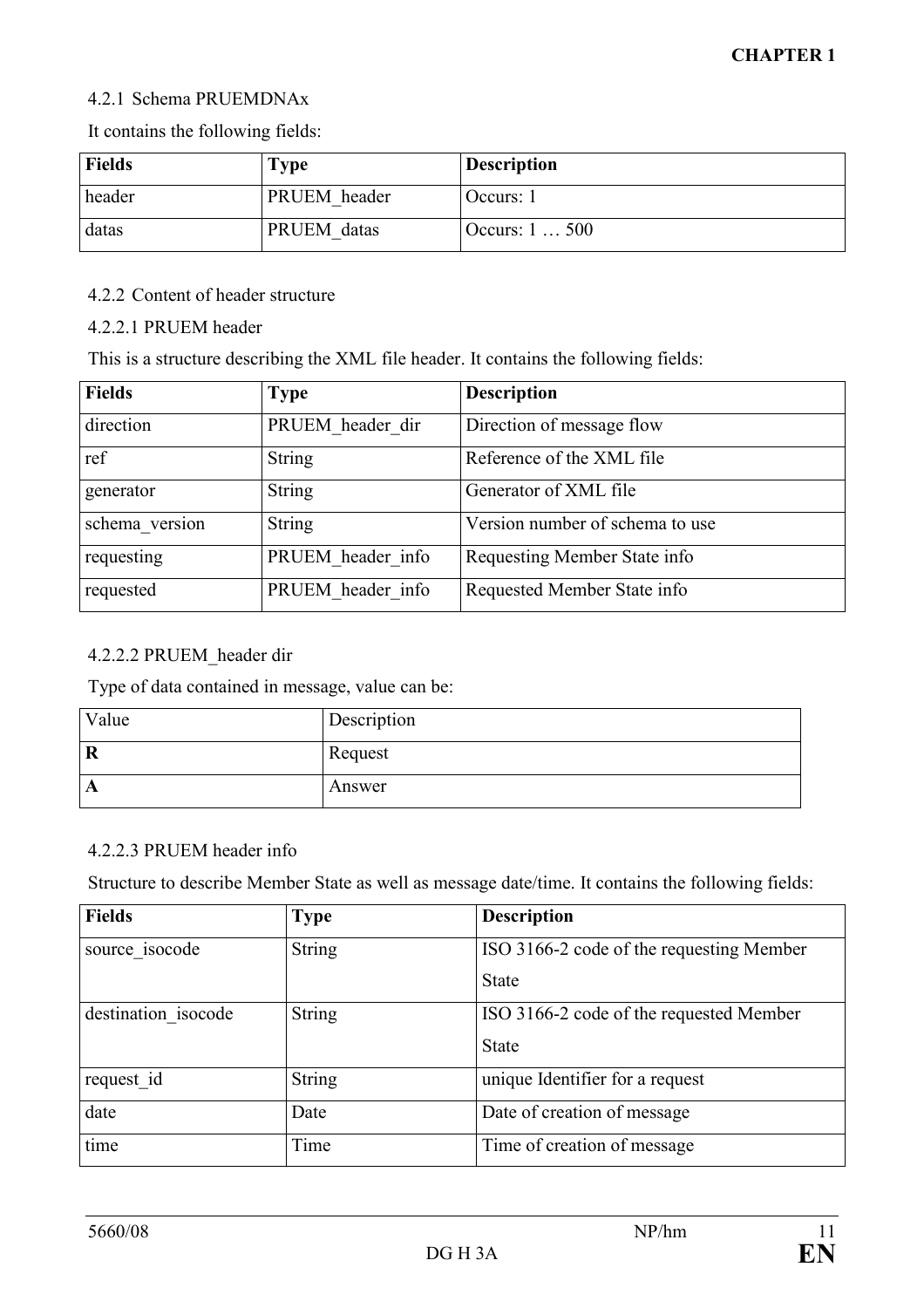## 4.2.1 Schema PRUEMDNAx

It contains the following fields:

| <b>Fields</b> | $\Gamma$ ype | <b>Description</b> |
|---------------|--------------|--------------------|
| header        | PRUEM header | Occurs: 1          |
| datas         | PRUEM datas  | Occurs: $1500$     |

### 4.2.2 Content of header structure

### 4.2.2.1 PRUEM header

This is a structure describing the XML file header. It contains the following fields:

| <b>Fields</b>  | <b>Type</b>       | <b>Description</b>              |
|----------------|-------------------|---------------------------------|
| direction      | PRUEM header dir  | Direction of message flow       |
| ref            | <b>String</b>     | Reference of the XML file       |
| generator      | String            | Generator of XML file           |
| schema version | String            | Version number of schema to use |
| requesting     | PRUEM header info | Requesting Member State info    |
| requested      | PRUEM header info | Requested Member State info     |

# 4.2.2.2 PRUEM\_header dir

Type of data contained in message, value can be:

| Value   | Description |
|---------|-------------|
| $\bf R$ | Request     |
| A       | Answer      |

## 4.2.2.3 PRUEM header info

Structure to describe Member State as well as message date/time. It contains the following fields:

| <b>Fields</b>       | <b>Type</b>   | <b>Description</b>                       |
|---------------------|---------------|------------------------------------------|
| source isocode      | <b>String</b> | ISO 3166-2 code of the requesting Member |
|                     |               | <b>State</b>                             |
| destination isocode | <b>String</b> | ISO 3166-2 code of the requested Member  |
|                     |               | <b>State</b>                             |
| request id          | <b>String</b> | unique Identifier for a request          |
| date                | Date          | Date of creation of message              |
| time                | Time          | Time of creation of message              |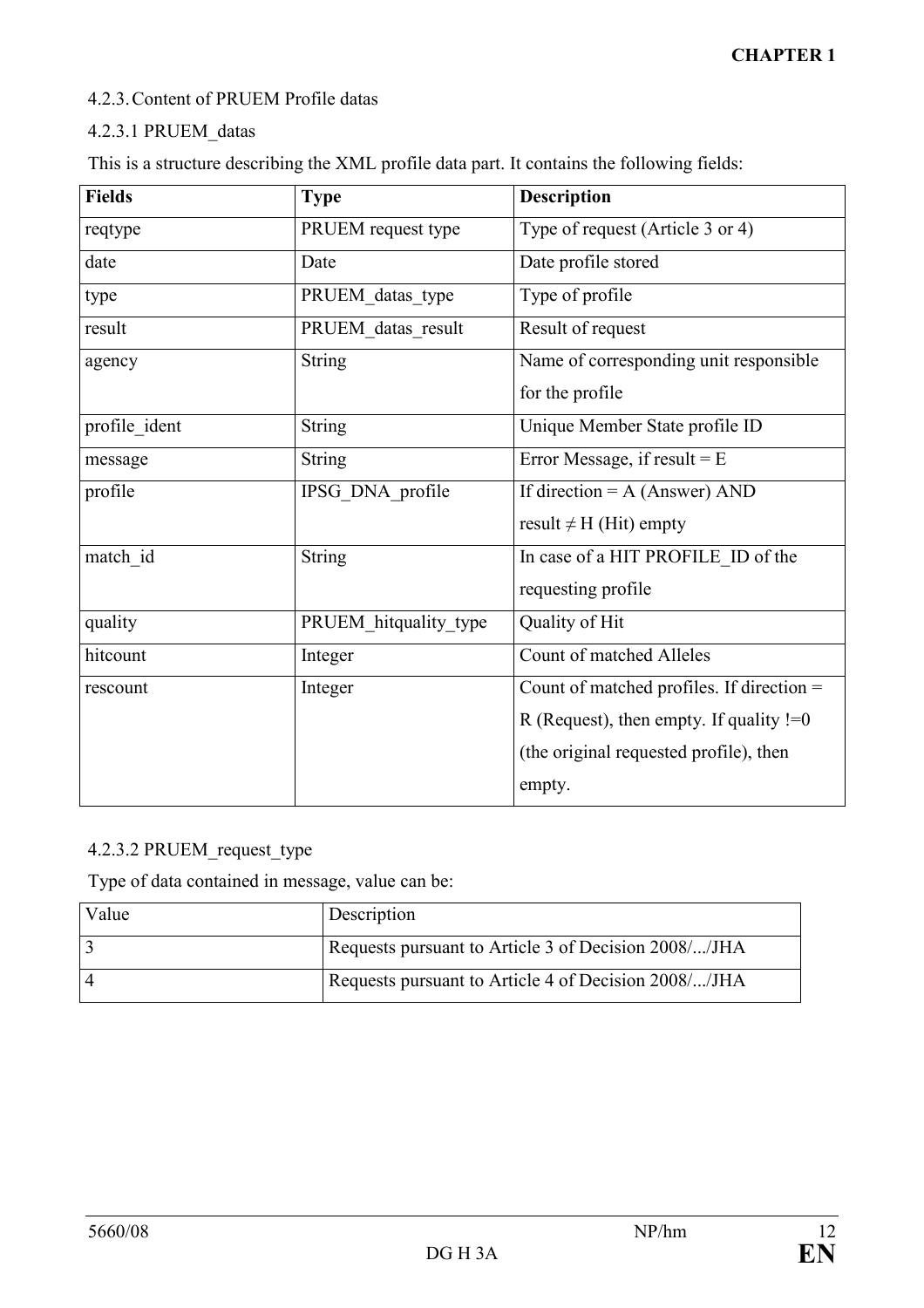## 4.2.3. Content of PRUEM Profile datas

# 4.2.3.1 PRUEM\_datas

This is a structure describing the XML profile data part. It contains the following fields:

| <b>Fields</b> | <b>Type</b>           | <b>Description</b>                          |
|---------------|-----------------------|---------------------------------------------|
| reqtype       | PRUEM request type    | Type of request (Article 3 or 4)            |
| date          | Date                  | Date profile stored                         |
| type          | PRUEM datas type      | Type of profile                             |
| result        | PRUEM_datas_result    | Result of request                           |
| agency        | <b>String</b>         | Name of corresponding unit responsible      |
|               |                       | for the profile                             |
| profile ident | <b>String</b>         | Unique Member State profile ID              |
| message       | <b>String</b>         | Error Message, if result $=$ E              |
| profile       | IPSG DNA profile      | If direction = $A$ (Answer) AND             |
|               |                       | result $\neq$ H (Hit) empty                 |
| match id      | <b>String</b>         | In case of a HIT PROFILE ID of the          |
|               |                       | requesting profile                          |
| quality       | PRUEM hitquality type | Quality of Hit                              |
| hitcount      | Integer               | Count of matched Alleles                    |
| rescount      | Integer               | Count of matched profiles. If direction $=$ |
|               |                       | R (Request), then empty. If quality $!=0$   |
|               |                       | (the original requested profile), then      |
|               |                       | empty.                                      |

# 4.2.3.2 PRUEM\_request\_type

Type of data contained in message, value can be:

| Value | Description                                          |
|-------|------------------------------------------------------|
|       | Requests pursuant to Article 3 of Decision 2008//JHA |
|       | Requests pursuant to Article 4 of Decision 2008//JHA |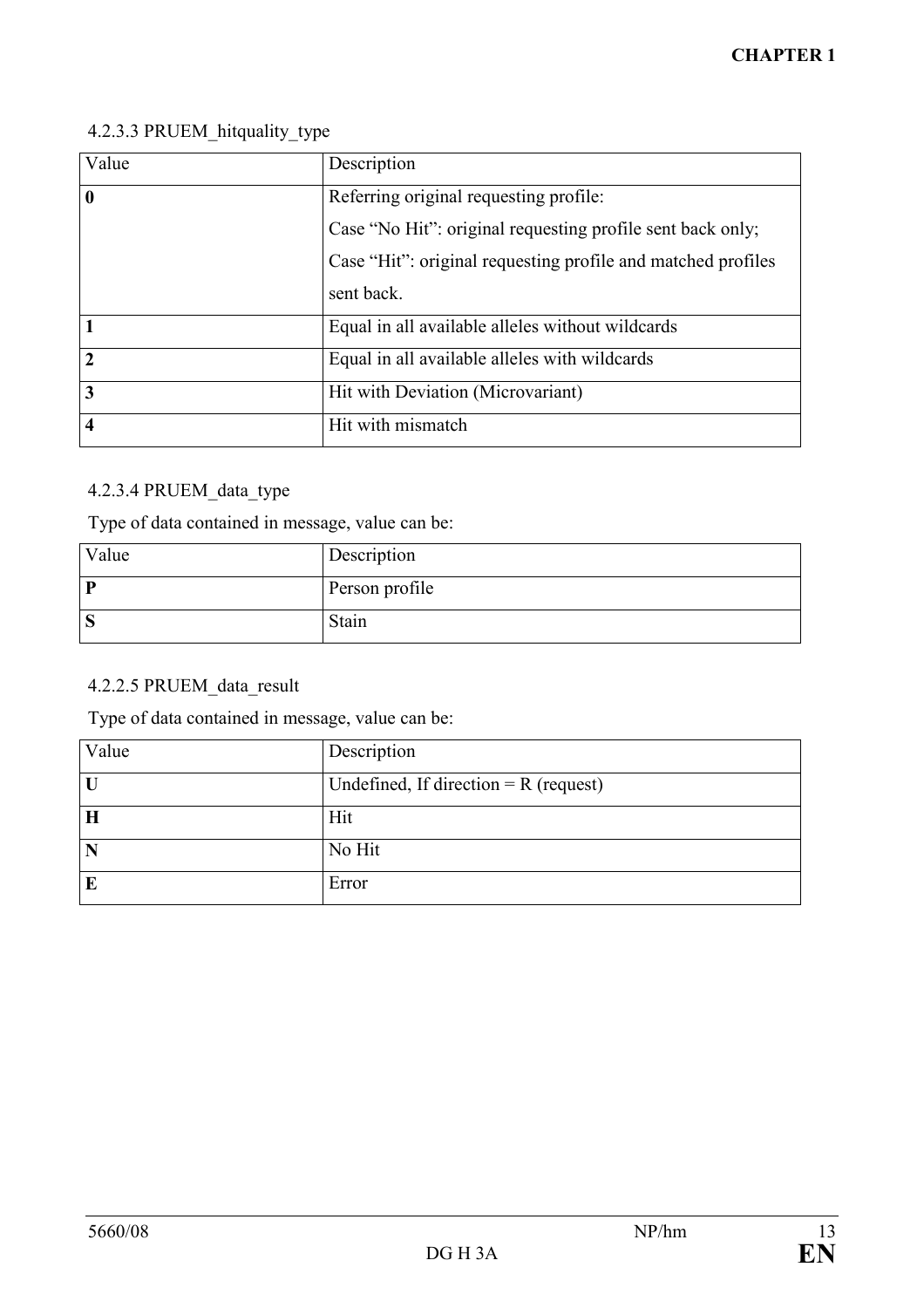# 4.2.3.3 PRUEM\_hitquality\_type

| Value                   | Description                                                  |
|-------------------------|--------------------------------------------------------------|
| $\overline{\mathbf{0}}$ | Referring original requesting profile:                       |
|                         | Case "No Hit": original requesting profile sent back only;   |
|                         | Case "Hit": original requesting profile and matched profiles |
|                         | sent back.                                                   |
| $\mathbf{1}$            | Equal in all available alleles without wildcards             |
| $\overline{2}$          | Equal in all available alleles with wildcards                |
| $\overline{3}$          | Hit with Deviation (Microvariant)                            |
| $\overline{4}$          | Hit with mismatch                                            |

# 4.2.3.4 PRUEM\_data\_type

Type of data contained in message, value can be:

| Value | Description    |
|-------|----------------|
| D     | Person profile |
| S     | Stain          |

# 4.2.2.5 PRUEM\_data\_result

Type of data contained in message, value can be:

| Value        | Description                             |
|--------------|-----------------------------------------|
| $\mathbf{U}$ | Undefined, If direction $= R$ (request) |
| H            | Hit                                     |
| N            | No Hit                                  |
| E            | Error                                   |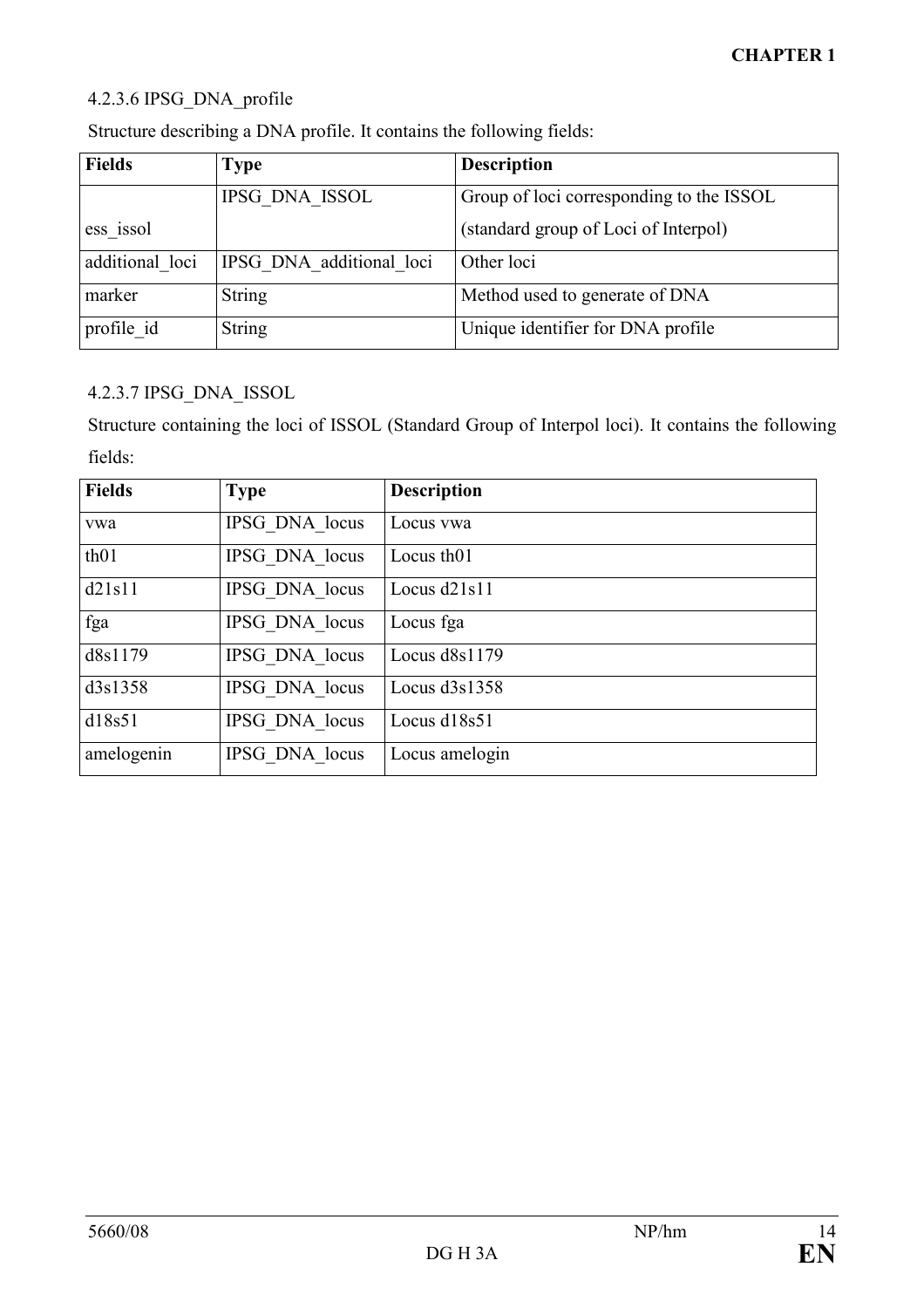# 4.2.3.6 IPSG\_DNA\_profile

| <b>Fields</b>   | <b>Type</b>              | <b>Description</b>                       |  |  |
|-----------------|--------------------------|------------------------------------------|--|--|
|                 | IPSG DNA ISSOL           | Group of loci corresponding to the ISSOL |  |  |
| ess issol       |                          | (standard group of Loci of Interpol)     |  |  |
| additional loci | IPSG DNA additional loci | Other loci                               |  |  |
| marker          | <b>String</b>            | Method used to generate of DNA           |  |  |
| profile id      | <b>String</b>            | Unique identifier for DNA profile        |  |  |

Structure describing a DNA profile. It contains the following fields:

# 4.2.3.7 IPSG\_DNA\_ISSOL

Structure containing the loci of ISSOL (Standard Group of Interpol loci). It contains the following fields:

| <b>Fields</b> | <b>Type</b>    | <b>Description</b>     |
|---------------|----------------|------------------------|
| vwa           | IPSG DNA locus | Locus ywa              |
| th01          | IPSG DNA locus | Locus th <sub>01</sub> |
| d21s11        | IPSG DNA locus | Locus $d21s11$         |
| fga           | IPSG DNA locus | Locus fga              |
| d8s1179       | IPSG DNA locus | Locus $d8s1179$        |
| d3s1358       | IPSG DNA locus | Locus $d3s1358$        |
| d18s51        | IPSG DNA locus | Locus d18s51           |
| amelogenin    | IPSG DNA locus | Locus amelogin         |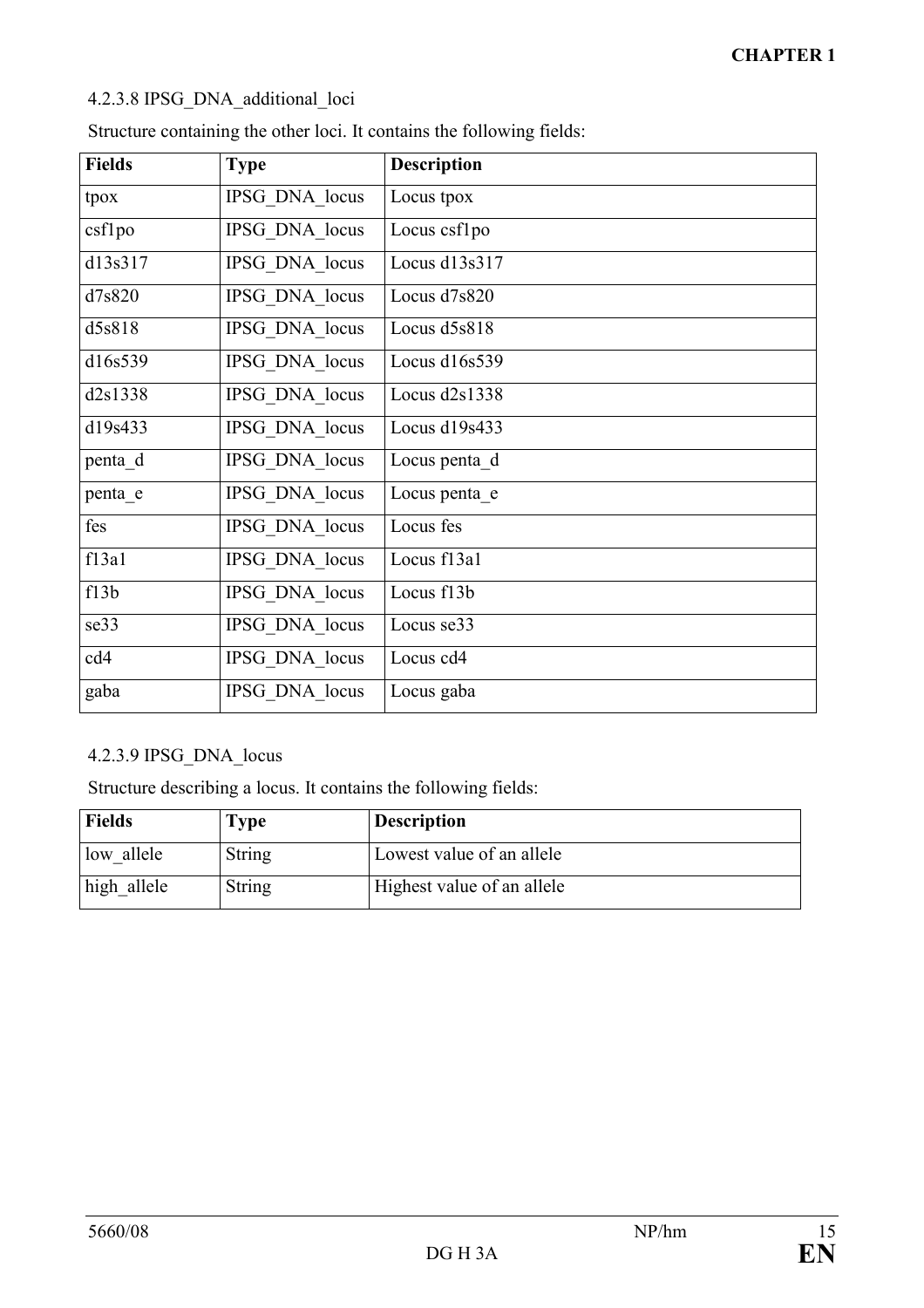# 4.2.3.8 IPSG\_DNA\_additional\_loci

| <b>Fields</b> | <b>Type</b>    | <b>Description</b> |
|---------------|----------------|--------------------|
| tpox          | IPSG DNA locus | Locus tpox         |
| csflpo        | IPSG DNA locus | Locus csf1po       |
| d13s317       | IPSG DNA locus | Locus d13s317      |
| d7s820        | IPSG DNA locus | Locus d7s820       |
| d5s818        | IPSG DNA locus | Locus d5s818       |
| d16s539       | IPSG DNA locus | Locus d16s539      |
| d2s1338       | IPSG DNA locus | Locus $d2s1338$    |
| d19s433       | IPSG DNA locus | Locus d19s433      |
| penta d       | IPSG DNA locus | Locus penta d      |
| penta e       | IPSG DNA locus | Locus penta e      |
| fes           | IPSG DNA locus | Locus fes          |
| f13a1         | IPSG DNA locus | Locus f13a1        |
| f13b          | IPSG DNA locus | Locus f13b         |
| se33          | IPSG DNA locus | Locus se33         |
| cd4           | IPSG DNA locus | Locus cd4          |
| gaba          | IPSG DNA locus | Locus gaba         |

Structure containing the other loci. It contains the following fields:

# 4.2.3.9 IPSG\_DNA\_locus

Structure describing a locus. It contains the following fields:

| <b>Fields</b> | $\Gamma$ ype | <b>Description</b>         |
|---------------|--------------|----------------------------|
| low allele    | String       | Lowest value of an allele  |
| high allele   | String       | Highest value of an allele |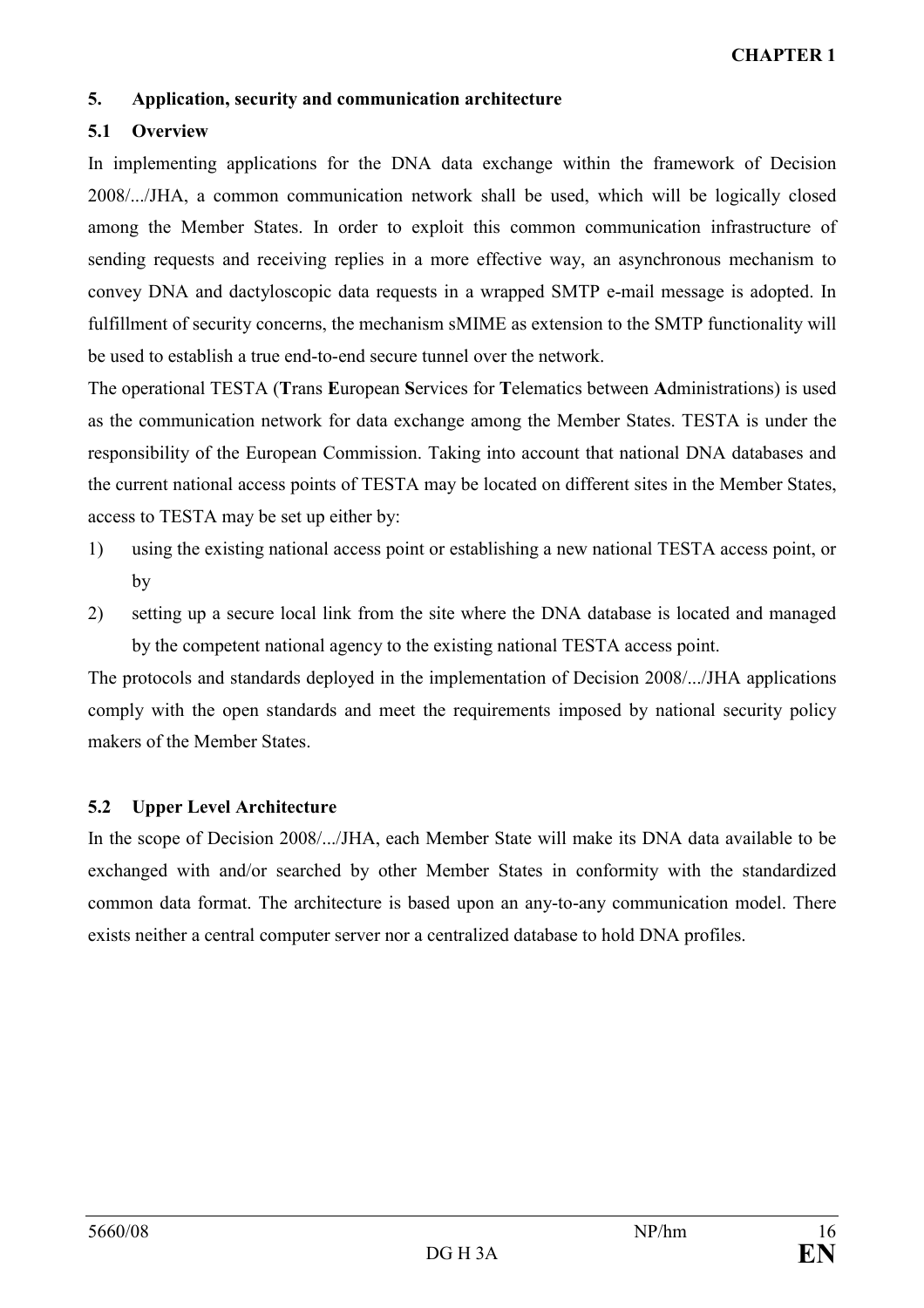### 5. Application, security and communication architecture

## 5.1 Overview

In implementing applications for the DNA data exchange within the framework of Decision 2008/.../JHA, a common communication network shall be used, which will be logically closed among the Member States. In order to exploit this common communication infrastructure of sending requests and receiving replies in a more effective way, an asynchronous mechanism to convey DNA and dactyloscopic data requests in a wrapped SMTP e-mail message is adopted. In fulfillment of security concerns, the mechanism sMIME as extension to the SMTP functionality will be used to establish a true end-to-end secure tunnel over the network.

The operational TESTA (Trans European Services for Telematics between Administrations) is used as the communication network for data exchange among the Member States. TESTA is under the responsibility of the European Commission. Taking into account that national DNA databases and the current national access points of TESTA may be located on different sites in the Member States, access to TESTA may be set up either by:

- 1) using the existing national access point or establishing a new national TESTA access point, or by
- 2) setting up a secure local link from the site where the DNA database is located and managed by the competent national agency to the existing national TESTA access point.

The protocols and standards deployed in the implementation of Decision 2008/.../JHA applications comply with the open standards and meet the requirements imposed by national security policy makers of the Member States.

### 5.2 Upper Level Architecture

In the scope of Decision 2008/.../JHA, each Member State will make its DNA data available to be exchanged with and/or searched by other Member States in conformity with the standardized common data format. The architecture is based upon an any-to-any communication model. There exists neither a central computer server nor a centralized database to hold DNA profiles.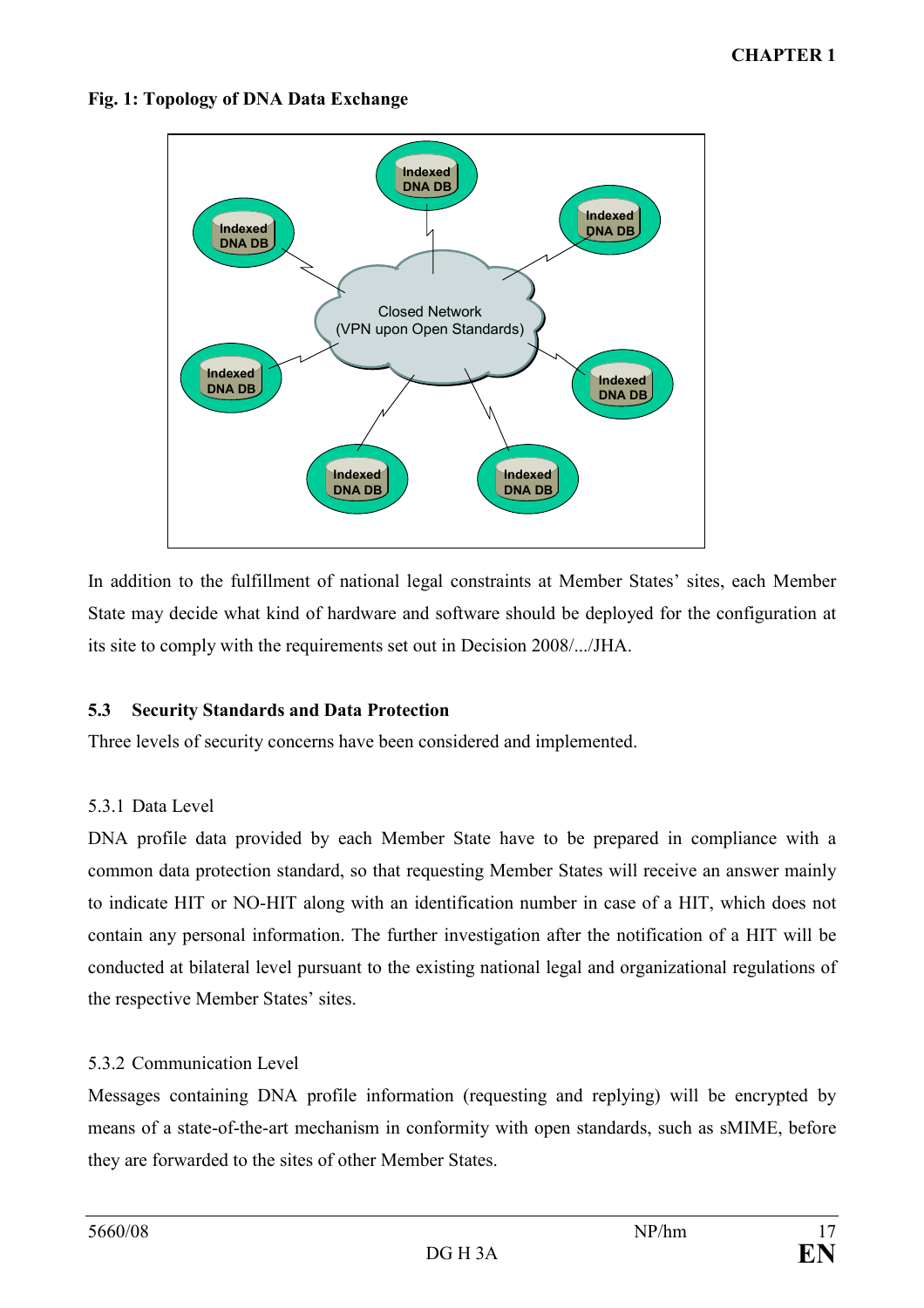

## Fig. 1: Topology of DNA Data Exchange

In addition to the fulfillment of national legal constraints at Member States' sites, each Member State may decide what kind of hardware and software should be deployed for the configuration at its site to comply with the requirements set out in Decision 2008/.../JHA.

# 5.3 Security Standards and Data Protection

Three levels of security concerns have been considered and implemented.

# 5.3.1 Data Level

DNA profile data provided by each Member State have to be prepared in compliance with a common data protection standard, so that requesting Member States will receive an answer mainly to indicate HIT or NO-HIT along with an identification number in case of a HIT, which does not contain any personal information. The further investigation after the notification of a HIT will be conducted at bilateral level pursuant to the existing national legal and organizational regulations of the respective Member States' sites.

# 5.3.2 Communication Level

Messages containing DNA profile information (requesting and replying) will be encrypted by means of a state-of-the-art mechanism in conformity with open standards, such as sMIME, before they are forwarded to the sites of other Member States.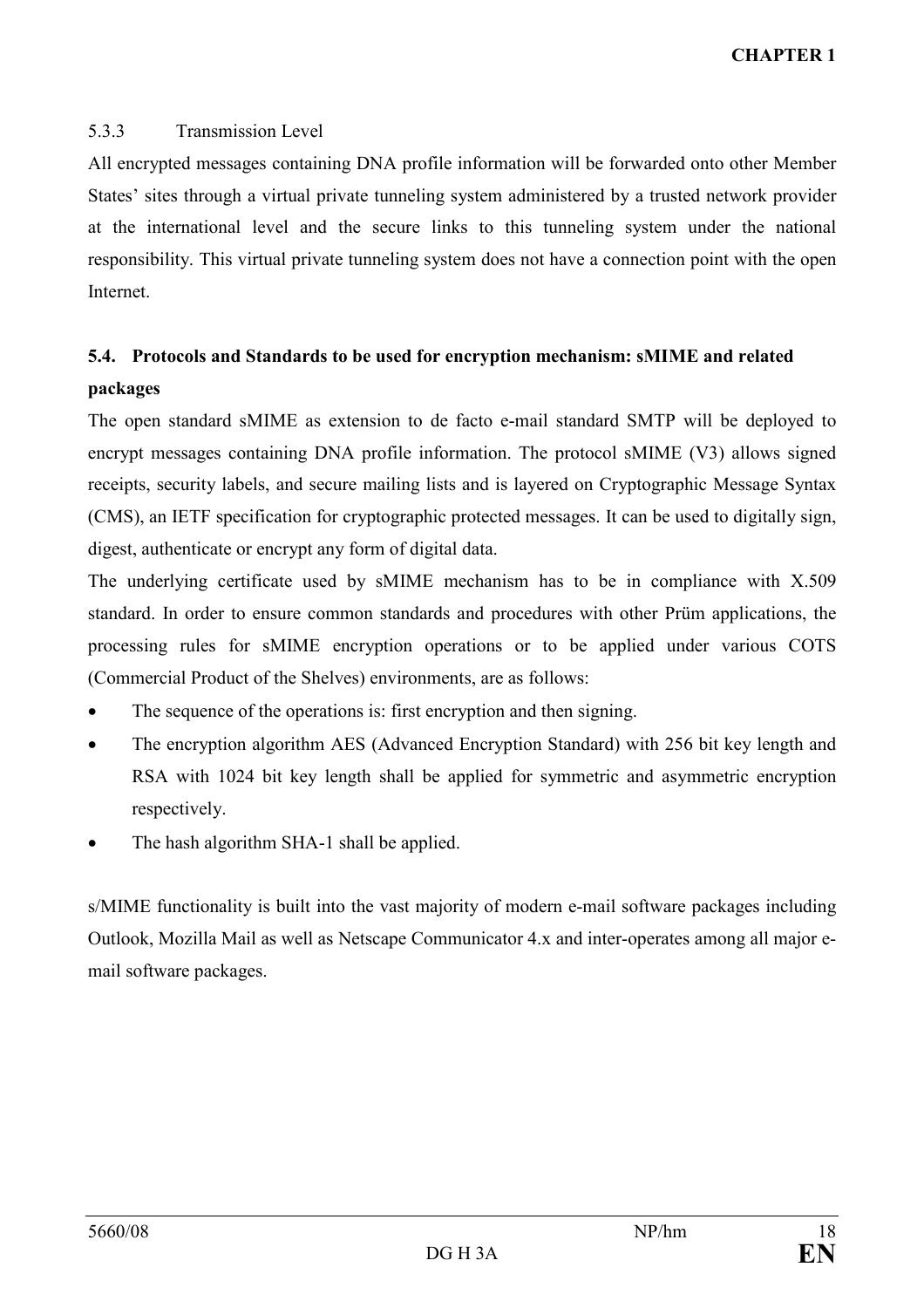## 5.3.3 Transmission Level

All encrypted messages containing DNA profile information will be forwarded onto other Member States' sites through a virtual private tunneling system administered by a trusted network provider at the international level and the secure links to this tunneling system under the national responsibility. This virtual private tunneling system does not have a connection point with the open Internet.

# 5.4. Protocols and Standards to be used for encryption mechanism: sMIME and related packages

The open standard sMIME as extension to de facto e-mail standard SMTP will be deployed to encrypt messages containing DNA profile information. The protocol sMIME (V3) allows signed receipts, security labels, and secure mailing lists and is layered on [Cryptographic Message Syntax](http://en.wikipedia.org/wiki/Cryptographic_Message_Syntax)  (CMS), an IETF specification for [cryptographic](http://en.wikipedia.org/wiki/Cryptographic) protected messages. It can be used to [digitally sign,](http://en.wikipedia.org/wiki/Digital_signature) [digest,](http://en.wikipedia.org/wiki/Cryptographic_hash_function) [authenticate](http://en.wikipedia.org/wiki/Message_authentication_code) or [encrypt](http://en.wikipedia.org/wiki/Encryption) any form of digital data.

The underlying certificate used by sMIME mechanism has to be in compliance with X.509 standard. In order to ensure common standards and procedures with other Prüm applications, the processing rules for sMIME encryption operations or to be applied under various COTS (Commercial Product of the Shelves) environments, are as follows:

- The sequence of the operations is: first encryption and then signing.
- The encryption algorithm AES (Advanced Encryption Standard) with 256 bit key length and RSA with 1024 bit key length shall be applied for symmetric and asymmetric encryption respectively.
- The hash algorithm SHA-1 shall be applied.

s/MIME functionality is built into the vast majority of modern e-mail software packages including Outlook, Mozilla Mail as well as Netscape Communicator 4.x and inter-operates among all major email software packages.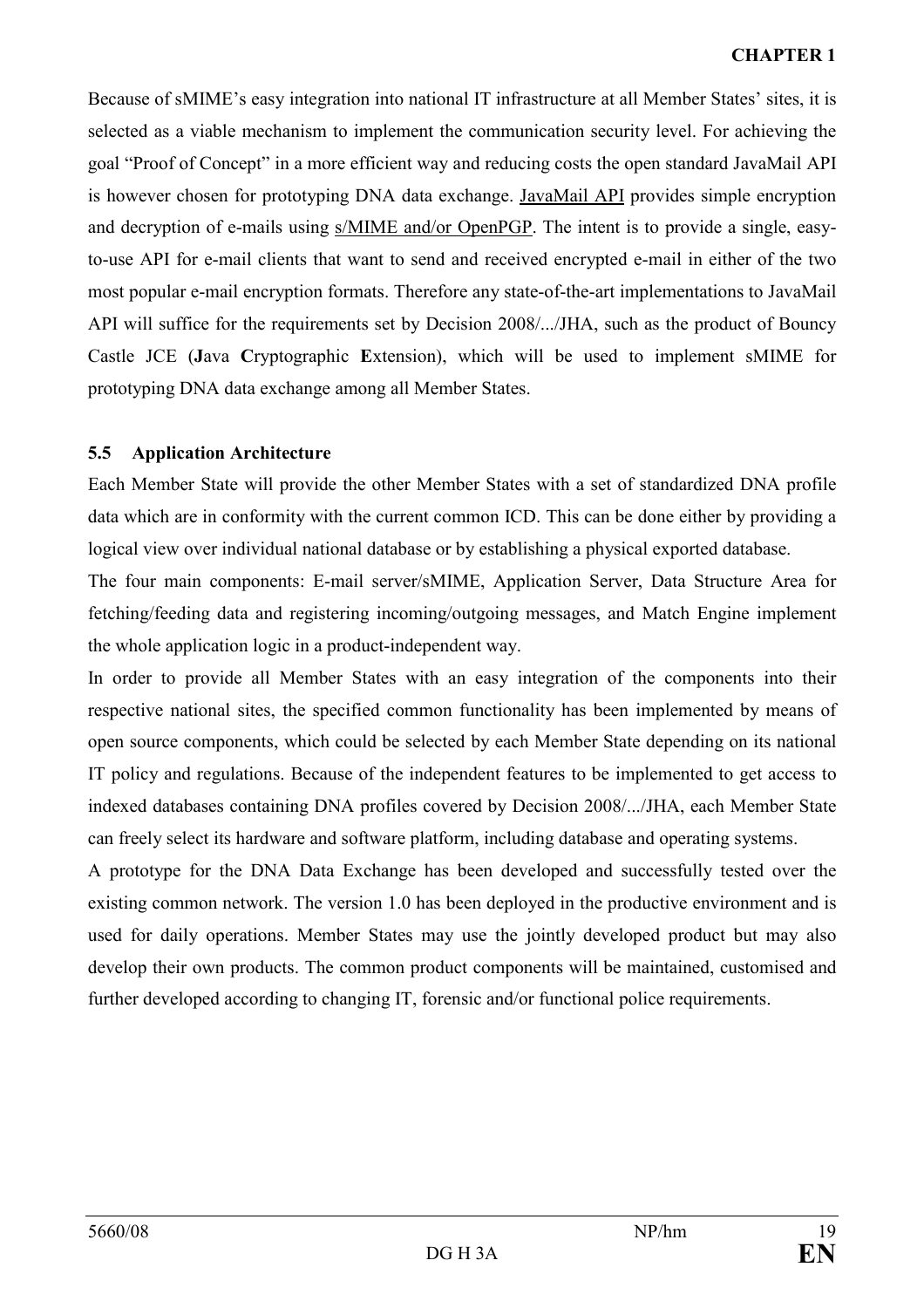Because of sMIME's easy integration into national IT infrastructure at all Member States' sites, it is selected as a viable mechanism to implement the communication security level. For achieving the goal "Proof of Concept" in a more efficient way and reducing costs the open standard JavaMail API is however chosen for prototyping DNA data exchange. [JavaMail API](http://java.sun.com/products/javamail/) provides simple encryption and decryption of e-mails using [s/MIME and/or OpenPGP.](http://www.imc.org/smime-pgpmime.html) The intent is to provide a single, easyto-use API for e-mail clients that want to send and received encrypted e-mail in either of the two most popular e-mail encryption formats. Therefore any state-of-the-art implementations to JavaMail API will suffice for the requirements set by Decision 2008/.../JHA, such as the product of Bouncy Castle JCE (Java Cryptographic Extension), which will be used to implement sMIME for prototyping DNA data exchange among all Member States.

## 5.5 Application Architecture

Each Member State will provide the other Member States with a set of standardized DNA profile data which are in conformity with the current common ICD. This can be done either by providing a logical view over individual national database or by establishing a physical exported database.

The four main components: E-mail server/sMIME, Application Server, Data Structure Area for fetching/feeding data and registering incoming/outgoing messages, and Match Engine implement the whole application logic in a product-independent way.

In order to provide all Member States with an easy integration of the components into their respective national sites, the specified common functionality has been implemented by means of open source components, which could be selected by each Member State depending on its national IT policy and regulations. Because of the independent features to be implemented to get access to indexed databases containing DNA profiles covered by Decision 2008/.../JHA, each Member State can freely select its hardware and software platform, including database and operating systems.

A prototype for the DNA Data Exchange has been developed and successfully tested over the existing common network. The version 1.0 has been deployed in the productive environment and is used for daily operations. Member States may use the jointly developed product but may also develop their own products. The common product components will be maintained, customised and further developed according to changing IT, forensic and/or functional police requirements.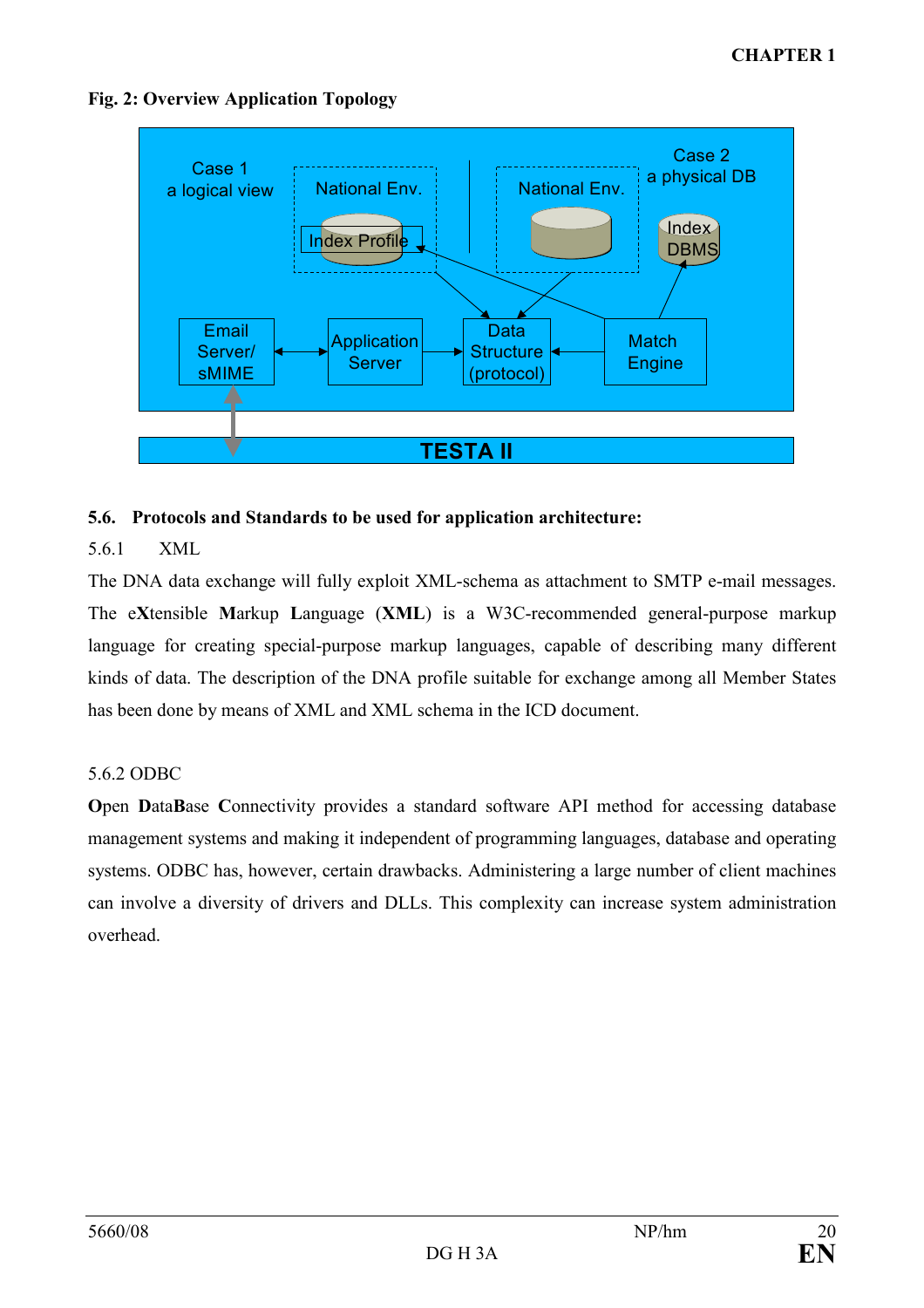

# Fig. 2: Overview Application Topology

# 5.6. Protocols and Standards to be used for application architecture:

# 5.6.1 XML

The DNA data exchange will fully exploit XML-schema as attachment to SMTP e-mail messages. The eXtensible Markup Language (XML) is a [W3C-](http://en.wikipedia.org/wiki/World_Wide_Web_Consortium)recommended general-purpose [markup](http://en.wikipedia.org/wiki/Markup_language)  [language](http://en.wikipedia.org/wiki/Markup_language) for creating special-purpose markup languages, capable of describing many different kinds of [data.](http://en.wikipedia.org/wiki/Data) The description of the DNA profile suitable for exchange among all Member States has been done by means of XML and XML schema in the ICD document.

# 5.6.2 ODBC

Open DataBase Connectivity provides a standard [software](http://en.wikipedia.org/wiki/Software) [API](http://en.wikipedia.org/wiki/Application_programming_interface) method for accessing [database](http://en.wikipedia.org/wiki/Database_management_system)  [management systems](http://en.wikipedia.org/wiki/Database_management_system) and making it independent of [programming languages](http://en.wikipedia.org/wiki/Programming_language), database and [operating](http://en.wikipedia.org/wiki/Operating_system)  [systems](http://en.wikipedia.org/wiki/Operating_system). ODBC has, however, certain drawbacks. Administering a large number of client machines can involve a diversity of drivers and [DLLs.](http://en.wikipedia.org/wiki/DLLs) This complexity can increase [system administration](http://en.wikipedia.org/wiki/System_administration)  overhead.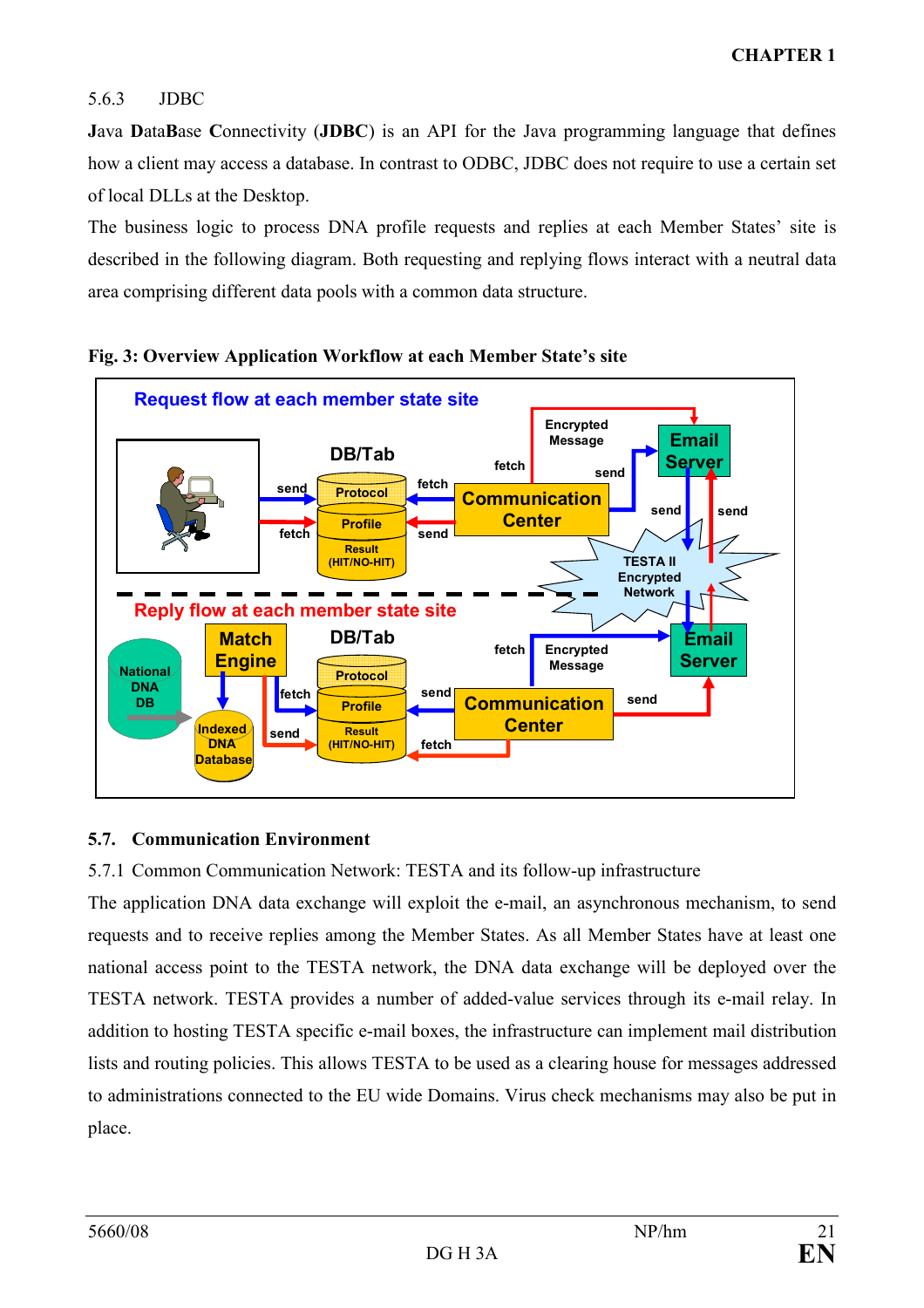# 5.6.3 JDBC

Java DataBase Connectivity (JDBC) is an [API](http://en.wikipedia.org/wiki/Application_programming_interface) for the [Java programming language](http://en.wikipedia.org/wiki/Java_programming_language) that defines how a client may access a [database.](http://en.wikipedia.org/wiki/Database) In contrast to ODBC, JDBC does not require to use a certain set of local DLLs at the Desktop.

The business logic to process DNA profile requests and replies at each Member States' site is described in the following diagram. Both requesting and replying flows interact with a neutral data area comprising different data pools with a common data structure.





# 5.7. Communication Environment

5.7.1 Common Communication Network: TESTA and its follow-up infrastructure

The application DNA data exchange will exploit the e-mail, an asynchronous mechanism, to send requests and to receive replies among the Member States. As all Member States have at least one national access point to the TESTA network, the DNA data exchange will be deployed over the TESTA network. TESTA provides a number of added-value services through its e-mail relay. In addition to hosting TESTA specific e-mail boxes, the infrastructure can implement mail distribution lists and routing policies. This allows TESTA to be used as a clearing house for messages addressed to administrations connected to the EU wide Domains. Virus check mechanisms may also be put in place.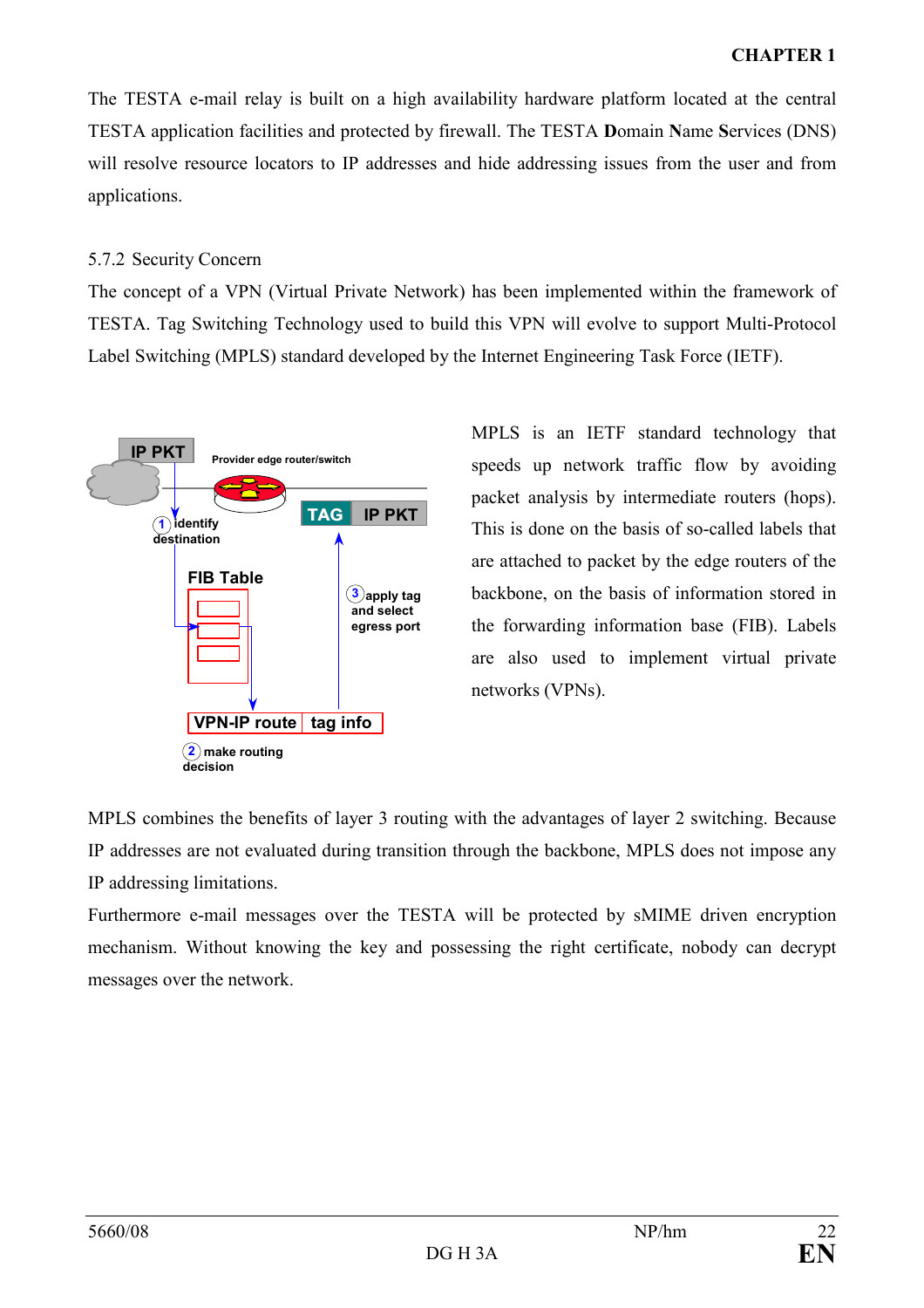# CHAPTER 1

The TESTA e-mail relay is built on a high availability hardware platform located at the central TESTA application facilities and protected by firewall. The TESTA Domain Name Services (DNS) will resolve resource locators to IP addresses and hide addressing issues from the user and from applications.

## 5.7.2 Security Concern

The concept of a VPN (Virtual Private Network) has been implemented within the framework of TESTA. Tag Switching Technology used to build this VPN will evolve to support Multi-Protocol Label Switching (MPLS) standard developed by the Internet Engineering Task Force (IETF).



MPLS is an IETF standard technology that speeds up network traffic flow by avoiding packet analysis by intermediate routers (hops). This is done on the basis of so-called labels that are attached to packet by the edge routers of the backbone, on the basis of information stored in the forwarding information base (FIB). Labels are also used to implement virtual private networks (VPNs).

MPLS combines the benefits of layer 3 routing with the advantages of layer 2 switching. Because IP addresses are not evaluated during transition through the backbone, MPLS does not impose any IP addressing limitations.

Furthermore e-mail messages over the TESTA will be protected by sMIME driven encryption mechanism. Without knowing the key and possessing the right certificate, nobody can decrypt messages over the network.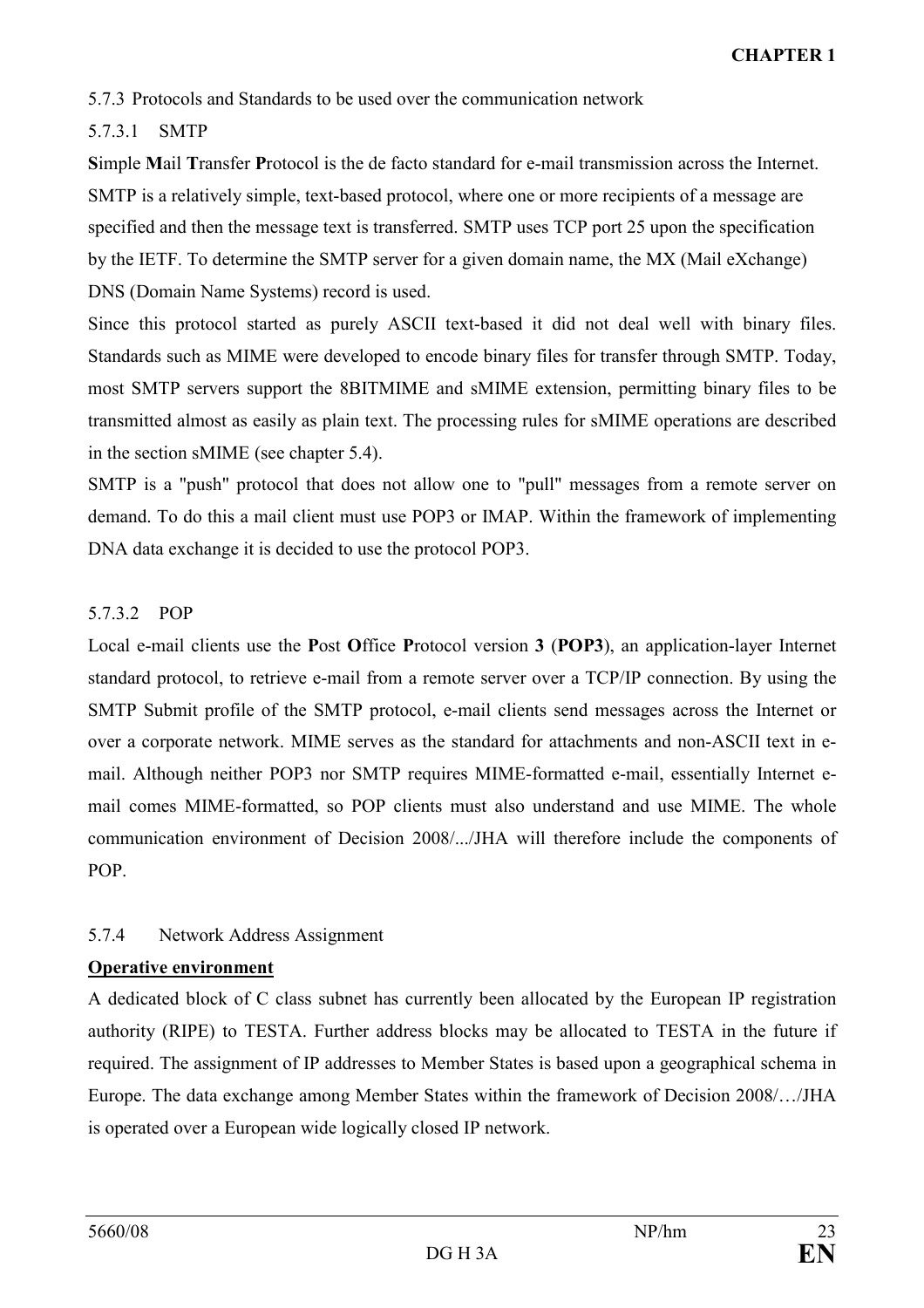5.7.3 Protocols and Standards to be used over the communication network

# 5.7.3.1 SMTP

Simple Mail Transfer Protocol is the [de facto](http://en.wikipedia.org/wiki/De_facto) standard for [e-mail](http://en.wikipedia.org/wiki/E-mail) transmission across the [Internet.](http://en.wikipedia.org/wiki/Internet) SMTP is a relatively simple, text-based protocol, where one or more recipients of a message are specified and then the message text is transferred. SMTP uses [TCP](http://en.wikipedia.org/wiki/Transmission_Control_Protocol) [port](http://en.wikipedia.org/wiki/TCP_and_UDP_port) 25 upon the specification by the IETF. To determine the SMTP server for a given [domain name,](http://en.wikipedia.org/wiki/Domain_name) the [MX](http://en.wikipedia.org/wiki/MX_record) (Mail eXchange) [DNS](http://en.wikipedia.org/wiki/Domain_Name_System) (Domain Name Systems) record is used.

Since this protocol started as purely [ASCII](http://en.wikipedia.org/wiki/ASCII) text-based it did not deal well with binary files. Standards such as [MIME](http://en.wikipedia.org/wiki/MIME) were developed to encode binary files for transfer through SMTP. Today, most SMTP servers support the [8BITMIME](http://en.wikipedia.org/wiki/8BITMIME) and sMIME extension, permitting binary files to be transmitted almost as easily as plain text. The processing rules for sMIME operations are described in the section sMIME (see chapter 5.4).

SMTP is a "push" protocol that does not allow one to "pull" messages from a remote server on demand. To do this a [mail client](http://en.wikipedia.org/wiki/E-mail_client) must use [POP3](http://en.wikipedia.org/wiki/Post_Office_Protocol) or [IMAP.](http://en.wikipedia.org/wiki/Internet_Message_Access_Protocol) Within the framework of implementing DNA data exchange it is decided to use the protocol POP3.

# 5.7.3.2 POP

Local [e-mail clients](http://en.wikipedia.org/wiki/E-mail_client) use the Post Office Protocol version 3 (POP3), an [application-layer](http://en.wikipedia.org/wiki/Application_layer) [Internet](http://en.wikipedia.org/wiki/Internet_standard)  [standard](http://en.wikipedia.org/wiki/Internet_standard) [protocol,](http://en.wikipedia.org/wiki/Protocol_%28computing%29) to retrieve [e-mail](http://en.wikipedia.org/wiki/E-mail) from a remote [server](http://en.wikipedia.org/wiki/Mail_server) over a [TCP/IP](http://en.wikipedia.org/wiki/Internet_protocol_suite) connection. By using the [SMTP Submit](http://en.wikipedia.org/w/index.php?title=Message_Submission&action=edit) profile of the [SMTP](http://en.wikipedia.org/wiki/Simple_Mail_Transfer_Protocol) protocol, e-mail clients send messages across the Internet or over a corporate network. [MIME](http://en.wikipedia.org/wiki/MIME) serves as the standard for attachments and non-[ASCII](http://en.wikipedia.org/wiki/ASCII) text in email. Although neither POP3 nor SMTP requires MIME-formatted e-mail, essentially Internet email comes MIME-formatted, so POP clients must also understand and use MIME. The whole communication environment of Decision 2008/.../JHA will therefore include the components of POP.

# 5.7.4 Network Address Assignment

# Operative environment

A dedicated block of C class subnet has currently been allocated by the European IP registration authority (RIPE) to TESTA. Further address blocks may be allocated to TESTA in the future if required. The assignment of IP addresses to Member States is based upon a geographical schema in Europe. The data exchange among Member States within the framework of Decision 2008/…/JHA is operated over a European wide logically closed IP network.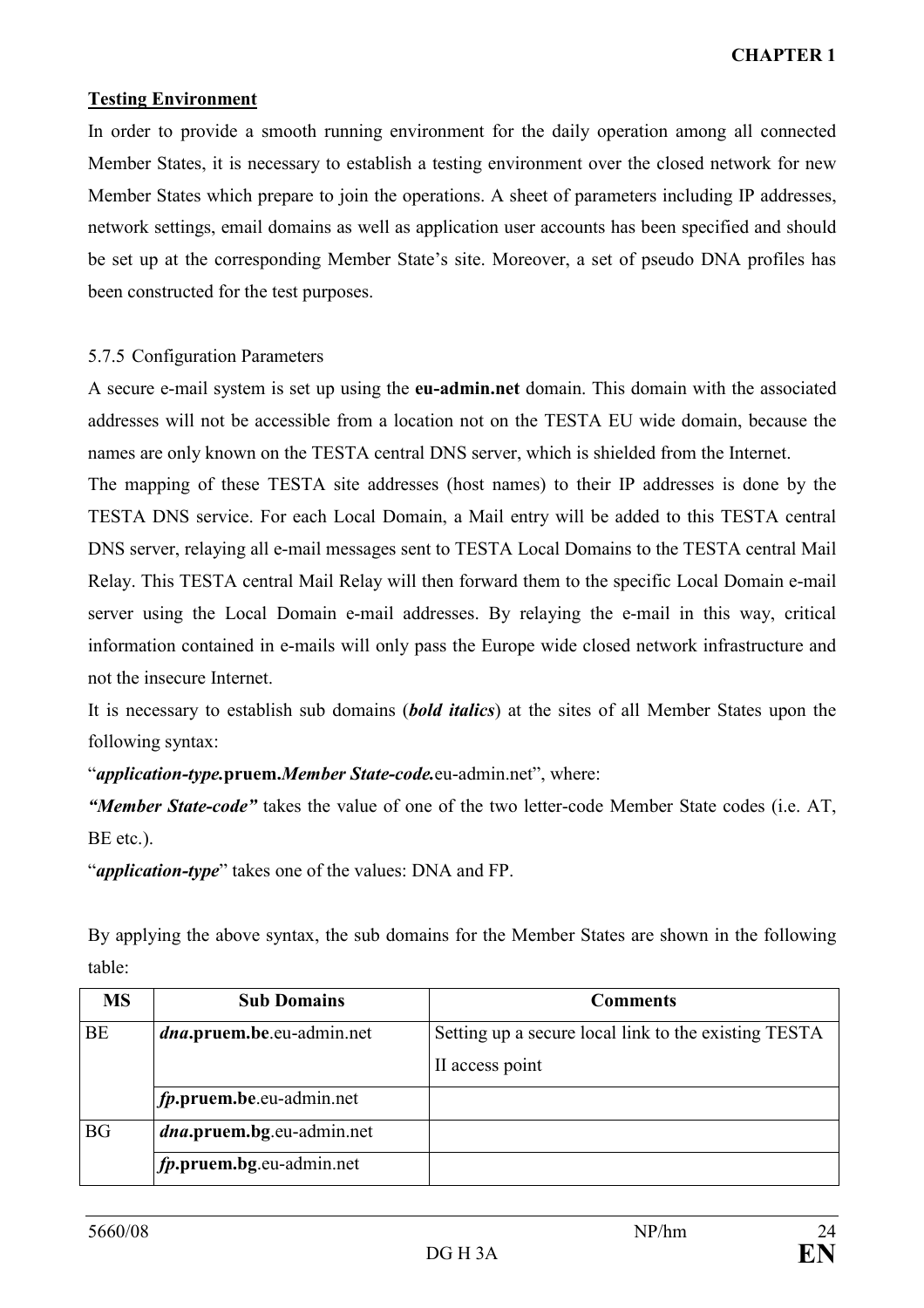### Testing Environment

In order to provide a smooth running environment for the daily operation among all connected Member States, it is necessary to establish a testing environment over the closed network for new Member States which prepare to join the operations. A sheet of parameters including IP addresses, network settings, email domains as well as application user accounts has been specified and should be set up at the corresponding Member State's site. Moreover, a set of pseudo DNA profiles has been constructed for the test purposes.

### 5.7.5 Configuration Parameters

A secure e-mail system is set up using the eu-admin.net domain. This domain with the associated addresses will not be accessible from a location not on the TESTA EU wide domain, because the names are only known on the TESTA central DNS server, which is shielded from the Internet.

The mapping of these TESTA site addresses (host names) to their IP addresses is done by the TESTA DNS service. For each Local Domain, a Mail entry will be added to this TESTA central DNS server, relaying all e-mail messages sent to TESTA Local Domains to the TESTA central Mail Relay. This TESTA central Mail Relay will then forward them to the specific Local Domain e-mail server using the Local Domain e-mail addresses. By relaying the e-mail in this way, critical information contained in e-mails will only pass the Europe wide closed network infrastructure and not the insecure Internet.

It is necessary to establish sub domains *(bold italics)* at the sites of all Member States upon the following syntax:

"*application-type.pruem.Member State-code.eu-admin.net"*, where:

"Member State-code" takes the value of one of the two letter-code Member State codes (i.e. AT, BE etc.).

"*application-type*" takes one of the values: DNA and FP.

By applying the above syntax, the sub domains for the Member States are shown in the following table:

| <b>MS</b> | <b>Sub Domains</b>                | <b>Comments</b>                                      |
|-----------|-----------------------------------|------------------------------------------------------|
| <b>BE</b> | <i>dna</i> .pruem.be.eu-admin.net | Setting up a secure local link to the existing TESTA |
|           |                                   | II access point                                      |
|           | fp.pruem.be.eu-admin.net          |                                                      |
| <b>BG</b> | <i>dna</i> .pruem.bg.eu-admin.net |                                                      |
|           | fp.pruem.bg.eu-admin.net          |                                                      |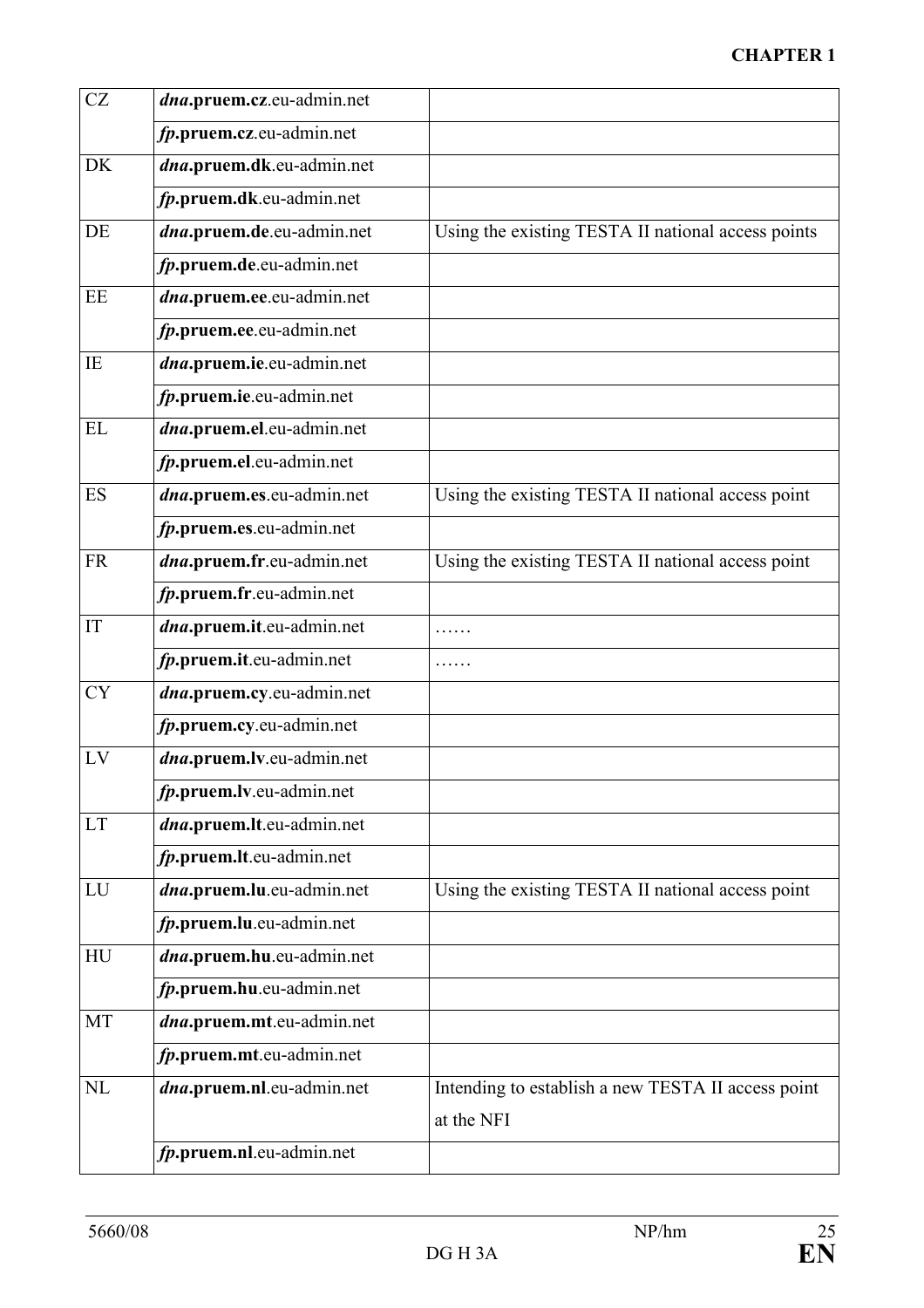# CHAPTER 1

| CZ        | dna.pruem.cz.eu-admin.net |                                                                  |
|-----------|---------------------------|------------------------------------------------------------------|
|           | fp.pruem.cz.eu-admin.net  |                                                                  |
| <b>DK</b> | dna.pruem.dk.eu-admin.net |                                                                  |
|           | fp.pruem.dk.eu-admin.net  |                                                                  |
| DE        | dna.pruem.de.eu-admin.net | Using the existing TESTA II national access points               |
|           | fp.pruem.de.eu-admin.net  |                                                                  |
| EE        | dna.pruem.ee.eu-admin.net |                                                                  |
|           | fp.pruem.ee.eu-admin.net  |                                                                  |
| IE        | dna.pruem.ie.eu-admin.net |                                                                  |
|           | fp.pruem.ie.eu-admin.net  |                                                                  |
| EL        | dna.pruem.el.eu-admin.net |                                                                  |
|           | fp.pruem.el.eu-admin.net  |                                                                  |
| <b>ES</b> | dna.pruem.es.eu-admin.net | Using the existing TESTA II national access point                |
|           | fp.pruem.es.eu-admin.net  |                                                                  |
| <b>FR</b> | dna.pruem.fr.eu-admin.net | Using the existing TESTA II national access point                |
|           | fp.pruem.fr.eu-admin.net  |                                                                  |
| IT        | dna.pruem.it.eu-admin.net |                                                                  |
|           | fp.pruem.it.eu-admin.net  |                                                                  |
| <b>CY</b> | dna.pruem.cy.eu-admin.net |                                                                  |
|           | fp.pruem.cy.eu-admin.net  |                                                                  |
| LV        | dna.pruem.lv.eu-admin.net |                                                                  |
|           | fp.pruem.lv.eu-admin.net  |                                                                  |
| <b>LT</b> | dna.pruem.lt.eu-admin.net |                                                                  |
|           | fp.pruem.lt.eu-admin.net  |                                                                  |
| LU        | dna.pruem.lu.eu-admin.net | Using the existing TESTA II national access point                |
|           | fp.pruem.lu.eu-admin.net  |                                                                  |
| HU        | dna.pruem.hu.eu-admin.net |                                                                  |
|           | fp.pruem.hu.eu-admin.net  |                                                                  |
| MT        | dna.pruem.mt.eu-admin.net |                                                                  |
|           | fp.pruem.mt.eu-admin.net  |                                                                  |
| NL        | dna.pruem.nl.eu-admin.net | Intending to establish a new TESTA II access point<br>at the NFI |
|           | fp.pruem.nl.eu-admin.net  |                                                                  |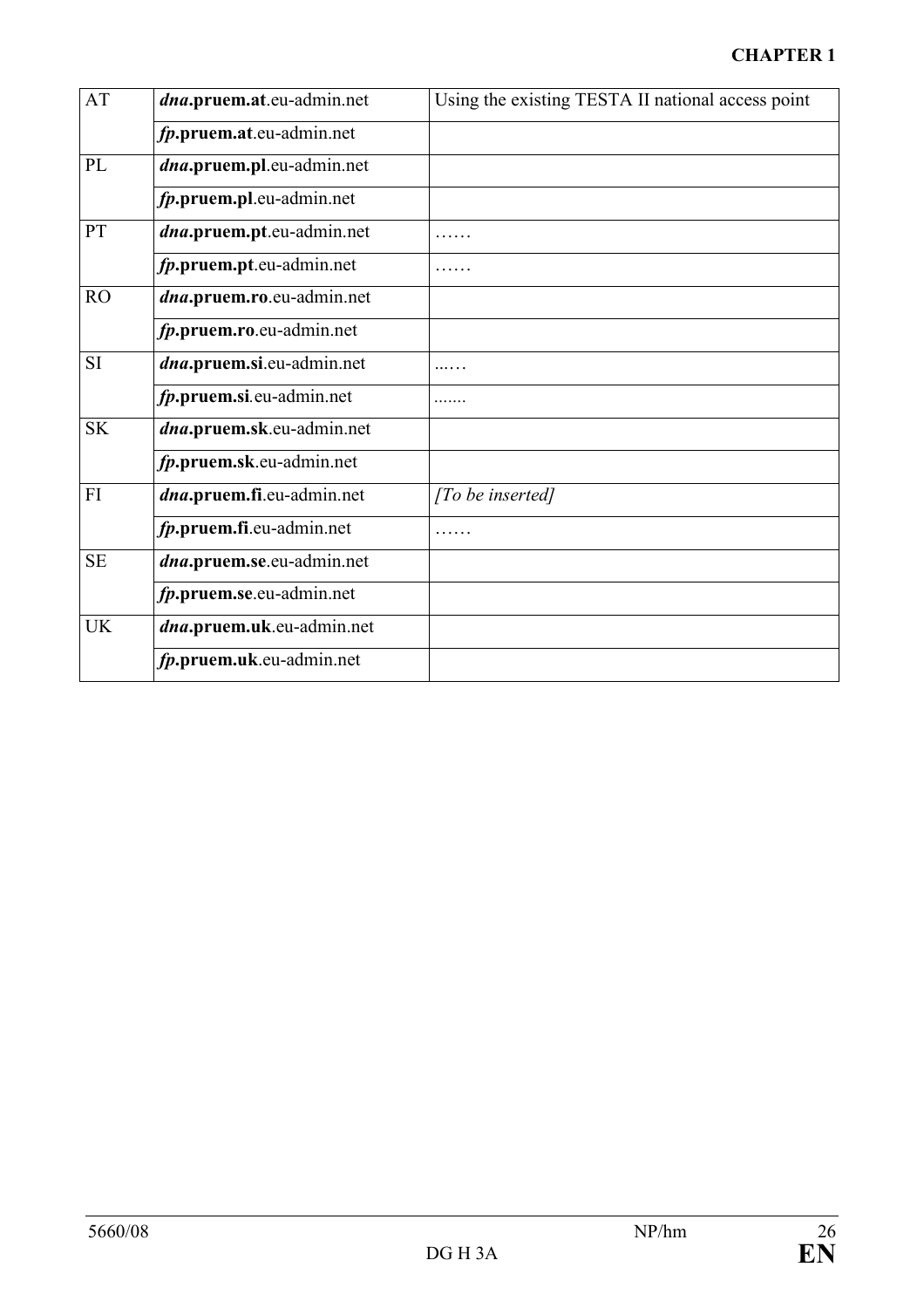# CHAPTER 1

| <b>AT</b> | dna.pruem.at.eu-admin.net | Using the existing TESTA II national access point |
|-----------|---------------------------|---------------------------------------------------|
|           | fp.pruem.at.eu-admin.net  |                                                   |
| PL        | dna.pruem.pl.eu-admin.net |                                                   |
|           | fp.pruem.pl.eu-admin.net  |                                                   |
| PT        | dna.pruem.pt.eu-admin.net |                                                   |
|           | fp.pruem.pt.eu-admin.net  |                                                   |
| RO        | dna.pruem.ro.eu-admin.net |                                                   |
|           | fp.pruem.ro.eu-admin.net  |                                                   |
| <b>SI</b> | dna.pruem.si.eu-admin.net |                                                   |
|           | fp.pruem.si.eu-admin.net  |                                                   |
| <b>SK</b> | dna.pruem.sk.eu-admin.net |                                                   |
|           | fp.pruem.sk.eu-admin.net  |                                                   |
| FI        | dna.pruem.fi.eu-admin.net | [To be inserted]                                  |
|           | fp.pruem.fi.eu-admin.net  |                                                   |
| <b>SE</b> | dna.pruem.se.eu-admin.net |                                                   |
|           | fp.pruem.se.eu-admin.net  |                                                   |
| <b>UK</b> | dna.pruem.uk.eu-admin.net |                                                   |
|           | fp.pruem.uk.eu-admin.net  |                                                   |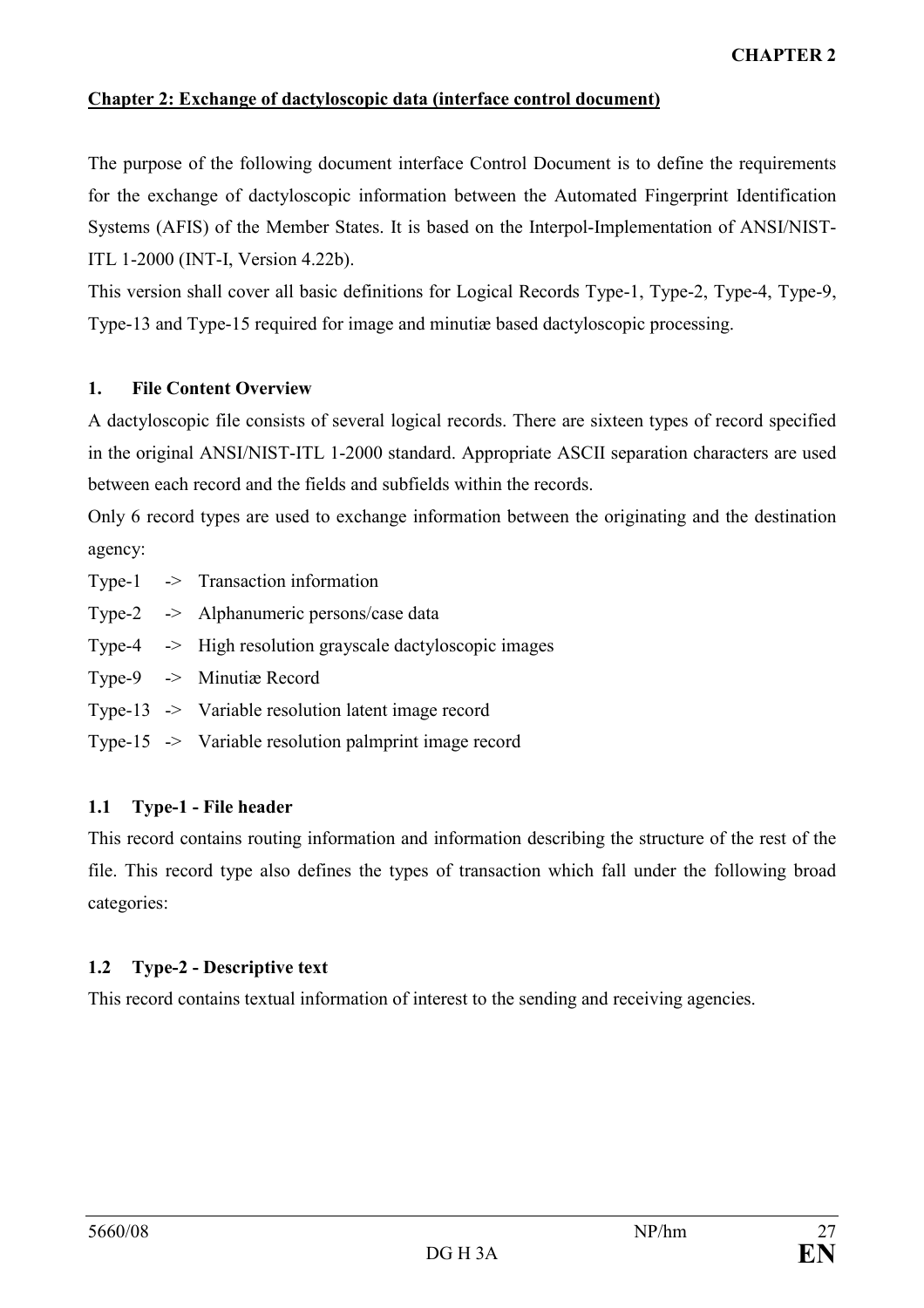## Chapter 2: Exchange of dactyloscopic data (interface control document)

The purpose of the following document interface Control Document is to define the requirements for the exchange of dactyloscopic information between the Automated Fingerprint Identification Systems (AFIS) of the Member States. It is based on the Interpol-Implementation of ANSI/NIST-ITL 1-2000 (INT-I, Version 4.22b).

This version shall cover all basic definitions for Logical Records Type-1, Type-2, Type-4, Type-9, Type-13 and Type-15 required for image and minutiæ based dactyloscopic processing.

### 1. File Content Overview

A dactyloscopic file consists of several logical records. There are sixteen types of record specified in the original ANSI/NIST-ITL 1-2000 standard. Appropriate ASCII separation characters are used between each record and the fields and subfields within the records.

Only 6 record types are used to exchange information between the originating and the destination agency:

- Type-1 -> Transaction information
- Type-2 -> Alphanumeric persons/case data
- Type-4 -> High resolution grayscale dactyloscopic images
- Type-9 -> Minutiæ Record
- Type-13 -> Variable resolution latent image record
- Type-15 -> Variable resolution palmprint image record

### 1.1 Type-1 - File header

This record contains routing information and information describing the structure of the rest of the file. This record type also defines the types of transaction which fall under the following broad categories:

# 1.2 Type-2 - Descriptive text

This record contains textual information of interest to the sending and receiving agencies.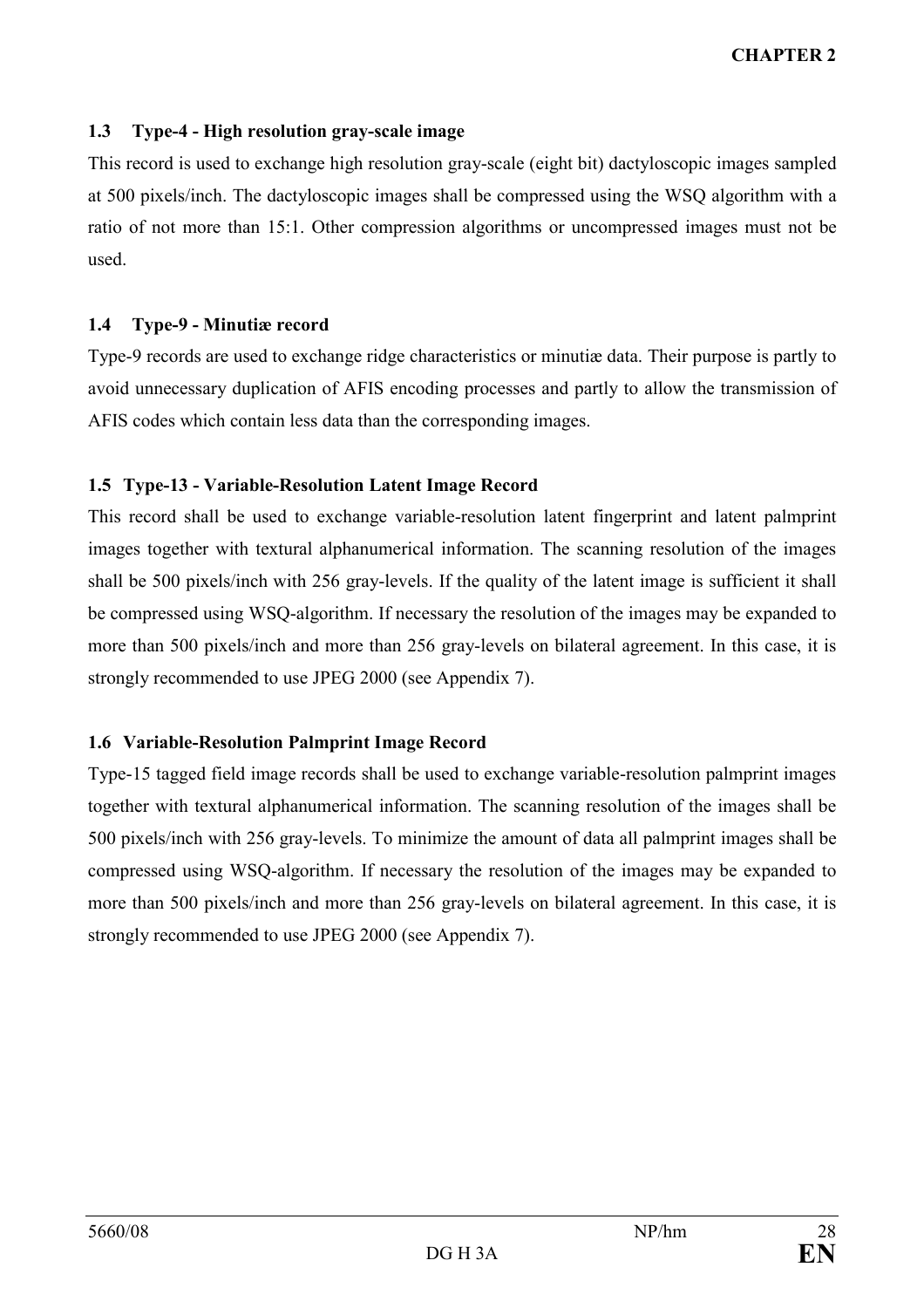# CHAPTER 2

### 1.3 Type-4 - High resolution gray-scale image

This record is used to exchange high resolution gray-scale (eight bit) dactyloscopic images sampled at 500 pixels/inch. The dactyloscopic images shall be compressed using the WSQ algorithm with a ratio of not more than 15:1. Other compression algorithms or uncompressed images must not be used.

#### 1.4 Type-9 - Minutiæ record

Type-9 records are used to exchange ridge characteristics or minutiæ data. Their purpose is partly to avoid unnecessary duplication of AFIS encoding processes and partly to allow the transmission of AFIS codes which contain less data than the corresponding images.

### 1.5 Type-13 - Variable-Resolution Latent Image Record

This record shall be used to exchange variable-resolution latent fingerprint and latent palmprint images together with textural alphanumerical information. The scanning resolution of the images shall be 500 pixels/inch with 256 gray-levels. If the quality of the latent image is sufficient it shall be compressed using WSQ-algorithm. If necessary the resolution of the images may be expanded to more than 500 pixels/inch and more than 256 gray-levels on bilateral agreement. In this case, it is strongly recommended to use JPEG 2000 (see Appendix 7).

### 1.6 Variable-Resolution Palmprint Image Record

Type-15 tagged field image records shall be used to exchange variable-resolution palmprint images together with textural alphanumerical information. The scanning resolution of the images shall be 500 pixels/inch with 256 gray-levels. To minimize the amount of data all palmprint images shall be compressed using WSQ-algorithm. If necessary the resolution of the images may be expanded to more than 500 pixels/inch and more than 256 gray-levels on bilateral agreement. In this case, it is strongly recommended to use JPEG 2000 (see Appendix 7).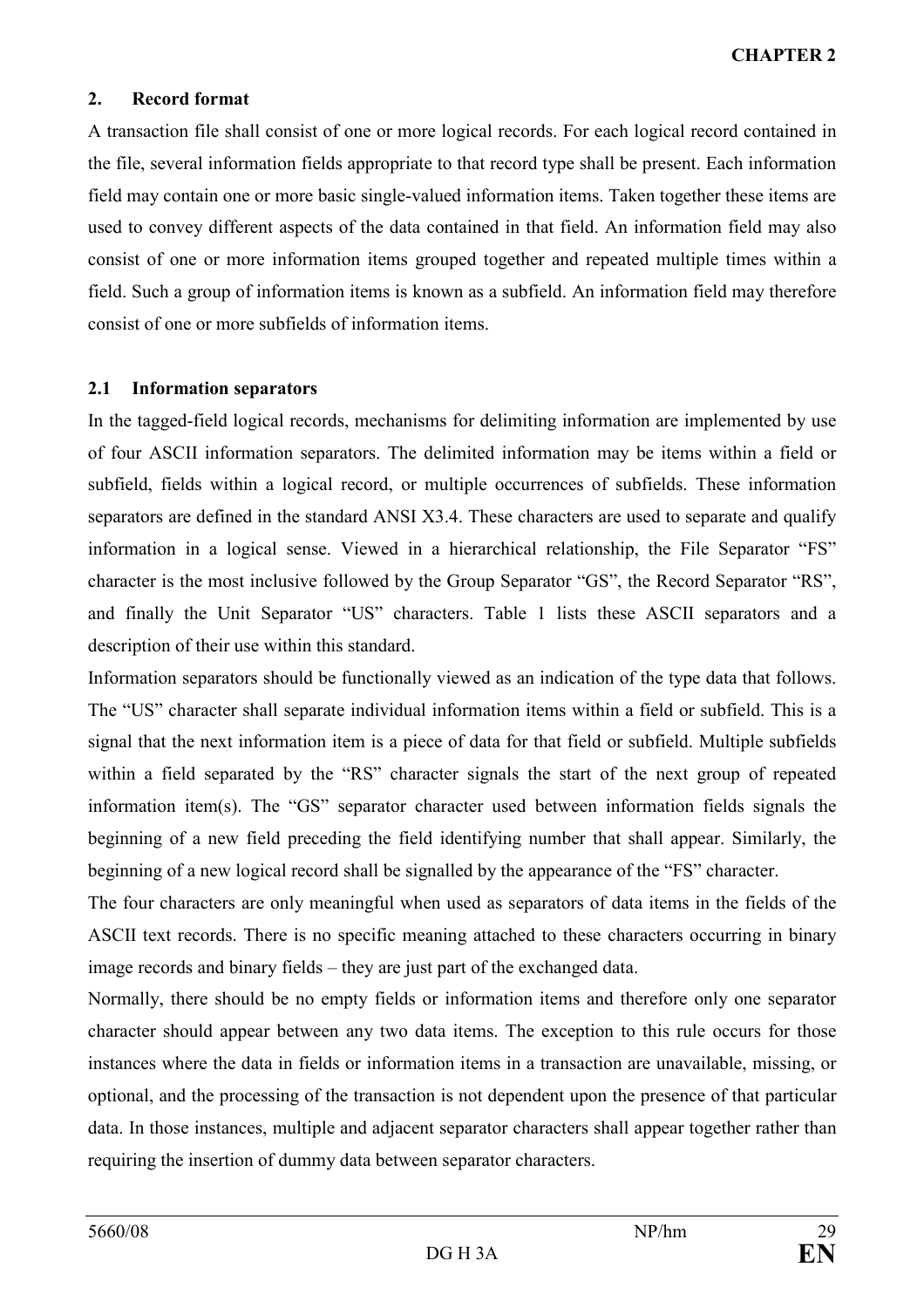### 2. Record format

A transaction file shall consist of one or more logical records. For each logical record contained in the file, several information fields appropriate to that record type shall be present. Each information field may contain one or more basic single-valued information items. Taken together these items are used to convey different aspects of the data contained in that field. An information field may also consist of one or more information items grouped together and repeated multiple times within a field. Such a group of information items is known as a subfield. An information field may therefore consist of one or more subfields of information items.

### 2.1 Information separators

In the tagged-field logical records, mechanisms for delimiting information are implemented by use of four ASCII information separators. The delimited information may be items within a field or subfield, fields within a logical record, or multiple occurrences of subfields. These information separators are defined in the standard ANSI X3.4. These characters are used to separate and qualify information in a logical sense. Viewed in a hierarchical relationship, the File Separator "FS" character is the most inclusive followed by the Group Separator "GS", the Record Separator "RS", and finally the Unit Separator "US" characters. Table 1 lists these ASCII separators and a description of their use within this standard.

Information separators should be functionally viewed as an indication of the type data that follows. The "US" character shall separate individual information items within a field or subfield. This is a signal that the next information item is a piece of data for that field or subfield. Multiple subfields within a field separated by the "RS" character signals the start of the next group of repeated information item(s). The "GS" separator character used between information fields signals the beginning of a new field preceding the field identifying number that shall appear. Similarly, the beginning of a new logical record shall be signalled by the appearance of the "FS" character.

The four characters are only meaningful when used as separators of data items in the fields of the ASCII text records. There is no specific meaning attached to these characters occurring in binary image records and binary fields – they are just part of the exchanged data.

Normally, there should be no empty fields or information items and therefore only one separator character should appear between any two data items. The exception to this rule occurs for those instances where the data in fields or information items in a transaction are unavailable, missing, or optional, and the processing of the transaction is not dependent upon the presence of that particular data. In those instances, multiple and adjacent separator characters shall appear together rather than requiring the insertion of dummy data between separator characters.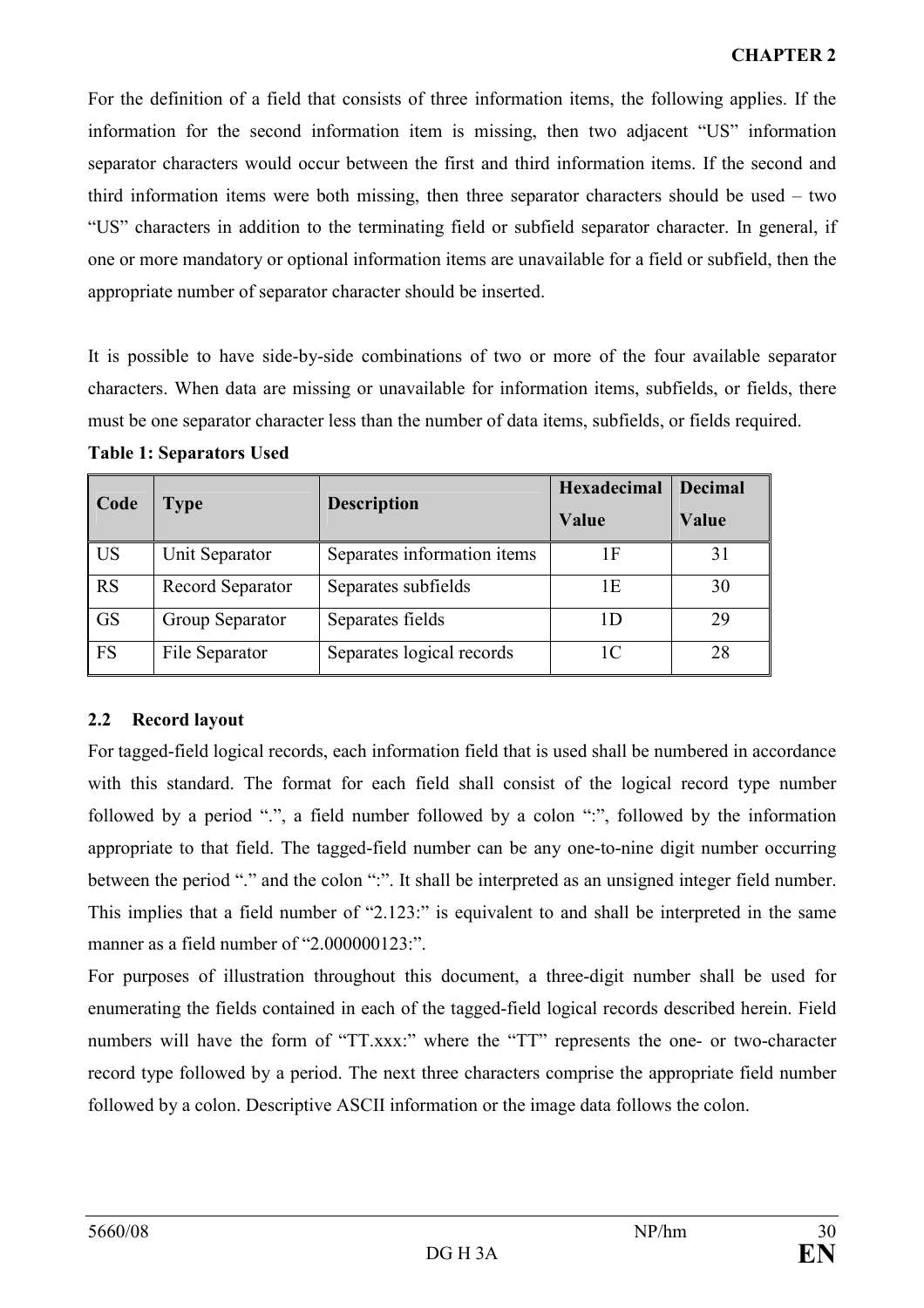For the definition of a field that consists of three information items, the following applies. If the information for the second information item is missing, then two adjacent "US" information separator characters would occur between the first and third information items. If the second and third information items were both missing, then three separator characters should be used – two "US" characters in addition to the terminating field or subfield separator character. In general, if one or more mandatory or optional information items are unavailable for a field or subfield, then the appropriate number of separator character should be inserted.

It is possible to have side-by-side combinations of two or more of the four available separator characters. When data are missing or unavailable for information items, subfields, or fields, there must be one separator character less than the number of data items, subfields, or fields required.

| Code      | Type             | <b>Description</b>          | <b>Hexadecimal</b><br>Value | <b>Decimal</b><br>Value |
|-----------|------------------|-----------------------------|-----------------------------|-------------------------|
| <b>US</b> | Unit Separator   | Separates information items | 1 F                         | 31                      |
| <b>RS</b> | Record Separator | Separates subfields         | 1Ε                          | 30                      |
| <b>GS</b> | Group Separator  | Separates fields            | 1D                          | 29                      |
| <b>FS</b> | File Separator   | Separates logical records   | 1 <sup>C</sup>              | 28                      |

# 2.2 Record layout

For tagged-field logical records, each information field that is used shall be numbered in accordance with this standard. The format for each field shall consist of the logical record type number followed by a period ".", a field number followed by a colon ":", followed by the information appropriate to that field. The tagged-field number can be any one-to-nine digit number occurring between the period "." and the colon ":". It shall be interpreted as an unsigned integer field number. This implies that a field number of "2.123:" is equivalent to and shall be interpreted in the same manner as a field number of "2.000000123:".

For purposes of illustration throughout this document, a three-digit number shall be used for enumerating the fields contained in each of the tagged-field logical records described herein. Field numbers will have the form of "TT.xxx:" where the "TT" represents the one- or two-character record type followed by a period. The next three characters comprise the appropriate field number followed by a colon. Descriptive ASCII information or the image data follows the colon.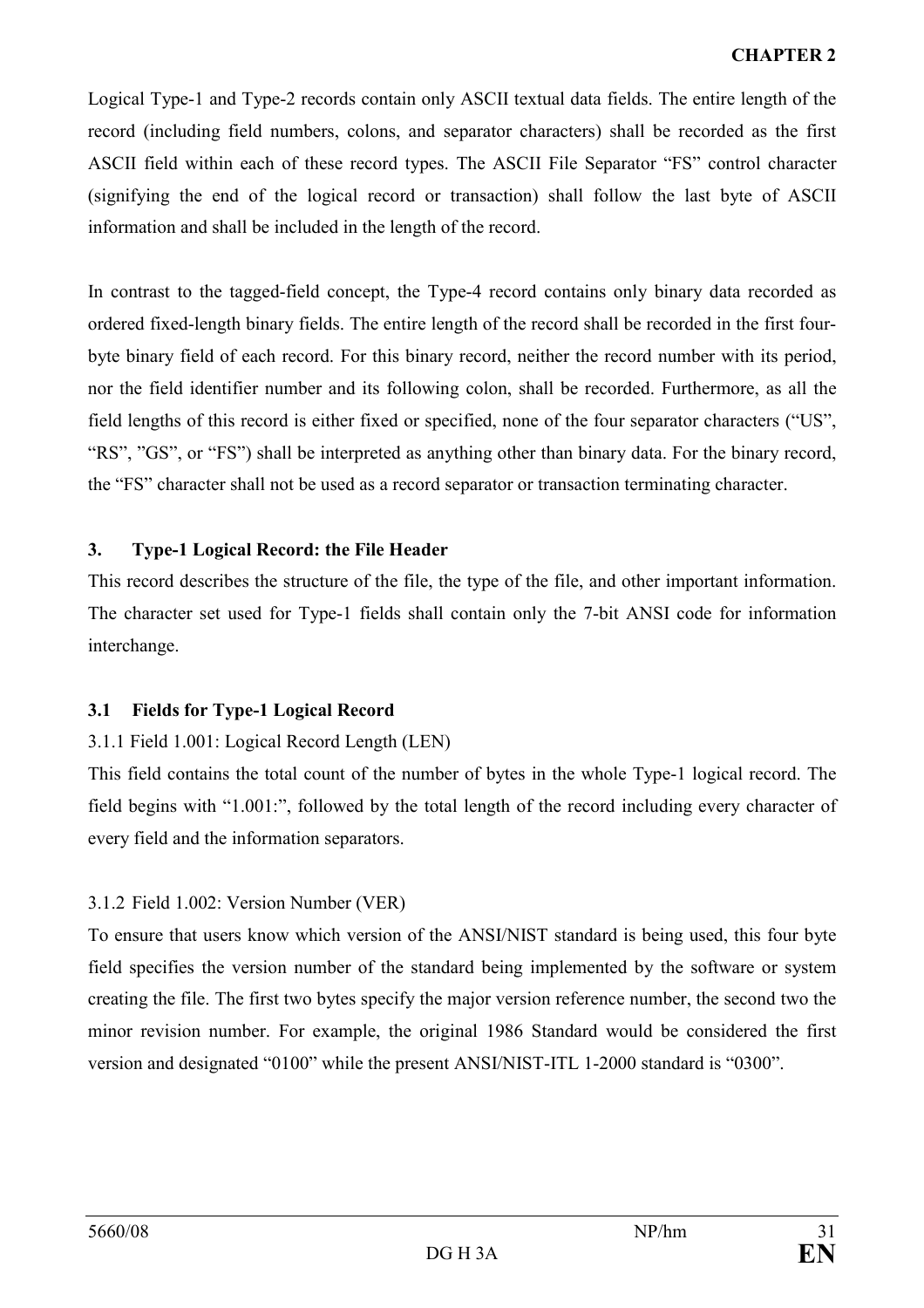Logical Type-1 and Type-2 records contain only ASCII textual data fields. The entire length of the record (including field numbers, colons, and separator characters) shall be recorded as the first ASCII field within each of these record types. The ASCII File Separator "FS" control character (signifying the end of the logical record or transaction) shall follow the last byte of ASCII information and shall be included in the length of the record.

In contrast to the tagged-field concept, the Type-4 record contains only binary data recorded as ordered fixed-length binary fields. The entire length of the record shall be recorded in the first fourbyte binary field of each record. For this binary record, neither the record number with its period, nor the field identifier number and its following colon, shall be recorded. Furthermore, as all the field lengths of this record is either fixed or specified, none of the four separator characters ("US", "RS", "GS", or "FS") shall be interpreted as anything other than binary data. For the binary record, the "FS" character shall not be used as a record separator or transaction terminating character.

# 3. Type-1 Logical Record: the File Header

This record describes the structure of the file, the type of the file, and other important information. The character set used for Type-1 fields shall contain only the 7-bit ANSI code for information interchange.

# 3.1 Fields for Type-1 Logical Record

# 3.1.1 Field 1.001: Logical Record Length (LEN)

This field contains the total count of the number of bytes in the whole Type-1 logical record. The field begins with "1.001:", followed by the total length of the record including every character of every field and the information separators.

# 3.1.2 Field 1.002: Version Number (VER)

To ensure that users know which version of the ANSI/NIST standard is being used, this four byte field specifies the version number of the standard being implemented by the software or system creating the file. The first two bytes specify the major version reference number, the second two the minor revision number. For example, the original 1986 Standard would be considered the first version and designated "0100" while the present ANSI/NIST-ITL 1-2000 standard is "0300".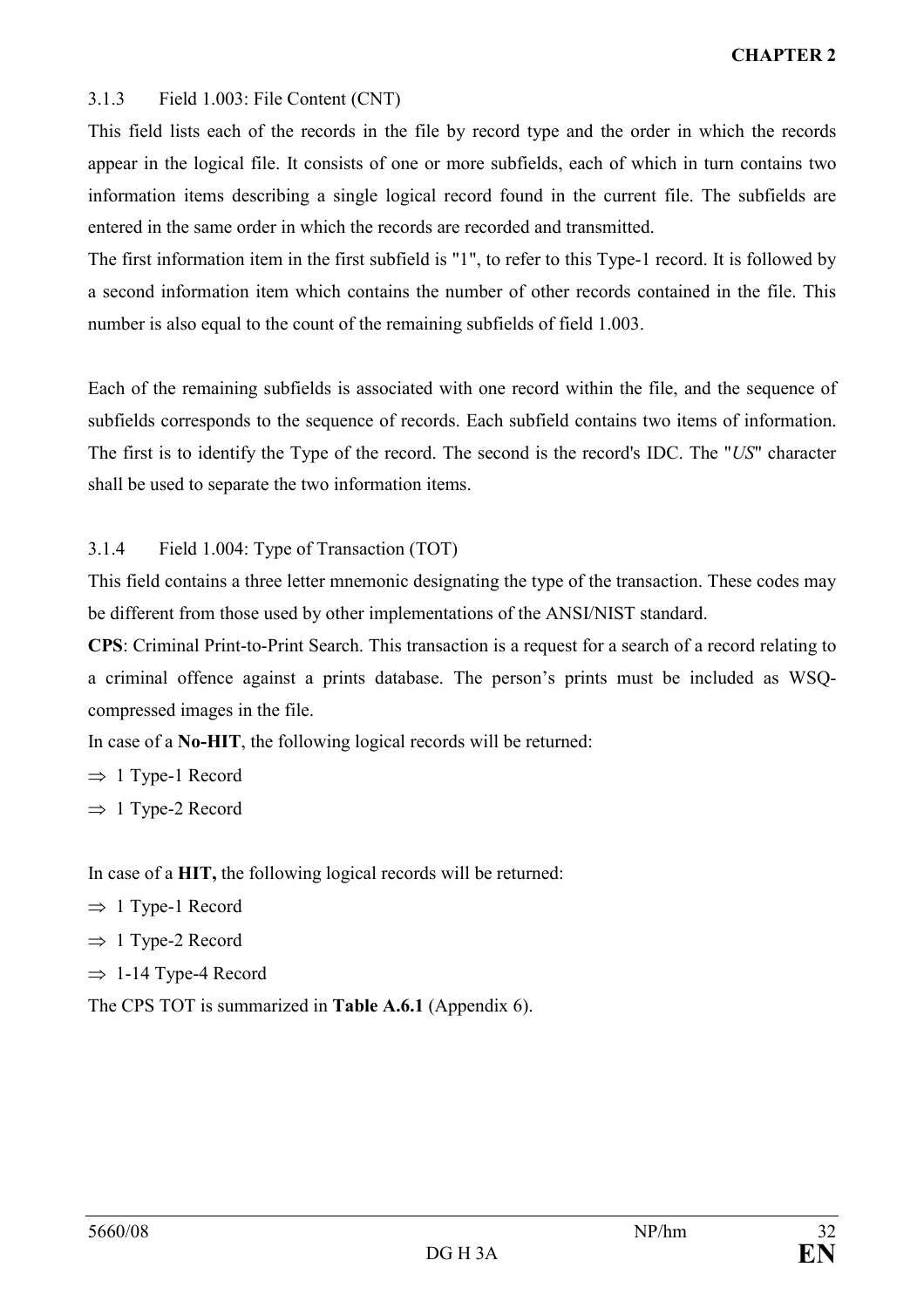## 3.1.3 Field 1.003: File Content (CNT)

This field lists each of the records in the file by record type and the order in which the records appear in the logical file. It consists of one or more subfields, each of which in turn contains two information items describing a single logical record found in the current file. The subfields are entered in the same order in which the records are recorded and transmitted.

The first information item in the first subfield is "1", to refer to this Type-1 record. It is followed by a second information item which contains the number of other records contained in the file. This number is also equal to the count of the remaining subfields of field 1.003.

Each of the remaining subfields is associated with one record within the file, and the sequence of subfields corresponds to the sequence of records. Each subfield contains two items of information. The first is to identify the Type of the record. The second is the record's IDC. The "US" character shall be used to separate the two information items.

3.1.4 Field 1.004: Type of Transaction (TOT)

This field contains a three letter mnemonic designating the type of the transaction. These codes may be different from those used by other implementations of the ANSI/NIST standard.

CPS: Criminal Print-to-Print Search. This transaction is a request for a search of a record relating to a criminal offence against a prints database. The person's prints must be included as WSQcompressed images in the file.

In case of a No-HIT, the following logical records will be returned:

 $\Rightarrow$  1 Type-1 Record

 $\Rightarrow$  1 Type-2 Record

In case of a HIT, the following logical records will be returned:

- $\Rightarrow$  1 Type-1 Record
- $\Rightarrow$  1 Type-2 Record
- $\Rightarrow$  1-14 Type-4 Record

The CPS TOT is summarized in Table A.6.1 (Appendix 6).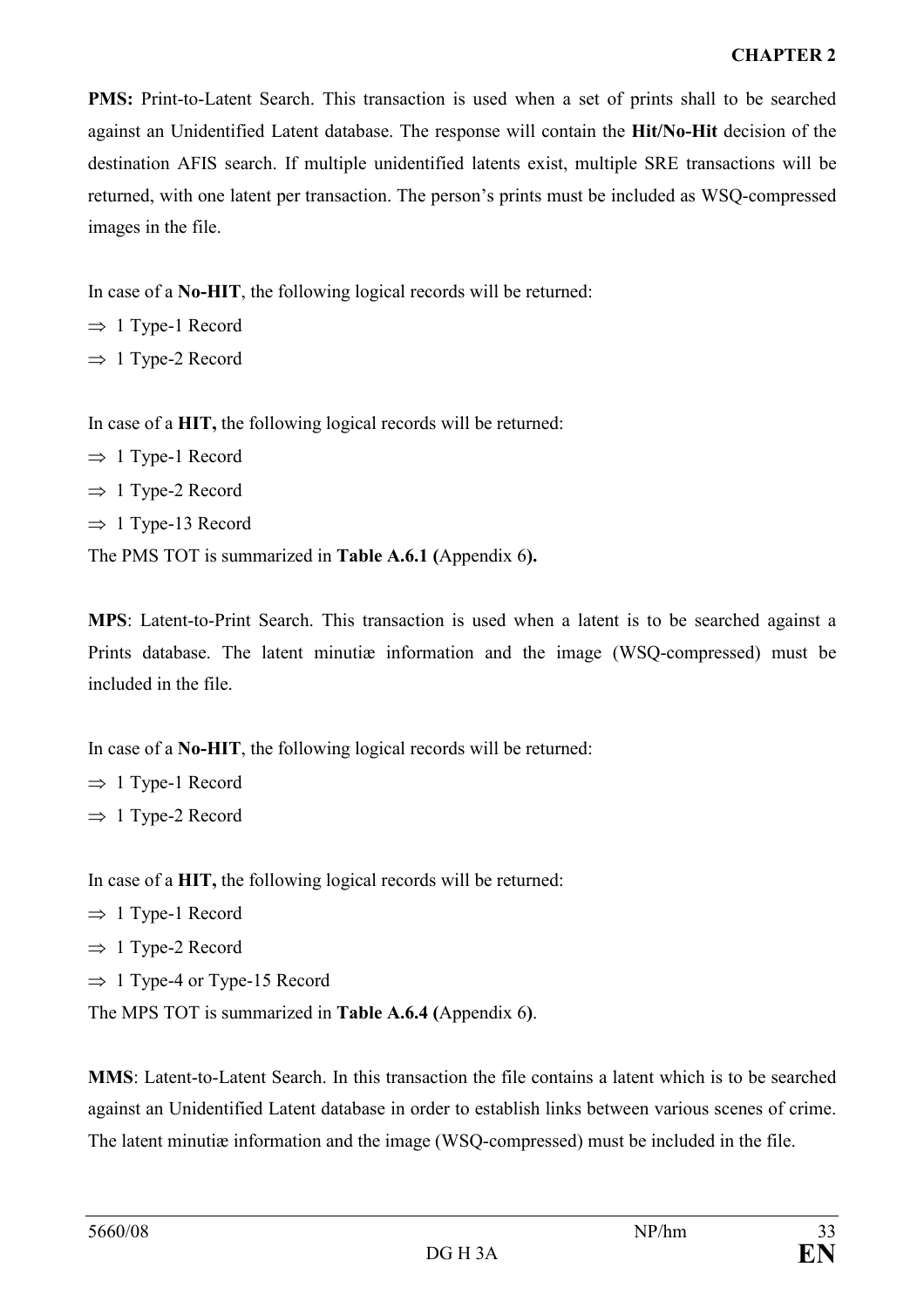## CHAPTER 2

PMS: Print-to-Latent Search. This transaction is used when a set of prints shall to be searched against an Unidentified Latent database. The response will contain the Hit/No-Hit decision of the destination AFIS search. If multiple unidentified latents exist, multiple SRE transactions will be returned, with one latent per transaction. The person's prints must be included as WSQ-compressed images in the file.

In case of a No-HIT, the following logical records will be returned:

 $\Rightarrow$  1 Type-1 Record

 $\Rightarrow$  1 Type-2 Record

In case of a HIT, the following logical records will be returned:

 $\Rightarrow$  1 Type-1 Record  $\Rightarrow$  1 Type-2 Record  $\Rightarrow$  1 Type-13 Record The PMS TOT is summarized in Table A.6.1 (Appendix 6).

MPS: Latent-to-Print Search. This transaction is used when a latent is to be searched against a Prints database. The latent minutiæ information and the image (WSQ-compressed) must be included in the file.

In case of a No-HIT, the following logical records will be returned:

 $\Rightarrow$  1 Type-1 Record  $\Rightarrow$  1 Type-2 Record

In case of a HIT, the following logical records will be returned:

 $\Rightarrow$  1 Type-1 Record

 $\Rightarrow$  1 Type-2 Record

 $\Rightarrow$  1 Type-4 or Type-15 Record

The MPS TOT is summarized in Table A.6.4 (Appendix 6).

MMS: Latent-to-Latent Search. In this transaction the file contains a latent which is to be searched against an Unidentified Latent database in order to establish links between various scenes of crime. The latent minutiæ information and the image (WSQ-compressed) must be included in the file.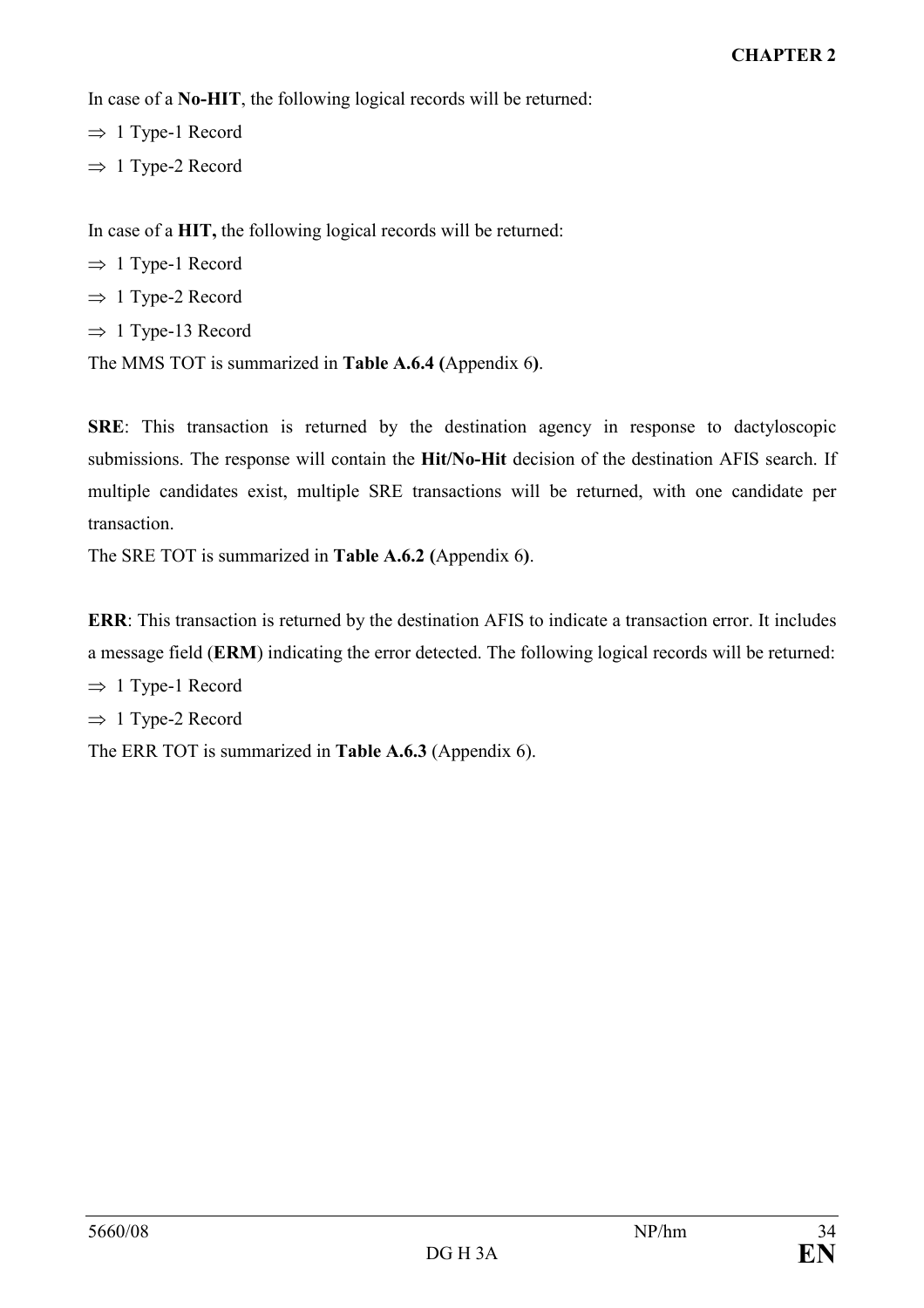In case of a No-HIT, the following logical records will be returned:

 $\Rightarrow$  1 Type-1 Record

 $\Rightarrow$  1 Type-2 Record

In case of a HIT, the following logical records will be returned:

- $\Rightarrow$  1 Type-1 Record
- $\Rightarrow$  1 Type-2 Record
- $\Rightarrow$  1 Type-13 Record

The MMS TOT is summarized in Table A.6.4 (Appendix 6).

SRE: This transaction is returned by the destination agency in response to dactyloscopic submissions. The response will contain the Hit/No-Hit decision of the destination AFIS search. If multiple candidates exist, multiple SRE transactions will be returned, with one candidate per transaction.

The SRE TOT is summarized in Table A.6.2 (Appendix 6).

ERR: This transaction is returned by the destination AFIS to indicate a transaction error. It includes a message field (ERM) indicating the error detected. The following logical records will be returned:

 $\Rightarrow$  1 Type-1 Record

 $\Rightarrow$  1 Type-2 Record

The ERR TOT is summarized in Table A.6.3 (Appendix 6).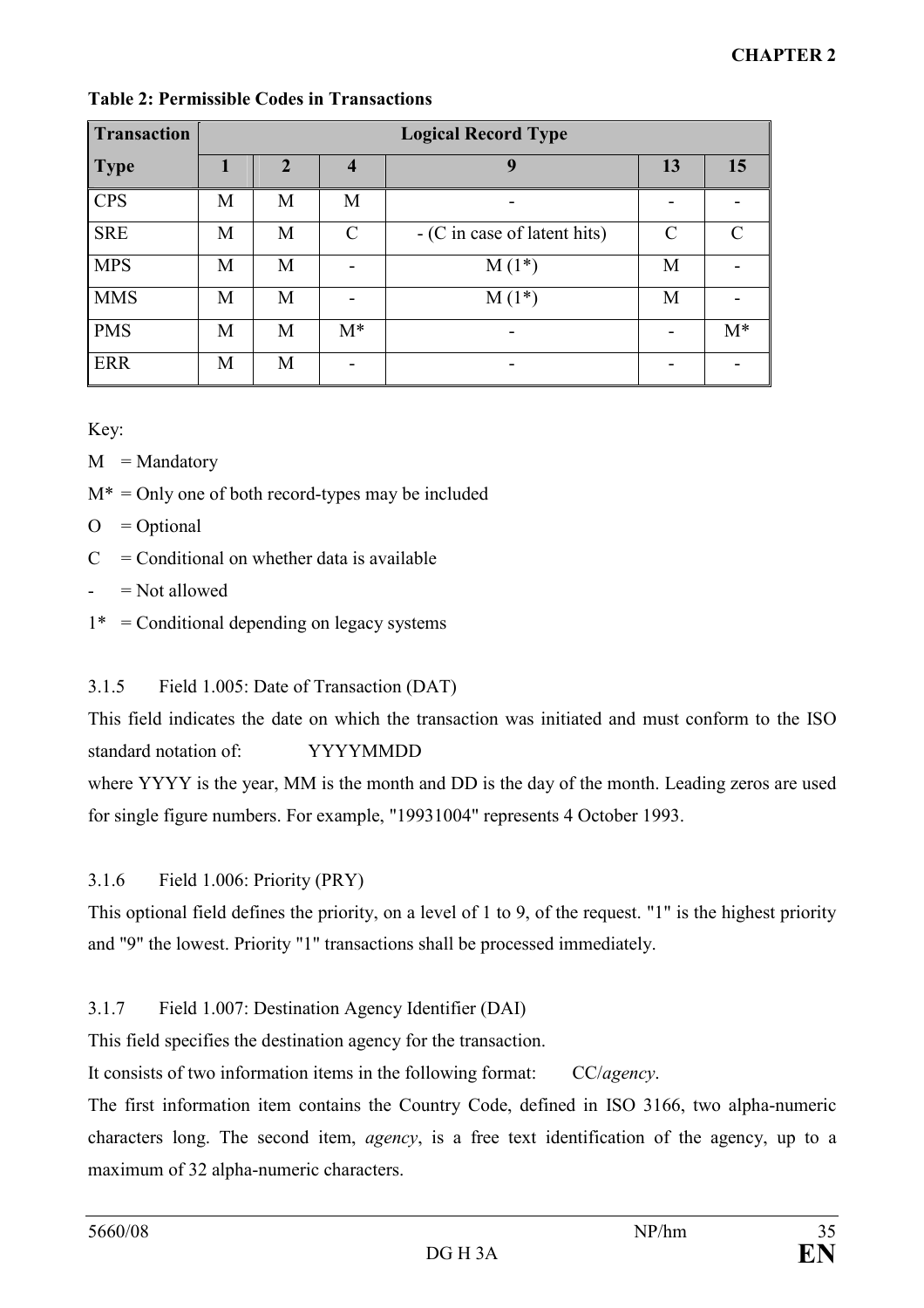| <b>Transaction</b> | <b>Logical Record Type</b> |              |                             |                              |    |       |
|--------------------|----------------------------|--------------|-----------------------------|------------------------------|----|-------|
| <b>Type</b>        | 1                          | $\mathbf{2}$ | $\boldsymbol{4}$            | 9                            | 13 | 15    |
| <b>CPS</b>         | M                          | M            | M                           |                              |    |       |
| <b>SRE</b>         | M                          | M            | $\mathcal{C}_{\mathcal{C}}$ | - (C in case of latent hits) | C  |       |
| <b>MPS</b>         | M                          | M            |                             | $M(1^*)$                     | M  |       |
| <b>MMS</b>         | M                          | M            |                             | $M(1^*)$                     | M  |       |
| <b>PMS</b>         | M                          | M            | $M^*$                       |                              |    | $M^*$ |
| <b>ERR</b>         | M                          | M            |                             |                              |    |       |

## Table 2: Permissible Codes in Transactions

Key:

- $M = M$ andatory
- $M^* =$  Only one of both record-types may be included
- $O = Optional$
- $C =$  Conditional on whether data is available
- $=$  Not allowed
- $1^*$  = Conditional depending on legacy systems

# 3.1.5 Field 1.005: Date of Transaction (DAT)

This field indicates the date on which the transaction was initiated and must conform to the ISO standard notation of: YYYYMMDD

where YYYY is the year, MM is the month and DD is the day of the month. Leading zeros are used for single figure numbers. For example, "19931004" represents 4 October 1993.

# 3.1.6 Field 1.006: Priority (PRY)

This optional field defines the priority, on a level of 1 to 9, of the request. "1" is the highest priority and "9" the lowest. Priority "1" transactions shall be processed immediately.

# 3.1.7 Field 1.007: Destination Agency Identifier (DAI)

This field specifies the destination agency for the transaction.

It consists of two information items in the following format: CC/agency.

The first information item contains the Country Code, defined in ISO 3166, two alpha-numeric characters long. The second item, agency, is a free text identification of the agency, up to a maximum of 32 alpha-numeric characters.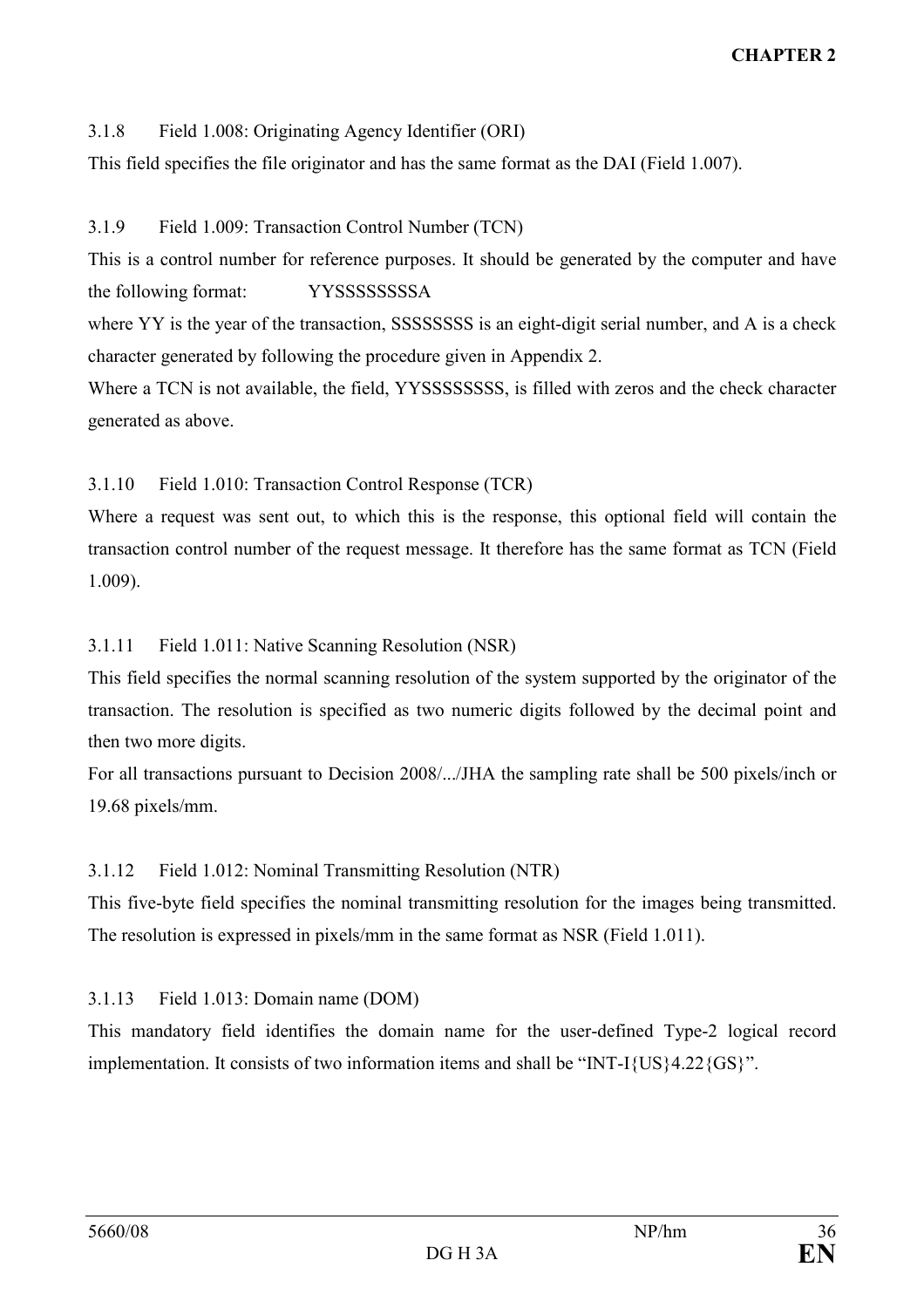# 3.1.8 Field 1.008: Originating Agency Identifier (ORI)

This field specifies the file originator and has the same format as the DAI (Field 1.007).

### 3.1.9 Field 1.009: Transaction Control Number (TCN)

This is a control number for reference purposes. It should be generated by the computer and have the following format: YYSSSSSSSSA

where YY is the year of the transaction, SSSSSSSSS is an eight-digit serial number, and A is a check character generated by following the procedure given in Appendix 2.

Where a TCN is not available, the field, YYSSSSSSSS, is filled with zeros and the check character generated as above.

## 3.1.10 Field 1.010: Transaction Control Response (TCR)

Where a request was sent out, to which this is the response, this optional field will contain the transaction control number of the request message. It therefore has the same format as TCN (Field 1.009).

## 3.1.11 Field 1.011: Native Scanning Resolution (NSR)

This field specifies the normal scanning resolution of the system supported by the originator of the transaction. The resolution is specified as two numeric digits followed by the decimal point and then two more digits.

For all transactions pursuant to Decision 2008/.../JHA the sampling rate shall be 500 pixels/inch or 19.68 pixels/mm.

# 3.1.12 Field 1.012: Nominal Transmitting Resolution (NTR)

This five-byte field specifies the nominal transmitting resolution for the images being transmitted. The resolution is expressed in pixels/mm in the same format as NSR (Field 1.011).

### 3.1.13 Field 1.013: Domain name (DOM)

This mandatory field identifies the domain name for the user-defined Type-2 logical record implementation. It consists of two information items and shall be "INT-I{US}4.22{GS}".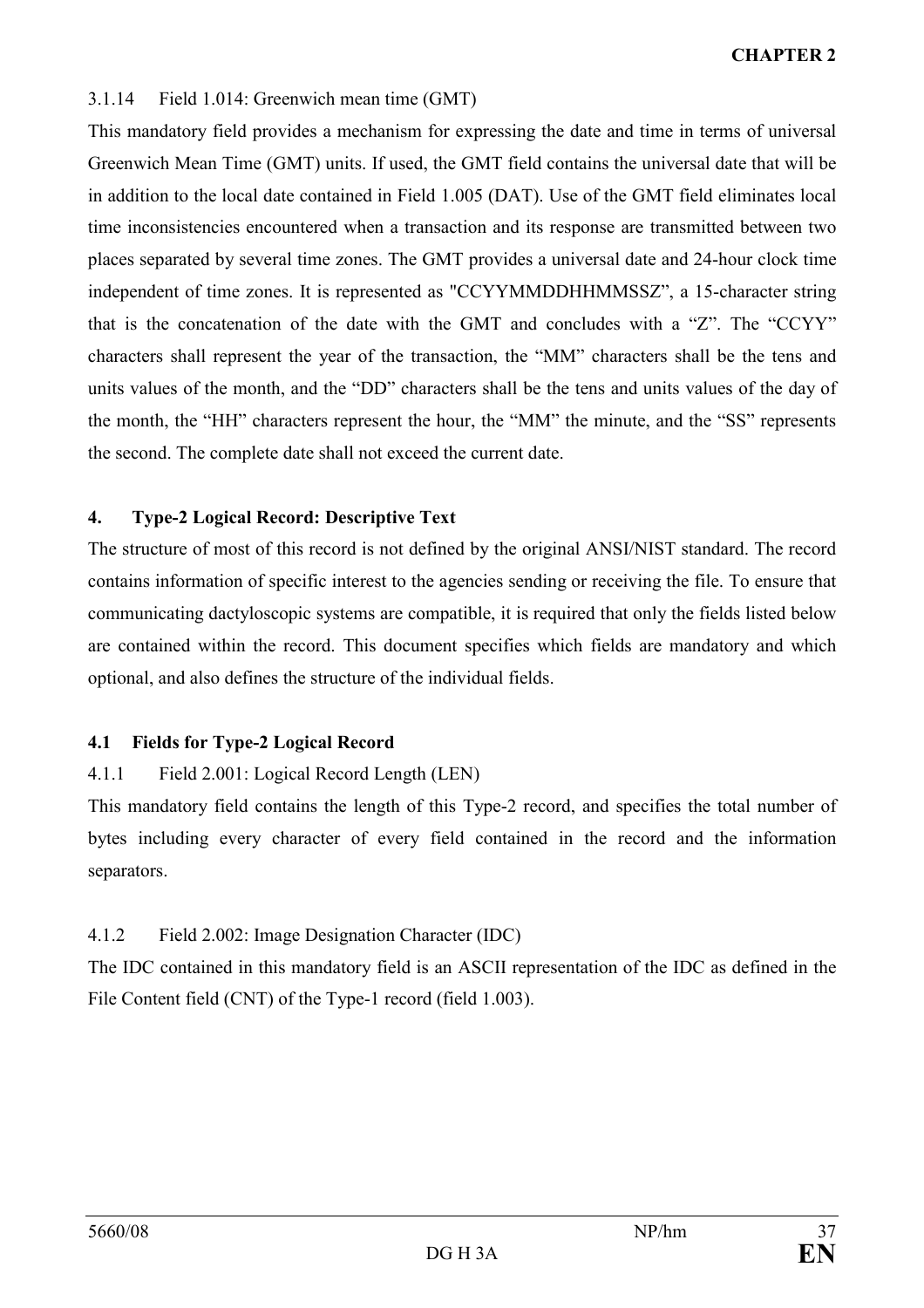# 3.1.14 Field 1.014: Greenwich mean time (GMT)

This mandatory field provides a mechanism for expressing the date and time in terms of universal Greenwich Mean Time (GMT) units. If used, the GMT field contains the universal date that will be in addition to the local date contained in Field 1.005 (DAT). Use of the GMT field eliminates local time inconsistencies encountered when a transaction and its response are transmitted between two places separated by several time zones. The GMT provides a universal date and 24-hour clock time independent of time zones. It is represented as "CCYYMMDDHHMMSSZ", a 15-character string that is the concatenation of the date with the GMT and concludes with a "Z". The "CCYY" characters shall represent the year of the transaction, the "MM" characters shall be the tens and units values of the month, and the "DD" characters shall be the tens and units values of the day of the month, the "HH" characters represent the hour, the "MM" the minute, and the "SS" represents the second. The complete date shall not exceed the current date.

# 4. Type-2 Logical Record: Descriptive Text

The structure of most of this record is not defined by the original ANSI/NIST standard. The record contains information of specific interest to the agencies sending or receiving the file. To ensure that communicating dactyloscopic systems are compatible, it is required that only the fields listed below are contained within the record. This document specifies which fields are mandatory and which optional, and also defines the structure of the individual fields.

# 4.1 Fields for Type-2 Logical Record

# 4.1.1 Field 2.001: Logical Record Length (LEN)

This mandatory field contains the length of this Type-2 record, and specifies the total number of bytes including every character of every field contained in the record and the information separators.

# 4.1.2 Field 2.002: Image Designation Character (IDC)

The IDC contained in this mandatory field is an ASCII representation of the IDC as defined in the File Content field (CNT) of the Type-1 record (field 1.003).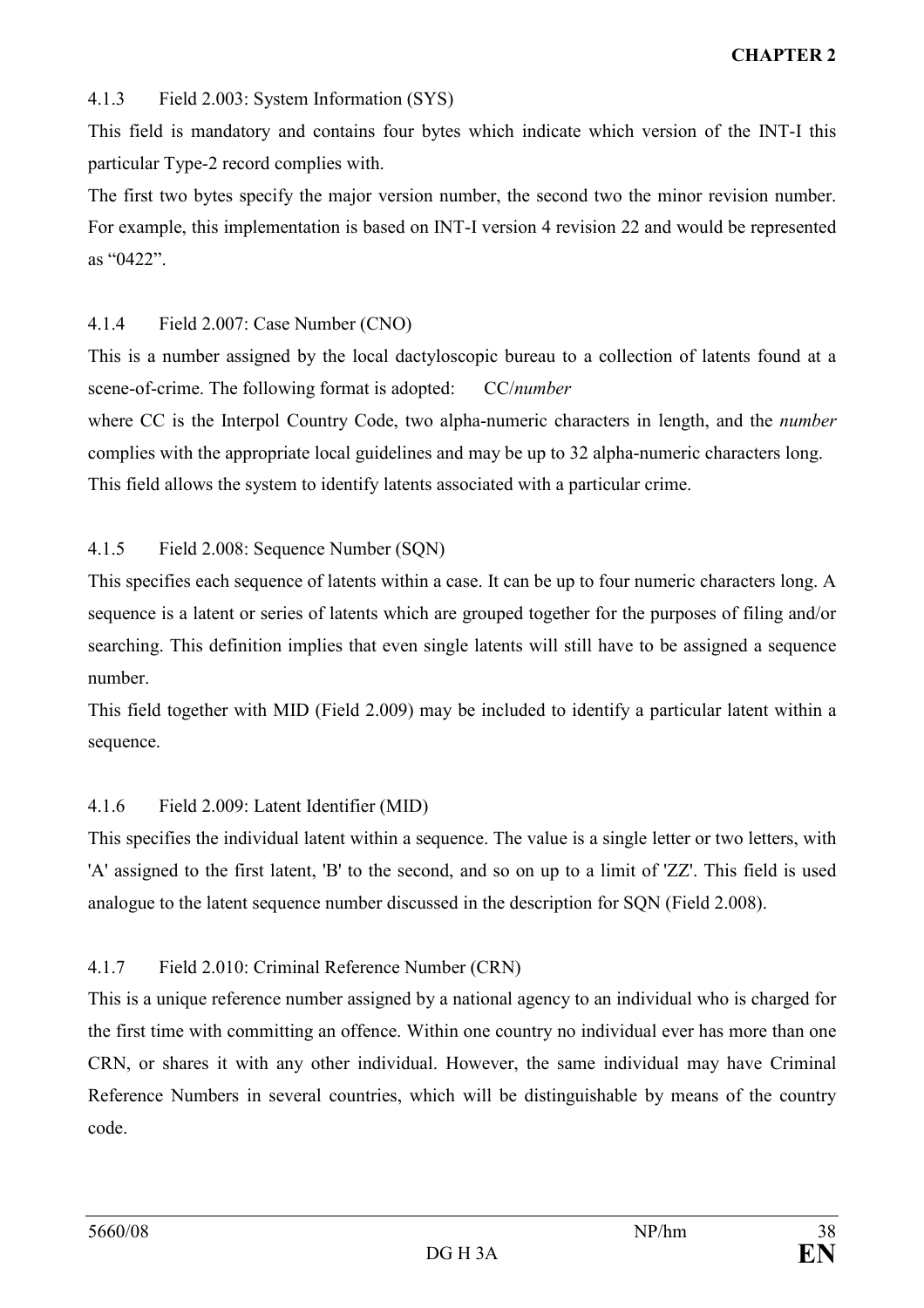#### 4.1.3 Field 2.003: System Information (SYS)

This field is mandatory and contains four bytes which indicate which version of the INT-I this particular Type-2 record complies with.

The first two bytes specify the major version number, the second two the minor revision number. For example, this implementation is based on INT-I version 4 revision 22 and would be represented as "0422".

#### 4.1.4 Field 2.007: Case Number (CNO)

This is a number assigned by the local dactyloscopic bureau to a collection of latents found at a scene-of-crime. The following format is adopted: CC/number

where CC is the Interpol Country Code, two alpha-numeric characters in length, and the *number* complies with the appropriate local guidelines and may be up to 32 alpha-numeric characters long. This field allows the system to identify latents associated with a particular crime.

#### 4.1.5 Field 2.008: Sequence Number (SQN)

This specifies each sequence of latents within a case. It can be up to four numeric characters long. A sequence is a latent or series of latents which are grouped together for the purposes of filing and/or searching. This definition implies that even single latents will still have to be assigned a sequence number.

This field together with MID (Field 2.009) may be included to identify a particular latent within a sequence.

# 4.1.6 Field 2.009: Latent Identifier (MID)

This specifies the individual latent within a sequence. The value is a single letter or two letters, with 'A' assigned to the first latent, 'B' to the second, and so on up to a limit of 'ZZ'. This field is used analogue to the latent sequence number discussed in the description for SQN (Field 2.008).

# 4.1.7 Field 2.010: Criminal Reference Number (CRN)

This is a unique reference number assigned by a national agency to an individual who is charged for the first time with committing an offence. Within one country no individual ever has more than one CRN, or shares it with any other individual. However, the same individual may have Criminal Reference Numbers in several countries, which will be distinguishable by means of the country code.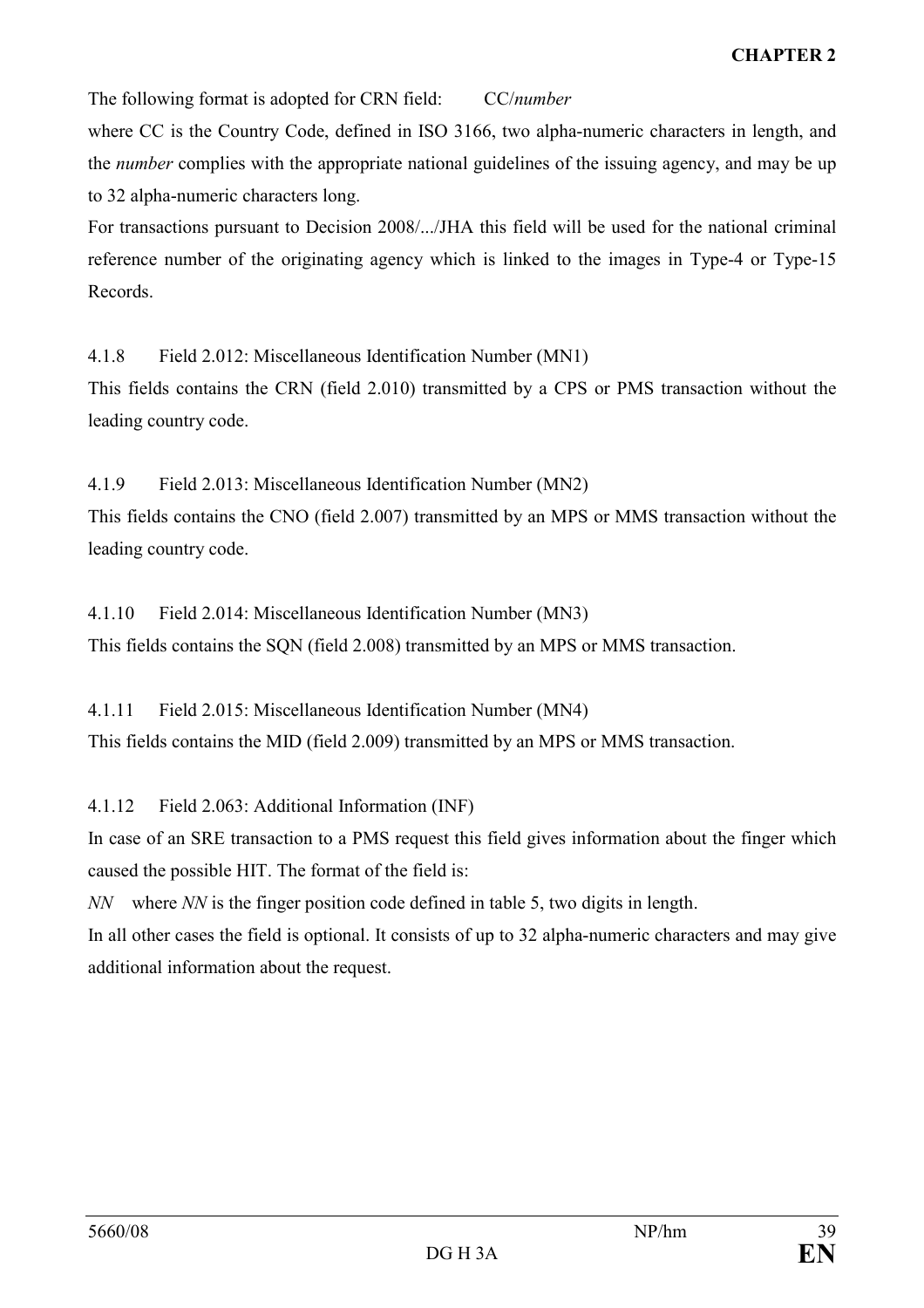The following format is adopted for CRN field: CC/number

where CC is the Country Code, defined in ISO 3166, two alpha-numeric characters in length, and the *number* complies with the appropriate national guidelines of the issuing agency, and may be up to 32 alpha-numeric characters long.

For transactions pursuant to Decision 2008/.../JHA this field will be used for the national criminal reference number of the originating agency which is linked to the images in Type-4 or Type-15 Records.

4.1.8 Field 2.012: Miscellaneous Identification Number (MN1)

This fields contains the CRN (field 2.010) transmitted by a CPS or PMS transaction without the leading country code.

4.1.9 Field 2.013: Miscellaneous Identification Number (MN2)

This fields contains the CNO (field 2.007) transmitted by an MPS or MMS transaction without the leading country code.

4.1.10 Field 2.014: Miscellaneous Identification Number (MN3) This fields contains the SQN (field 2.008) transmitted by an MPS or MMS transaction.

4.1.11 Field 2.015: Miscellaneous Identification Number (MN4) This fields contains the MID (field 2.009) transmitted by an MPS or MMS transaction.

4.1.12 Field 2.063: Additional Information (INF)

In case of an SRE transaction to a PMS request this field gives information about the finger which caused the possible HIT. The format of the field is:

NN where NN is the finger position code defined in table 5, two digits in length.

In all other cases the field is optional. It consists of up to 32 alpha-numeric characters and may give additional information about the request.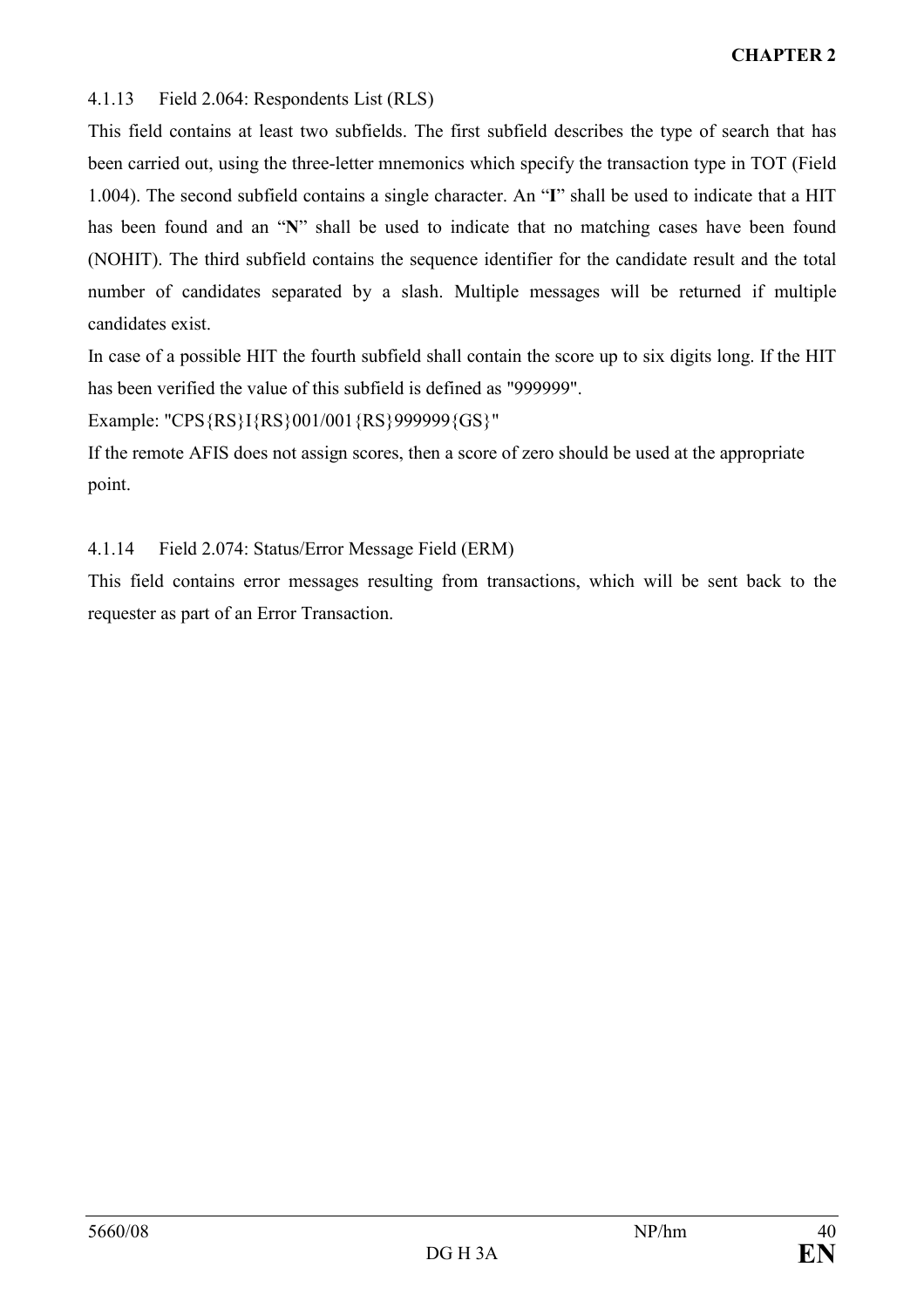## 4.1.13 Field 2.064: Respondents List (RLS)

This field contains at least two subfields. The first subfield describes the type of search that has been carried out, using the three-letter mnemonics which specify the transaction type in TOT (Field 1.004). The second subfield contains a single character. An "I" shall be used to indicate that a HIT has been found and an "N" shall be used to indicate that no matching cases have been found (NOHIT). The third subfield contains the sequence identifier for the candidate result and the total number of candidates separated by a slash. Multiple messages will be returned if multiple candidates exist.

In case of a possible HIT the fourth subfield shall contain the score up to six digits long. If the HIT has been verified the value of this subfield is defined as "999999".

Example: "CPS{RS}I{RS}001/001{RS}999999{GS}"

If the remote AFIS does not assign scores, then a score of zero should be used at the appropriate point.

# 4.1.14 Field 2.074: Status/Error Message Field (ERM)

This field contains error messages resulting from transactions, which will be sent back to the requester as part of an Error Transaction.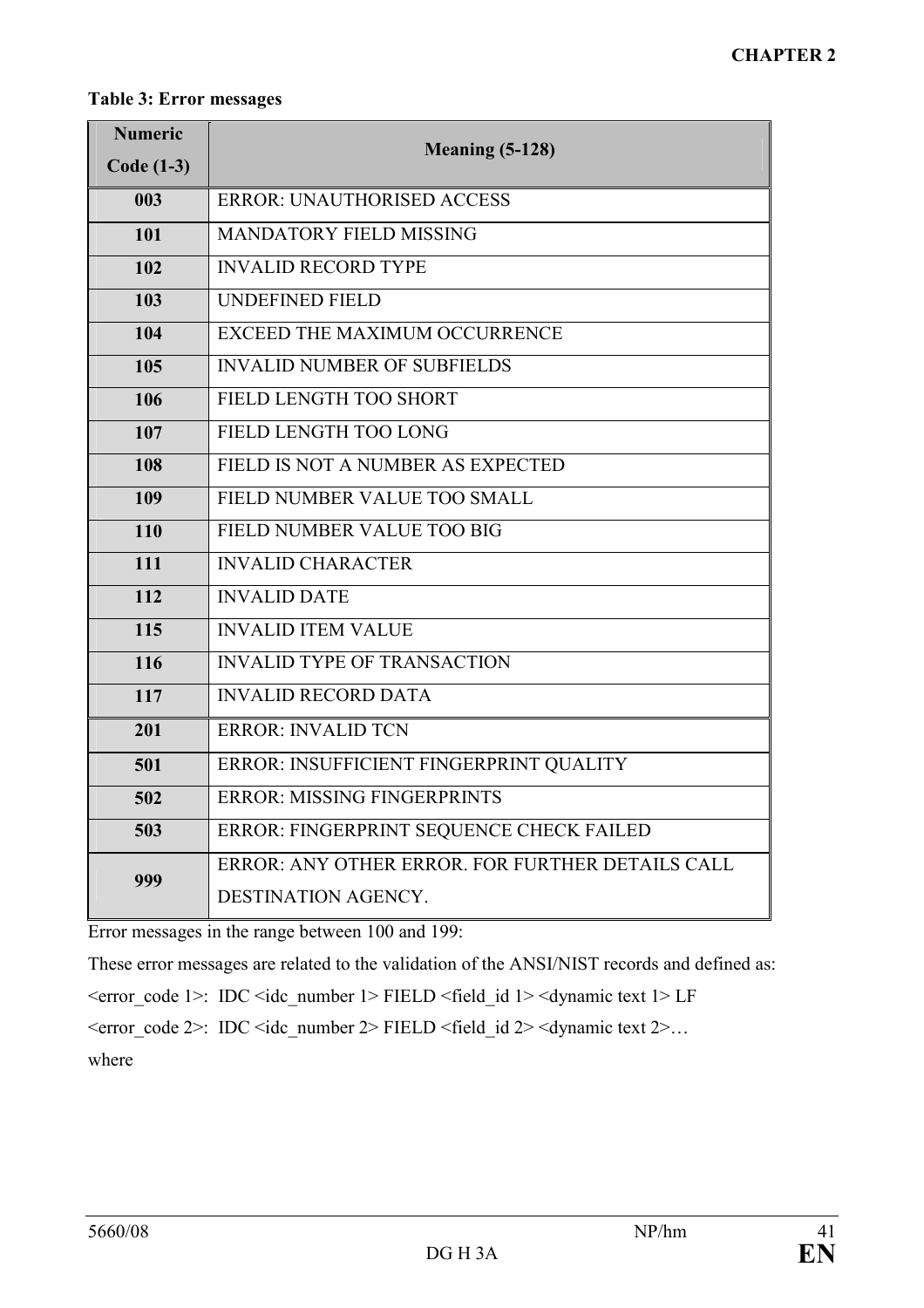#### Table 3: Error messages

| <b>Numeric</b><br><b>Code (1-3)</b> | <b>Meaning (5-128)</b>                                                  |
|-------------------------------------|-------------------------------------------------------------------------|
| 003                                 | <b>ERROR: UNAUTHORISED ACCESS</b>                                       |
| 101                                 | <b>MANDATORY FIELD MISSING</b>                                          |
| 102                                 | <b>INVALID RECORD TYPE</b>                                              |
| 103                                 | <b>UNDEFINED FIELD</b>                                                  |
| 104                                 | <b>EXCEED THE MAXIMUM OCCURRENCE</b>                                    |
| 105                                 | <b>INVALID NUMBER OF SUBFIELDS</b>                                      |
| 106                                 | FIELD LENGTH TOO SHORT                                                  |
| 107                                 | FIELD LENGTH TOO LONG                                                   |
| 108                                 | FIELD IS NOT A NUMBER AS EXPECTED                                       |
| 109                                 | FIELD NUMBER VALUE TOO SMALL                                            |
| 110                                 | FIELD NUMBER VALUE TOO BIG                                              |
| 111                                 | <b>INVALID CHARACTER</b>                                                |
| 112                                 | <b>INVALID DATE</b>                                                     |
| 115                                 | <b>INVALID ITEM VALUE</b>                                               |
| 116                                 | <b>INVALID TYPE OF TRANSACTION</b>                                      |
| 117                                 | <b>INVALID RECORD DATA</b>                                              |
| 201                                 | <b>ERROR: INVALID TCN</b>                                               |
| 501                                 | ERROR: INSUFFICIENT FINGERPRINT QUALITY                                 |
| 502                                 | <b>ERROR: MISSING FINGERPRINTS</b>                                      |
| 503                                 | ERROR: FINGERPRINT SEQUENCE CHECK FAILED                                |
| 999                                 | ERROR: ANY OTHER ERROR, FOR FURTHER DETAILS CALL<br>DESTINATION AGENCY. |

Error messages in the range between 100 and 199:

These error messages are related to the validation of the ANSI/NIST records and defined as:  $\epsilon$  <error code 1>: IDC  $\epsilon$ idc number 1> FIELD  $\epsilon$  field id 1>  $\epsilon$  dynamic text 1> LF  $\epsilon$  <error code 2>: IDC  $\epsilon$ idc number 2> FIELD  $\epsilon$  field id 2>  $\epsilon$  dynamic text 2>... where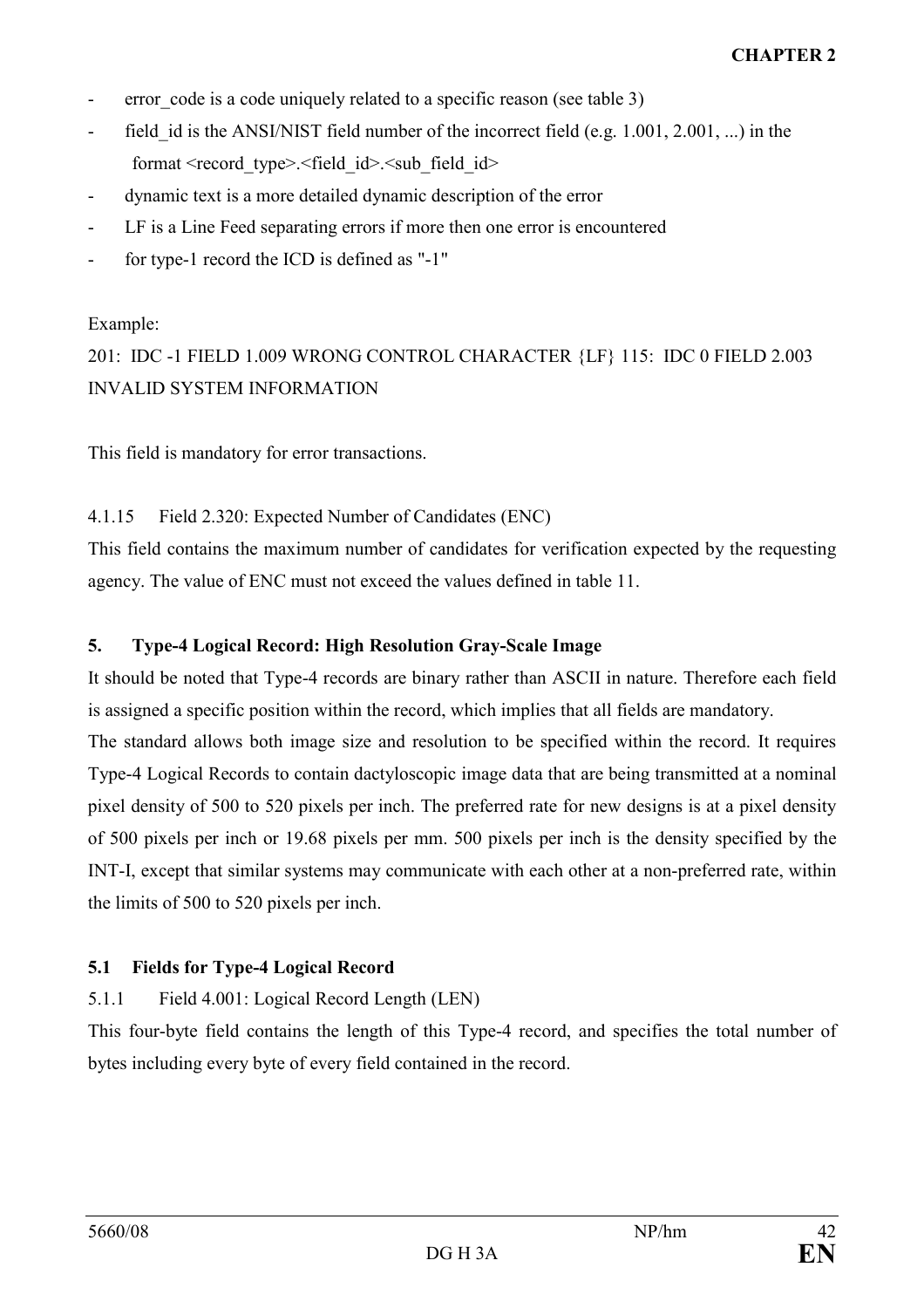- error code is a code uniquely related to a specific reason (see table 3)
- field id is the ANSI/NIST field number of the incorrect field (e.g. 1.001, 2.001, ...) in the format <record\_type>.<field\_id>.<sub\_field\_id>
- dynamic text is a more detailed dynamic description of the error
- LF is a Line Feed separating errors if more then one error is encountered
- for type-1 record the ICD is defined as "-1"

## Example:

201: IDC -1 FIELD 1.009 WRONG CONTROL CHARACTER {LF} 115: IDC 0 FIELD 2.003 INVALID SYSTEM INFORMATION

This field is mandatory for error transactions.

# 4.1.15 Field 2.320: Expected Number of Candidates (ENC)

This field contains the maximum number of candidates for verification expected by the requesting agency. The value of ENC must not exceed the values defined in table 11.

# 5. Type-4 Logical Record: High Resolution Gray-Scale Image

It should be noted that Type-4 records are binary rather than ASCII in nature. Therefore each field is assigned a specific position within the record, which implies that all fields are mandatory. The standard allows both image size and resolution to be specified within the record. It requires Type-4 Logical Records to contain dactyloscopic image data that are being transmitted at a nominal pixel density of 500 to 520 pixels per inch. The preferred rate for new designs is at a pixel density of 500 pixels per inch or 19.68 pixels per mm. 500 pixels per inch is the density specified by the INT-I, except that similar systems may communicate with each other at a non-preferred rate, within the limits of 500 to 520 pixels per inch.

# 5.1 Fields for Type-4 Logical Record

# 5.1.1 Field 4.001: Logical Record Length (LEN)

This four-byte field contains the length of this Type-4 record, and specifies the total number of bytes including every byte of every field contained in the record.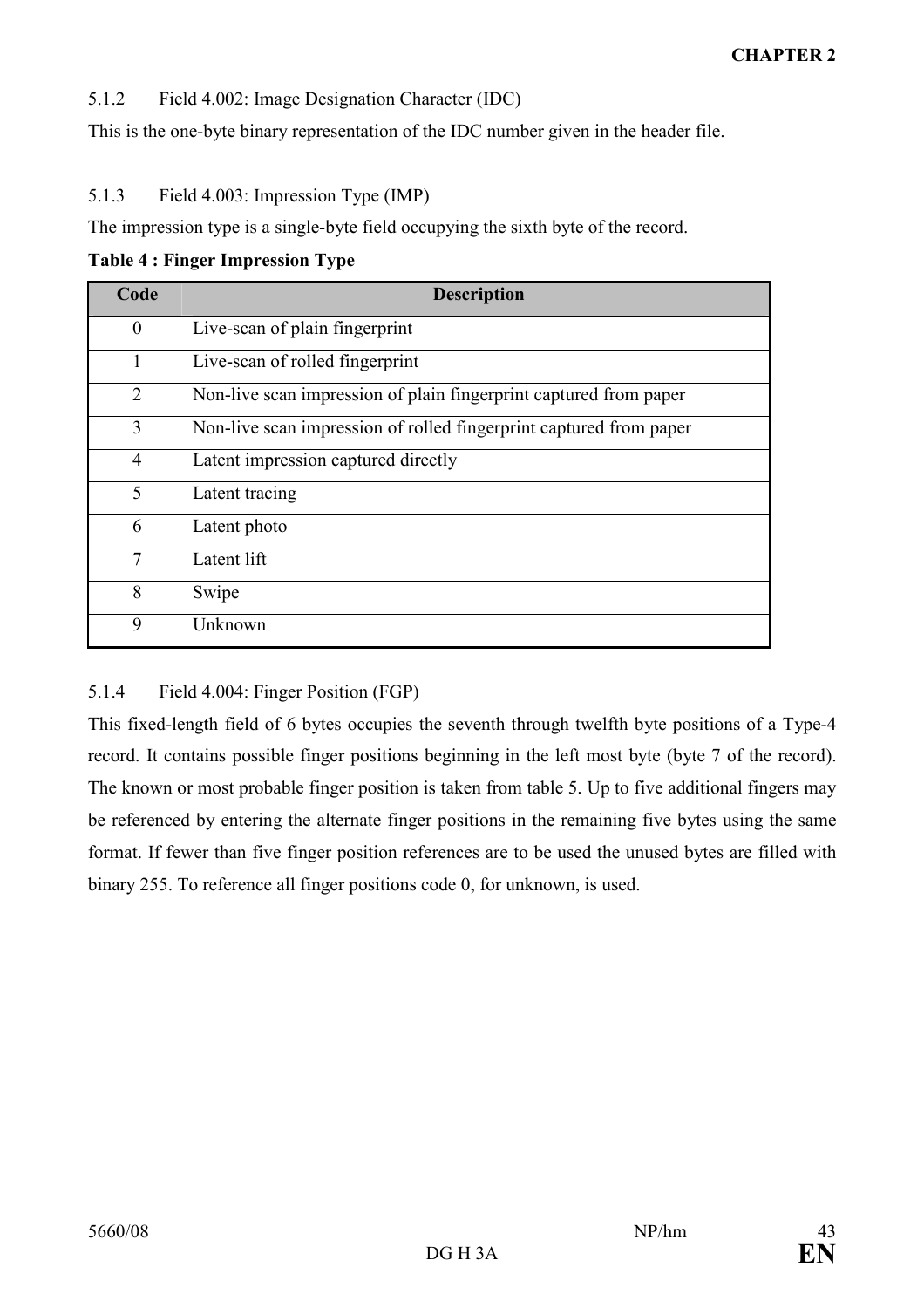5.1.2 Field 4.002: Image Designation Character (IDC)

This is the one-byte binary representation of the IDC number given in the header file.

5.1.3 Field 4.003: Impression Type (IMP)

The impression type is a single-byte field occupying the sixth byte of the record.

| Code           | <b>Description</b>                                                 |
|----------------|--------------------------------------------------------------------|
| $\theta$       | Live-scan of plain fingerprint                                     |
|                | Live-scan of rolled fingerprint                                    |
| $\overline{2}$ | Non-live scan impression of plain fingerprint captured from paper  |
| 3              | Non-live scan impression of rolled fingerprint captured from paper |
| 4              | Latent impression captured directly                                |
| 5              | Latent tracing                                                     |
| 6              | Latent photo                                                       |
| $\overline{7}$ | Latent lift                                                        |
| 8              | Swipe                                                              |
| 9              | Unknown                                                            |

5.1.4 Field 4.004: Finger Position (FGP)

This fixed-length field of 6 bytes occupies the seventh through twelfth byte positions of a Type-4 record. It contains possible finger positions beginning in the left most byte (byte 7 of the record). The known or most probable finger position is taken from table 5. Up to five additional fingers may be referenced by entering the alternate finger positions in the remaining five bytes using the same format. If fewer than five finger position references are to be used the unused bytes are filled with binary 255. To reference all finger positions code 0, for unknown, is used.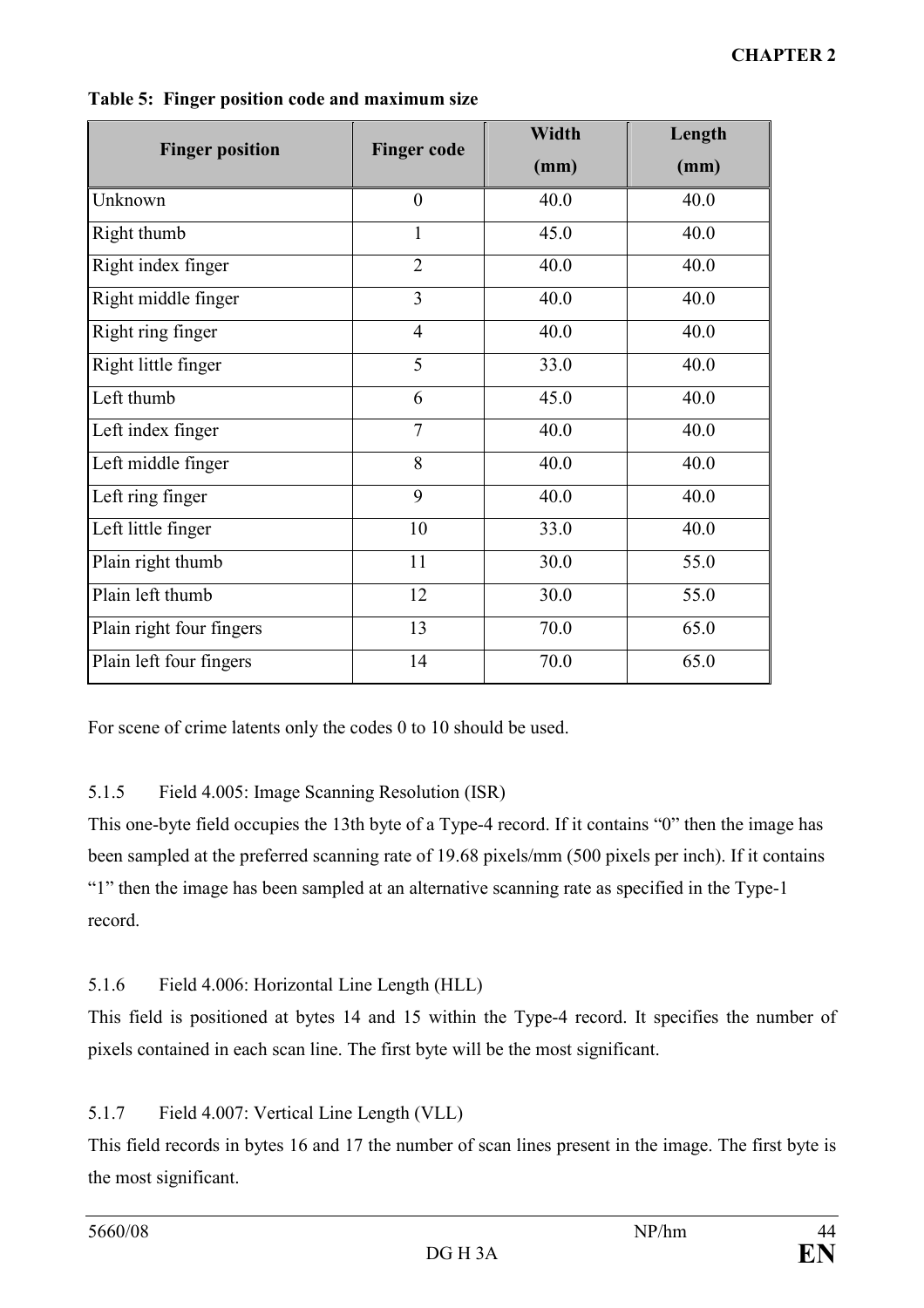| <b>Finger position</b>   | <b>Finger code</b> | <b>Width</b> | Length |
|--------------------------|--------------------|--------------|--------|
|                          |                    | (mm)         | (mm)   |
| Unknown                  | $\theta$           | 40.0         | 40.0   |
| Right thumb              | 1                  | 45.0         | 40.0   |
| Right index finger       | $\overline{2}$     | 40.0         | 40.0   |
| Right middle finger      | 3                  | 40.0         | 40.0   |
| Right ring finger        | $\overline{4}$     | 40.0         | 40.0   |
| Right little finger      | 5                  | 33.0         | 40.0   |
| Left thumb               | 6                  | 45.0         | 40.0   |
| Left index finger        | $\overline{7}$     | 40.0         | 40.0   |
| Left middle finger       | 8                  | 40.0         | 40.0   |
| Left ring finger         | 9                  | 40.0         | 40.0   |
| Left little finger       | 10                 | 33.0         | 40.0   |
| Plain right thumb        | 11                 | 30.0         | 55.0   |
| Plain left thumb         | 12                 | 30.0         | 55.0   |
| Plain right four fingers | 13                 | 70.0         | 65.0   |
| Plain left four fingers  | 14                 | 70.0         | 65.0   |

Table 5: Finger position code and maximum size

For scene of crime latents only the codes 0 to 10 should be used.

# 5.1.5 Field 4.005: Image Scanning Resolution (ISR)

This one-byte field occupies the 13th byte of a Type-4 record. If it contains "0" then the image has been sampled at the preferred scanning rate of 19.68 pixels/mm (500 pixels per inch). If it contains "1" then the image has been sampled at an alternative scanning rate as specified in the Type-1 record.

# 5.1.6 Field 4.006: Horizontal Line Length (HLL)

This field is positioned at bytes 14 and 15 within the Type-4 record. It specifies the number of pixels contained in each scan line. The first byte will be the most significant.

# 5.1.7 Field 4.007: Vertical Line Length (VLL)

This field records in bytes 16 and 17 the number of scan lines present in the image. The first byte is the most significant.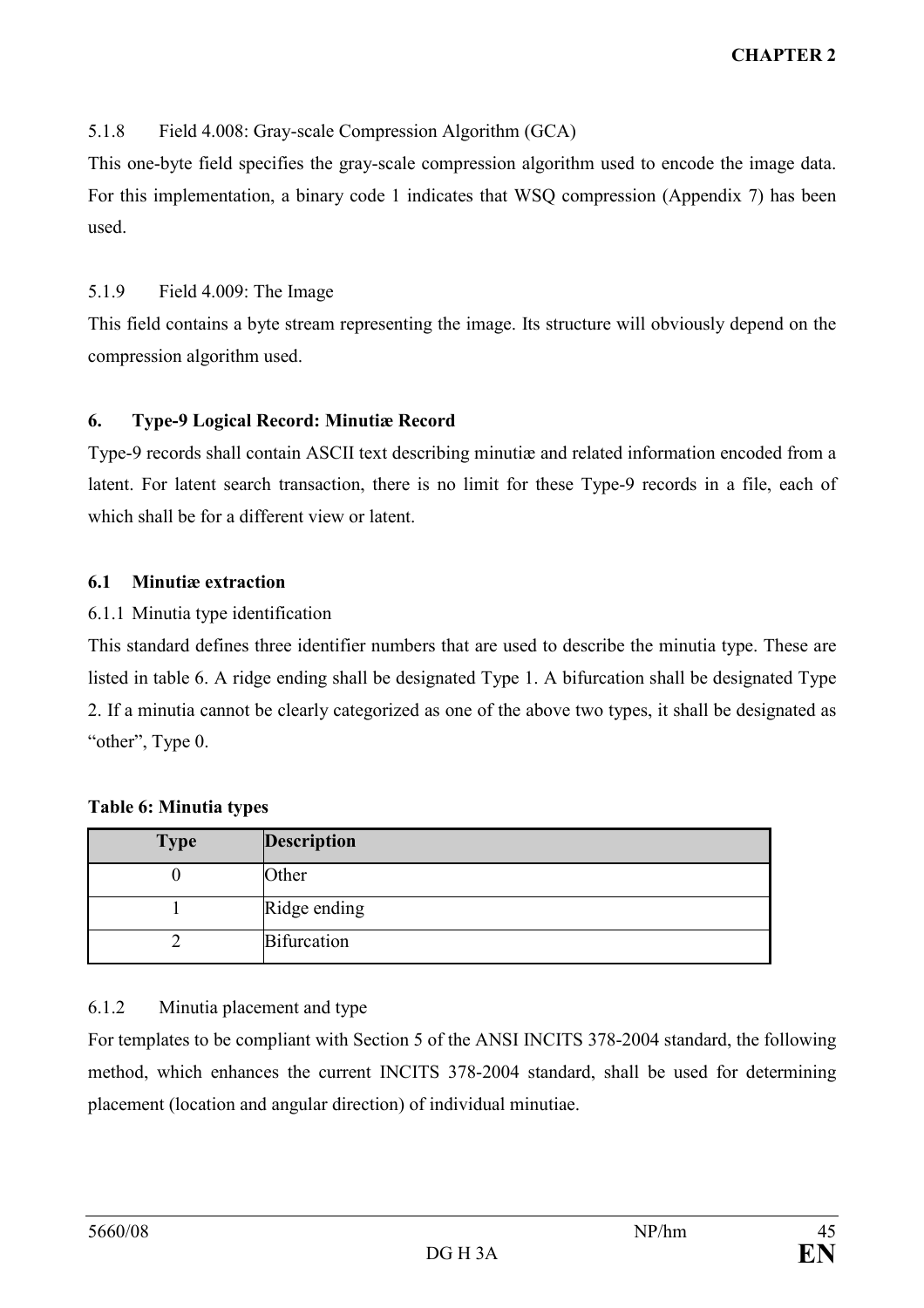# 5.1.8 Field 4.008: Gray-scale Compression Algorithm (GCA)

This one-byte field specifies the gray-scale compression algorithm used to encode the image data. For this implementation, a binary code 1 indicates that WSQ compression (Appendix 7) has been used.

#### 5.1.9 Field 4.009: The Image

This field contains a byte stream representing the image. Its structure will obviously depend on the compression algorithm used.

#### 6. Type-9 Logical Record: Minutiæ Record

Type-9 records shall contain ASCII text describing minutiæ and related information encoded from a latent. For latent search transaction, there is no limit for these Type-9 records in a file, each of which shall be for a different view or latent.

#### 6.1 Minutiæ extraction

#### 6.1.1 Minutia type identification

This standard defines three identifier numbers that are used to describe the minutia type. These are listed in table 6. A ridge ending shall be designated Type 1. A bifurcation shall be designated Type 2. If a minutia cannot be clearly categorized as one of the above two types, it shall be designated as "other", Type 0.

| <b>Type</b> | <b>Description</b> |
|-------------|--------------------|
|             | Other              |
|             | Ridge ending       |
|             | <b>Bifurcation</b> |

#### Table 6: Minutia types

#### 6.1.2 Minutia placement and type

For templates to be compliant with Section 5 of the ANSI INCITS 378-2004 standard, the following method, which enhances the current INCITS 378-2004 standard, shall be used for determining placement (location and angular direction) of individual minutiae.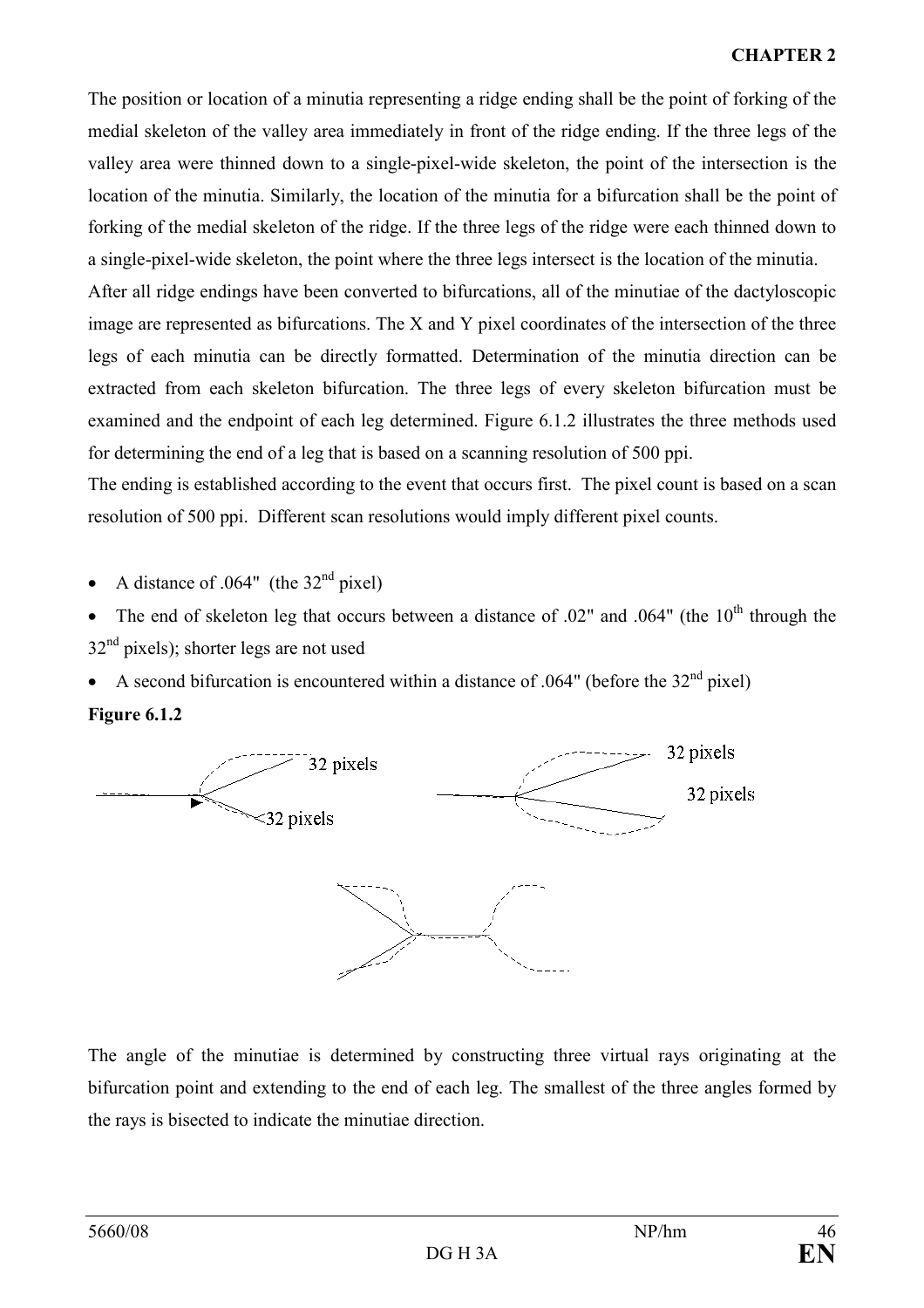The position or location of a minutia representing a ridge ending shall be the point of forking of the medial skeleton of the valley area immediately in front of the ridge ending. If the three legs of the valley area were thinned down to a single-pixel-wide skeleton, the point of the intersection is the location of the minutia. Similarly, the location of the minutia for a bifurcation shall be the point of forking of the medial skeleton of the ridge. If the three legs of the ridge were each thinned down to a single-pixel-wide skeleton, the point where the three legs intersect is the location of the minutia.

After all ridge endings have been converted to bifurcations, all of the minutiae of the dactyloscopic image are represented as bifurcations. The X and Y pixel coordinates of the intersection of the three legs of each minutia can be directly formatted. Determination of the minutia direction can be extracted from each skeleton bifurcation. The three legs of every skeleton bifurcation must be examined and the endpoint of each leg determined. Figure 6.1.2 illustrates the three methods used for determining the end of a leg that is based on a scanning resolution of 500 ppi.

The ending is established according to the event that occurs first. The pixel count is based on a scan resolution of 500 ppi. Different scan resolutions would imply different pixel counts.

A distance of .064" (the  $32<sup>nd</sup>$  pixel)

The end of skeleton leg that occurs between a distance of .02" and .064" (the 10<sup>th</sup> through the  $32<sup>nd</sup>$  pixels); shorter legs are not used

• A second bifurcation is encountered within a distance of .064" (before the  $32<sup>nd</sup>$  pixel)





The angle of the minutiae is determined by constructing three virtual rays originating at the bifurcation point and extending to the end of each leg. The smallest of the three angles formed by the rays is bisected to indicate the minutiae direction.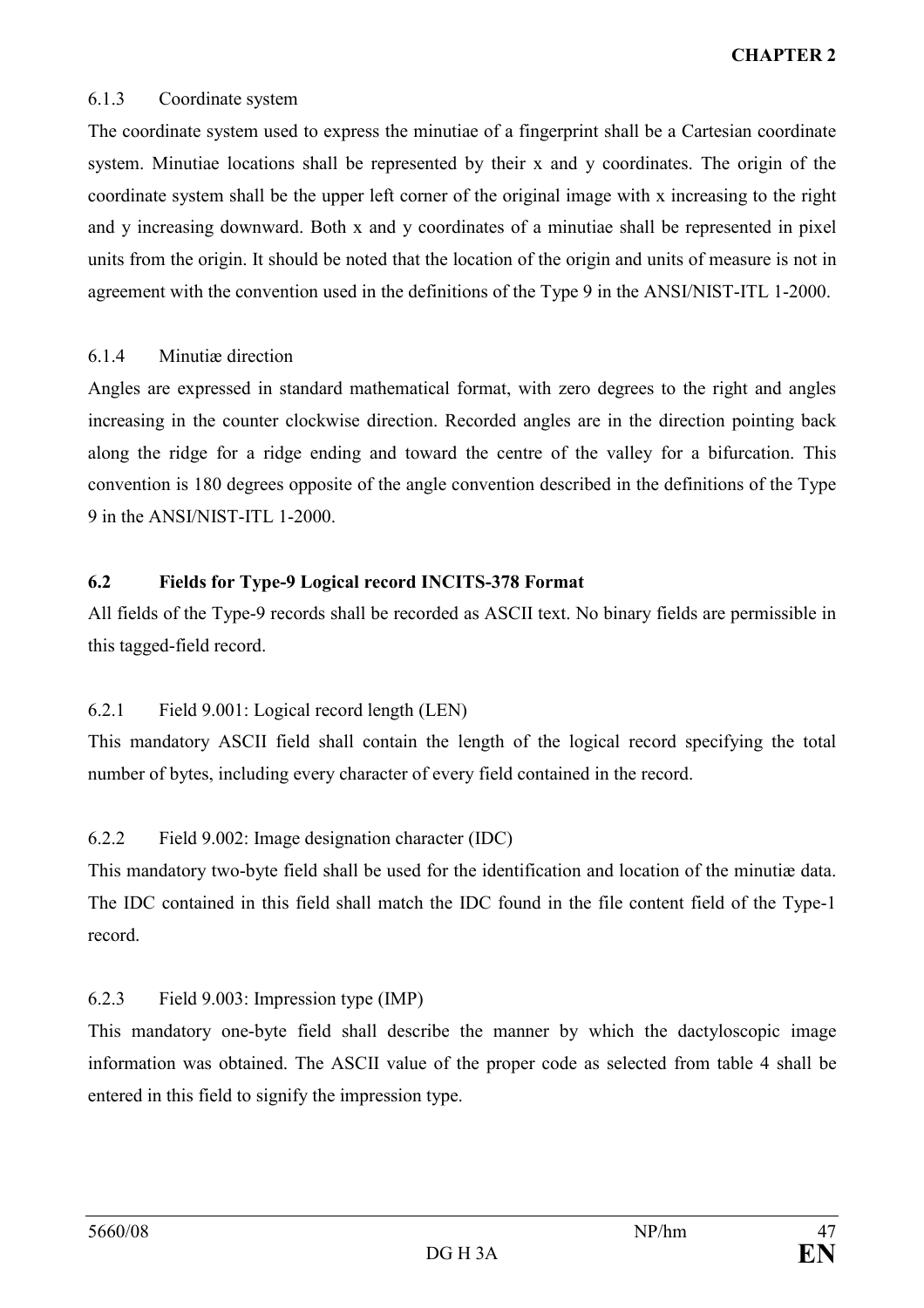#### 6.1.3 Coordinate system

The coordinate system used to express the minutiae of a fingerprint shall be a Cartesian coordinate system. Minutiae locations shall be represented by their x and y coordinates. The origin of the coordinate system shall be the upper left corner of the original image with x increasing to the right and y increasing downward. Both x and y coordinates of a minutiae shall be represented in pixel units from the origin. It should be noted that the location of the origin and units of measure is not in agreement with the convention used in the definitions of the Type 9 in the ANSI/NIST-ITL 1-2000.

# 6.1.4 Minutiæ direction

Angles are expressed in standard mathematical format, with zero degrees to the right and angles increasing in the counter clockwise direction. Recorded angles are in the direction pointing back along the ridge for a ridge ending and toward the centre of the valley for a bifurcation. This convention is 180 degrees opposite of the angle convention described in the definitions of the Type 9 in the ANSI/NIST-ITL 1-2000.

# 6.2 Fields for Type-9 Logical record INCITS-378 Format

All fields of the Type-9 records shall be recorded as ASCII text. No binary fields are permissible in this tagged-field record.

# 6.2.1 Field 9.001: Logical record length (LEN)

This mandatory ASCII field shall contain the length of the logical record specifying the total number of bytes, including every character of every field contained in the record.

# 6.2.2 Field 9.002: Image designation character (IDC)

This mandatory two-byte field shall be used for the identification and location of the minutiæ data. The IDC contained in this field shall match the IDC found in the file content field of the Type-1 record.

# 6.2.3 Field 9.003: Impression type (IMP)

This mandatory one-byte field shall describe the manner by which the dactyloscopic image information was obtained. The ASCII value of the proper code as selected from table 4 shall be entered in this field to signify the impression type.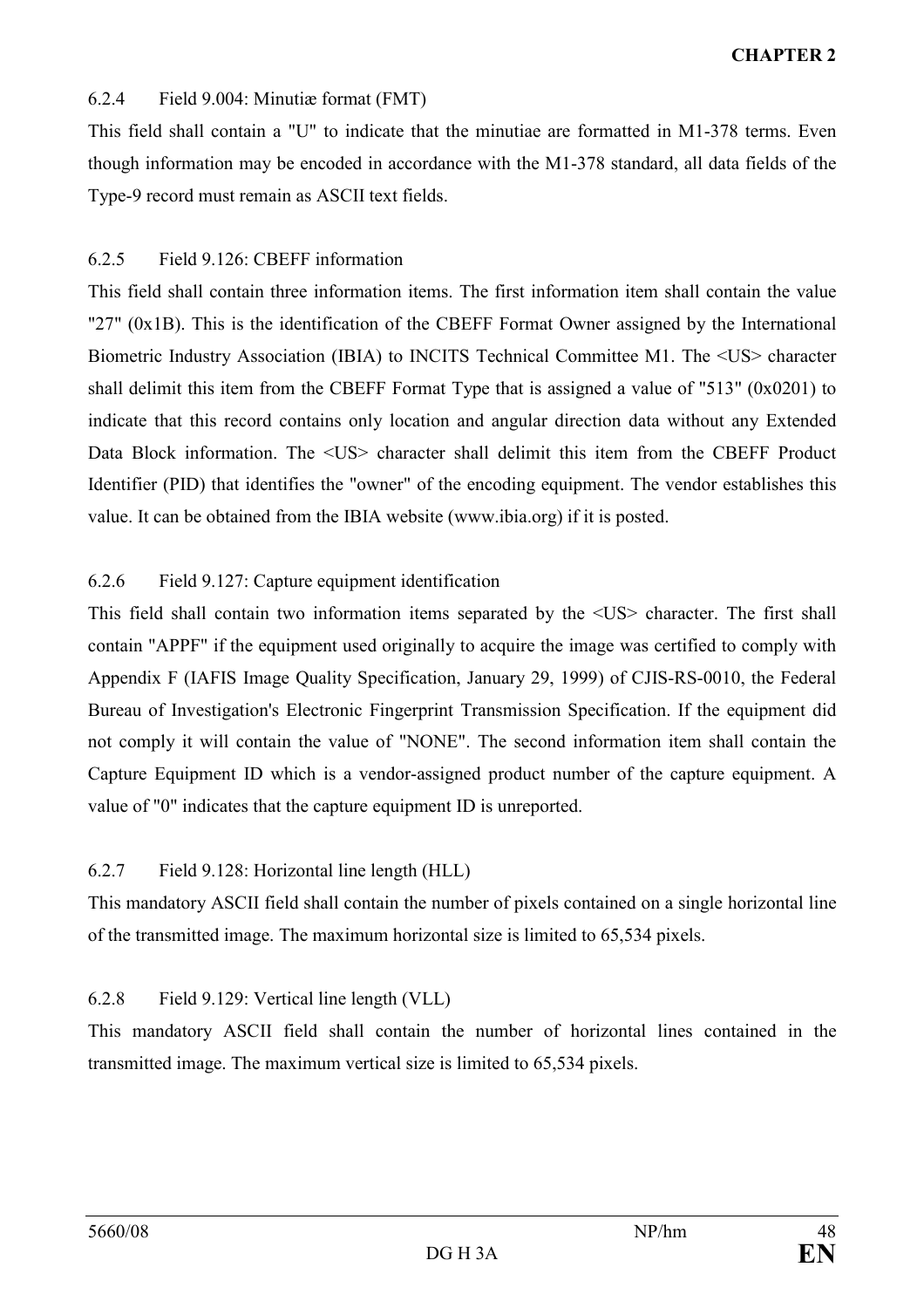#### 6.2.4 Field 9.004: Minutiæ format (FMT)

This field shall contain a "U" to indicate that the minutiae are formatted in M1-378 terms. Even though information may be encoded in accordance with the M1-378 standard, all data fields of the Type-9 record must remain as ASCII text fields.

# 6.2.5 Field 9.126: CBEFF information

This field shall contain three information items. The first information item shall contain the value "27" (0x1B). This is the identification of the CBEFF Format Owner assigned by the International Biometric Industry Association (IBIA) to INCITS Technical Committee M1. The <US> character shall delimit this item from the CBEFF Format Type that is assigned a value of "513" (0x0201) to indicate that this record contains only location and angular direction data without any Extended Data Block information. The <US> character shall delimit this item from the CBEFF Product Identifier (PID) that identifies the "owner" of the encoding equipment. The vendor establishes this value. It can be obtained from the IBIA website (www.ibia.org) if it is posted.

# 6.2.6 Field 9.127: Capture equipment identification

This field shall contain two information items separated by the <US> character. The first shall contain "APPF" if the equipment used originally to acquire the image was certified to comply with Appendix F (IAFIS Image Quality Specification, January 29, 1999) of CJIS-RS-0010, the Federal Bureau of Investigation's Electronic Fingerprint Transmission Specification. If the equipment did not comply it will contain the value of "NONE". The second information item shall contain the Capture Equipment ID which is a vendor-assigned product number of the capture equipment. A value of "0" indicates that the capture equipment ID is unreported.

# 6.2.7 Field 9.128: Horizontal line length (HLL)

This mandatory ASCII field shall contain the number of pixels contained on a single horizontal line of the transmitted image. The maximum horizontal size is limited to 65,534 pixels.

# 6.2.8 Field 9.129: Vertical line length (VLL)

This mandatory ASCII field shall contain the number of horizontal lines contained in the transmitted image. The maximum vertical size is limited to 65,534 pixels.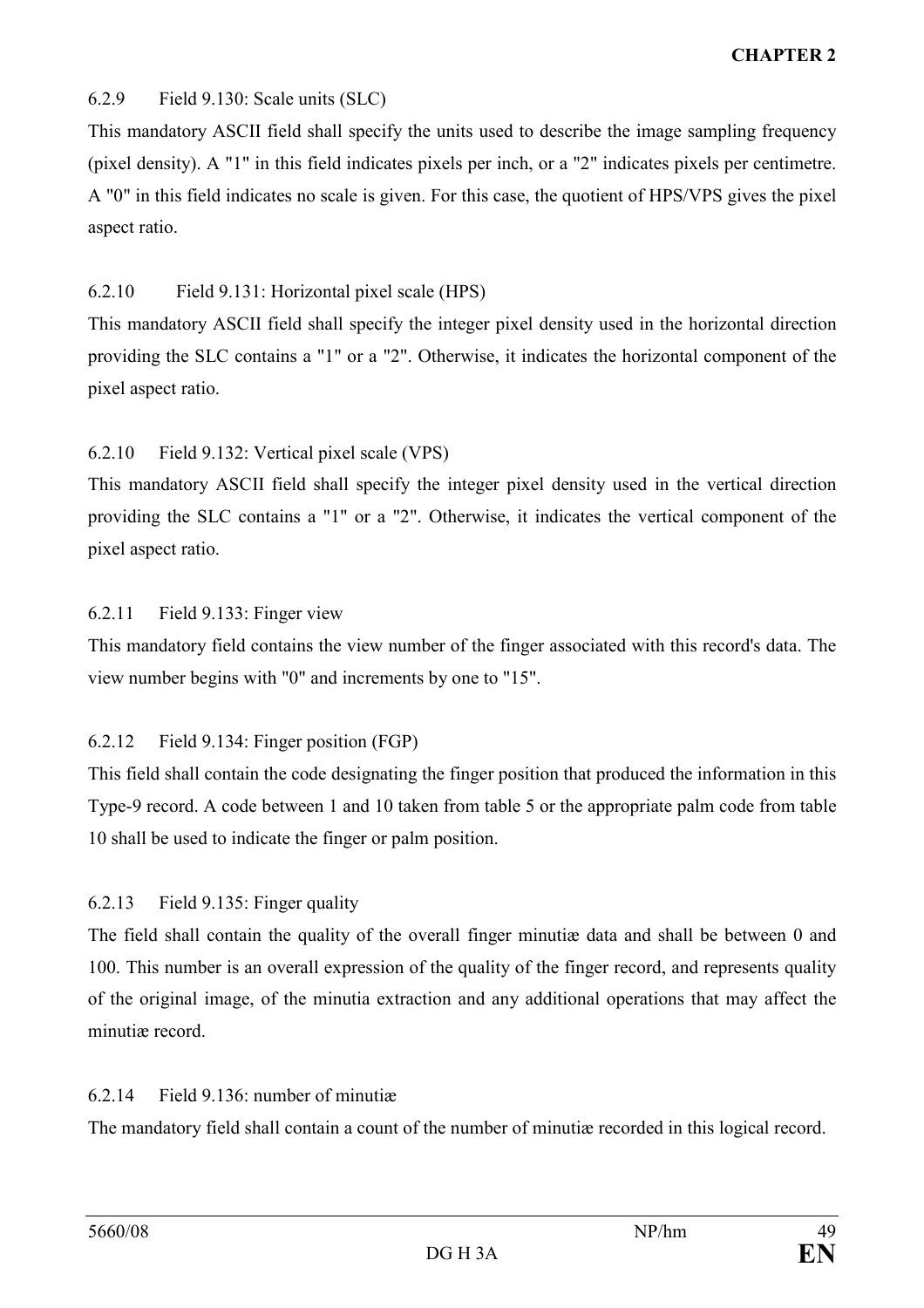# 6.2.9 Field 9.130: Scale units (SLC)

This mandatory ASCII field shall specify the units used to describe the image sampling frequency (pixel density). A "1" in this field indicates pixels per inch, or a "2" indicates pixels per centimetre. A "0" in this field indicates no scale is given. For this case, the quotient of HPS/VPS gives the pixel aspect ratio.

# 6.2.10 Field 9.131: Horizontal pixel scale (HPS)

This mandatory ASCII field shall specify the integer pixel density used in the horizontal direction providing the SLC contains a "1" or a "2". Otherwise, it indicates the horizontal component of the pixel aspect ratio.

# 6.2.10 Field 9.132: Vertical pixel scale (VPS)

This mandatory ASCII field shall specify the integer pixel density used in the vertical direction providing the SLC contains a "1" or a "2". Otherwise, it indicates the vertical component of the pixel aspect ratio.

# 6.2.11 Field 9.133: Finger view

This mandatory field contains the view number of the finger associated with this record's data. The view number begins with "0" and increments by one to "15".

# 6.2.12 Field 9.134: Finger position (FGP)

This field shall contain the code designating the finger position that produced the information in this Type-9 record. A code between 1 and 10 taken from table 5 or the appropriate palm code from table 10 shall be used to indicate the finger or palm position.

# 6.2.13 Field 9.135: Finger quality

The field shall contain the quality of the overall finger minutiæ data and shall be between 0 and 100. This number is an overall expression of the quality of the finger record, and represents quality of the original image, of the minutia extraction and any additional operations that may affect the minutiæ record.

#### 6.2.14 Field 9.136: number of minutiæ

The mandatory field shall contain a count of the number of minutiæ recorded in this logical record.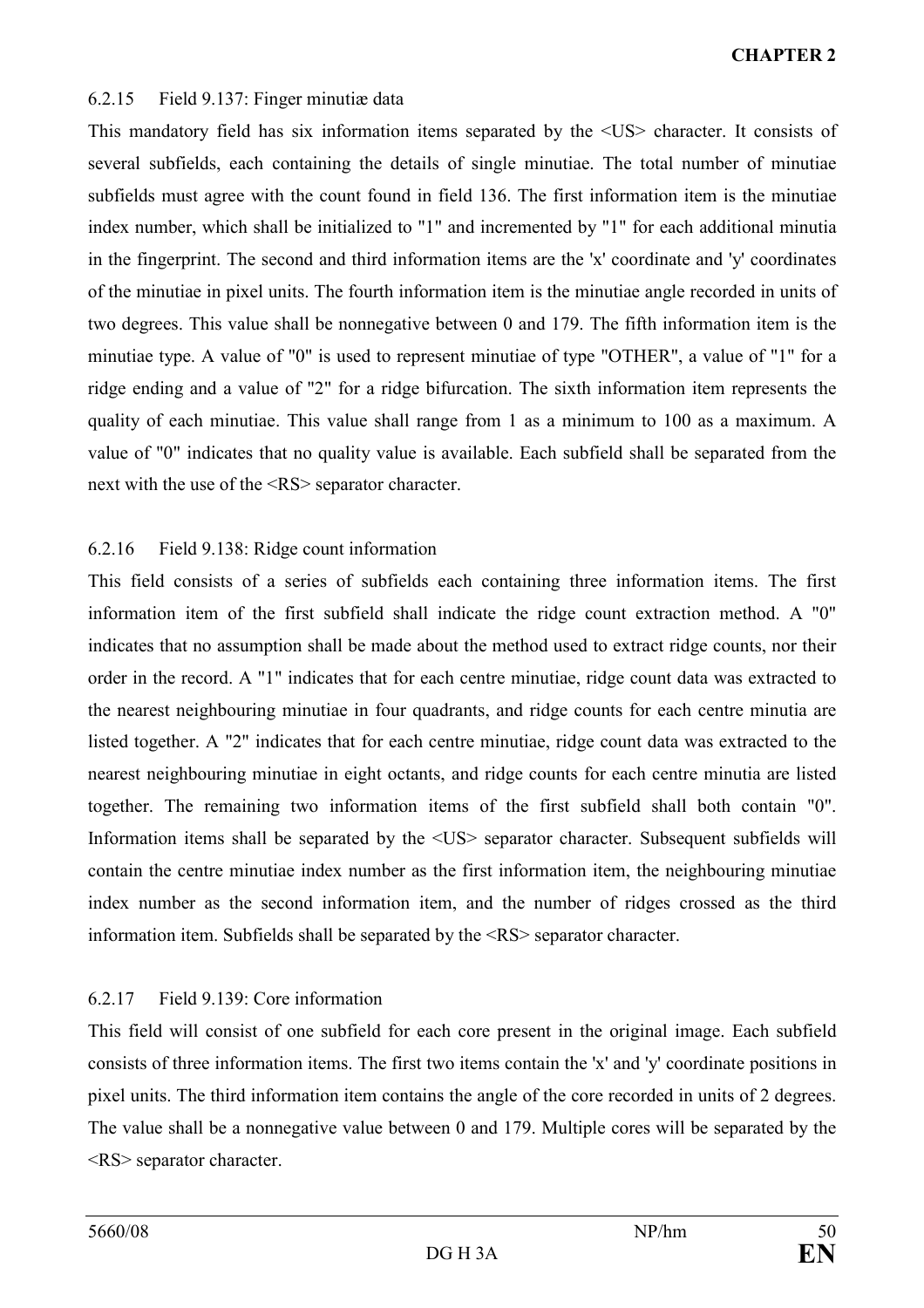#### 6.2.15 Field 9.137: Finger minutiæ data

This mandatory field has six information items separated by the <US> character. It consists of several subfields, each containing the details of single minutiae. The total number of minutiae subfields must agree with the count found in field 136. The first information item is the minutiae index number, which shall be initialized to "1" and incremented by "1" for each additional minutia in the fingerprint. The second and third information items are the 'x' coordinate and 'y' coordinates of the minutiae in pixel units. The fourth information item is the minutiae angle recorded in units of two degrees. This value shall be nonnegative between 0 and 179. The fifth information item is the minutiae type. A value of "0" is used to represent minutiae of type "OTHER", a value of "1" for a ridge ending and a value of "2" for a ridge bifurcation. The sixth information item represents the quality of each minutiae. This value shall range from 1 as a minimum to 100 as a maximum. A value of "0" indicates that no quality value is available. Each subfield shall be separated from the next with the use of the <RS> separator character.

#### 6.2.16 Field 9.138: Ridge count information

This field consists of a series of subfields each containing three information items. The first information item of the first subfield shall indicate the ridge count extraction method. A "0" indicates that no assumption shall be made about the method used to extract ridge counts, nor their order in the record. A "1" indicates that for each centre minutiae, ridge count data was extracted to the nearest neighbouring minutiae in four quadrants, and ridge counts for each centre minutia are listed together. A "2" indicates that for each centre minutiae, ridge count data was extracted to the nearest neighbouring minutiae in eight octants, and ridge counts for each centre minutia are listed together. The remaining two information items of the first subfield shall both contain "0". Information items shall be separated by the  $\langle US \rangle$  separator character. Subsequent subfields will contain the centre minutiae index number as the first information item, the neighbouring minutiae index number as the second information item, and the number of ridges crossed as the third information item. Subfields shall be separated by the <RS> separator character.

#### 6.2.17 Field 9.139: Core information

This field will consist of one subfield for each core present in the original image. Each subfield consists of three information items. The first two items contain the 'x' and 'y' coordinate positions in pixel units. The third information item contains the angle of the core recorded in units of 2 degrees. The value shall be a nonnegative value between 0 and 179. Multiple cores will be separated by the <RS> separator character.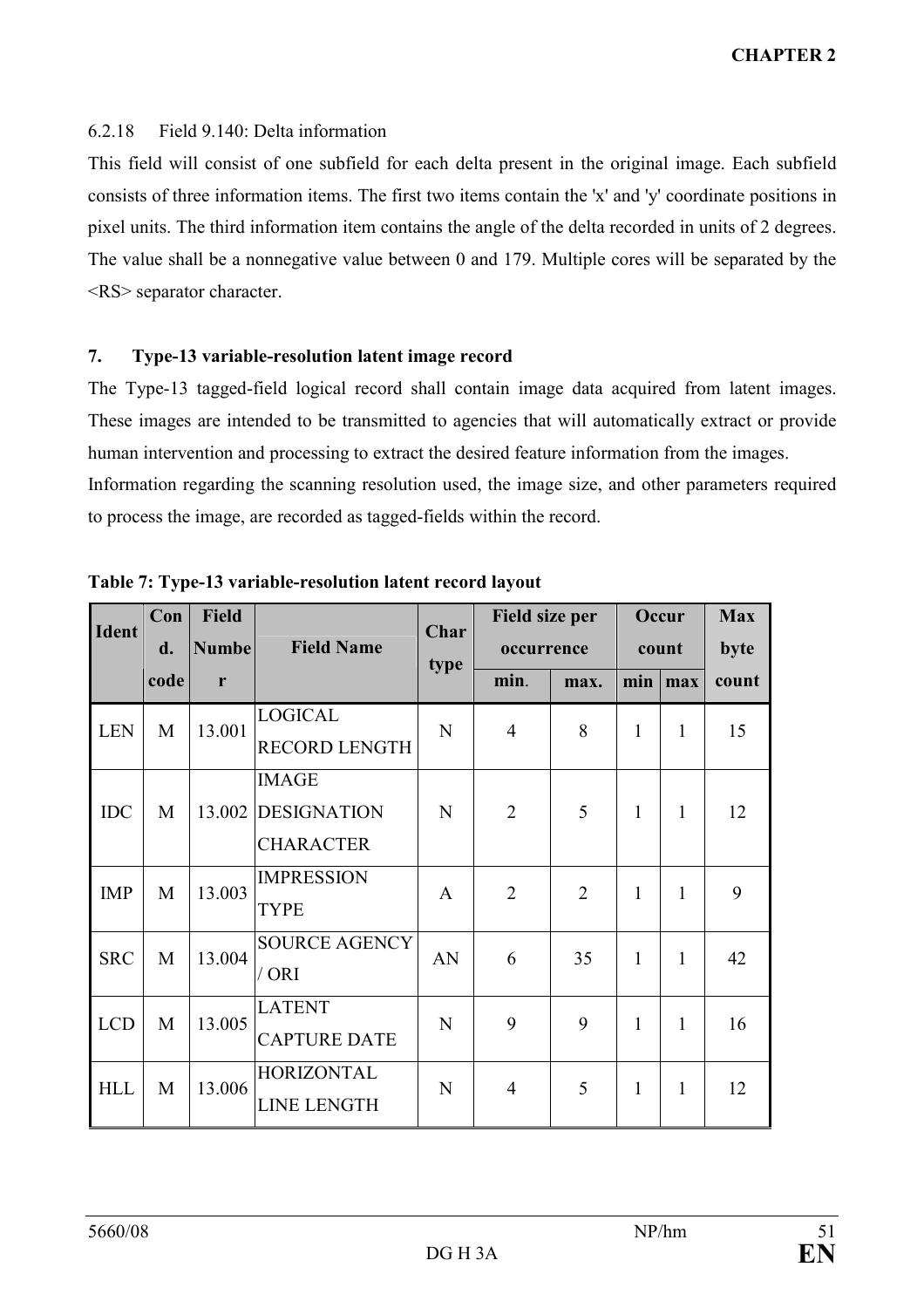#### 6.2.18 Field 9.140: Delta information

This field will consist of one subfield for each delta present in the original image. Each subfield consists of three information items. The first two items contain the 'x' and 'y' coordinate positions in pixel units. The third information item contains the angle of the delta recorded in units of 2 degrees. The value shall be a nonnegative value between 0 and 179. Multiple cores will be separated by the <RS> separator character.

# 7. Type-13 variable-resolution latent image record

The Type-13 tagged-field logical record shall contain image data acquired from latent images. These images are intended to be transmitted to agencies that will automatically extract or provide human intervention and processing to extract the desired feature information from the images. Information regarding the scanning resolution used, the image size, and other parameters required to process the image, are recorded as tagged-fields within the record.

| <b>Ident</b> | Con<br>d. | <b>Field</b><br><b>Numbe</b> | <b>Field Name</b>                                      | Char | Field size per<br>occurrence |                | Occur<br>count |     | <b>Max</b><br>byte |
|--------------|-----------|------------------------------|--------------------------------------------------------|------|------------------------------|----------------|----------------|-----|--------------------|
|              | code      | r                            |                                                        | type | min.                         | max.           | min            | max | count              |
| <b>LEN</b>   | M         | 13.001                       | <b>LOGICAL</b><br><b>RECORD LENGTH</b>                 | N    | $\overline{4}$               | 8              | $\mathbf{1}$   | 1   | 15                 |
| <b>IDC</b>   | M         | 13.002                       | <b>IMAGE</b><br><b>DESIGNATION</b><br><b>CHARACTER</b> | N    | $\overline{2}$               | 5              | 1              | 1   | 12                 |
| <b>IMP</b>   | M         | 13.003                       | <b>IMPRESSION</b><br><b>TYPE</b>                       | A    | $\overline{2}$               | $\overline{2}$ | $\mathbf{1}$   | 1   | 9                  |
| <b>SRC</b>   | M         | 13.004                       | <b>SOURCE AGENCY</b><br>/ ORI                          | AN   | 6                            | 35             | 1              | 1   | 42                 |
| <b>LCD</b>   | M         | 13.005                       | <b>LATENT</b><br><b>CAPTURE DATE</b>                   | N    | 9                            | 9              | 1              | 1   | 16                 |
| <b>HLL</b>   | M         | 13.006                       | <b>HORIZONTAL</b><br><b>LINE LENGTH</b>                | N    | 4                            | 5              | 1              | 1   | 12                 |

Table 7: Type-13 variable-resolution latent record layout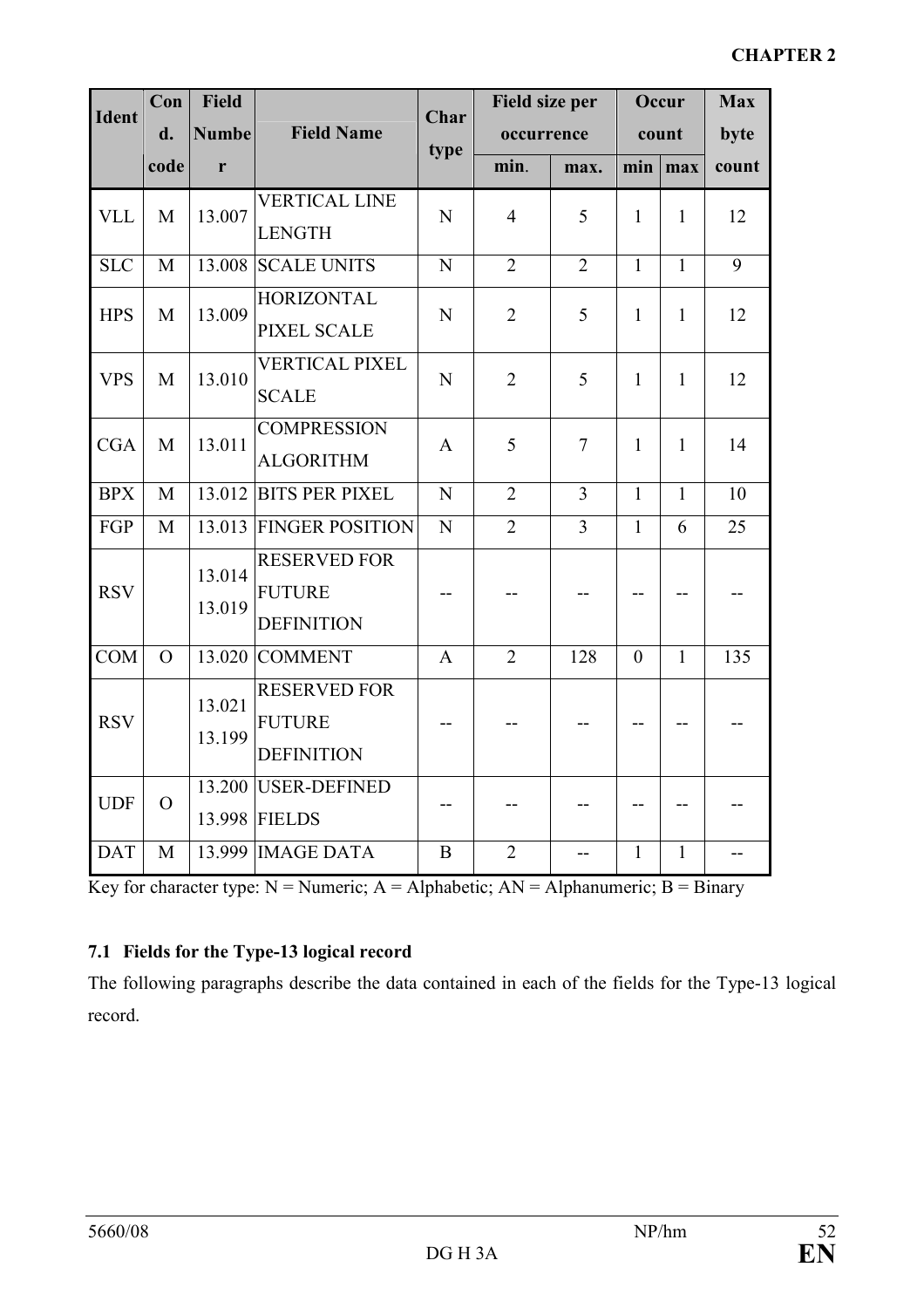| <b>Ident</b> | Con            | <b>Field</b>     |                                                           | <b>Char</b>    |                | <b>Field size per</b> |              | Occur        | <b>Max</b> |
|--------------|----------------|------------------|-----------------------------------------------------------|----------------|----------------|-----------------------|--------------|--------------|------------|
|              | d.             | <b>Numbe</b>     | <b>Field Name</b>                                         |                | occurrence     |                       |              | count        | byte       |
|              | code           | r                |                                                           | type           | min.           | max.                  | min          | max          | count      |
| <b>VLL</b>   | M              | 13.007           | <b>VERTICAL LINE</b><br><b>LENGTH</b>                     | N              | $\overline{4}$ | 5                     | $\mathbf{1}$ | $\mathbf{1}$ | 12         |
| <b>SLC</b>   | M              |                  | 13.008 SCALE UNITS                                        | $\mathbf N$    | $\overline{2}$ | $\overline{2}$        | $\mathbf{1}$ | $\mathbf{1}$ | 9          |
| <b>HPS</b>   | M              | 13.009           | <b>HORIZONTAL</b><br><b>PIXEL SCALE</b>                   | $\mathbf N$    | $\overline{2}$ | 5                     | $\mathbf{1}$ | $\mathbf{1}$ | 12         |
| <b>VPS</b>   | M              | 13.010           | <b>VERTICAL PIXEL</b><br><b>SCALE</b>                     | $\mathbf N$    | $\overline{2}$ | 5                     | $\mathbf{1}$ | $\mathbf{1}$ | 12         |
| <b>CGA</b>   | M              | 13.011           | <b>COMPRESSION</b><br><b>ALGORITHM</b>                    | $\mathbf{A}$   | 5              | $\overline{7}$        | $\mathbf{1}$ | $\mathbf{1}$ | 14         |
| <b>BPX</b>   | $\mathbf M$    |                  | 13.012 BITS PER PIXEL                                     | $\overline{N}$ | $\overline{2}$ | $\overline{3}$        | $\mathbf{1}$ | $\mathbf{1}$ | 10         |
| FGP          | M              |                  | 13.013 FINGER POSITION                                    | $\overline{N}$ | $\overline{2}$ | $\overline{3}$        | $\mathbf{1}$ | 6            | 25         |
| <b>RSV</b>   |                | 13.014<br>13.019 | <b>RESERVED FOR</b><br><b>FUTURE</b><br><b>DEFINITION</b> |                |                |                       |              |              |            |
| <b>COM</b>   | $\overline{O}$ |                  | 13.020 COMMENT                                            | $\mathbf{A}$   | $\overline{2}$ | 128                   | $\theta$     | $\mathbf{1}$ | 135        |
| <b>RSV</b>   |                | 13.021<br>13.199 | <b>RESERVED FOR</b><br><b>FUTURE</b><br><b>DEFINITION</b> |                |                |                       |              |              |            |
| <b>UDF</b>   | $\overline{O}$ |                  | 13.200 USER-DEFINED<br>13.998 FIELDS                      |                |                |                       |              |              |            |
| <b>DAT</b>   | M              |                  | 13.999 IMAGE DATA                                         | B              | $\overline{2}$ |                       | $\mathbf{1}$ | $\mathbf{1}$ |            |

Key for character type:  $N =$  Numeric;  $A =$  Alphabetic;  $AN =$  Alphanumeric;  $B =$  Binary

# 7.1 Fields for the Type-13 logical record

The following paragraphs describe the data contained in each of the fields for the Type-13 logical record.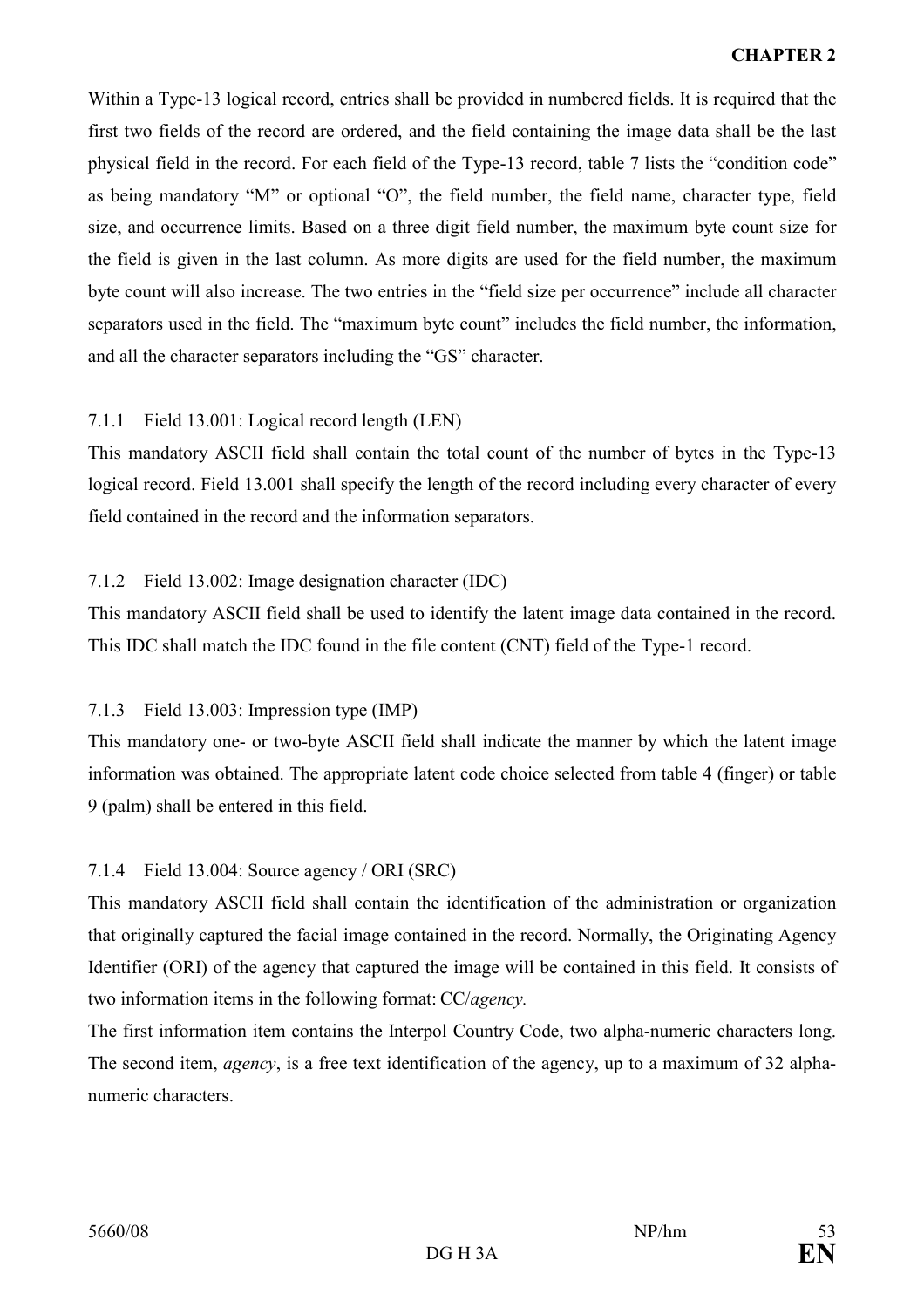Within a Type-13 logical record, entries shall be provided in numbered fields. It is required that the first two fields of the record are ordered, and the field containing the image data shall be the last physical field in the record. For each field of the Type-13 record, table 7 lists the "condition code" as being mandatory "M" or optional "O", the field number, the field name, character type, field size, and occurrence limits. Based on a three digit field number, the maximum byte count size for the field is given in the last column. As more digits are used for the field number, the maximum byte count will also increase. The two entries in the "field size per occurrence" include all character separators used in the field. The "maximum byte count" includes the field number, the information, and all the character separators including the "GS" character.

# 7.1.1 Field 13.001: Logical record length (LEN)

This mandatory ASCII field shall contain the total count of the number of bytes in the Type-13 logical record. Field 13.001 shall specify the length of the record including every character of every field contained in the record and the information separators.

# 7.1.2 Field 13.002: Image designation character (IDC)

This mandatory ASCII field shall be used to identify the latent image data contained in the record. This IDC shall match the IDC found in the file content (CNT) field of the Type-1 record.

# 7.1.3 Field 13.003: Impression type (IMP)

This mandatory one- or two-byte ASCII field shall indicate the manner by which the latent image information was obtained. The appropriate latent code choice selected from table 4 (finger) or table 9 (palm) shall be entered in this field.

# 7.1.4 Field 13.004: Source agency / ORI (SRC)

This mandatory ASCII field shall contain the identification of the administration or organization that originally captured the facial image contained in the record. Normally, the Originating Agency Identifier (ORI) of the agency that captured the image will be contained in this field. It consists of two information items in the following format: CC/agency.

The first information item contains the Interpol Country Code, two alpha-numeric characters long. The second item, *agency*, is a free text identification of the agency, up to a maximum of 32 alphanumeric characters.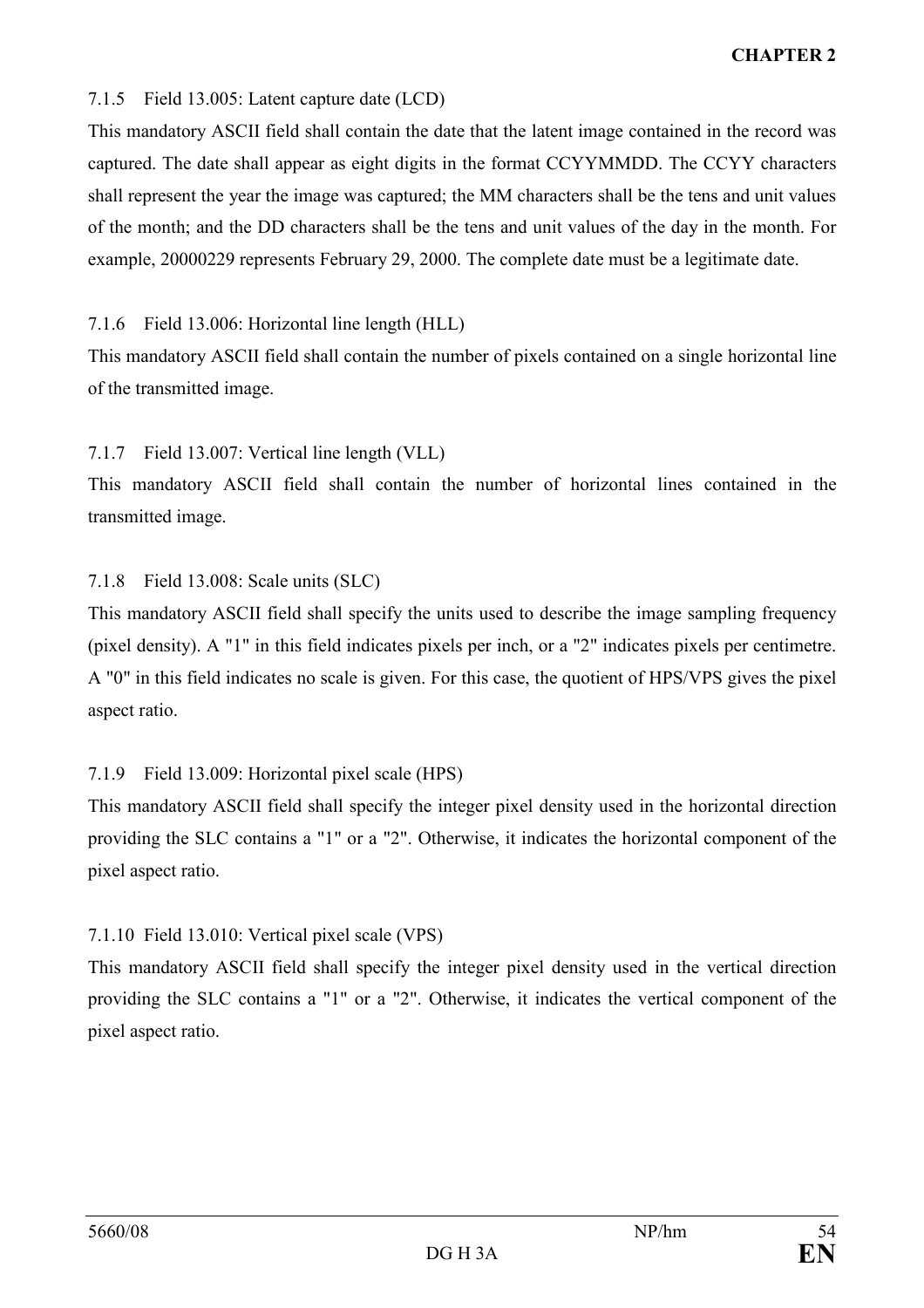## 7.1.5 Field 13.005: Latent capture date (LCD)

This mandatory ASCII field shall contain the date that the latent image contained in the record was captured. The date shall appear as eight digits in the format CCYYMMDD. The CCYY characters shall represent the year the image was captured; the MM characters shall be the tens and unit values of the month; and the DD characters shall be the tens and unit values of the day in the month. For example, 20000229 represents February 29, 2000. The complete date must be a legitimate date.

7.1.6 Field 13.006: Horizontal line length (HLL)

This mandatory ASCII field shall contain the number of pixels contained on a single horizontal line of the transmitted image.

# 7.1.7 Field 13.007: Vertical line length (VLL)

This mandatory ASCII field shall contain the number of horizontal lines contained in the transmitted image.

# 7.1.8 Field 13.008: Scale units (SLC)

This mandatory ASCII field shall specify the units used to describe the image sampling frequency (pixel density). A "1" in this field indicates pixels per inch, or a "2" indicates pixels per centimetre. A "0" in this field indicates no scale is given. For this case, the quotient of HPS/VPS gives the pixel aspect ratio.

# 7.1.9 Field 13.009: Horizontal pixel scale (HPS)

This mandatory ASCII field shall specify the integer pixel density used in the horizontal direction providing the SLC contains a "1" or a "2". Otherwise, it indicates the horizontal component of the pixel aspect ratio.

# 7.1.10 Field 13.010: Vertical pixel scale (VPS)

This mandatory ASCII field shall specify the integer pixel density used in the vertical direction providing the SLC contains a "1" or a "2". Otherwise, it indicates the vertical component of the pixel aspect ratio.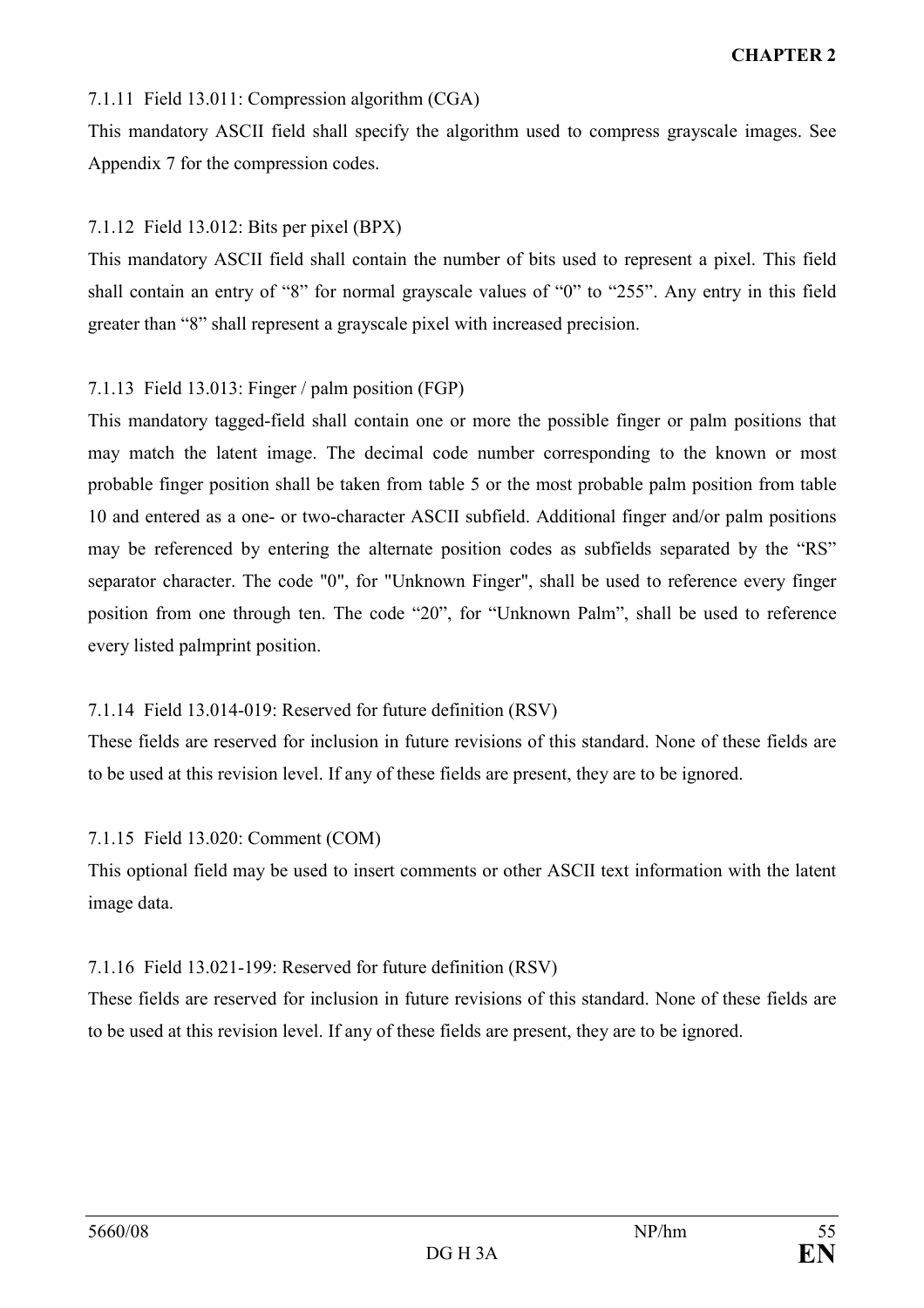#### 7.1.11 Field 13.011: Compression algorithm (CGA)

This mandatory ASCII field shall specify the algorithm used to compress grayscale images. See Appendix 7 for the compression codes.

#### 7.1.12 Field 13.012: Bits per pixel (BPX)

This mandatory ASCII field shall contain the number of bits used to represent a pixel. This field shall contain an entry of "8" for normal grayscale values of "0" to "255". Any entry in this field greater than "8" shall represent a grayscale pixel with increased precision.

# 7.1.13 Field 13.013: Finger / palm position (FGP)

This mandatory tagged-field shall contain one or more the possible finger or palm positions that may match the latent image. The decimal code number corresponding to the known or most probable finger position shall be taken from table 5 or the most probable palm position from table 10 and entered as a one- or two-character ASCII subfield. Additional finger and/or palm positions may be referenced by entering the alternate position codes as subfields separated by the "RS" separator character. The code "0", for "Unknown Finger", shall be used to reference every finger position from one through ten. The code "20", for "Unknown Palm", shall be used to reference every listed palmprint position.

#### 7.1.14 Field 13.014-019: Reserved for future definition (RSV)

These fields are reserved for inclusion in future revisions of this standard. None of these fields are to be used at this revision level. If any of these fields are present, they are to be ignored.

#### 7.1.15 Field 13.020: Comment (COM)

This optional field may be used to insert comments or other ASCII text information with the latent image data.

#### 7.1.16 Field 13.021-199: Reserved for future definition (RSV)

These fields are reserved for inclusion in future revisions of this standard. None of these fields are to be used at this revision level. If any of these fields are present, they are to be ignored.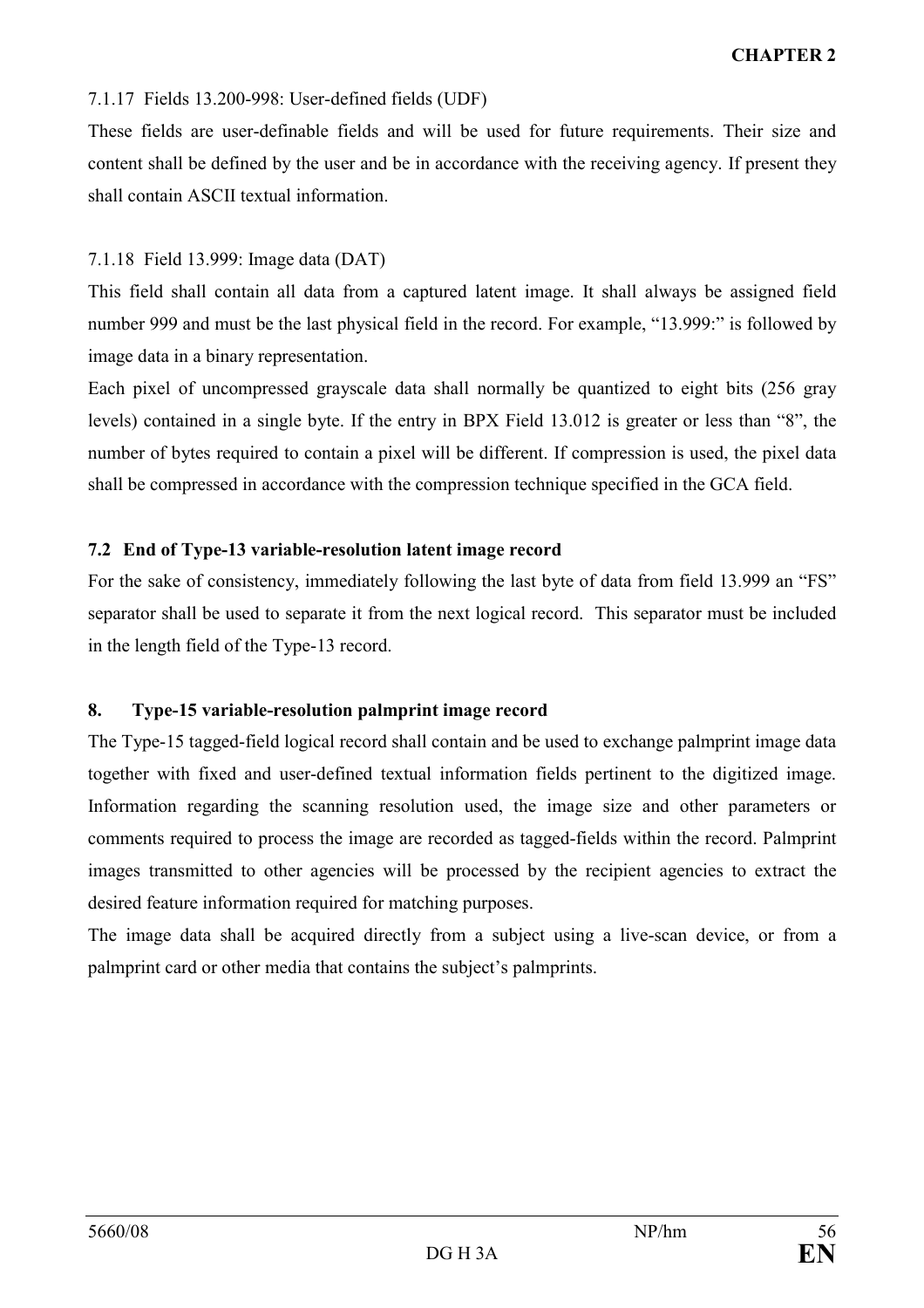# 7.1.17 Fields 13.200-998: User-defined fields (UDF)

These fields are user-definable fields and will be used for future requirements. Their size and content shall be defined by the user and be in accordance with the receiving agency. If present they shall contain ASCII textual information.

# 7.1.18 Field 13.999: Image data (DAT)

This field shall contain all data from a captured latent image. It shall always be assigned field number 999 and must be the last physical field in the record. For example, "13.999:" is followed by image data in a binary representation.

Each pixel of uncompressed grayscale data shall normally be quantized to eight bits (256 gray levels) contained in a single byte. If the entry in BPX Field 13.012 is greater or less than "8", the number of bytes required to contain a pixel will be different. If compression is used, the pixel data shall be compressed in accordance with the compression technique specified in the GCA field.

# 7.2 End of Type-13 variable-resolution latent image record

For the sake of consistency, immediately following the last byte of data from field 13.999 an "FS" separator shall be used to separate it from the next logical record. This separator must be included in the length field of the Type-13 record.

# 8. Type-15 variable-resolution palmprint image record

The Type-15 tagged-field logical record shall contain and be used to exchange palmprint image data together with fixed and user-defined textual information fields pertinent to the digitized image. Information regarding the scanning resolution used, the image size and other parameters or comments required to process the image are recorded as tagged-fields within the record. Palmprint images transmitted to other agencies will be processed by the recipient agencies to extract the desired feature information required for matching purposes.

The image data shall be acquired directly from a subject using a live-scan device, or from a palmprint card or other media that contains the subject's palmprints.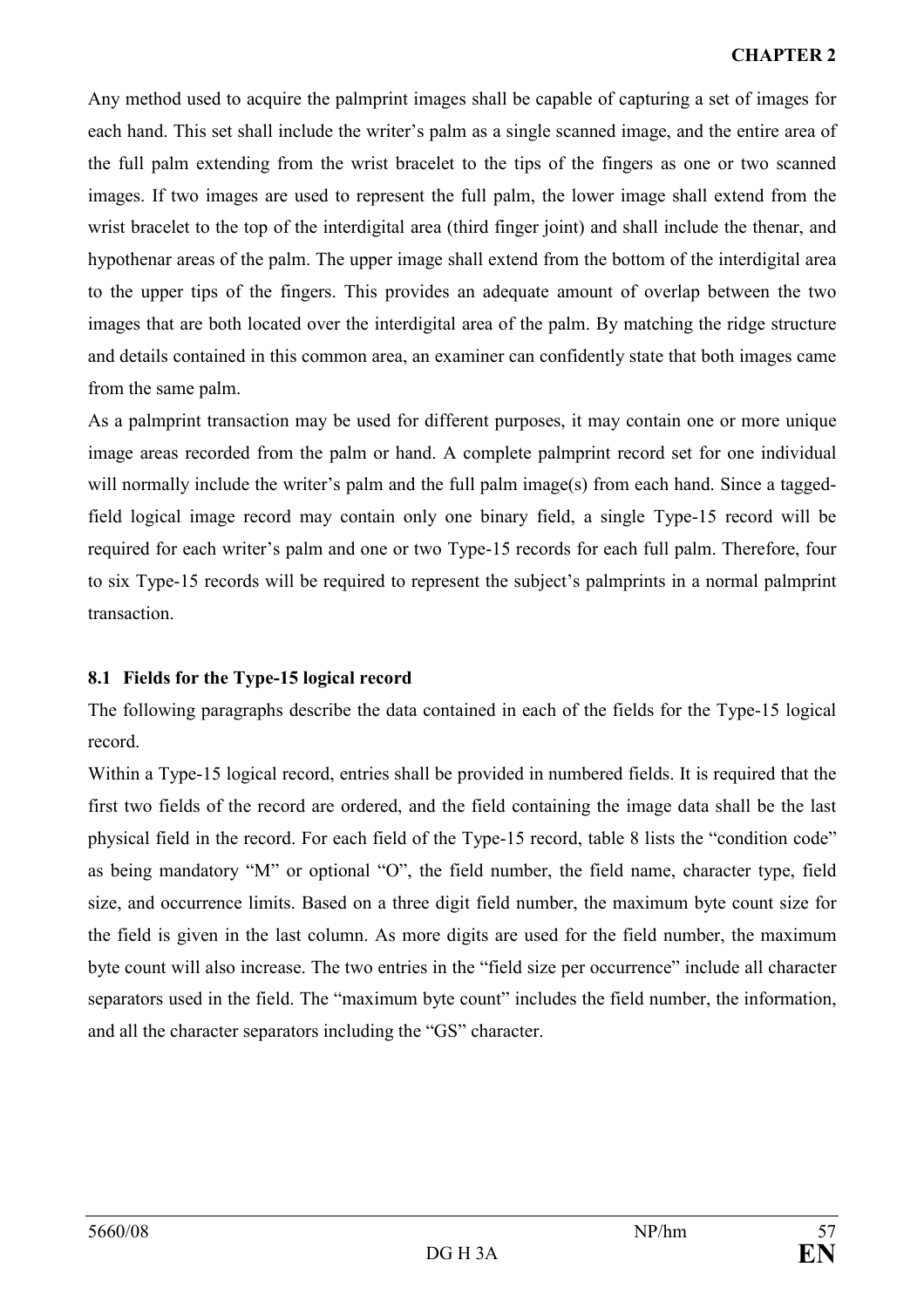Any method used to acquire the palmprint images shall be capable of capturing a set of images for each hand. This set shall include the writer's palm as a single scanned image, and the entire area of the full palm extending from the wrist bracelet to the tips of the fingers as one or two scanned images. If two images are used to represent the full palm, the lower image shall extend from the wrist bracelet to the top of the interdigital area (third finger joint) and shall include the thenar, and hypothenar areas of the palm. The upper image shall extend from the bottom of the interdigital area to the upper tips of the fingers. This provides an adequate amount of overlap between the two images that are both located over the interdigital area of the palm. By matching the ridge structure and details contained in this common area, an examiner can confidently state that both images came from the same palm.

As a palmprint transaction may be used for different purposes, it may contain one or more unique image areas recorded from the palm or hand. A complete palmprint record set for one individual will normally include the writer's palm and the full palm image(s) from each hand. Since a taggedfield logical image record may contain only one binary field, a single Type-15 record will be required for each writer's palm and one or two Type-15 records for each full palm. Therefore, four to six Type-15 records will be required to represent the subject's palmprints in a normal palmprint transaction.

# 8.1 Fields for the Type-15 logical record

The following paragraphs describe the data contained in each of the fields for the Type-15 logical record.

Within a Type-15 logical record, entries shall be provided in numbered fields. It is required that the first two fields of the record are ordered, and the field containing the image data shall be the last physical field in the record. For each field of the Type-15 record, table 8 lists the "condition code" as being mandatory "M" or optional "O", the field number, the field name, character type, field size, and occurrence limits. Based on a three digit field number, the maximum byte count size for the field is given in the last column. As more digits are used for the field number, the maximum byte count will also increase. The two entries in the "field size per occurrence" include all character separators used in the field. The "maximum byte count" includes the field number, the information, and all the character separators including the "GS" character.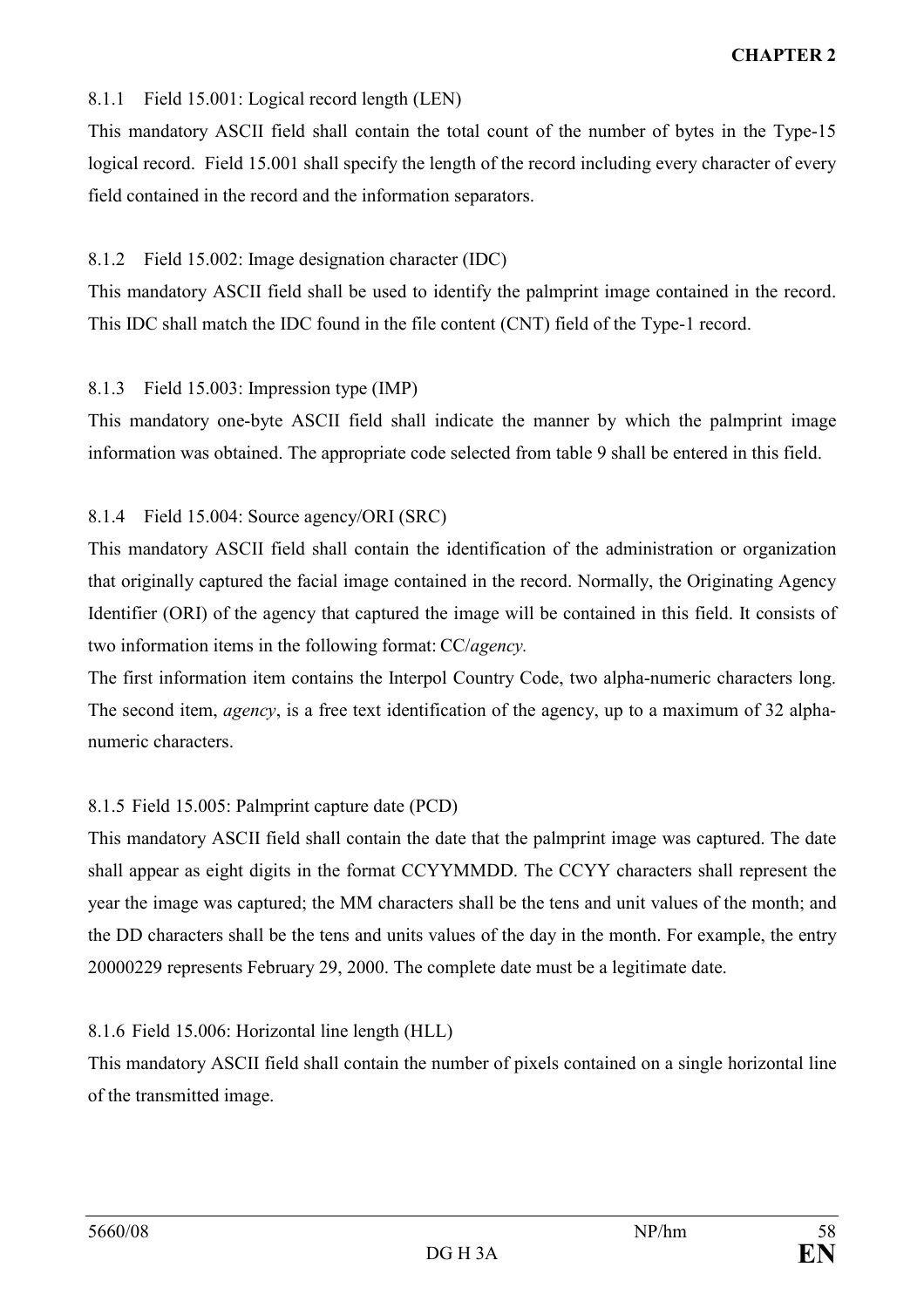# 8.1.1 Field 15.001: Logical record length (LEN)

This mandatory ASCII field shall contain the total count of the number of bytes in the Type-15 logical record. Field 15.001 shall specify the length of the record including every character of every field contained in the record and the information separators.

#### 8.1.2 Field 15.002: Image designation character (IDC)

This mandatory ASCII field shall be used to identify the palmprint image contained in the record. This IDC shall match the IDC found in the file content (CNT) field of the Type-1 record.

# 8.1.3 Field 15.003: Impression type (IMP)

This mandatory one-byte ASCII field shall indicate the manner by which the palmprint image information was obtained. The appropriate code selected from table 9 shall be entered in this field.

# 8.1.4 Field 15.004: Source agency/ORI (SRC)

This mandatory ASCII field shall contain the identification of the administration or organization that originally captured the facial image contained in the record. Normally, the Originating Agency Identifier (ORI) of the agency that captured the image will be contained in this field. It consists of two information items in the following format: CC/agency.

The first information item contains the Interpol Country Code, two alpha-numeric characters long. The second item, agency, is a free text identification of the agency, up to a maximum of 32 alphanumeric characters.

# 8.1.5 Field 15.005: Palmprint capture date (PCD)

This mandatory ASCII field shall contain the date that the palmprint image was captured. The date shall appear as eight digits in the format CCYYMMDD. The CCYY characters shall represent the year the image was captured; the MM characters shall be the tens and unit values of the month; and the DD characters shall be the tens and units values of the day in the month. For example, the entry 20000229 represents February 29, 2000. The complete date must be a legitimate date.

#### 8.1.6 Field 15.006: Horizontal line length (HLL)

This mandatory ASCII field shall contain the number of pixels contained on a single horizontal line of the transmitted image.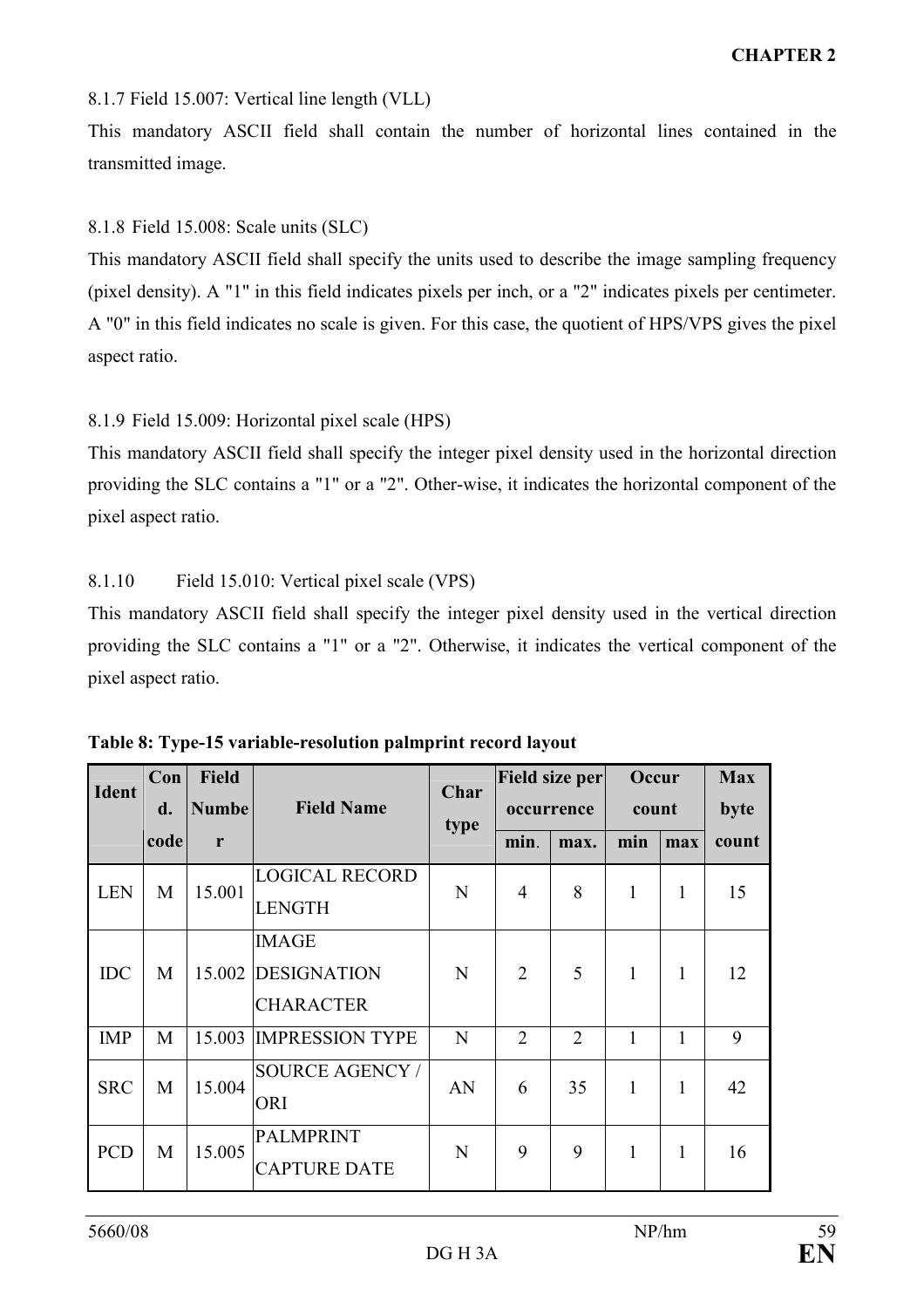# 8.1.7 Field 15.007: Vertical line length (VLL)

This mandatory ASCII field shall contain the number of horizontal lines contained in the transmitted image.

# 8.1.8 Field 15.008: Scale units (SLC)

This mandatory ASCII field shall specify the units used to describe the image sampling frequency (pixel density). A "1" in this field indicates pixels per inch, or a "2" indicates pixels per centimeter. A "0" in this field indicates no scale is given. For this case, the quotient of HPS/VPS gives the pixel aspect ratio.

# 8.1.9 Field 15.009: Horizontal pixel scale (HPS)

This mandatory ASCII field shall specify the integer pixel density used in the horizontal direction providing the SLC contains a "1" or a "2". Other-wise, it indicates the horizontal component of the pixel aspect ratio.

# 8.1.10 Field 15.010: Vertical pixel scale (VPS)

This mandatory ASCII field shall specify the integer pixel density used in the vertical direction providing the SLC contains a "1" or a "2". Otherwise, it indicates the vertical component of the pixel aspect ratio.

| <b>Ident</b> | Con<br>d. | <b>Field</b><br><b>Numbe</b> | <b>Field Name</b>                                      | Char<br>type |                | Field size per<br>occurrence | Occur<br>count |     | <b>Max</b><br>byte |
|--------------|-----------|------------------------------|--------------------------------------------------------|--------------|----------------|------------------------------|----------------|-----|--------------------|
|              | code      | r                            |                                                        |              | min.           | max.                         | min            | max | count              |
| <b>LEN</b>   | M         | 15.001                       | <b>LOGICAL RECORD</b><br><b>LENGTH</b>                 | N            | 4              | 8                            | $\mathbf{1}$   | 1   | 15                 |
| <b>IDC</b>   | M         |                              | <b>IMAGE</b><br>15.002 DESIGNATION<br><b>CHARACTER</b> | N            | $\overline{2}$ | 5                            | $\mathbf{1}$   | 1   | 12                 |
| <b>IMP</b>   | M         |                              | 15.003 IMPRESSION TYPE                                 | N            | $\overline{2}$ | $\overline{2}$               | 1              |     | 9                  |
| <b>SRC</b>   | M         | 15.004                       | <b>SOURCE AGENCY /</b><br>ORI                          | AN           | 6              | 35                           | 1              | 1   | 42                 |
| <b>PCD</b>   | M         | 15.005                       | <b>PALMPRINT</b><br><b>CAPTURE DATE</b>                | N            | 9              | 9                            | 1              |     | 16                 |

Table 8: Type-15 variable-resolution palmprint record layout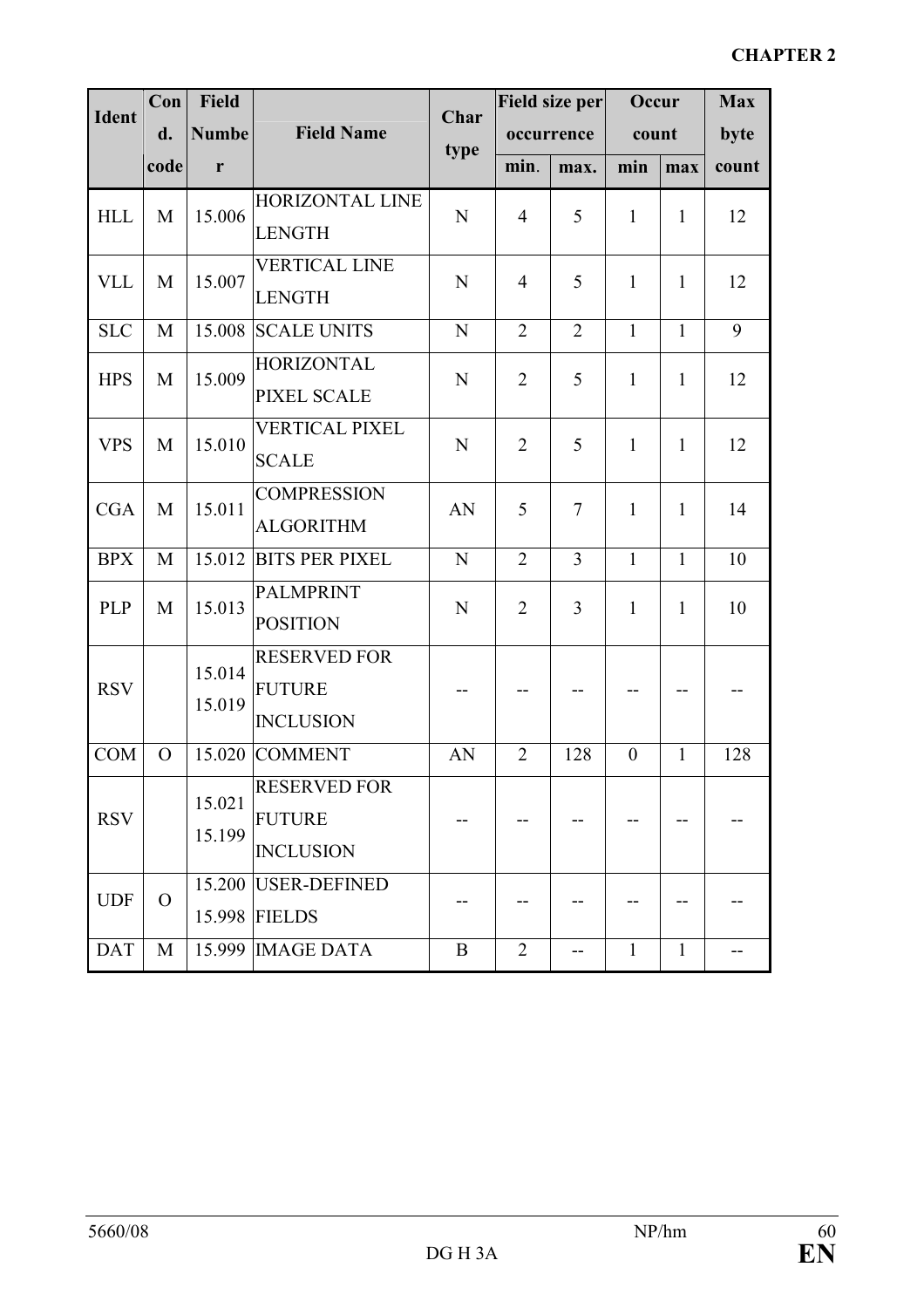| <b>Ident</b> | Con      | <b>Field</b> |                       | Char        |                | Field size per | Occur          | <b>Max</b>   |       |
|--------------|----------|--------------|-----------------------|-------------|----------------|----------------|----------------|--------------|-------|
|              | d.       | <b>Numbe</b> | <b>Field Name</b>     | type        |                | occurrence     | count          |              | byte  |
|              | code     | r            |                       |             | min.           | max.           | min            | max          | count |
| <b>HLL</b>   | M        | 15.006       | HORIZONTAL LINE       | N           | $\overline{4}$ | 5              | $\mathbf{1}$   | $\mathbf{1}$ | 12    |
|              |          |              | <b>LENGTH</b>         |             |                |                |                |              |       |
| <b>VLL</b>   | M        | 15.007       | <b>VERTICAL LINE</b>  | N           | $\overline{4}$ | 5              | $\mathbf{1}$   | $\mathbf{1}$ | 12    |
|              |          |              | <b>LENGTH</b>         |             |                |                |                |              |       |
| <b>SLC</b>   | M        | 15.008       | <b>SCALE UNITS</b>    | N           | $\overline{2}$ | $\overline{2}$ | $\mathbf{1}$   | $\mathbf{1}$ | 9     |
| <b>HPS</b>   | M        | 15.009       | <b>HORIZONTAL</b>     | $\mathbf N$ | $\overline{2}$ | 5              | $\mathbf{1}$   | $\mathbf{1}$ | 12    |
|              |          |              | <b>PIXEL SCALE</b>    |             |                |                |                |              |       |
| <b>VPS</b>   | M        | 15.010       | <b>VERTICAL PIXEL</b> | N           | $\overline{2}$ | 5              | $\mathbf{1}$   | $\mathbf{1}$ | 12    |
|              |          |              | <b>SCALE</b>          |             |                |                |                |              |       |
| <b>CGA</b>   | M        | 15.011       | <b>COMPRESSION</b>    | AN          | 5              | $\tau$         | $\mathbf{1}$   | $\mathbf{1}$ | 14    |
|              |          |              | <b>ALGORITHM</b>      |             |                |                |                |              |       |
| <b>BPX</b>   | M        | 15.012       | <b>BITS PER PIXEL</b> | N           | $\overline{2}$ | $\overline{3}$ | $\mathbf{1}$   | $\mathbf{1}$ | 10    |
| <b>PLP</b>   | M        | 15.013       | <b>PALMPRINT</b>      | N           | $\overline{2}$ | 3              | $\mathbf{1}$   | 1            | 10    |
|              |          |              | <b>POSITION</b>       |             |                |                |                |              |       |
|              |          | 15.014       | <b>RESERVED FOR</b>   |             |                |                |                |              |       |
| <b>RSV</b>   |          | 15.019       | <b>FUTURE</b>         |             |                |                |                |              |       |
|              |          |              | <b>INCLUSION</b>      |             |                |                |                |              |       |
| <b>COM</b>   | $\Omega$ | 15.020       | <b>COMMENT</b>        | AN          | $\overline{2}$ | 128            | $\overline{0}$ | 1            | 128   |
|              |          | 15.021       | <b>RESERVED FOR</b>   |             |                |                |                |              |       |
| <b>RSV</b>   |          | 15.199       | <b>FUTURE</b>         |             |                |                |                |              |       |
|              |          |              | <b>INCLUSION</b>      |             |                |                |                |              |       |
| <b>UDF</b>   | $\Omega$ |              | 15.200 USER-DEFINED   |             |                |                |                |              |       |
|              |          |              | 15.998 FIELDS         |             |                |                |                |              |       |
| <b>DAT</b>   | M        |              | 15.999 IMAGE DATA     | $\mathbf B$ | $\overline{2}$ | --             | $\mathbf{1}$   | $\mathbf{1}$ |       |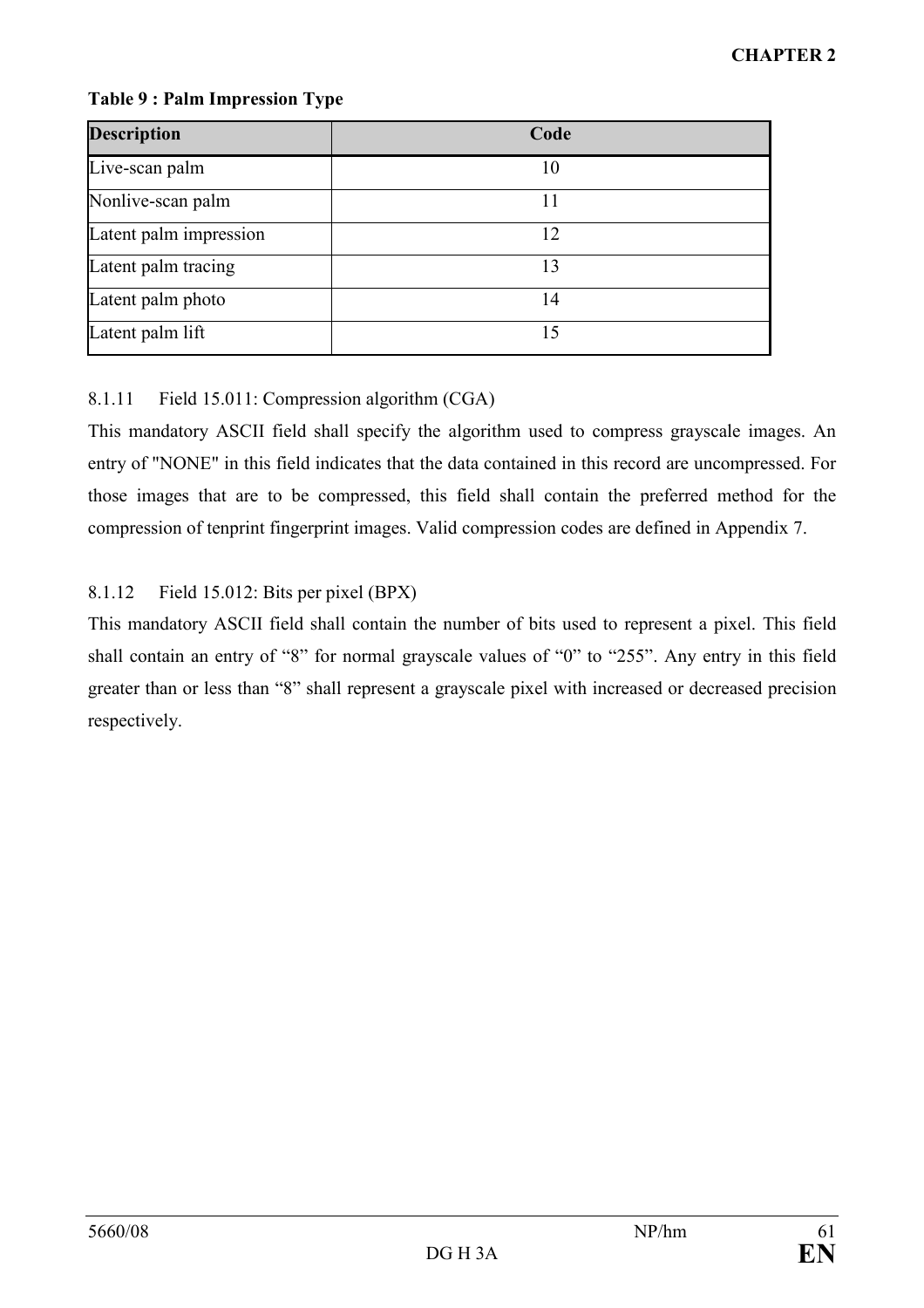# Table 9 : Palm Impression Type

| <b>Description</b>     | Code |
|------------------------|------|
| Live-scan palm         | 10   |
| Nonlive-scan palm      | 11   |
| Latent palm impression | 12   |
| Latent palm tracing    | 13   |
| Latent palm photo      | 14   |
| Latent palm lift       | 15   |

# 8.1.11 Field 15.011: Compression algorithm (CGA)

This mandatory ASCII field shall specify the algorithm used to compress grayscale images. An entry of "NONE" in this field indicates that the data contained in this record are uncompressed. For those images that are to be compressed, this field shall contain the preferred method for the compression of tenprint fingerprint images. Valid compression codes are defined in Appendix 7.

# 8.1.12 Field 15.012: Bits per pixel (BPX)

This mandatory ASCII field shall contain the number of bits used to represent a pixel. This field shall contain an entry of "8" for normal grayscale values of "0" to "255". Any entry in this field greater than or less than "8" shall represent a grayscale pixel with increased or decreased precision respectively.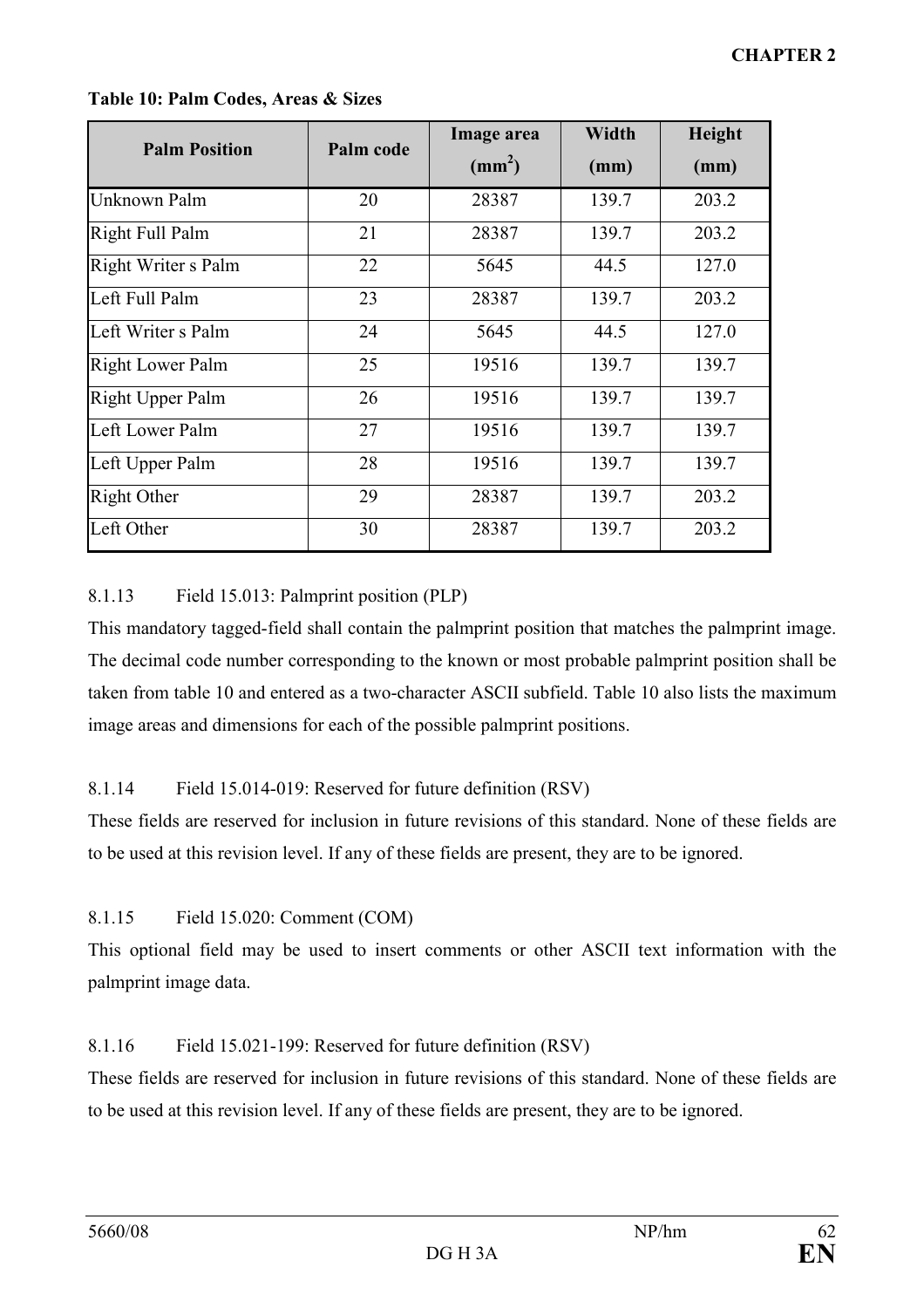| <b>Palm Position</b> | Palm code | Image area   | <b>Width</b> | Height |
|----------------------|-----------|--------------|--------------|--------|
|                      |           | $\text{m}^2$ | (mm)         | (mm)   |
| Unknown Palm         | 20        | 28387        | 139.7        | 203.2  |
| Right Full Palm      | 21        | 28387        | 139.7        | 203.2  |
| Right Writer s Palm  | 22        | 5645         | 44.5         | 127.0  |
| Left Full Palm       | 23        | 28387        | 139.7        | 203.2  |
| Left Writer s Palm   | 24        | 5645         | 44.5         | 127.0  |
| Right Lower Palm     | 25        | 19516        | 139.7        | 139.7  |
| Right Upper Palm     | 26        | 19516        | 139.7        | 139.7  |
| Left Lower Palm      | 27        | 19516        | 139.7        | 139.7  |
| Left Upper Palm      | 28        | 19516        | 139.7        | 139.7  |
| <b>Right Other</b>   | 29        | 28387        | 139.7        | 203.2  |
| Left Other           | 30        | 28387        | 139.7        | 203.2  |

#### Table 10: Palm Codes, Areas & Sizes

# 8.1.13 Field 15.013: Palmprint position (PLP)

This mandatory tagged-field shall contain the palmprint position that matches the palmprint image. The decimal code number corresponding to the known or most probable palmprint position shall be taken from table 10 and entered as a two-character ASCII subfield. Table 10 also lists the maximum image areas and dimensions for each of the possible palmprint positions.

# 8.1.14 Field 15.014-019: Reserved for future definition (RSV)

These fields are reserved for inclusion in future revisions of this standard. None of these fields are to be used at this revision level. If any of these fields are present, they are to be ignored.

# 8.1.15 Field 15.020: Comment (COM)

This optional field may be used to insert comments or other ASCII text information with the palmprint image data.

# 8.1.16 Field 15.021-199: Reserved for future definition (RSV)

These fields are reserved for inclusion in future revisions of this standard. None of these fields are to be used at this revision level. If any of these fields are present, they are to be ignored.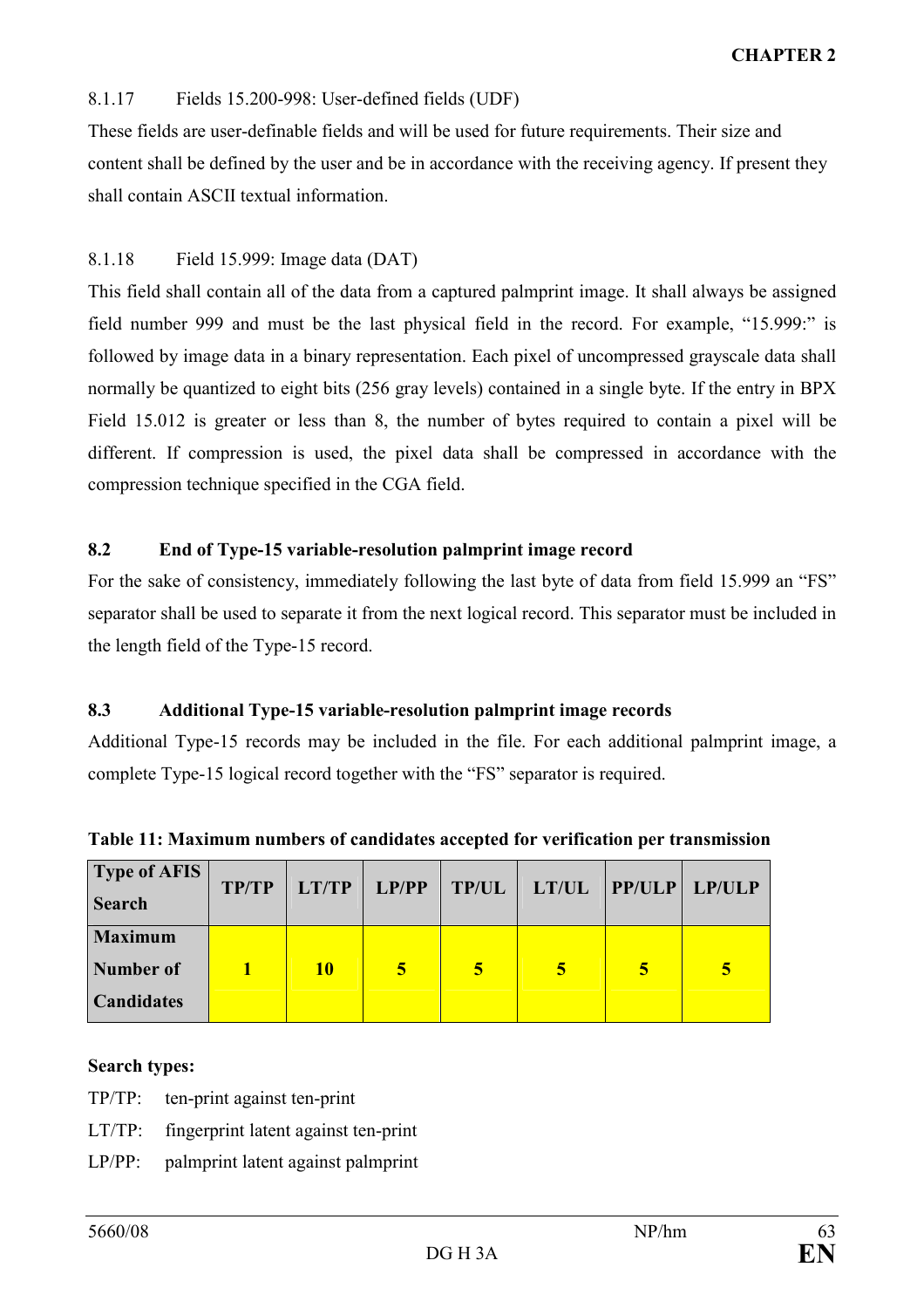# 8.1.17 Fields 15.200-998: User-defined fields (UDF)

These fields are user-definable fields and will be used for future requirements. Their size and content shall be defined by the user and be in accordance with the receiving agency. If present they shall contain ASCII textual information.

# 8.1.18 Field 15.999: Image data (DAT)

This field shall contain all of the data from a captured palmprint image. It shall always be assigned field number 999 and must be the last physical field in the record. For example, "15.999:" is followed by image data in a binary representation. Each pixel of uncompressed grayscale data shall normally be quantized to eight bits (256 gray levels) contained in a single byte. If the entry in BPX Field 15.012 is greater or less than 8, the number of bytes required to contain a pixel will be different. If compression is used, the pixel data shall be compressed in accordance with the compression technique specified in the CGA field.

# 8.2 End of Type-15 variable-resolution palmprint image record

For the sake of consistency, immediately following the last byte of data from field 15.999 an "FS" separator shall be used to separate it from the next logical record. This separator must be included in the length field of the Type-15 record.

## 8.3 Additional Type-15 variable-resolution palmprint image records

Additional Type-15 records may be included in the file. For each additional palmprint image, a complete Type-15 logical record together with the "FS" separator is required.

| <b>Type of AFIS</b><br><b>Search</b>             | <b>TP/TP</b> | LT/TP |   |   | $ $ LP/PP $ $ TP/UL $ $ LT/UL $ $ PP/ULP $ $ LP/ULP |   |   |
|--------------------------------------------------|--------------|-------|---|---|-----------------------------------------------------|---|---|
| <b>Maximum</b><br>Number of<br><b>Candidates</b> |              | 10    | 5 | 5 | 5                                                   | 5 | 5 |

Table 11: Maximum numbers of candidates accepted for verification per transmission

# Search types:

- TP/TP: ten-print against ten-print
- LT/TP: fingerprint latent against ten-print
- LP/PP: palmprint latent against palmprint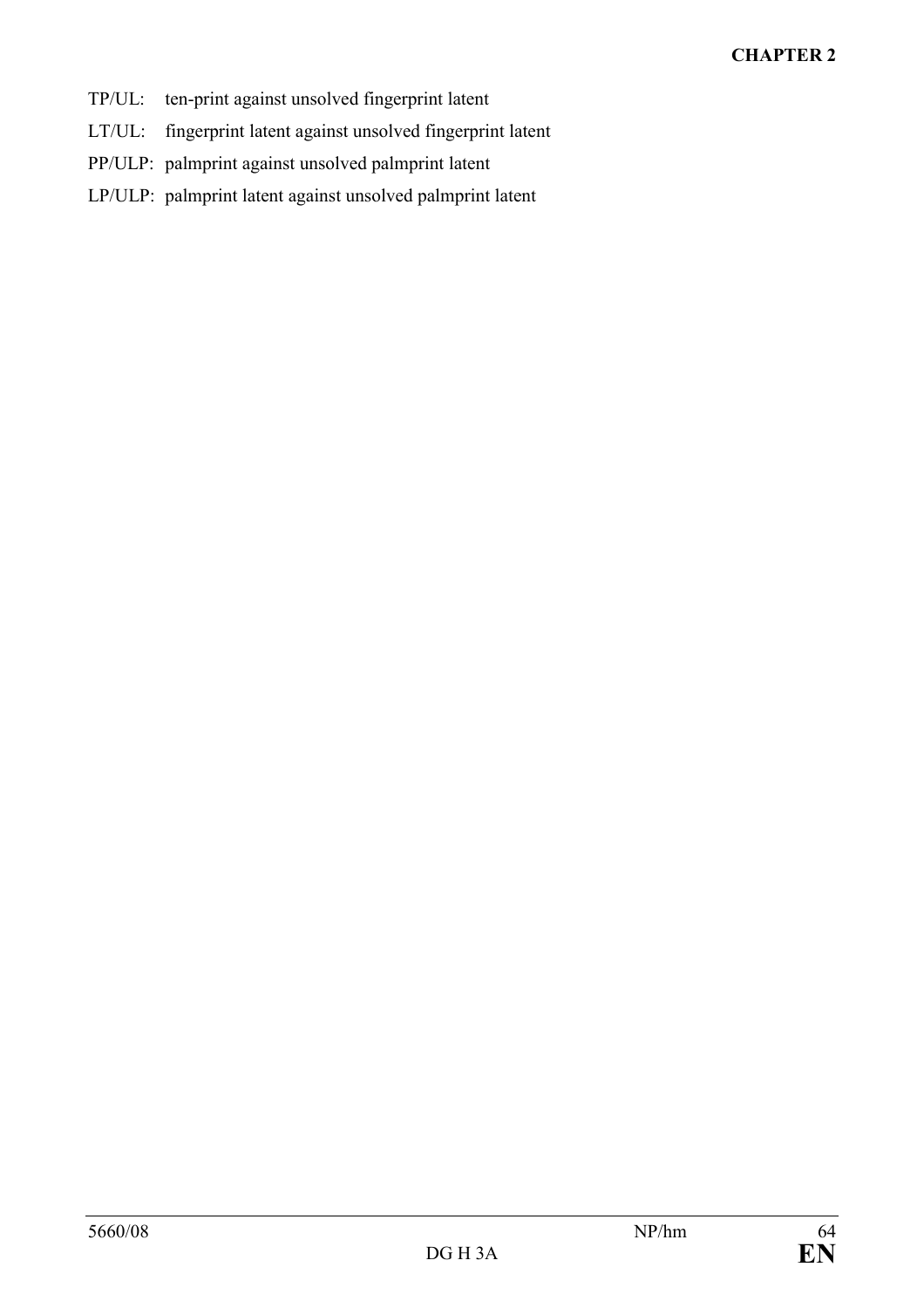# CHAPTER 2

- TP/UL: ten-print against unsolved fingerprint latent
- LT/UL: fingerprint latent against unsolved fingerprint latent
- PP/ULP: palmprint against unsolved palmprint latent
- LP/ULP: palmprint latent against unsolved palmprint latent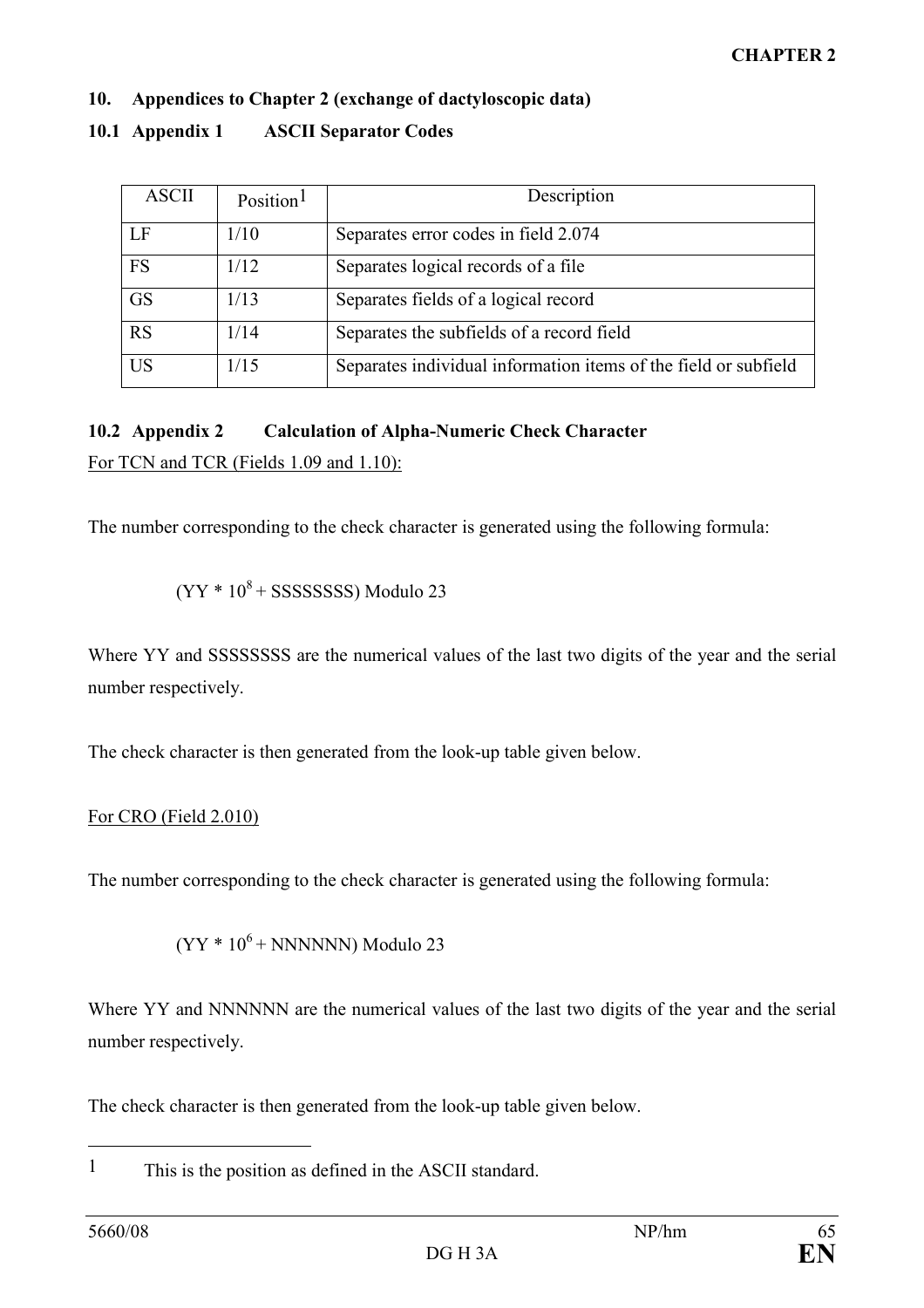# 10. Appendices to Chapter 2 (exchange of dactyloscopic data)

# 10.1 Appendix 1 ASCII Separator Codes

| <b>ASCII</b> | Position <sup>1</sup> | Description                                                     |
|--------------|-----------------------|-----------------------------------------------------------------|
| LF           | 1/10                  | Separates error codes in field 2.074                            |
| <b>FS</b>    | 1/12                  | Separates logical records of a file                             |
| <b>GS</b>    | 1/13                  | Separates fields of a logical record                            |
| <b>RS</b>    | 1/14                  | Separates the subfields of a record field                       |
| US           | 1/15                  | Separates individual information items of the field or subfield |

# 10.2 Appendix 2 Calculation of Alpha-Numeric Check Character

For TCN and TCR (Fields 1.09 and 1.10):

The number corresponding to the check character is generated using the following formula:

$$
(YY * 108 + SSSSSSSS)
$$
 Modulo 23

Where YY and SSSSSSSS are the numerical values of the last two digits of the year and the serial number respectively.

The check character is then generated from the look-up table given below.

# For CRO (Field 2.010)

The number corresponding to the check character is generated using the following formula:

 $(YY * 10<sup>6</sup> + NNNNNN)$  Modulo 23

Where YY and NNNNNN are the numerical values of the last two digits of the year and the serial number respectively.

The check character is then generated from the look-up table given below.

1 This is the position as defined in the ASCII standard.

 $\overline{a}$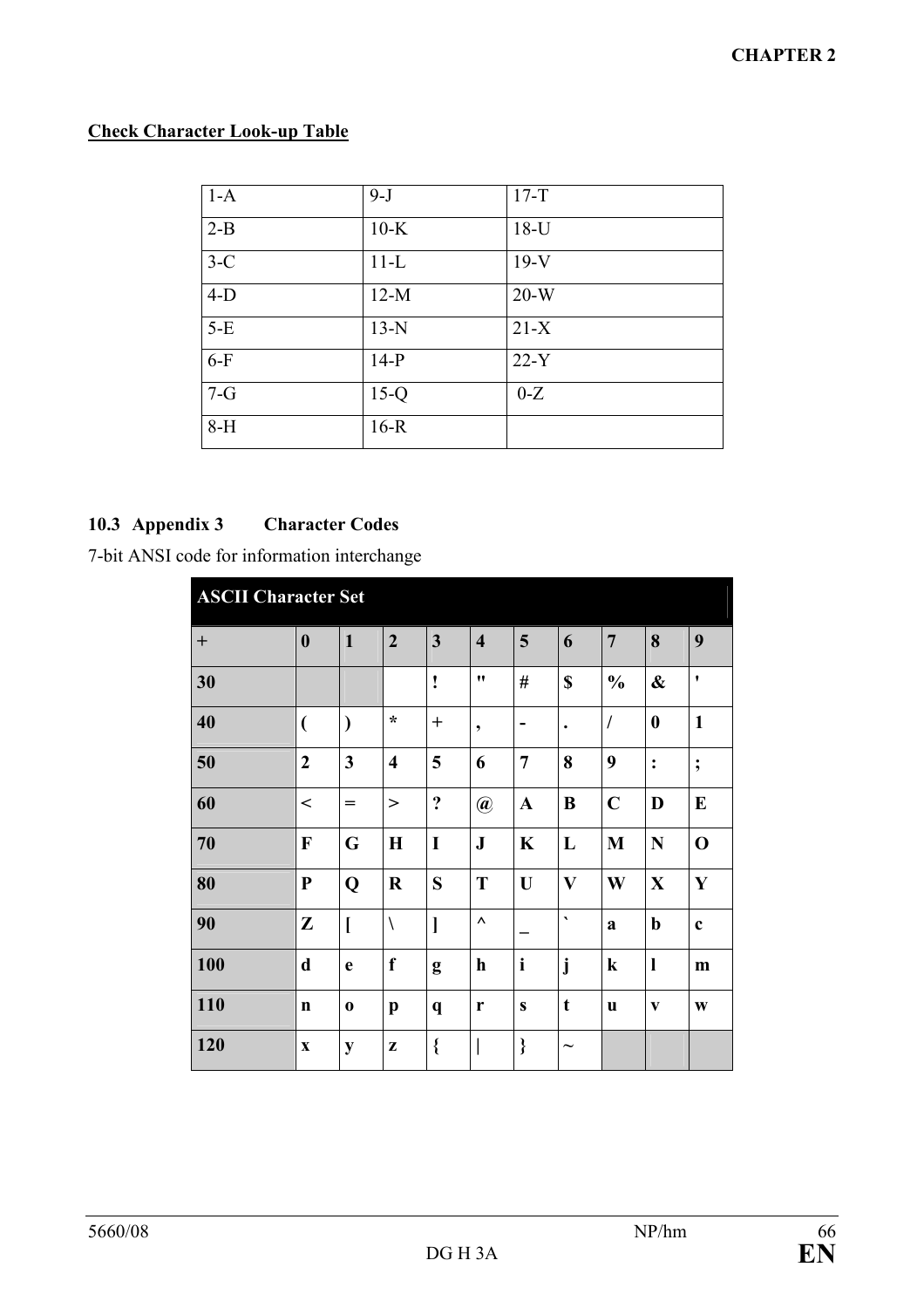# Check Character Look-up Table

| $1-A$ | $9 - J$ | $17-T$ |
|-------|---------|--------|
| $2-B$ | $10-K$  | $18-U$ |
| $3-C$ | $11-L$  | $19-V$ |
| $4-D$ | $12-M$  | $20-W$ |
| $5-E$ | $13-N$  | $21-X$ |
| $6-F$ | $14-P$  | $22-Y$ |
| $7-G$ | $15-Q$  | $0-Z$  |
| $8-H$ | $16-R$  |        |

# 10.3 Appendix 3 Character Codes

7-bit ANSI code for information interchange

| <b>ASCII Character Set</b>       |                          |                         |                         |                         |                         |                |                       |                |                   |                    |
|----------------------------------|--------------------------|-------------------------|-------------------------|-------------------------|-------------------------|----------------|-----------------------|----------------|-------------------|--------------------|
| $\begin{array}{c} + \end{array}$ | $\boldsymbol{0}$         | $\mathbf{1}$            | $\overline{2}$          | $\overline{\mathbf{3}}$ | $\overline{\mathbf{4}}$ | 5              | 6                     | $\overline{7}$ | 8                 | 9                  |
| 30                               |                          |                         |                         | ļ                       | 11                      | #              | \$                    | $\frac{0}{0}$  | $\boldsymbol{\&}$ | $\pmb{\mathsf{v}}$ |
| 40                               | $\overline{\mathcal{L}}$ | $\lambda$               | $\star$                 | $\mathrm{+}$            | $\bullet$               |                | $\bullet$             | $\sqrt{2}$     | $\boldsymbol{0}$  | $\mathbf{1}$       |
| 50                               | $\overline{2}$           | $\overline{\mathbf{3}}$ | $\overline{\mathbf{4}}$ | 5                       | 6                       | $\overline{7}$ | 8                     | 9              | $\ddot{\cdot}$    | $\ddot{,}$         |
| 60                               | $\,<$                    | $=$                     | >                       | $\ddot{\cdot}$          | $\circledR$             | $\mathbf A$    | B                     | $\mathbf C$    | D                 | E                  |
| 70                               | F                        | G                       | $\mathbf H$             | I                       | ${\bf J}$               | $\mathbf K$    | L                     | M              | N                 | $\mathbf 0$        |
| 80                               | ${\bf P}$                | Q                       | $\bf R$                 | S                       | T                       | U              | $\mathbf{V}$          | W              | $\mathbf X$       | $\mathbf{Y}$       |
| 90                               | Z                        | $\mathbf{I}$            | $\setminus$             | $\mathbf{l}$            | $\boldsymbol{\wedge}$   |                | $\blacktriangledown$  | a              | $\mathbf b$       | $\mathbf c$        |
| 100                              | $\mathbf d$              | e                       | f                       | g                       | $\mathbf h$             | $\mathbf{i}$   | j                     | $\bf k$        | $\mathbf{l}$      | m                  |
| 110                              | $\mathbf n$              | $\bf{0}$                | $\mathbf{p}$            | $\mathbf q$             | r                       | $\mathbf{s}$   | $\mathbf t$           | u              | V                 | W                  |
| 120                              | $\mathbf X$              | ${\bf y}$               | Z                       | $\{$                    |                         | }              | $\tilde{\phantom{a}}$ |                |                   |                    |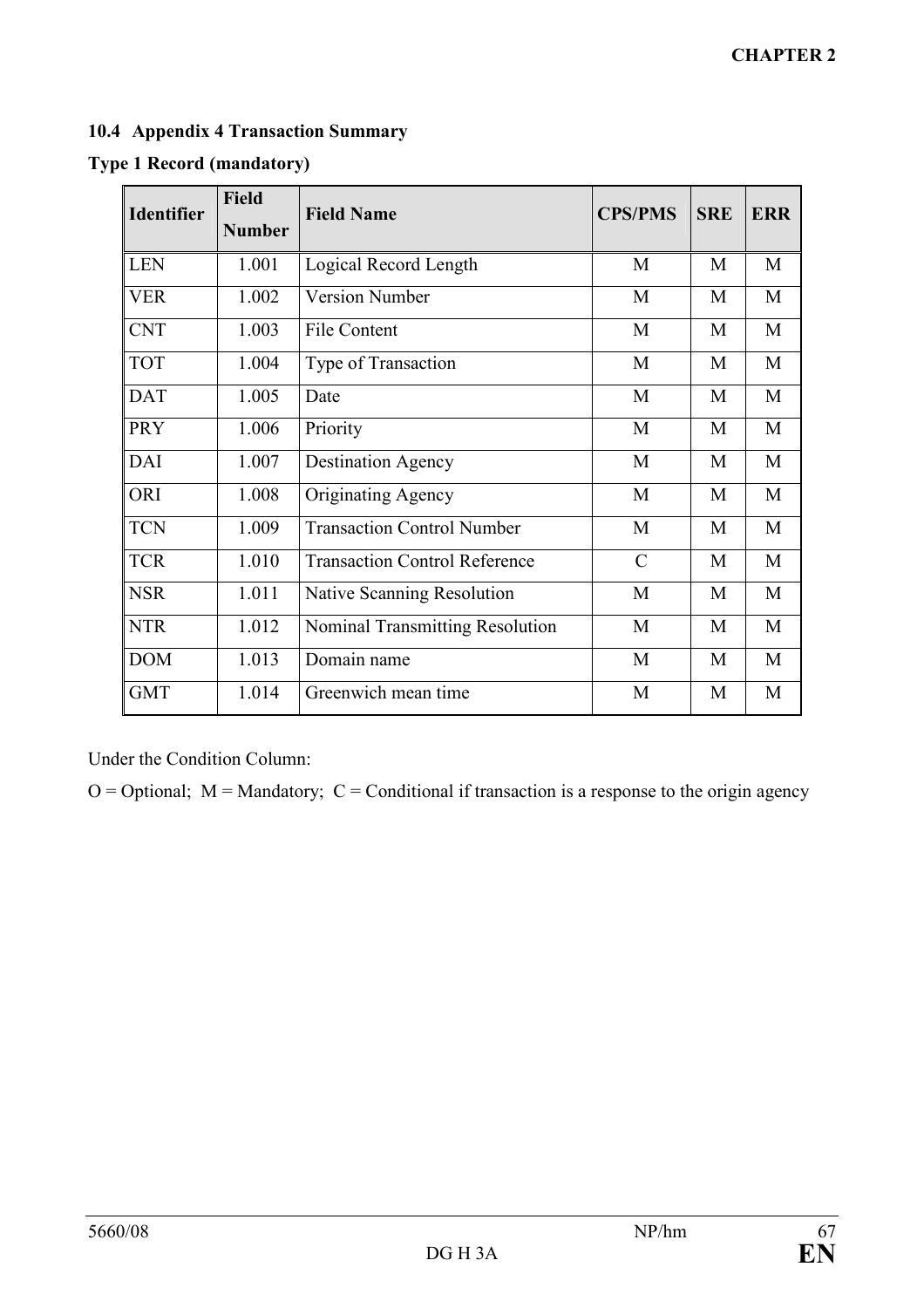# 10.4 Appendix 4 Transaction Summary

| <b>Identifier</b> | <b>Field</b><br><b>Number</b> | <b>Field Name</b>                    | <b>CPS/PMS</b> | <b>SRE</b> | <b>ERR</b> |
|-------------------|-------------------------------|--------------------------------------|----------------|------------|------------|
|                   |                               |                                      |                |            |            |
| <b>LEN</b>        | 1.001                         | Logical Record Length                | M              | M          | M          |
| <b>VER</b>        | 1.002                         | <b>Version Number</b>                | M              | M          | M          |
| <b>CNT</b>        | 1.003                         | <b>File Content</b>                  | M              | M          | M          |
| <b>TOT</b>        | 1.004                         | Type of Transaction                  | M              | M          | M          |
| <b>DAT</b>        | 1.005                         | Date                                 | M              | M          | M          |
| <b>PRY</b>        | 1.006                         | Priority                             | M              | M          | M          |
| <b>DAI</b>        | 1.007                         | <b>Destination Agency</b>            | M              | M          | M          |
| ORI               | 1.008                         | Originating Agency                   | M              | M          | M          |
| <b>TCN</b>        | 1.009                         | <b>Transaction Control Number</b>    | M              | M          | M          |
| <b>TCR</b>        | 1.010                         | <b>Transaction Control Reference</b> | $\mathcal{C}$  | M          | M          |
| <b>NSR</b>        | 1.011                         | <b>Native Scanning Resolution</b>    | M              | M          | M          |
| <b>NTR</b>        | 1.012                         | Nominal Transmitting Resolution      | M              | M          | M          |
| <b>DOM</b>        | 1.013                         | Domain name                          | M              | M          | M          |
| <b>GMT</b>        | 1.014                         | Greenwich mean time                  | M              | M          | M          |

## Type 1 Record (mandatory)

Under the Condition Column:

 $O =$  Optional;  $M =$  Mandatory;  $C =$  Conditional if transaction is a response to the origin agency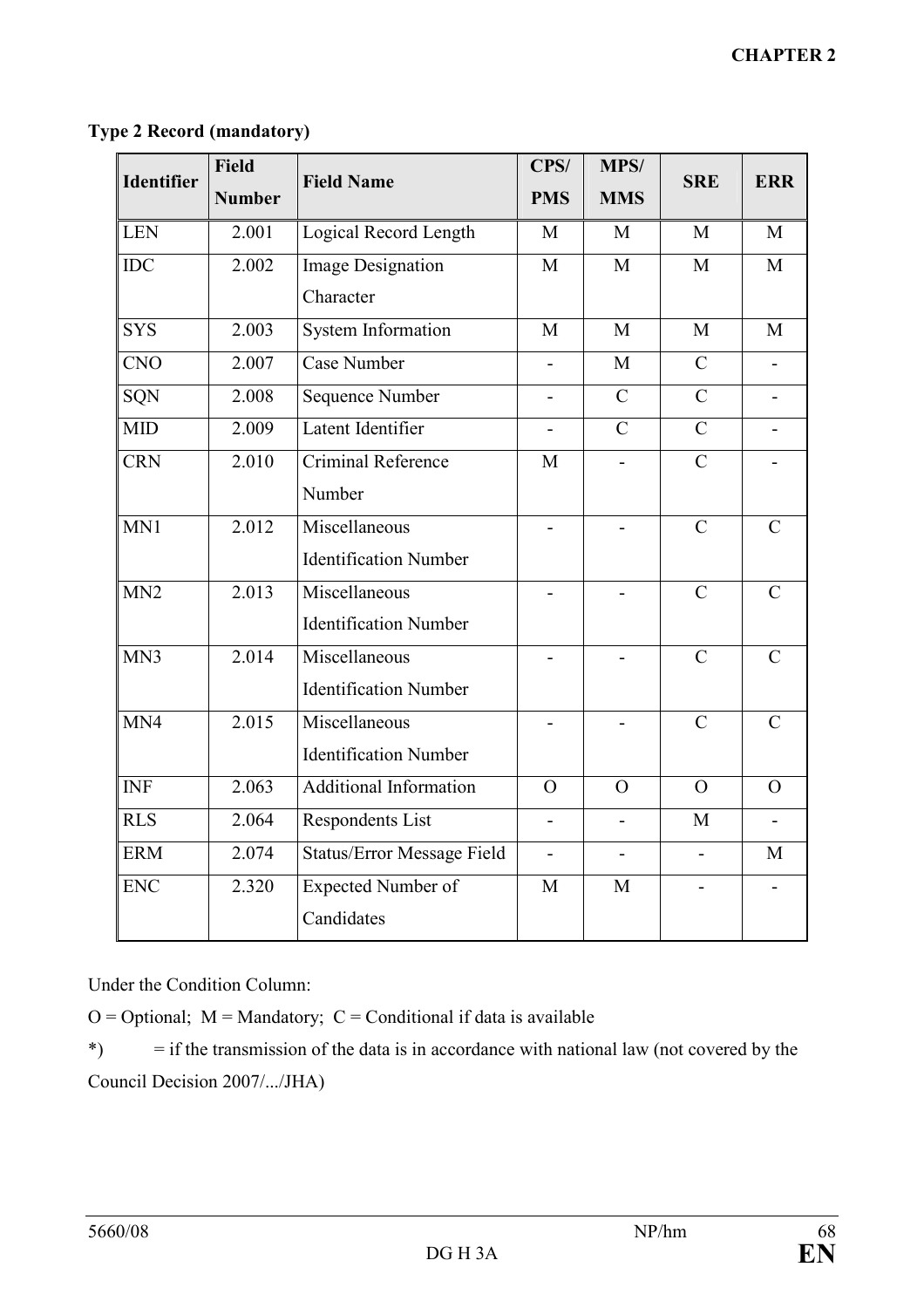| <b>Identifier</b> | <b>Field</b>  | <b>Field Name</b>                 | CPS/                     | <b>MPS/</b>              | <b>SRE</b>     | <b>ERR</b>     |
|-------------------|---------------|-----------------------------------|--------------------------|--------------------------|----------------|----------------|
|                   | <b>Number</b> |                                   | <b>PMS</b>               | <b>MMS</b>               |                |                |
| <b>LEN</b>        | 2.001         | Logical Record Length             | M                        | M                        | M              | $\mathbf{M}$   |
| <b>IDC</b>        | 2.002         | <b>Image Designation</b>          | M                        | M                        | M              | M              |
|                   |               | Character                         |                          |                          |                |                |
| <b>SYS</b>        | 2.003         | <b>System Information</b>         | M                        | M                        | M              | M              |
| <b>CNO</b>        | 2.007         | Case Number                       | $\overline{\phantom{0}}$ | M                        | $\mathcal{C}$  |                |
| SQN               | 2.008         | <b>Sequence Number</b>            | $\overline{a}$           | $\overline{C}$           | $\overline{C}$ |                |
| MID               | 2.009         | Latent Identifier                 | $\overline{\phantom{0}}$ | $\mathcal{C}$            | $\mathcal{C}$  | Ξ.             |
| <b>CRN</b>        | 2.010         | Criminal Reference                | M                        |                          | $\mathcal{C}$  |                |
|                   |               | Number                            |                          |                          |                |                |
| MN1               | 2.012         | Miscellaneous                     | $\overline{a}$           |                          | $\mathcal{C}$  | $\mathcal{C}$  |
|                   |               | <b>Identification Number</b>      |                          |                          |                |                |
| MN <sub>2</sub>   | 2.013         | Miscellaneous                     |                          |                          | $\overline{C}$ | $\overline{C}$ |
|                   |               | <b>Identification Number</b>      |                          |                          |                |                |
| MN3               | 2.014         | Miscellaneous                     |                          |                          | $\mathcal{C}$  | $\mathcal{C}$  |
|                   |               | <b>Identification Number</b>      |                          |                          |                |                |
| MN4               | 2.015         | Miscellaneous                     |                          |                          | $\mathcal{C}$  | $\mathcal{C}$  |
|                   |               | <b>Identification Number</b>      |                          |                          |                |                |
| <b>INF</b>        | 2.063         | <b>Additional Information</b>     | $\overline{O}$           | $\Omega$                 | $\overline{O}$ | $\overline{O}$ |
| <b>RLS</b>        | 2.064         | Respondents List                  | $\overline{\phantom{a}}$ | $\overline{\phantom{a}}$ | M              |                |
| <b>ERM</b>        | 2.074         | <b>Status/Error Message Field</b> | $\overline{a}$           | $\overline{a}$           | $\overline{a}$ | M              |
| <b>ENC</b>        | 2.320         | <b>Expected Number of</b>         | M                        | $\overline{M}$           |                |                |
|                   |               | Candidates                        |                          |                          |                |                |

# Type 2 Record (mandatory)

Under the Condition Column:

 $O =$  Optional;  $M =$  Mandatory;  $C =$  Conditional if data is available

\*)  $=$  if the transmission of the data is in accordance with national law (not covered by the Council Decision 2007/.../JHA)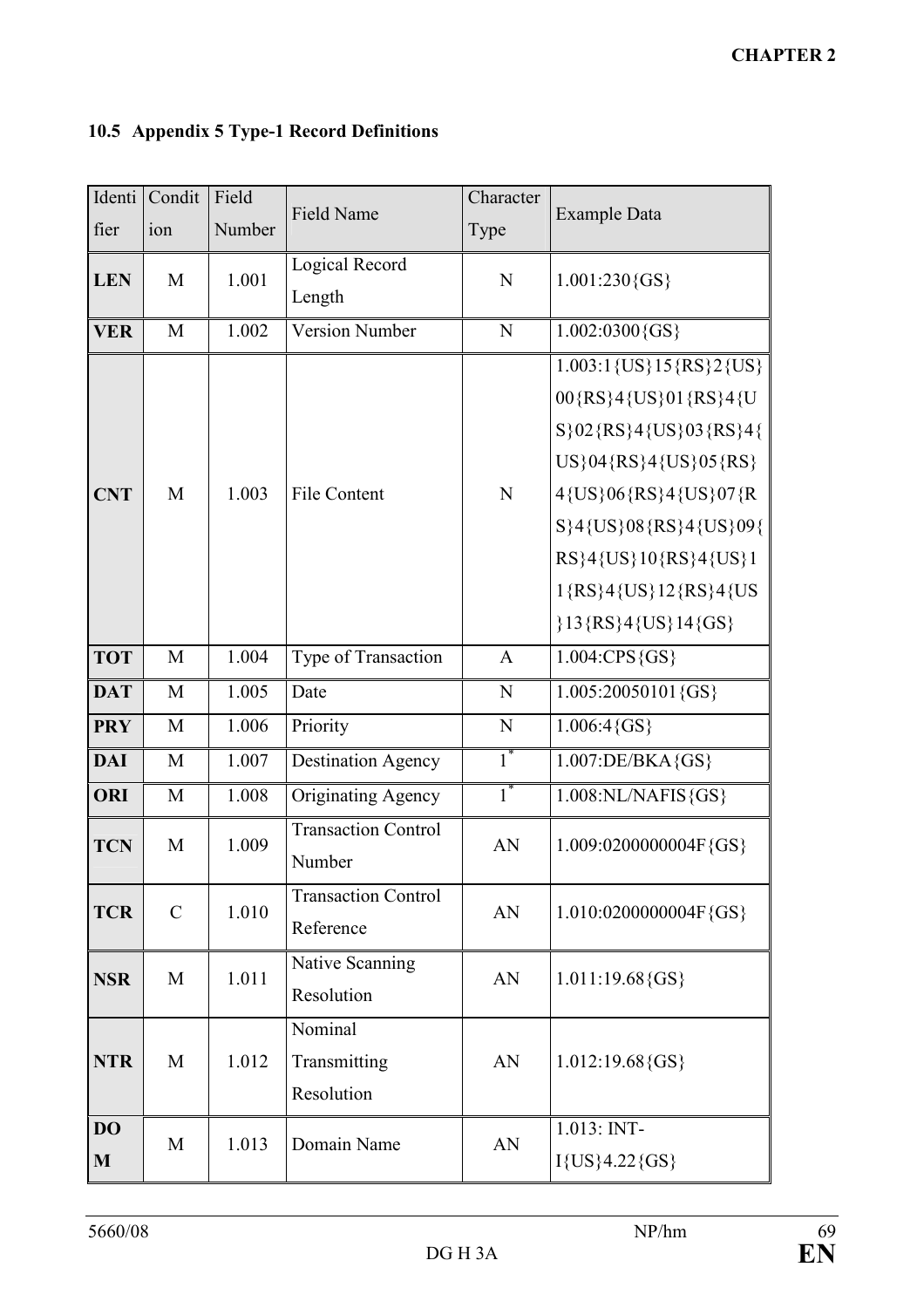| Identi       | Condit        | Field  | <b>Field Name</b>                    | Character | <b>Example Data</b>               |
|--------------|---------------|--------|--------------------------------------|-----------|-----------------------------------|
| fier         | ion           | Number |                                      | Type      |                                   |
| <b>LEN</b>   | M             | 1.001  | Logical Record                       | N         | $1.001:230\{GS\}$                 |
|              |               |        | Length                               |           |                                   |
| <b>VER</b>   | M             | 1.002  | <b>Version Number</b>                | N         | $1.002:0300$ {GS}                 |
|              |               |        |                                      |           | $1.003:1$ {US} $15$ {RS} $2$ {US} |
|              |               |        |                                      |           | 00{RS}4{US}01{RS}4{U              |
|              |               |        |                                      |           | S}02{RS}4{US}03{RS}4{             |
|              |               |        |                                      |           | US}04{RS}4{US}05{RS}              |
| <b>CNT</b>   | M             | 1.003  | <b>File Content</b>                  | N         | 4{US}06{RS}4{US}07{R              |
|              |               |        |                                      |           | S}4{US}08{RS}4{US}09{             |
|              |               |        |                                      |           | RS}4{US}10{RS}4{US}1              |
|              |               |        |                                      |           | 1{RS}4{US}12{RS}4{US              |
|              |               |        |                                      |           | ${13}$ {RS}4 {US} 14 {GS}         |
| <b>TOT</b>   | M             | 1.004  | Type of Transaction                  | A         | $1.004$ :CPS $\{GS\}$             |
| <b>DAT</b>   | M             | 1.005  | Date                                 | N         | $1.005:20050101$ {GS}             |
| <b>PRY</b>   | M             | 1.006  | Priority                             | N         | $1.006:4\{GS\}$                   |
| <b>DAI</b>   | M             | 1.007  | <b>Destination Agency</b>            | $1^*$     | $1.007$ :DE/BKA $\{GS\}$          |
| <b>ORI</b>   | M             | 1.008  | <b>Originating Agency</b>            | $1^*$     | $1.008$ :NL/NAFIS $\{GS\}$        |
| <b>TCN</b>   | M             | 1.009  | <b>Transaction Control</b><br>Number | AN        | 1.009:0200000004F{GS}             |
| <b>TCR</b>   | $\mathcal{C}$ | 1.010  | <b>Transaction Control</b>           | AN        | 1.010:0200000004F{GS}             |
|              |               |        | Reference                            |           |                                   |
| <b>NSR</b>   | M             | 1.011  | Native Scanning                      | AN        | $1.011:19.68$ {GS}                |
|              |               |        | Resolution                           |           |                                   |
|              |               |        | Nominal                              |           |                                   |
| <b>NTR</b>   | M             | 1.012  | Transmitting                         | AN        | $1.012:19.68$ {GS}                |
|              |               |        | Resolution                           |           |                                   |
| <b>DO</b>    | M             | 1.013  | Domain Name                          | AN        | 1.013: INT-                       |
| $\mathbf{M}$ |               |        |                                      |           | $I{US}4.22{GS}$                   |

# 10.5 Appendix 5 Type-1 Record Definitions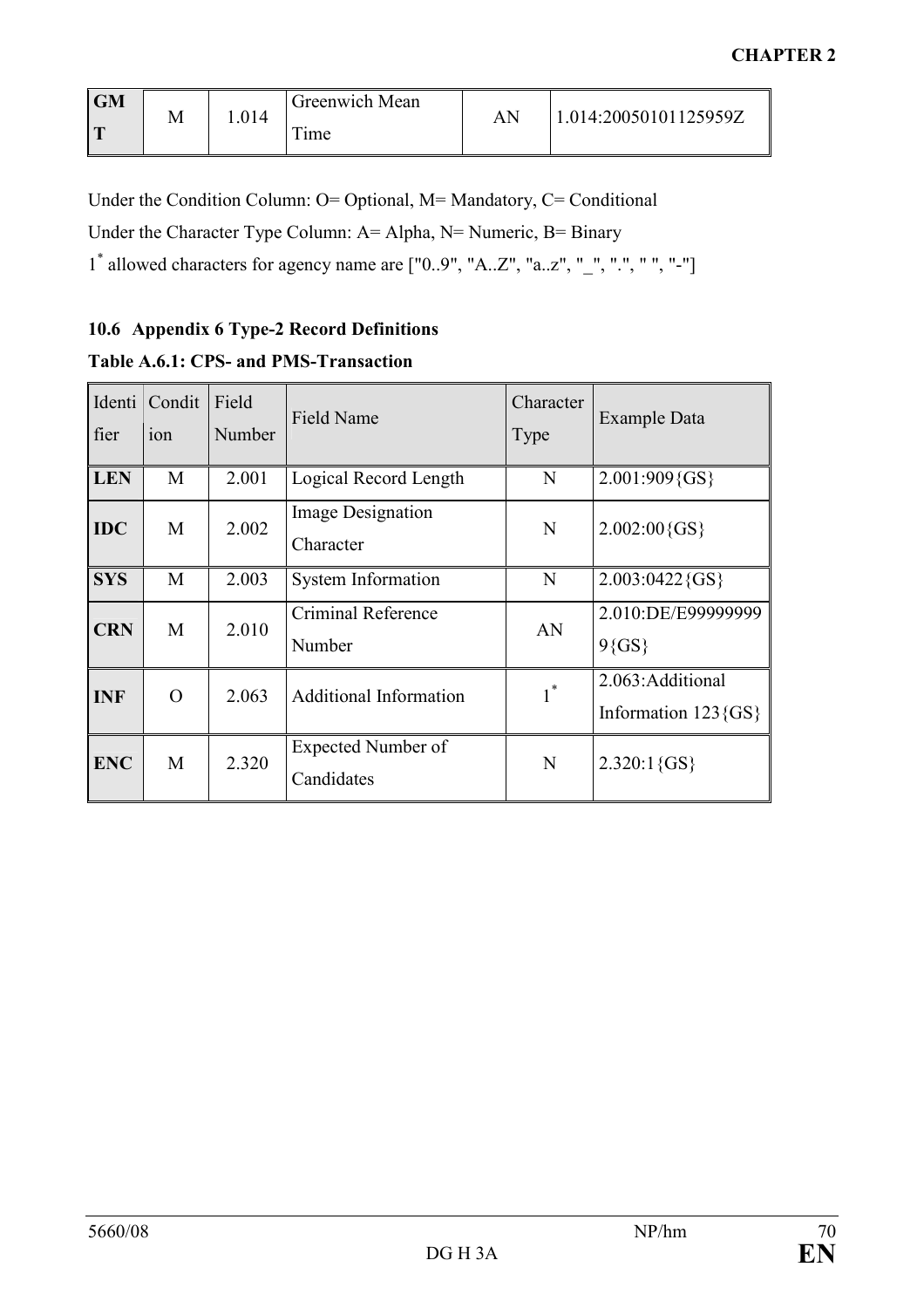| <b>GM</b><br>$\Gamma$ | ΙVΙ | .014 | Greenwich Mean<br>m. | AN | 1.014:20050101125959Z |
|-----------------------|-----|------|----------------------|----|-----------------------|
|                       |     |      | <sub>1</sub> me      |    |                       |

Under the Condition Column: O= Optional, M= Mandatory, C= Conditional Under the Character Type Column: A= Alpha, N= Numeric, B= Binary 1 \* allowed characters for agency name are ["0..9", "A..Z", "a..z", "\_", ".", " ", "-"]

# 10.6 Appendix 6 Type-2 Record Definitions

# Table A.6.1: CPS- and PMS-Transaction

| Identi<br>fier | Condit<br>ion  | Field<br>Number | Field Name                              | Character<br>Type     | Example Data                                |
|----------------|----------------|-----------------|-----------------------------------------|-----------------------|---------------------------------------------|
| <b>LEN</b>     | M              | 2.001           | Logical Record Length                   | N                     | 2.001:909{GS}                               |
| <b>IDC</b>     | M              | 2.002           | <b>Image Designation</b><br>Character   | N                     | $2.002:00\{GS\}$                            |
| <b>SYS</b>     | M              | 2.003           | <b>System Information</b>               | N                     | $2.003:0422\{GS\}$                          |
| <b>CRN</b>     | M              | 2.010           | Criminal Reference<br>Number            | AN                    | 2.010:DE/E99999999<br>$9\{GS\}$             |
| <b>INF</b>     | $\overline{O}$ | 2.063           | <b>Additional Information</b>           | $1^*$<br>$\mathbf{I}$ | 2.063: Additional<br>Information $123$ {GS} |
| <b>ENC</b>     | M              | 2.320           | <b>Expected Number of</b><br>Candidates | N                     | $2.320:1\{GS\}$                             |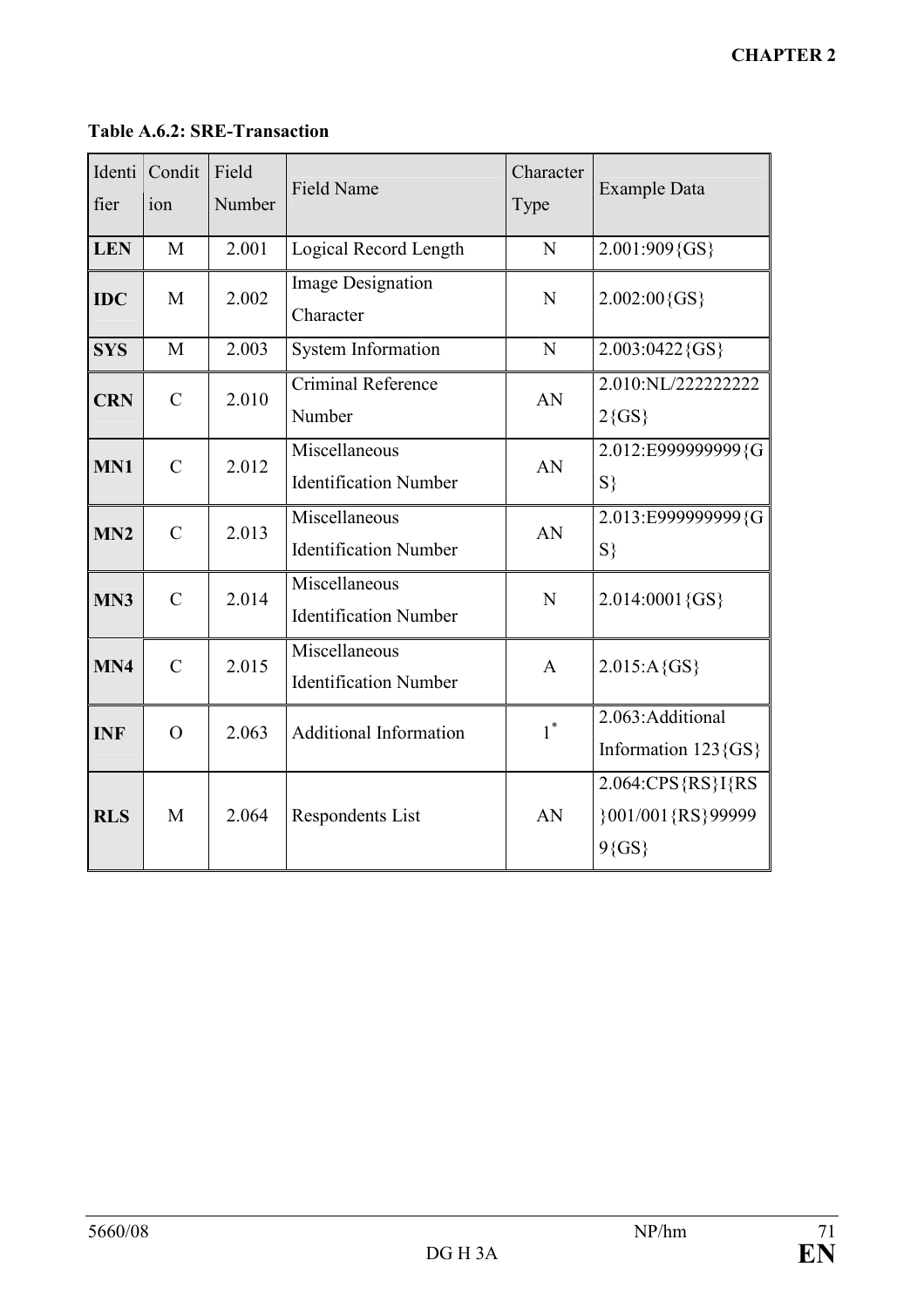# Table A.6.2: SRE-Transaction

| Identi<br>fier | Condit<br>ion  | Field<br>Number | Field Name                                    | Character<br>Type | <b>Example Data</b>                                 |
|----------------|----------------|-----------------|-----------------------------------------------|-------------------|-----------------------------------------------------|
| <b>LEN</b>     | M              | 2.001           | Logical Record Length                         | N                 | 2.001:909{GS}                                       |
| <b>IDC</b>     | M              | 2.002           | Image Designation<br>Character                | N                 | $2.002:00\{GS\}$                                    |
| <b>SYS</b>     | M              | 2.003           | <b>System Information</b>                     | N                 | 2.003:0422{GS}                                      |
| <b>CRN</b>     | $\overline{C}$ | 2.010           | Criminal Reference<br>Number                  | AN                | 2.010:NL/222222222<br>$2\{GS\}$                     |
| MN1            | $\overline{C}$ | 2.012           | Miscellaneous<br><b>Identification Number</b> | AN                | 2.012:E999999999{G<br>$S\}$                         |
| MN2            | $\mathcal{C}$  | 2.013           | Miscellaneous<br><b>Identification Number</b> | AN                | 2.013:E9999999999{G<br>$S\}$                        |
| MN3            | $\mathcal{C}$  | 2.014           | Miscellaneous<br><b>Identification Number</b> | N                 | 2.014:0001{GS}                                      |
| MN4            | $\overline{C}$ | 2.015           | Miscellaneous<br><b>Identification Number</b> | $\mathbf{A}$      | $2.015: A\{GS\}$                                    |
| <b>INF</b>     | $\Omega$       | 2.063           | <b>Additional Information</b>                 | $1^*$             | 2.063: Additional<br>Information $123$ {GS}         |
| <b>RLS</b>     | M              | 2.064           | Respondents List                              | AN                | 2.064:CPS{RS}I{RS<br>}001/001{RS}99999<br>$9\{GS\}$ |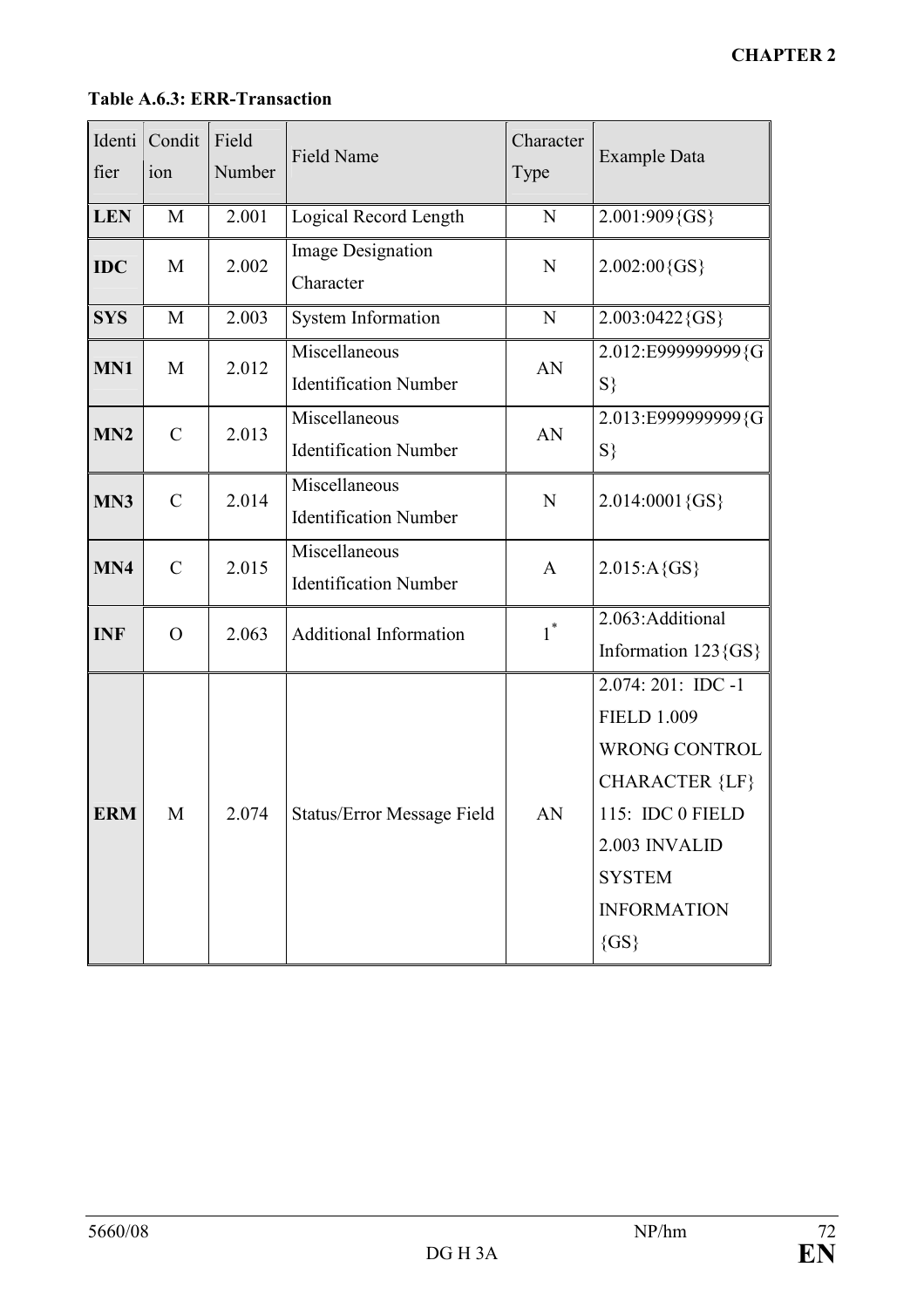| Identi<br>fier | Condit<br>ion | Field<br>Number | Field Name                                    | Character<br>Type | <b>Example Data</b>                                                                                                                                                         |
|----------------|---------------|-----------------|-----------------------------------------------|-------------------|-----------------------------------------------------------------------------------------------------------------------------------------------------------------------------|
| <b>LEN</b>     | M             | 2.001           | Logical Record Length                         | N                 | 2.001:909{GS}                                                                                                                                                               |
| <b>IDC</b>     | M             | 2.002           | Image Designation<br>Character                | $\mathbf N$       | $2.002:00\{GS\}$                                                                                                                                                            |
| <b>SYS</b>     | M             | 2.003           | System Information                            | N                 | $2.003:0422\{GS\}$                                                                                                                                                          |
| MN1            | M             | 2.012           | Miscellaneous<br><b>Identification Number</b> | AN                | 2.012:E9999999999{G<br>$S\}$                                                                                                                                                |
| MN2            | $\mathcal{C}$ | 2.013           | Miscellaneous<br><b>Identification Number</b> | AN                | 2.013:E9999999999{G<br>$S\}$                                                                                                                                                |
| MN3            | $\mathcal{C}$ | 2.014           | Miscellaneous<br><b>Identification Number</b> | N                 | 2.014:0001{GS}                                                                                                                                                              |
| MN4            | $\mathcal{C}$ | 2.015           | Miscellaneous<br><b>Identification Number</b> | $\mathbf{A}$      | $2.015: A\{GS\}$                                                                                                                                                            |
| <b>INF</b>     | $\Omega$      | 2.063           | <b>Additional Information</b>                 | $1^*$             | 2.063: Additional<br>Information $123$ {GS}                                                                                                                                 |
| <b>ERM</b>     | M             | 2.074           | <b>Status/Error Message Field</b>             | AN                | $2.074:201:$ IDC -1<br><b>FIELD 1.009</b><br>WRONG CONTROL<br><b>CHARACTER {LF}</b><br>115: IDC 0 FIELD<br>2.003 INVALID<br><b>SYSTEM</b><br><b>INFORMATION</b><br>$\{GS\}$ |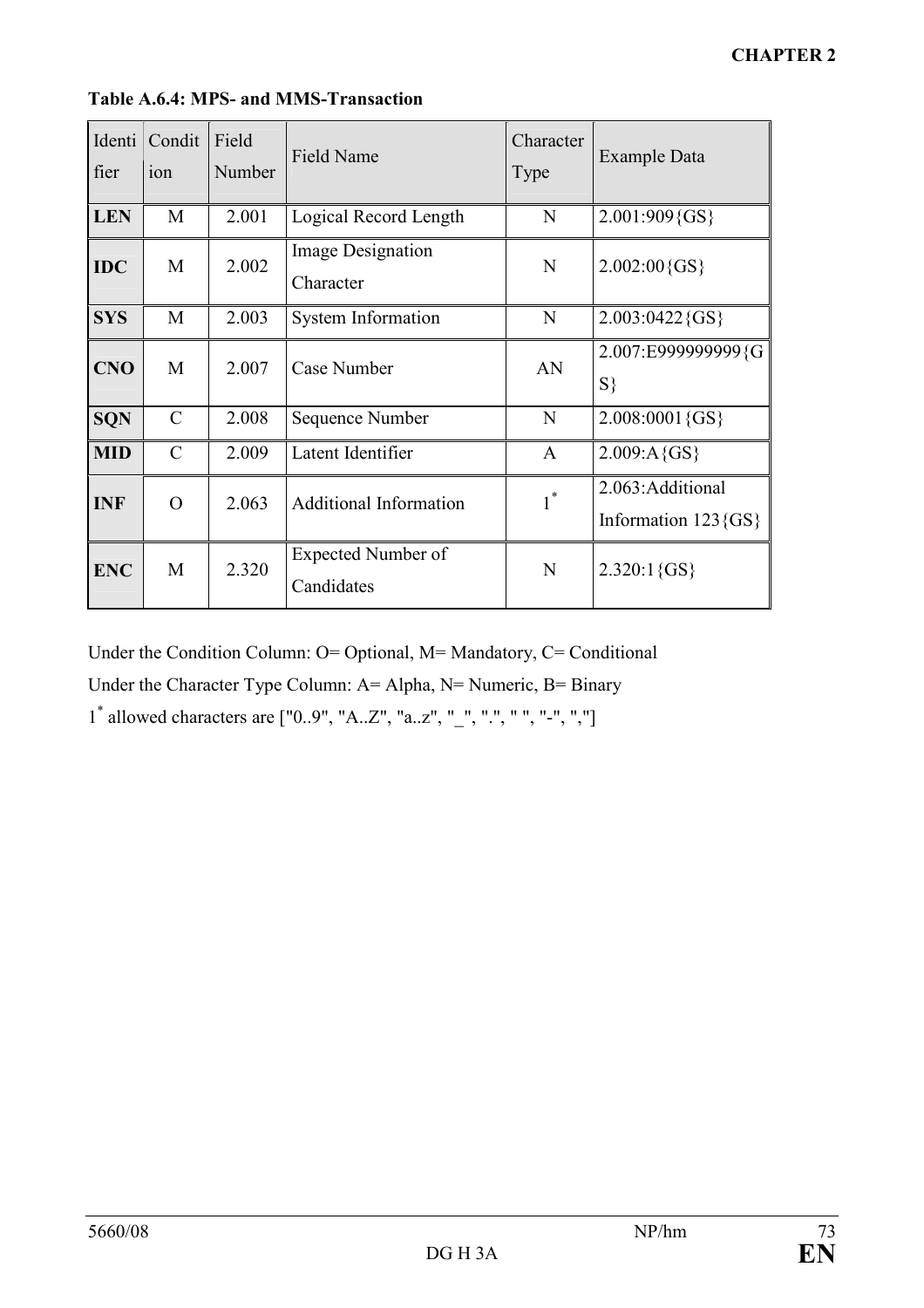| Identi<br>fier | Condit<br>ion | Field<br>Number | <b>Field Name</b>                     | Character<br>Type | <b>Example Data</b>                         |
|----------------|---------------|-----------------|---------------------------------------|-------------------|---------------------------------------------|
| <b>LEN</b>     | M             | 2.001           | Logical Record Length                 | N                 | 2.001:909{GS}                               |
| <b>IDC</b>     | M             | 2.002           | <b>Image Designation</b><br>Character | $\mathbf N$       | $2.002:00\{GS\}$                            |
| <b>SYS</b>     | M             | 2.003           | <b>System Information</b>             | N                 | $2.003:0422$ {GS}                           |
| <b>CNO</b>     | M             | 2.007           | Case Number                           | AN                | 2.007:E9999999999{G<br>$S\}$                |
| <b>SQN</b>     | $\mathcal{C}$ | 2.008           | Sequence Number                       | N                 | 2.008:0001{GS}                              |
| <b>MID</b>     | $\mathcal{C}$ | 2.009           | Latent Identifier                     | A                 | $2.009: A {GS}$                             |
| <b>INF</b>     | $\Omega$      | 2.063           | <b>Additional Information</b>         | $1^*$             | 2.063: Additional<br>Information $123$ {GS} |
| <b>ENC</b>     | M             | 2.320           | Expected Number of<br>Candidates      | N                 | $2.320:1\{GS\}$                             |

Table A.6.4: MPS- and MMS-Transaction

Under the Condition Column: O= Optional, M= Mandatory, C= Conditional

Under the Character Type Column: A= Alpha, N= Numeric, B= Binary

1 \* allowed characters are ["0..9", "A..Z", "a..z", "\_", ".", " ", "-", ","]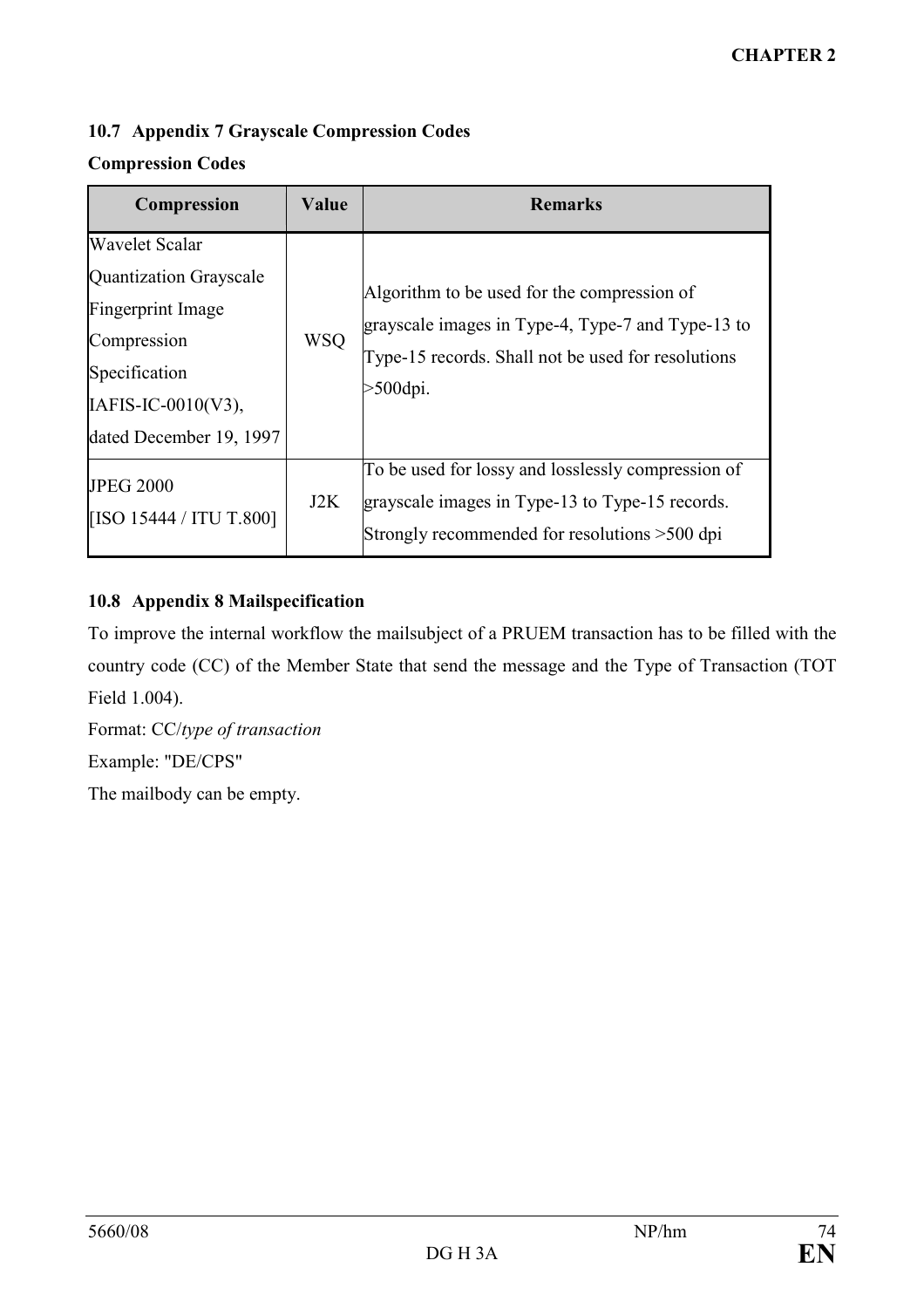## 10.7 Appendix 7 Grayscale Compression Codes

## Compression Codes

| Compression                                                                                                                                                     | Value      | <b>Remarks</b>                                                                                                                                                     |
|-----------------------------------------------------------------------------------------------------------------------------------------------------------------|------------|--------------------------------------------------------------------------------------------------------------------------------------------------------------------|
| <b>Wavelet Scalar</b><br><b>Quantization Grayscale</b><br>Fingerprint Image<br>Compression<br>Specification<br>$IAFIS-IC-0010(V3)$ ,<br>dated December 19, 1997 | <b>WSQ</b> | Algorithm to be used for the compression of<br>grayscale images in Type-4, Type-7 and Type-13 to<br>Type-15 records. Shall not be used for resolutions<br>>500dpi. |
| <b>JPEG 2000</b><br>[ISO 15444 / ITU T.800]                                                                                                                     | J2K        | To be used for lossy and losslessly compression of<br>grayscale images in Type-13 to Type-15 records.<br>Strongly recommended for resolutions >500 dpi             |

## 10.8 Appendix 8 Mailspecification

To improve the internal workflow the mailsubject of a PRUEM transaction has to be filled with the country code (CC) of the Member State that send the message and the Type of Transaction (TOT Field 1.004).

Format: CC/type of transaction Example: "DE/CPS" The mailbody can be empty.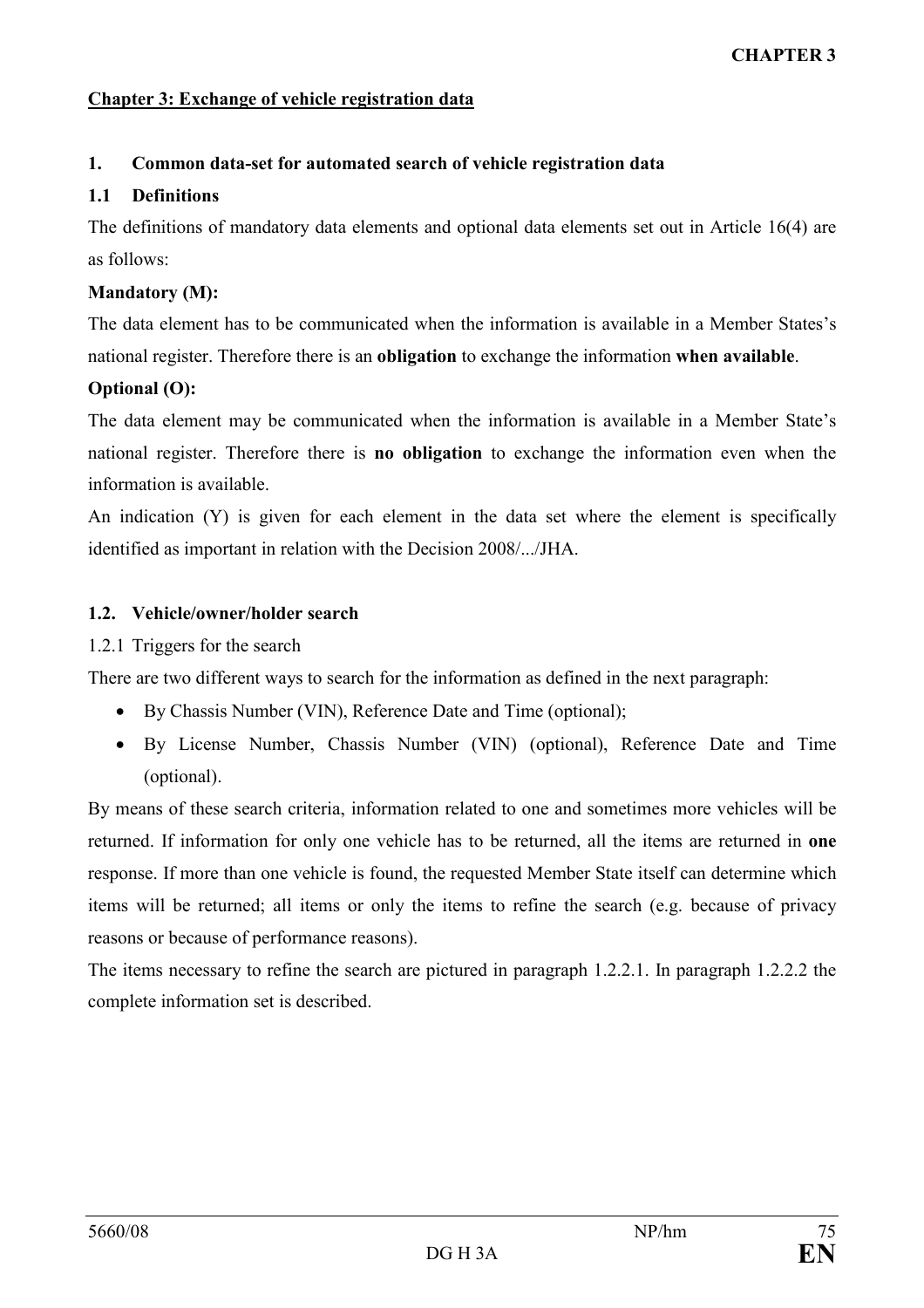## Chapter 3: Exchange of vehicle registration data

## 1. Common data-set for automated search of vehicle registration data

### 1.1 Definitions

The definitions of mandatory data elements and optional data elements set out in Article 16(4) are as follows:

## Mandatory (M):

The data element has to be communicated when the information is available in a Member States's national register. Therefore there is an obligation to exchange the information when available.

## Optional (O):

The data element may be communicated when the information is available in a Member State's national register. Therefore there is no obligation to exchange the information even when the information is available.

An indication (Y) is given for each element in the data set where the element is specifically identified as important in relation with the Decision 2008/.../JHA.

## 1.2. Vehicle/owner/holder search

## 1.2.1 Triggers for the search

There are two different ways to search for the information as defined in the next paragraph:

- By Chassis Number (VIN), Reference Date and Time (optional);
- By License Number, Chassis Number (VIN) (optional), Reference Date and Time (optional).

By means of these search criteria, information related to one and sometimes more vehicles will be returned. If information for only one vehicle has to be returned, all the items are returned in one response. If more than one vehicle is found, the requested Member State itself can determine which items will be returned; all items or only the items to refine the search (e.g. because of privacy reasons or because of performance reasons).

The items necessary to refine the search are pictured in paragraph 1.2.2.1. In paragraph 1.2.2.2 the complete information set is described.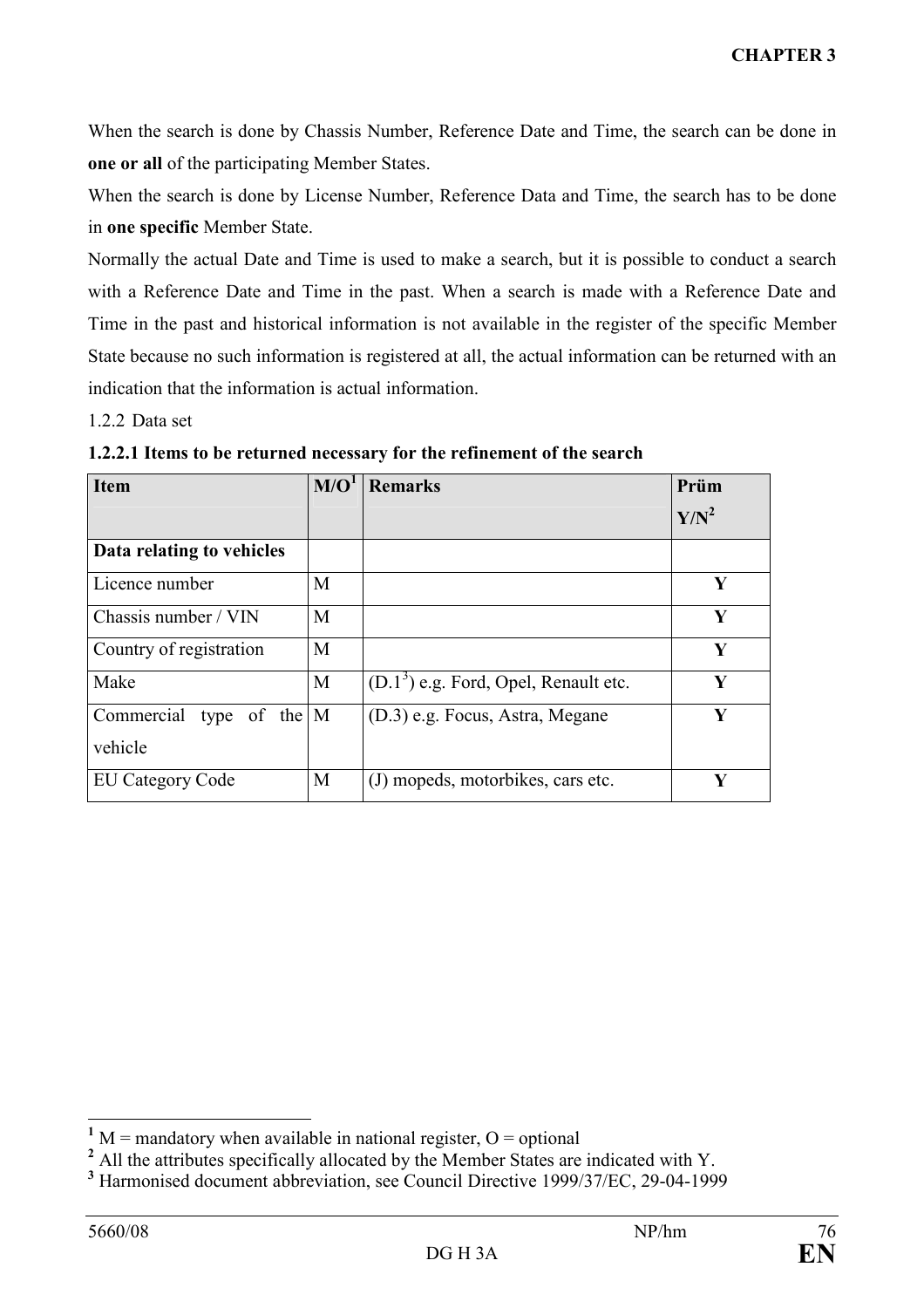When the search is done by Chassis Number, Reference Date and Time, the search can be done in one or all of the participating Member States.

When the search is done by License Number, Reference Data and Time, the search has to be done in one specific Member State.

Normally the actual Date and Time is used to make a search, but it is possible to conduct a search with a Reference Date and Time in the past. When a search is made with a Reference Date and Time in the past and historical information is not available in the register of the specific Member State because no such information is registered at all, the actual information can be returned with an indication that the information is actual information.

1.2.2 Data set

| <b>Item</b>                  | M/O <sup>1</sup> | <b>Remarks</b>                         | Prüm    |
|------------------------------|------------------|----------------------------------------|---------|
|                              |                  |                                        | $Y/N^2$ |
| Data relating to vehicles    |                  |                                        |         |
| Licence number               | M                |                                        | Y       |
| Chassis number / VIN         | M                |                                        | Y       |
| Country of registration      | M                |                                        | Y       |
| Make                         | M                | $(D.13)$ e.g. Ford, Opel, Renault etc. | Y       |
| Commercial type of the $ M $ |                  | (D.3) e.g. Focus, Astra, Megane        | Y       |
| vehicle                      |                  |                                        |         |
| <b>EU Category Code</b>      | M                | (J) mopeds, motorbikes, cars etc.      | Y       |

1.2.2.1 Items to be returned necessary for the refinement of the search

 $\frac{1}{1}$  M = mandatory when available in national register, O = optional

<sup>&</sup>lt;sup>2</sup> All the attributes specifically allocated by the Member States are indicated with Y.

<sup>&</sup>lt;sup>3</sup> Harmonised document abbreviation, see Council Directive 1999/37/EC, 29-04-1999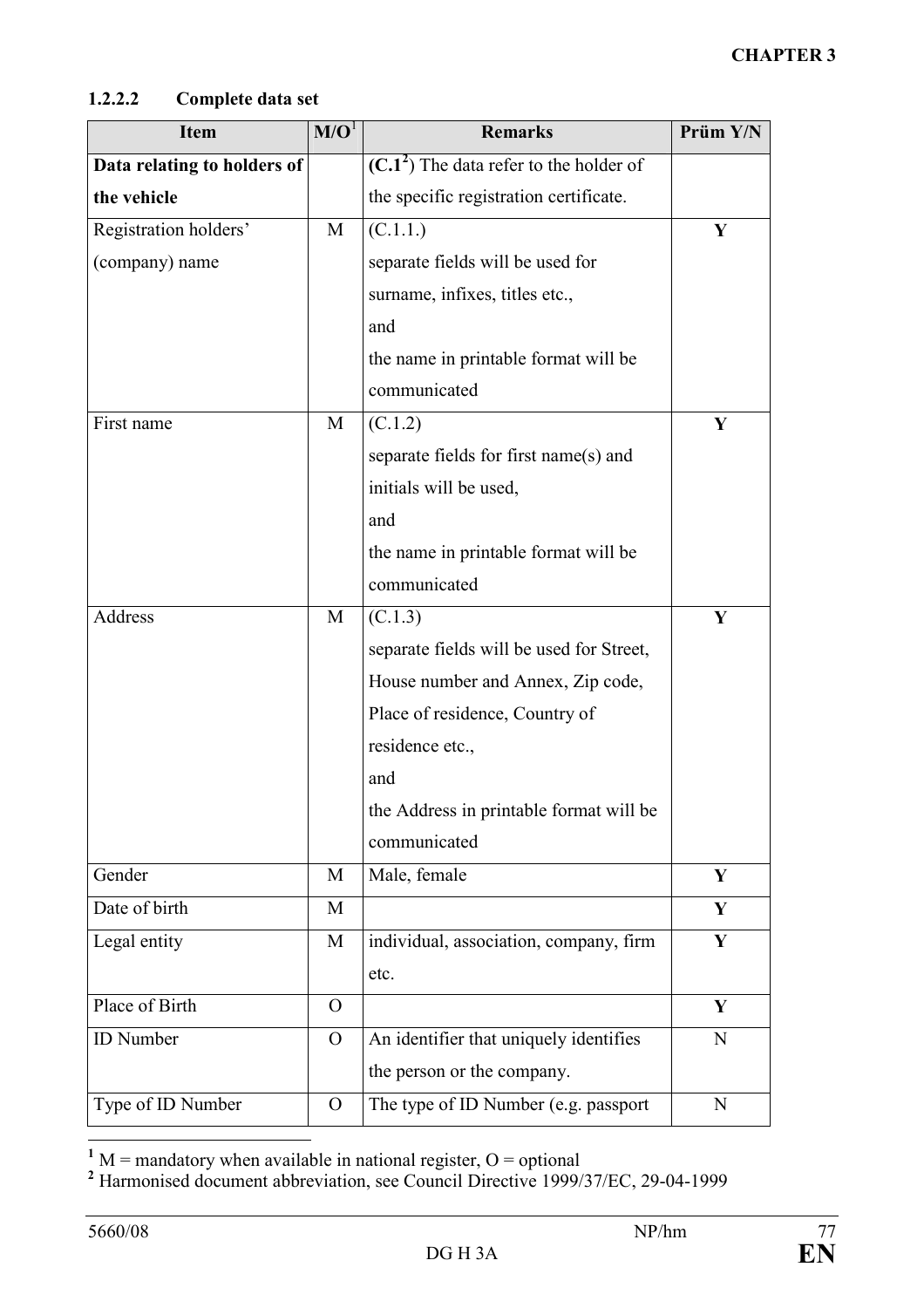## 1.2.2.2 Complete data set

| <b>Item</b>                 | M/O <sup>1</sup> | <b>Remarks</b>                           | Prüm Y/N |
|-----------------------------|------------------|------------------------------------------|----------|
| Data relating to holders of |                  | $(C.12)$ The data refer to the holder of |          |
| the vehicle                 |                  | the specific registration certificate.   |          |
| Registration holders'       | M                | (C.1.1.)                                 | Y        |
| (company) name              |                  | separate fields will be used for         |          |
|                             |                  | surname, infixes, titles etc.,           |          |
|                             |                  | and                                      |          |
|                             |                  | the name in printable format will be     |          |
|                             |                  | communicated                             |          |
| First name                  | M                | (C.1.2)                                  | Y        |
|                             |                  | separate fields for first name(s) and    |          |
|                             |                  | initials will be used,                   |          |
|                             |                  | and                                      |          |
|                             |                  | the name in printable format will be     |          |
|                             |                  | communicated                             |          |
| Address                     | M                | (C.1.3)                                  | Y        |
|                             |                  | separate fields will be used for Street, |          |
|                             |                  | House number and Annex, Zip code,        |          |
|                             |                  | Place of residence, Country of           |          |
|                             |                  | residence etc.,                          |          |
|                             |                  | and                                      |          |
|                             |                  | the Address in printable format will be  |          |
|                             |                  | communicated                             |          |
| Gender                      | M                | Male, female                             | Y        |
| Date of birth               | M                |                                          | Y        |
| Legal entity                | M                | individual, association, company, firm   | Y        |
|                             |                  | etc.                                     |          |
| Place of Birth              | $\Omega$         |                                          | Y        |
| <b>ID</b> Number            | $\Omega$         | An identifier that uniquely identifies   | N        |
|                             |                  | the person or the company.               |          |
| Type of ID Number           | $\Omega$         | The type of ID Number (e.g. passport     | N        |

<sup>1</sup> M = mandatory when available in national register, O = optional<br><sup>2</sup> Harmonised document abbreviation, see Council Directive 1999/37/EC, 29-04-1999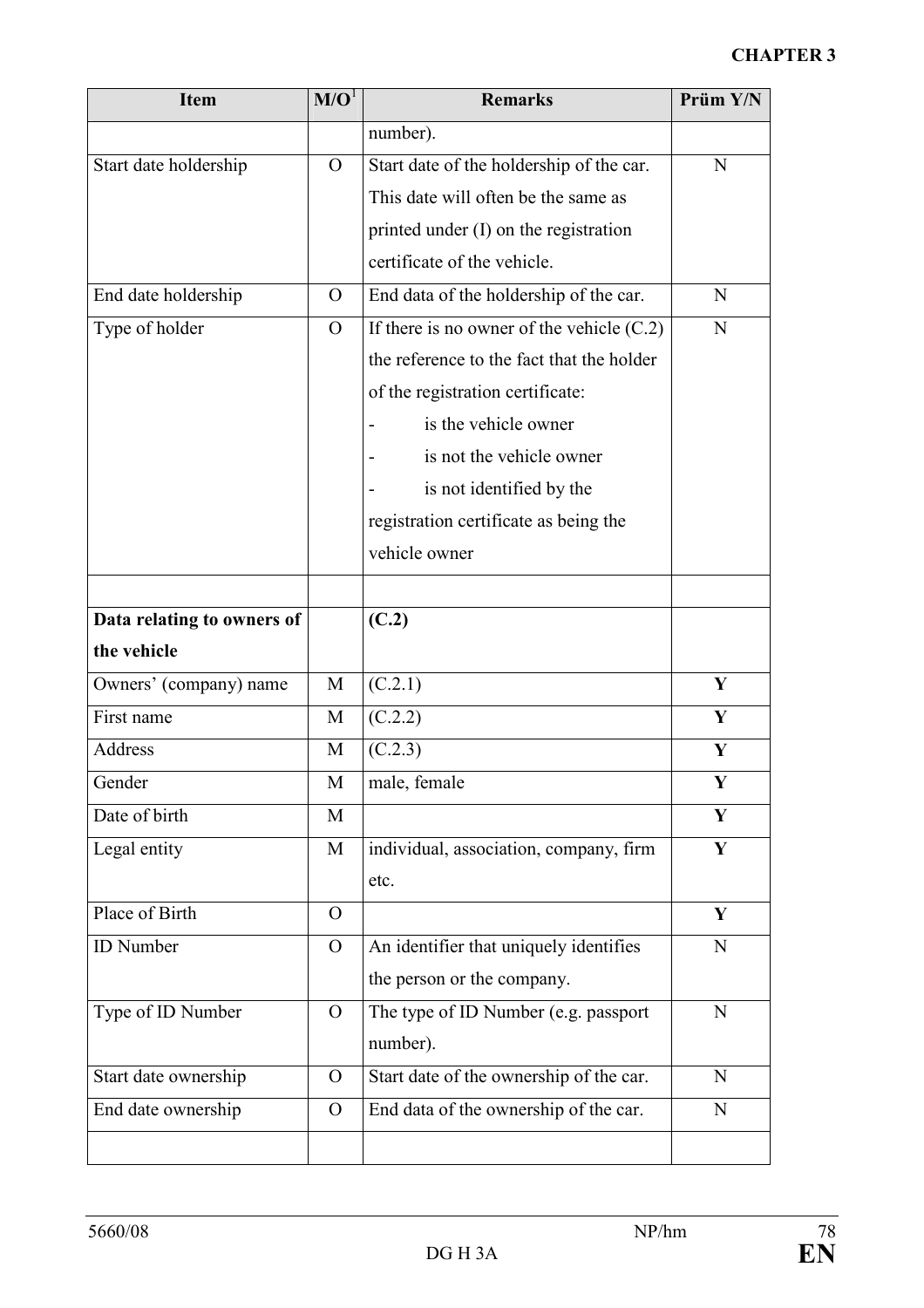| <b>Item</b>                | M/O <sup>1</sup> | <b>Remarks</b>                              | Prüm Y/N    |
|----------------------------|------------------|---------------------------------------------|-------------|
|                            |                  | number).                                    |             |
| Start date holdership      | $\Omega$         | Start date of the holdership of the car.    | $\mathbf N$ |
|                            |                  | This date will often be the same as         |             |
|                            |                  | printed under (I) on the registration       |             |
|                            |                  | certificate of the vehicle.                 |             |
| End date holdership        | $\overline{O}$   | End data of the holdership of the car.      | N           |
| Type of holder             | $\overline{O}$   | If there is no owner of the vehicle $(C.2)$ | N           |
|                            |                  | the reference to the fact that the holder   |             |
|                            |                  | of the registration certificate:            |             |
|                            |                  | is the vehicle owner                        |             |
|                            |                  | is not the vehicle owner                    |             |
|                            |                  | is not identified by the                    |             |
|                            |                  | registration certificate as being the       |             |
|                            |                  | vehicle owner                               |             |
|                            |                  |                                             |             |
| Data relating to owners of |                  | (C.2)                                       |             |
| the vehicle                |                  |                                             |             |
| Owners' (company) name     | M                | (C.2.1)                                     | Y           |
| First name                 | M                | (C.2.2)                                     | Y           |
| Address                    | M                | (C.2.3)                                     | Y           |
| Gender                     | M                | male, female                                | Y           |
| Date of birth              | M                |                                             | Y           |
| Legal entity               | M                | individual, association, company, firm      | Y           |
|                            |                  | etc.                                        |             |
| Place of Birth             | $\Omega$         |                                             | Y           |
| <b>ID</b> Number           | $\overline{O}$   | An identifier that uniquely identifies      | N           |
|                            |                  | the person or the company.                  |             |
| Type of ID Number          | $\overline{O}$   | The type of ID Number (e.g. passport        | N           |
|                            |                  | number).                                    |             |
| Start date ownership       | $\Omega$         | Start date of the ownership of the car.     | N           |
| End date ownership         | $\overline{O}$   | End data of the ownership of the car.       | N           |
|                            |                  |                                             |             |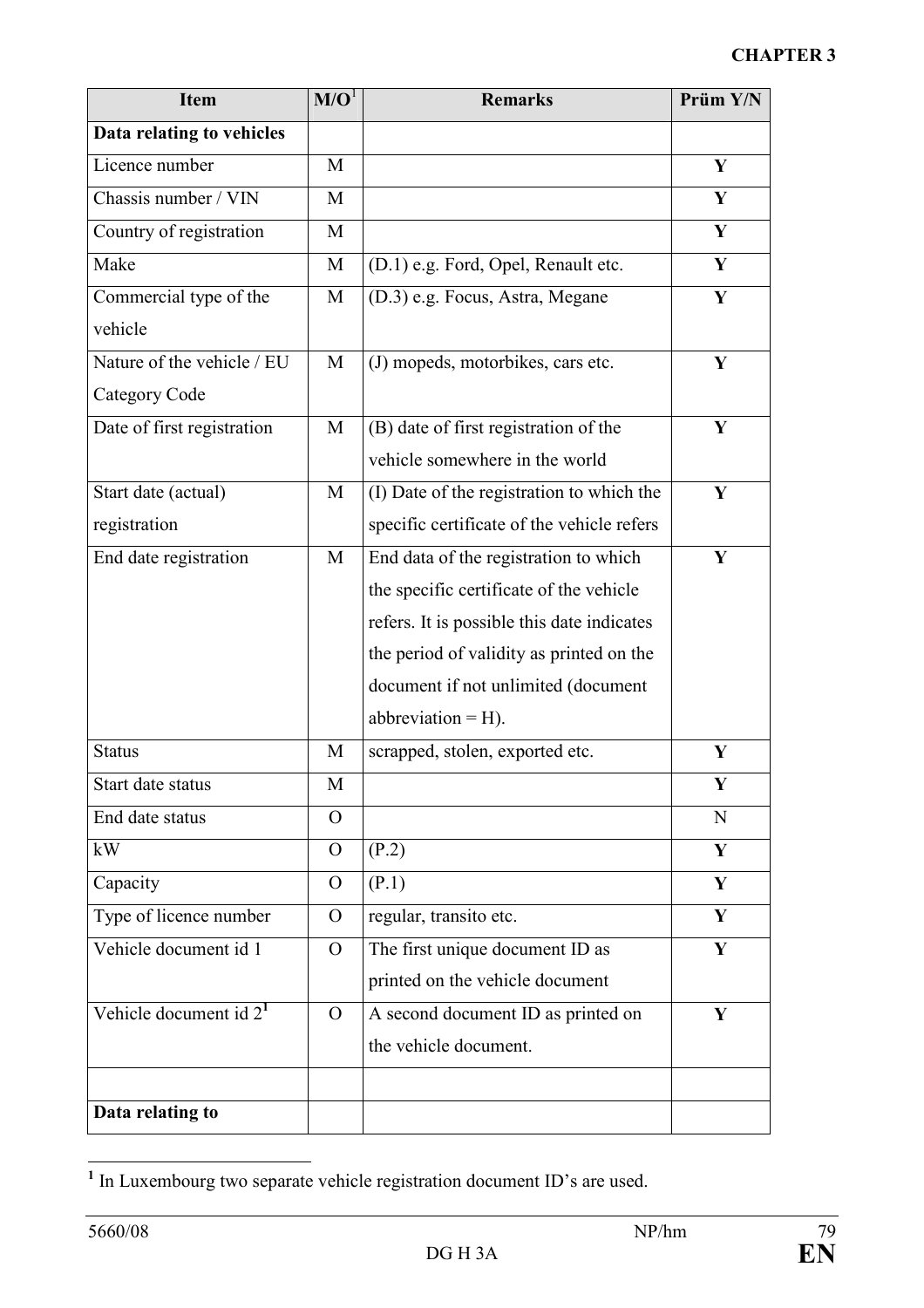| <b>Item</b>                | M/O <sup>1</sup> | <b>Remarks</b>                             | Prüm Y/N |
|----------------------------|------------------|--------------------------------------------|----------|
| Data relating to vehicles  |                  |                                            |          |
| Licence number             | M                |                                            | Y        |
| Chassis number / VIN       | M                |                                            | Y        |
| Country of registration    | M                |                                            | Y        |
| Make                       | M                | (D.1) e.g. Ford, Opel, Renault etc.        | Y        |
| Commercial type of the     | M                | (D.3) e.g. Focus, Astra, Megane            | Y        |
| vehicle                    |                  |                                            |          |
| Nature of the vehicle / EU | M                | (J) mopeds, motorbikes, cars etc.          | Y        |
| Category Code              |                  |                                            |          |
| Date of first registration | M                | (B) date of first registration of the      | Y        |
|                            |                  | vehicle somewhere in the world             |          |
| Start date (actual)        | M                | (I) Date of the registration to which the  | Y        |
| registration               |                  | specific certificate of the vehicle refers |          |
| End date registration      | M                | End data of the registration to which      | Y        |
|                            |                  | the specific certificate of the vehicle    |          |
|                            |                  | refers. It is possible this date indicates |          |
|                            |                  | the period of validity as printed on the   |          |
|                            |                  | document if not unlimited (document        |          |
|                            |                  | abbreviation $=$ H).                       |          |
| <b>Status</b>              | M                | scrapped, stolen, exported etc.            | Y        |
| Start date status          | M                |                                            | Y        |
| End date status            | $\Omega$         |                                            | N        |
| kW                         | $\overline{O}$   | (P.2)                                      | Y        |
| Capacity                   | $\overline{O}$   | (P.1)                                      | Y        |
| Type of licence number     | $\Omega$         | regular, transito etc.                     | Y        |
| Vehicle document id 1      | $\overline{O}$   | The first unique document ID as            | Y        |
|                            |                  | printed on the vehicle document            |          |
| Vehicle document id $21$   | $\overline{O}$   | A second document ID as printed on         | Y        |
|                            |                  | the vehicle document.                      |          |
|                            |                  |                                            |          |
| Data relating to           |                  |                                            |          |

<sup>&</sup>lt;sup>1</sup> In Luxembourg two separate vehicle registration document ID's are used.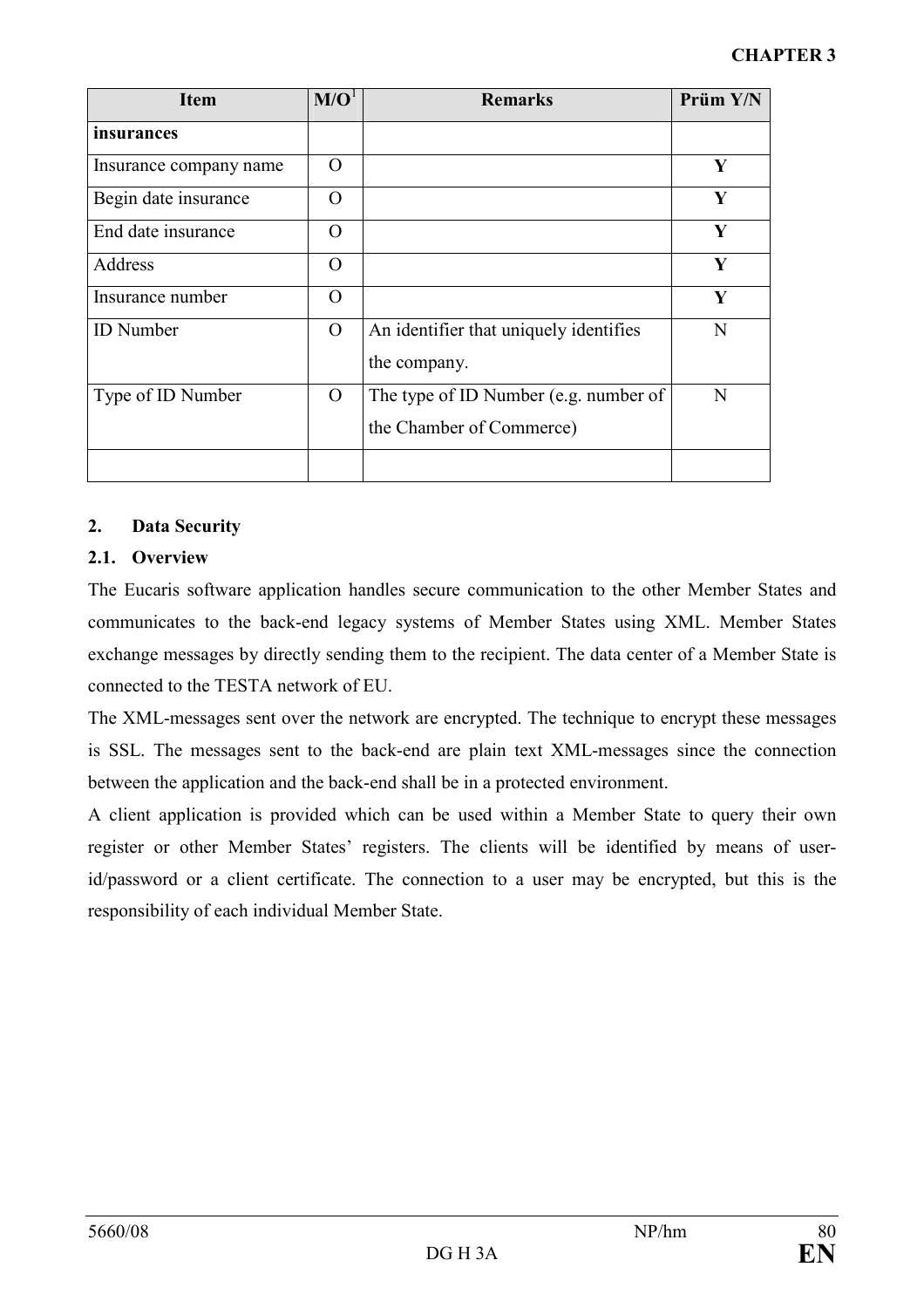| <b>Item</b>            | M/O <sup>1</sup> | <b>Remarks</b>                                                    | Prüm Y/N |
|------------------------|------------------|-------------------------------------------------------------------|----------|
| insurances             |                  |                                                                   |          |
| Insurance company name | $\Omega$         |                                                                   | Y        |
| Begin date insurance   | $\Omega$         |                                                                   | Y        |
| End date insurance     | $\Omega$         |                                                                   | Y        |
| Address                | $\Omega$         |                                                                   | Y        |
| Insurance number       | $\Omega$         |                                                                   | Y        |
| <b>ID</b> Number       | $\Omega$         | An identifier that uniquely identifies<br>the company.            | N        |
| Type of ID Number      | $\overline{O}$   | The type of ID Number (e.g. number of<br>the Chamber of Commerce) | N        |
|                        |                  |                                                                   |          |

## 2. Data Security

## 2.1. Overview

The Eucaris software application handles secure communication to the other Member States and communicates to the back-end legacy systems of Member States using XML. Member States exchange messages by directly sending them to the recipient. The data center of a Member State is connected to the TESTA network of EU.

The XML-messages sent over the network are encrypted. The technique to encrypt these messages is SSL. The messages sent to the back-end are plain text XML-messages since the connection between the application and the back-end shall be in a protected environment.

A client application is provided which can be used within a Member State to query their own register or other Member States' registers. The clients will be identified by means of userid/password or a client certificate. The connection to a user may be encrypted, but this is the responsibility of each individual Member State.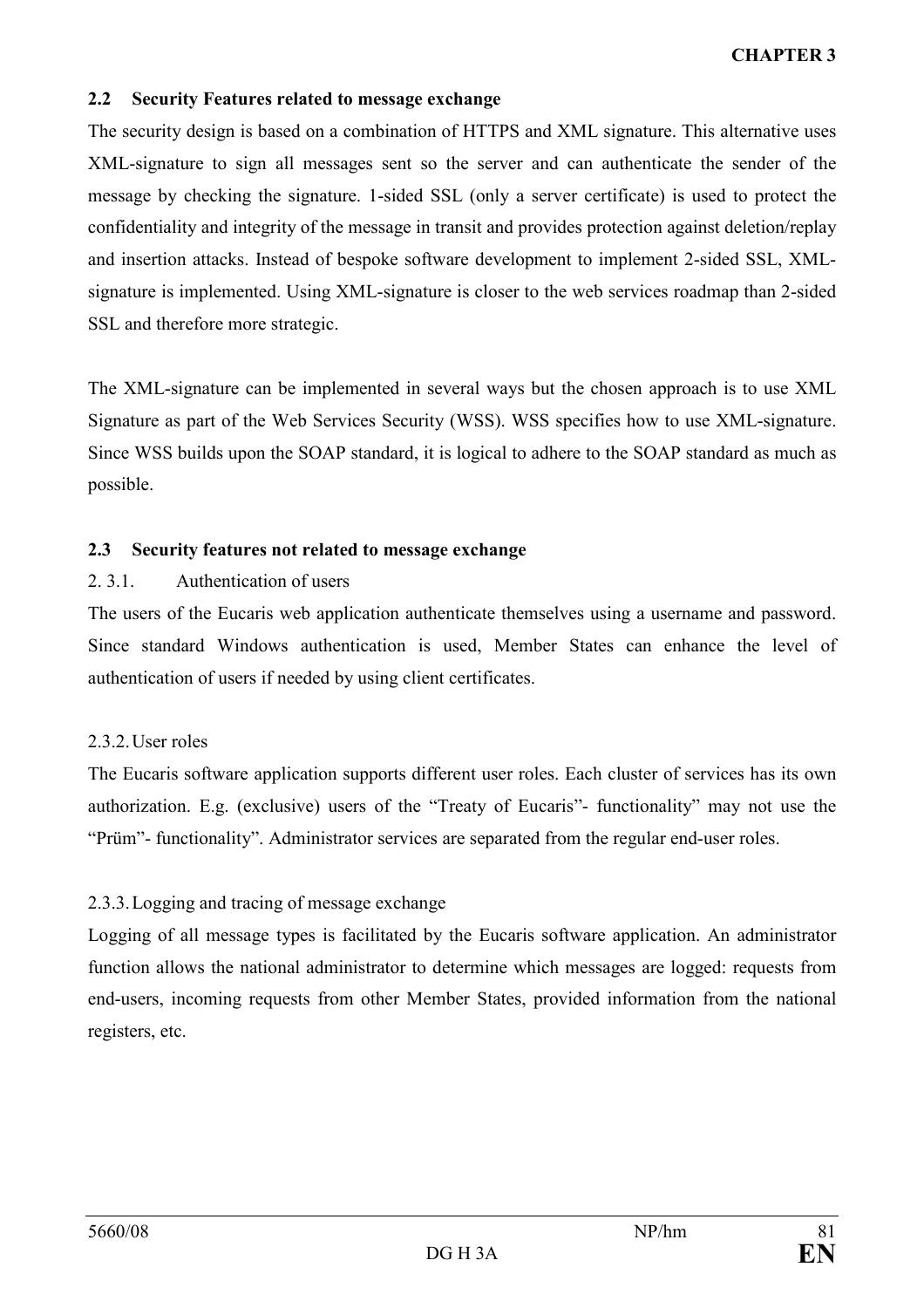#### 2.2 Security Features related to message exchange

The security design is based on a combination of HTTPS and XML signature. This alternative uses XML-signature to sign all messages sent so the server and can authenticate the sender of the message by checking the signature. 1-sided SSL (only a server certificate) is used to protect the confidentiality and integrity of the message in transit and provides protection against deletion/replay and insertion attacks. Instead of bespoke software development to implement 2-sided SSL, XMLsignature is implemented. Using XML-signature is closer to the web services roadmap than 2-sided SSL and therefore more strategic.

The XML-signature can be implemented in several ways but the chosen approach is to use XML Signature as part of the Web Services Security (WSS). WSS specifies how to use XML-signature. Since WSS builds upon the SOAP standard, it is logical to adhere to the SOAP standard as much as possible.

#### 2.3 Security features not related to message exchange

## 2. 3.1. Authentication of users

The users of the Eucaris web application authenticate themselves using a username and password. Since standard Windows authentication is used, Member States can enhance the level of authentication of users if needed by using client certificates.

## 2.3.2. User roles

The Eucaris software application supports different user roles. Each cluster of services has its own authorization. E.g. (exclusive) users of the "Treaty of Eucaris"- functionality" may not use the "Prüm"- functionality". Administrator services are separated from the regular end-user roles.

## 2.3.3. Logging and tracing of message exchange

Logging of all message types is facilitated by the Eucaris software application. An administrator function allows the national administrator to determine which messages are logged: requests from end-users, incoming requests from other Member States, provided information from the national registers, etc.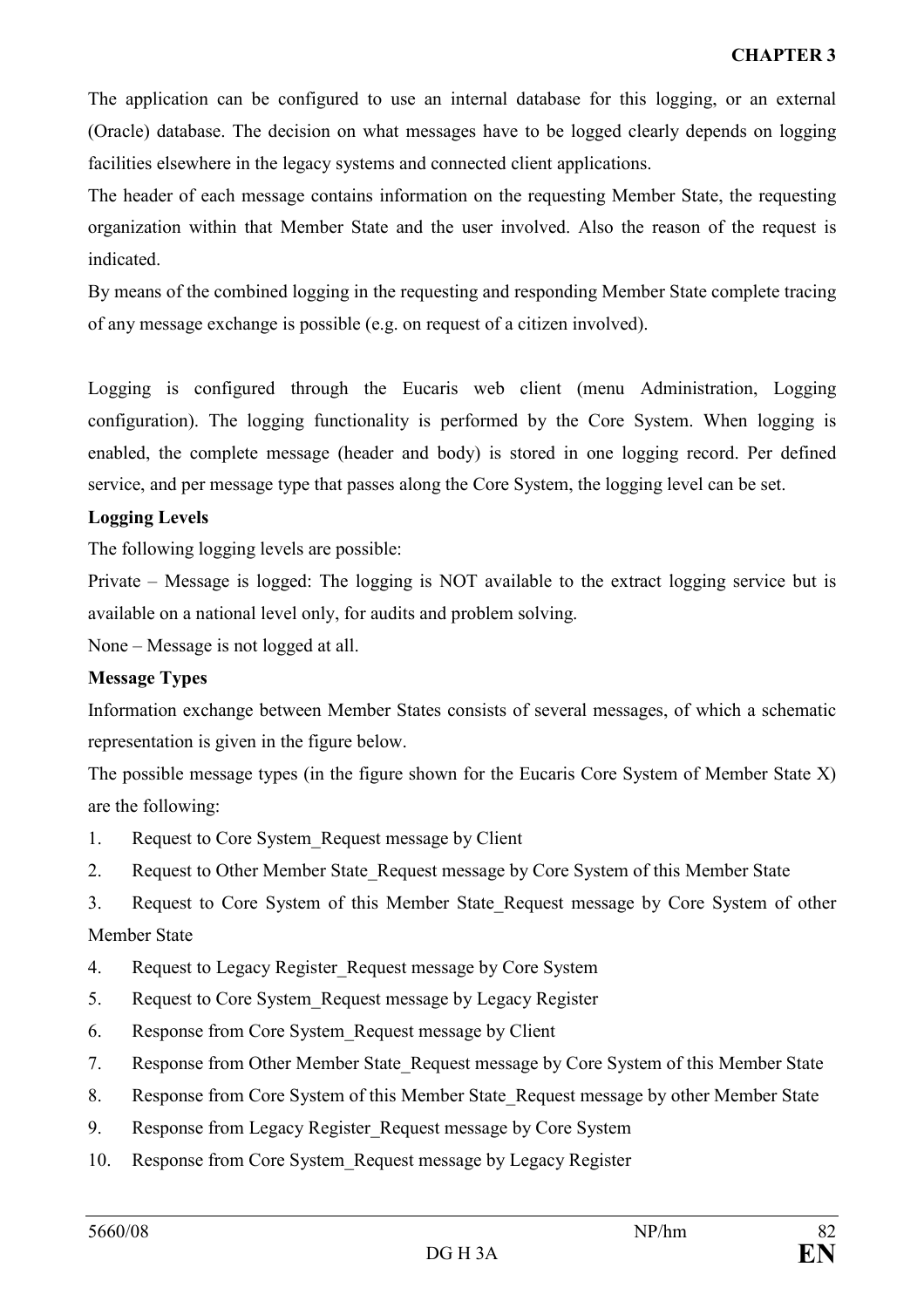The application can be configured to use an internal database for this logging, or an external (Oracle) database. The decision on what messages have to be logged clearly depends on logging facilities elsewhere in the legacy systems and connected client applications.

The header of each message contains information on the requesting Member State, the requesting organization within that Member State and the user involved. Also the reason of the request is indicated.

By means of the combined logging in the requesting and responding Member State complete tracing of any message exchange is possible (e.g. on request of a citizen involved).

Logging is configured through the Eucaris web client (menu Administration, Logging configuration). The logging functionality is performed by the Core System. When logging is enabled, the complete message (header and body) is stored in one logging record. Per defined service, and per message type that passes along the Core System, the logging level can be set.

#### Logging Levels

The following logging levels are possible:

Private – Message is logged: The logging is NOT available to the extract logging service but is available on a national level only, for audits and problem solving.

None – Message is not logged at all.

#### Message Types

Information exchange between Member States consists of several messages, of which a schematic representation is given in the figure below.

The possible message types (in the figure shown for the Eucaris Core System of Member State X) are the following:

- 1. Request to Core System\_Request message by Client
- 2. Request to Other Member State Request message by Core System of this Member State
- 3. Request to Core System of this Member State\_Request message by Core System of other

## Member State

- 4. Request to Legacy Register Request message by Core System
- 5. Request to Core System\_Request message by Legacy Register
- 6. Response from Core System\_Request message by Client
- 7. Response from Other Member State Request message by Core System of this Member State
- 8. Response from Core System of this Member State Request message by other Member State
- 9. Response from Legacy Register Request message by Core System
- 10. Response from Core System\_Request message by Legacy Register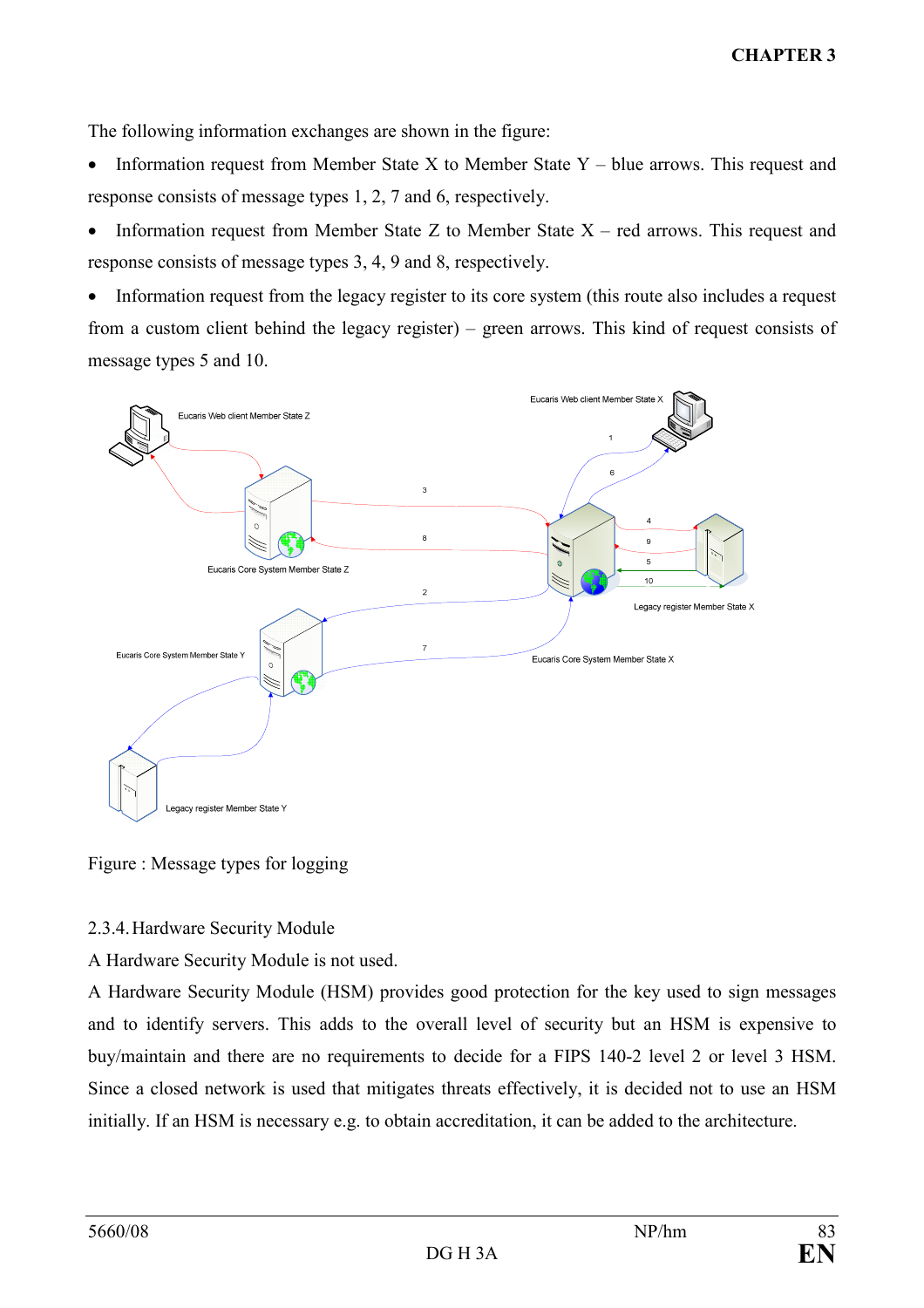The following information exchanges are shown in the figure:

- Information request from Member State X to Member State Y blue arrows. This request and response consists of message types 1, 2, 7 and 6, respectively.
- Information request from Member State Z to Member State X red arrows. This request and response consists of message types 3, 4, 9 and 8, respectively.
- Information request from the legacy register to its core system (this route also includes a request from a custom client behind the legacy register) – green arrows. This kind of request consists of message types 5 and 10.



Figure : Message types for logging

## 2.3.4. Hardware Security Module

A Hardware Security Module is not used.

A Hardware Security Module (HSM) provides good protection for the key used to sign messages and to identify servers. This adds to the overall level of security but an HSM is expensive to buy/maintain and there are no requirements to decide for a FIPS 140-2 level 2 or level 3 HSM. Since a closed network is used that mitigates threats effectively, it is decided not to use an HSM initially. If an HSM is necessary e.g. to obtain accreditation, it can be added to the architecture.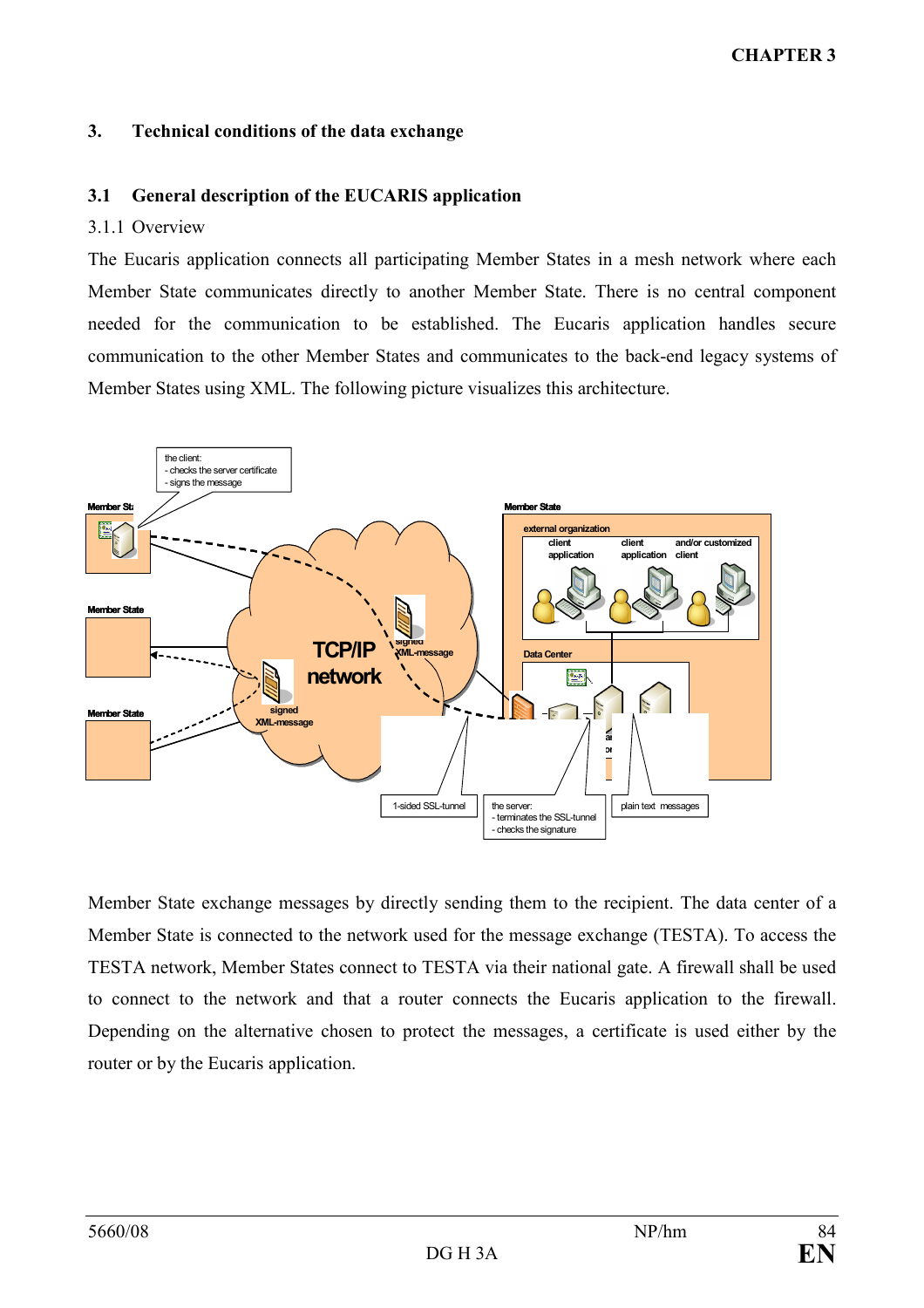## CHAPTER 3

#### 3. Technical conditions of the data exchange

#### 3.1 General description of the EUCARIS application

#### 3.1.1 Overview

The Eucaris application connects all participating Member States in a mesh network where each Member State communicates directly to another Member State. There is no central component needed for the communication to be established. The Eucaris application handles secure communication to the other Member States and communicates to the back-end legacy systems of Member States using XML. The following picture visualizes this architecture.



Member State exchange messages by directly sending them to the recipient. The data center of a Member State is connected to the network used for the message exchange (TESTA). To access the TESTA network, Member States connect to TESTA via their national gate. A firewall shall be used to connect to the network and that a router connects the Eucaris application to the firewall. Depending on the alternative chosen to protect the messages, a certificate is used either by the router or by the Eucaris application.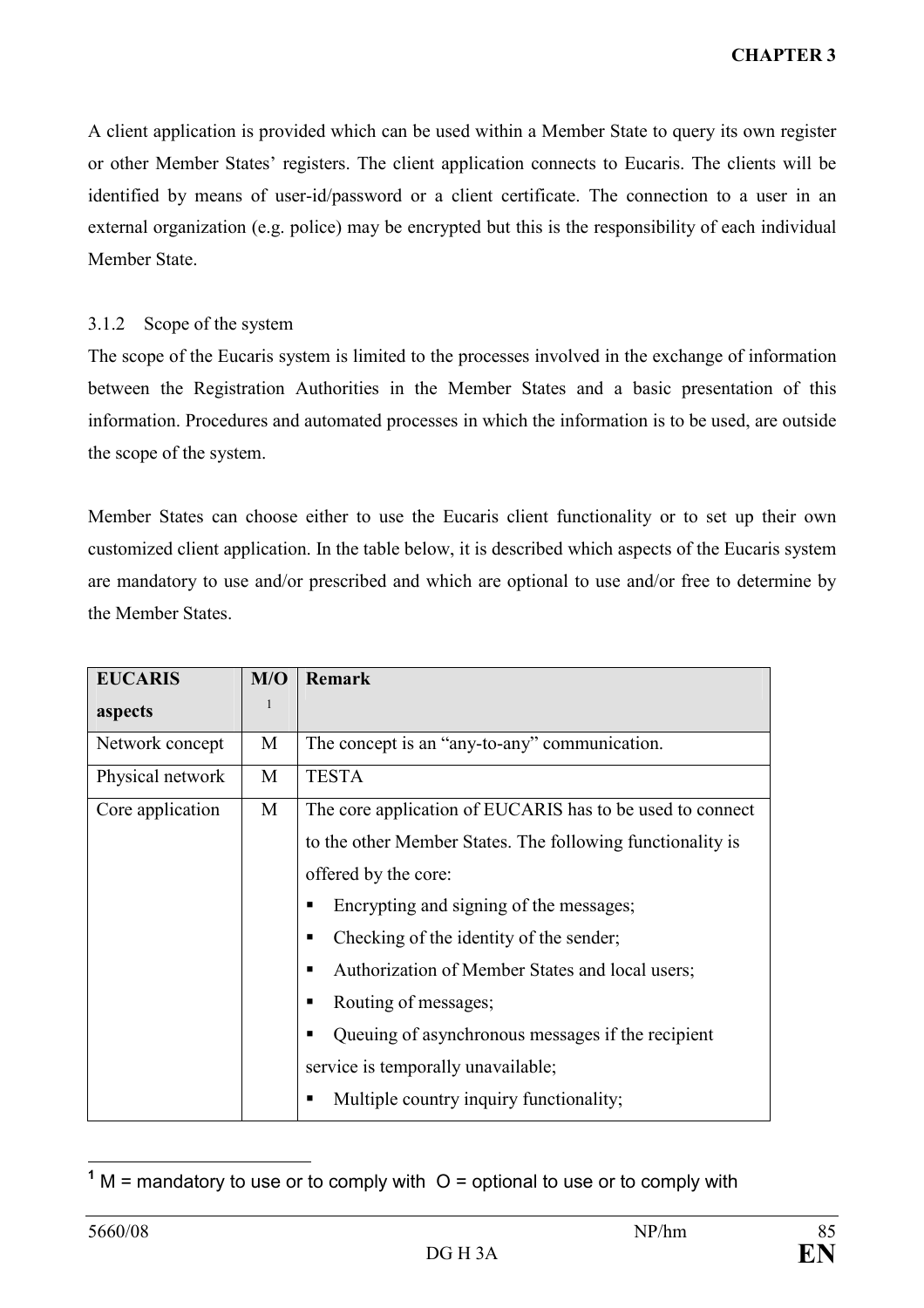A client application is provided which can be used within a Member State to query its own register or other Member States' registers. The client application connects to Eucaris. The clients will be identified by means of user-id/password or a client certificate. The connection to a user in an external organization (e.g. police) may be encrypted but this is the responsibility of each individual Member State.

#### 3.1.2 Scope of the system

The scope of the Eucaris system is limited to the processes involved in the exchange of information between the Registration Authorities in the Member States and a basic presentation of this information. Procedures and automated processes in which the information is to be used, are outside the scope of the system.

Member States can choose either to use the Eucaris client functionality or to set up their own customized client application. In the table below, it is described which aspects of the Eucaris system are mandatory to use and/or prescribed and which are optional to use and/or free to determine by the Member States.

| <b>EUCARIS</b>   | M/O | <b>Remark</b>                                              |
|------------------|-----|------------------------------------------------------------|
| aspects          | 1   |                                                            |
| Network concept  | M   | The concept is an "any-to-any" communication.              |
| Physical network | M   | <b>TESTA</b>                                               |
| Core application | M   | The core application of EUCARIS has to be used to connect  |
|                  |     | to the other Member States. The following functionality is |
|                  |     | offered by the core:                                       |
|                  |     | Encrypting and signing of the messages;<br>п               |
|                  |     | Checking of the identity of the sender;<br>п               |
|                  |     | Authorization of Member States and local users;<br>п       |
|                  |     | Routing of messages;<br>п                                  |
|                  |     | Queuing of asynchronous messages if the recipient<br>п     |
|                  |     | service is temporally unavailable;                         |
|                  |     | Multiple country inquiry functionality;<br>п               |

 $\frac{1}{1}$  M = mandatory to use or to comply with  $O =$  optional to use or to comply with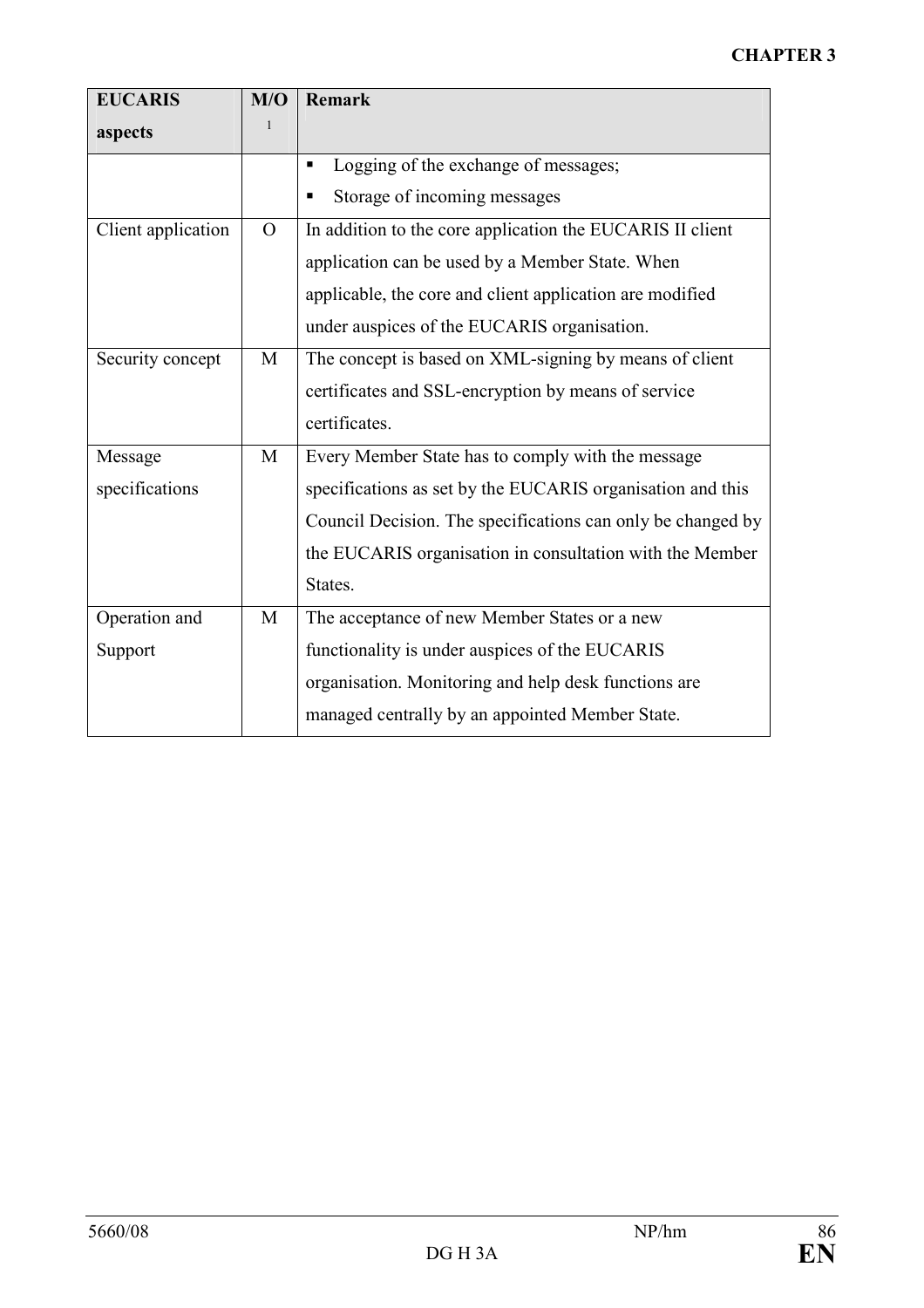| <b>EUCARIS</b>     | M/O      | <b>Remark</b>                                               |
|--------------------|----------|-------------------------------------------------------------|
| aspects            | 1        |                                                             |
|                    |          | Logging of the exchange of messages;<br>Ξ                   |
|                    |          | Storage of incoming messages<br>٠                           |
| Client application | $\Omega$ | In addition to the core application the EUCARIS II client   |
|                    |          | application can be used by a Member State. When             |
|                    |          | applicable, the core and client application are modified    |
|                    |          | under auspices of the EUCARIS organisation.                 |
| Security concept   | M        | The concept is based on XML-signing by means of client      |
|                    |          | certificates and SSL-encryption by means of service         |
|                    |          | certificates.                                               |
| Message            | M        | Every Member State has to comply with the message           |
| specifications     |          | specifications as set by the EUCARIS organisation and this  |
|                    |          | Council Decision. The specifications can only be changed by |
|                    |          | the EUCARIS organisation in consultation with the Member    |
|                    |          | States.                                                     |
| Operation and      | M        | The acceptance of new Member States or a new                |
| Support            |          | functionality is under auspices of the EUCARIS              |
|                    |          | organisation. Monitoring and help desk functions are        |
|                    |          | managed centrally by an appointed Member State.             |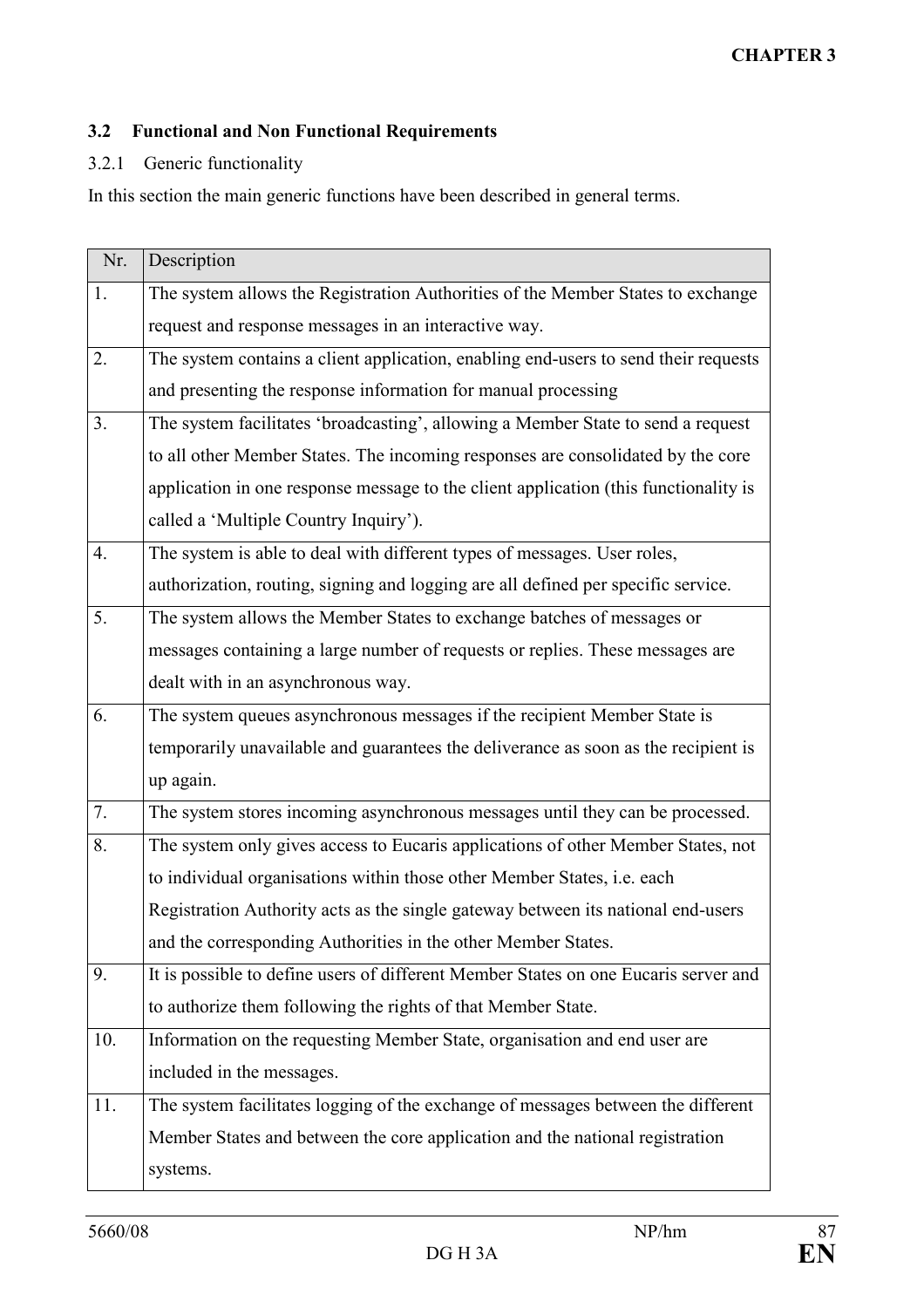## 3.2 Functional and Non Functional Requirements

## 3.2.1 Generic functionality

In this section the main generic functions have been described in general terms.

| Nr. | Description                                                                          |
|-----|--------------------------------------------------------------------------------------|
| 1.  | The system allows the Registration Authorities of the Member States to exchange      |
|     | request and response messages in an interactive way.                                 |
| 2.  | The system contains a client application, enabling end-users to send their requests  |
|     | and presenting the response information for manual processing                        |
| 3.  | The system facilitates 'broadcasting', allowing a Member State to send a request     |
|     | to all other Member States. The incoming responses are consolidated by the core      |
|     | application in one response message to the client application (this functionality is |
|     | called a 'Multiple Country Inquiry').                                                |
| 4.  | The system is able to deal with different types of messages. User roles,             |
|     | authorization, routing, signing and logging are all defined per specific service.    |
| 5.  | The system allows the Member States to exchange batches of messages or               |
|     | messages containing a large number of requests or replies. These messages are        |
|     | dealt with in an asynchronous way.                                                   |
| 6.  | The system queues asynchronous messages if the recipient Member State is             |
|     | temporarily unavailable and guarantees the deliverance as soon as the recipient is   |
|     | up again.                                                                            |
| 7.  | The system stores incoming asynchronous messages until they can be processed.        |
| 8.  | The system only gives access to Eucaris applications of other Member States, not     |
|     | to individual organisations within those other Member States, i.e. each              |
|     | Registration Authority acts as the single gateway between its national end-users     |
|     | and the corresponding Authorities in the other Member States.                        |
| 9.  | It is possible to define users of different Member States on one Eucaris server and  |
|     | to authorize them following the rights of that Member State.                         |
| 10. | Information on the requesting Member State, organisation and end user are            |
|     | included in the messages.                                                            |
| 11. | The system facilitates logging of the exchange of messages between the different     |
|     | Member States and between the core application and the national registration         |
|     | systems.                                                                             |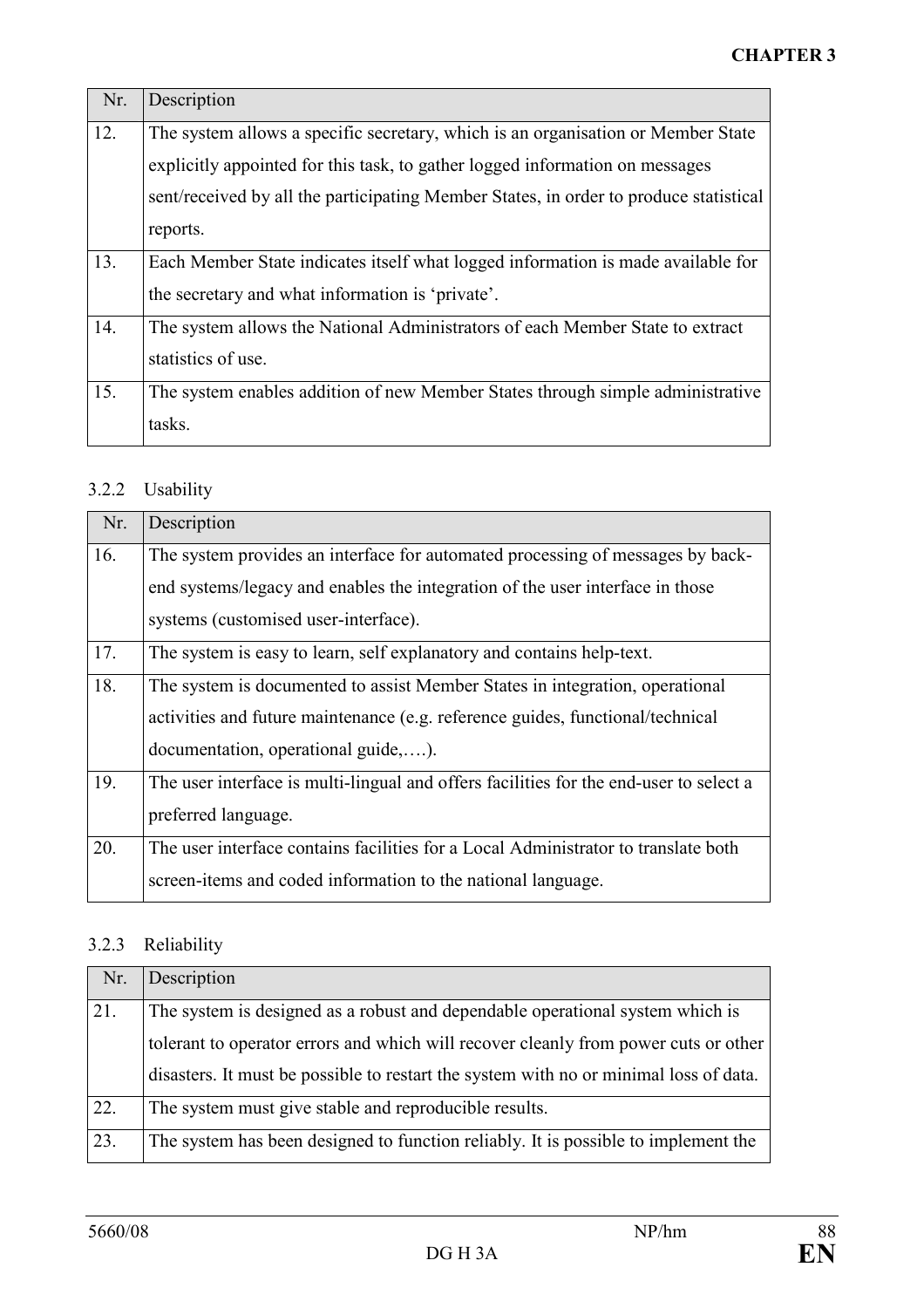| Nr. | Description                                                                           |
|-----|---------------------------------------------------------------------------------------|
| 12. | The system allows a specific secretary, which is an organisation or Member State      |
|     | explicitly appointed for this task, to gather logged information on messages          |
|     | sent/received by all the participating Member States, in order to produce statistical |
|     | reports.                                                                              |
| 13. | Each Member State indicates itself what logged information is made available for      |
|     | the secretary and what information is 'private'.                                      |
| 14. | The system allows the National Administrators of each Member State to extract         |
|     | statistics of use.                                                                    |
| 15. | The system enables addition of new Member States through simple administrative        |
|     | tasks.                                                                                |

# 3.2.2 Usability

| Nr. | Description                                                                            |
|-----|----------------------------------------------------------------------------------------|
| 16. | The system provides an interface for automated processing of messages by back-         |
|     | end systems/legacy and enables the integration of the user interface in those          |
|     | systems (customised user-interface).                                                   |
| 17. | The system is easy to learn, self explanatory and contains help-text.                  |
| 18. | The system is documented to assist Member States in integration, operational           |
|     | activities and future maintenance (e.g. reference guides, functional/technical         |
|     | documentation, operational guide,).                                                    |
| 19. | The user interface is multi-lingual and offers facilities for the end-user to select a |
|     | preferred language.                                                                    |
| 20. | The user interface contains facilities for a Local Administrator to translate both     |
|     | screen-items and coded information to the national language.                           |

## 3.2.3 Reliability

| Nr. | Description                                                                           |
|-----|---------------------------------------------------------------------------------------|
| 21. | The system is designed as a robust and dependable operational system which is         |
|     | tolerant to operator errors and which will recover cleanly from power cuts or other   |
|     | disasters. It must be possible to restart the system with no or minimal loss of data. |
| 22. | The system must give stable and reproducible results.                                 |
| 23. | The system has been designed to function reliably. It is possible to implement the    |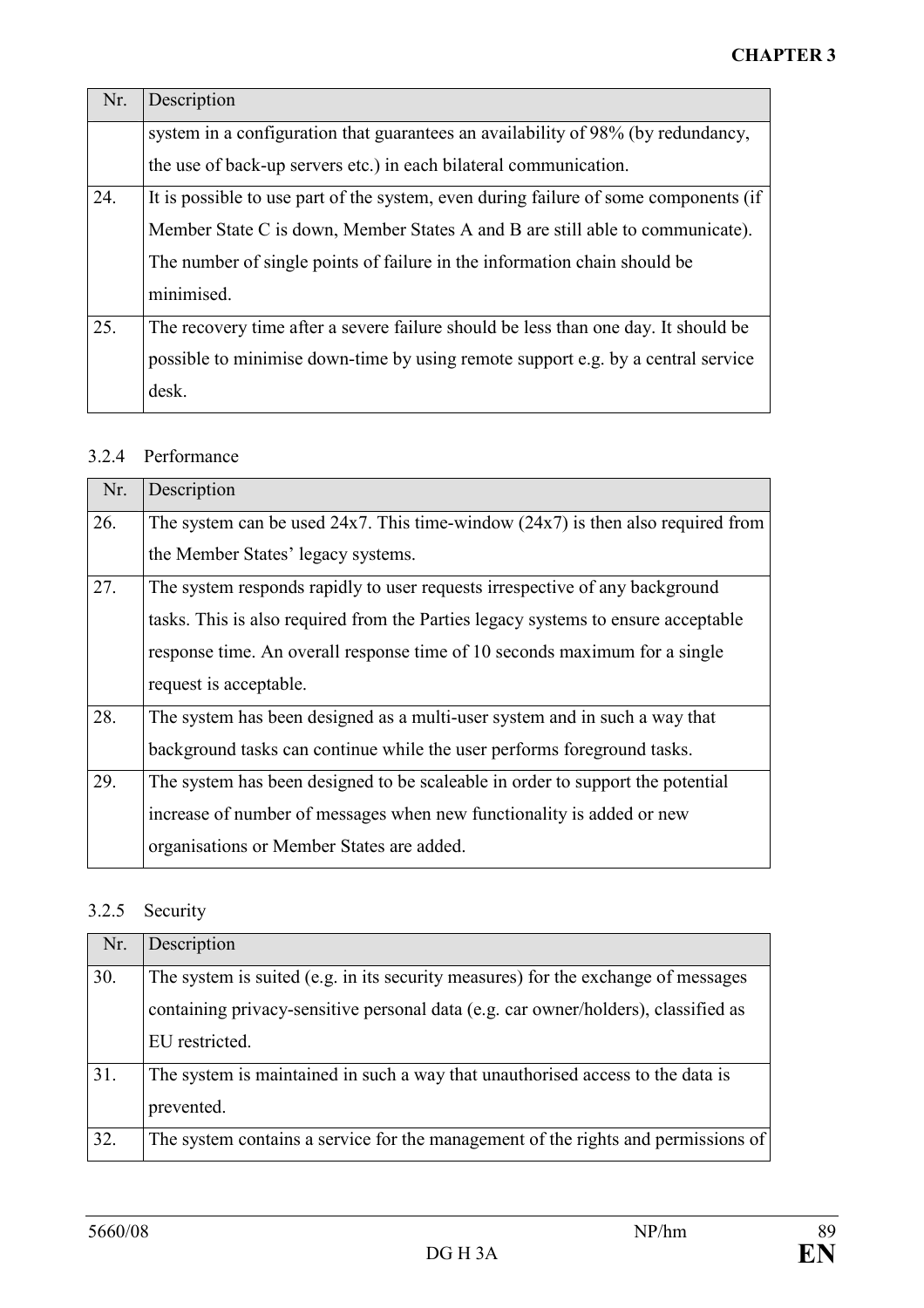| Nr. | Description                                                                          |
|-----|--------------------------------------------------------------------------------------|
|     | system in a configuration that guarantees an availability of 98% (by redundancy,     |
|     | the use of back-up servers etc.) in each bilateral communication.                    |
| 24. | It is possible to use part of the system, even during failure of some components (if |
|     | Member State C is down, Member States A and B are still able to communicate).        |
|     | The number of single points of failure in the information chain should be            |
|     | minimised.                                                                           |
| 25. | The recovery time after a severe failure should be less than one day. It should be   |
|     | possible to minimise down-time by using remote support e.g. by a central service     |
|     | desk.                                                                                |

#### 3.2.4 Performance

| Nr. | Description                                                                          |
|-----|--------------------------------------------------------------------------------------|
| 26. | The system can be used $24x7$ . This time-window $(24x7)$ is then also required from |
|     | the Member States' legacy systems.                                                   |
| 27. | The system responds rapidly to user requests irrespective of any background          |
|     | tasks. This is also required from the Parties legacy systems to ensure acceptable    |
|     | response time. An overall response time of 10 seconds maximum for a single           |
|     | request is acceptable.                                                               |
| 28. | The system has been designed as a multi-user system and in such a way that           |
|     | background tasks can continue while the user performs foreground tasks.              |
| 29. | The system has been designed to be scaleable in order to support the potential       |
|     | increase of number of messages when new functionality is added or new                |
|     | organisations or Member States are added.                                            |

# 3.2.5 Security

| Nr. | Description                                                                        |
|-----|------------------------------------------------------------------------------------|
| 30. | The system is suited (e.g. in its security measures) for the exchange of messages  |
|     | containing privacy-sensitive personal data (e.g. car owner/holders), classified as |
|     | EU restricted.                                                                     |
| 31. | The system is maintained in such a way that unauthorised access to the data is     |
|     | prevented.                                                                         |
| 32. | The system contains a service for the management of the rights and permissions of  |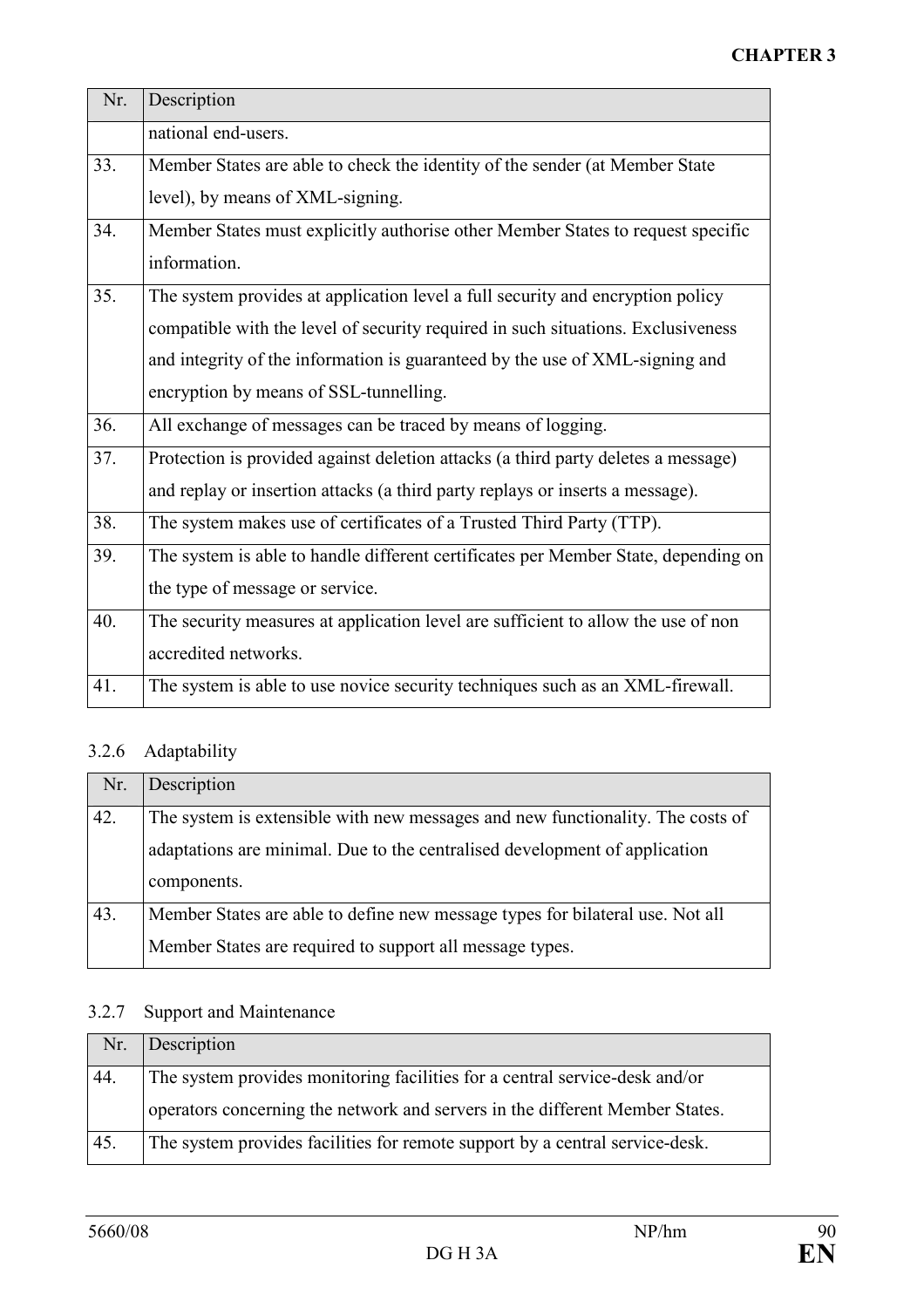| Nr. | Description                                                                        |
|-----|------------------------------------------------------------------------------------|
|     | national end-users.                                                                |
| 33. | Member States are able to check the identity of the sender (at Member State        |
|     | level), by means of XML-signing.                                                   |
| 34. | Member States must explicitly authorise other Member States to request specific    |
|     | information.                                                                       |
| 35. | The system provides at application level a full security and encryption policy     |
|     | compatible with the level of security required in such situations. Exclusiveness   |
|     | and integrity of the information is guaranteed by the use of XML-signing and       |
|     | encryption by means of SSL-tunnelling.                                             |
| 36. | All exchange of messages can be traced by means of logging.                        |
| 37. | Protection is provided against deletion attacks (a third party deletes a message)  |
|     | and replay or insertion attacks (a third party replays or inserts a message).      |
| 38. | The system makes use of certificates of a Trusted Third Party (TTP).               |
| 39. | The system is able to handle different certificates per Member State, depending on |
|     | the type of message or service.                                                    |
| 40. | The security measures at application level are sufficient to allow the use of non  |
|     | accredited networks.                                                               |
| 41. | The system is able to use novice security techniques such as an XML-firewall.      |

# 3.2.6 Adaptability

| Nr. | Description                                                                    |
|-----|--------------------------------------------------------------------------------|
| 42. | The system is extensible with new messages and new functionality. The costs of |
|     | adaptations are minimal. Due to the centralised development of application     |
|     | components.                                                                    |
| 43. | Member States are able to define new message types for bilateral use. Not all  |
|     | Member States are required to support all message types.                       |

## 3.2.7 Support and Maintenance

|     | Nr. Description                                                              |
|-----|------------------------------------------------------------------------------|
| 44. | The system provides monitoring facilities for a central service-desk and/or  |
|     | operators concerning the network and servers in the different Member States. |
| 45. | The system provides facilities for remote support by a central service-desk. |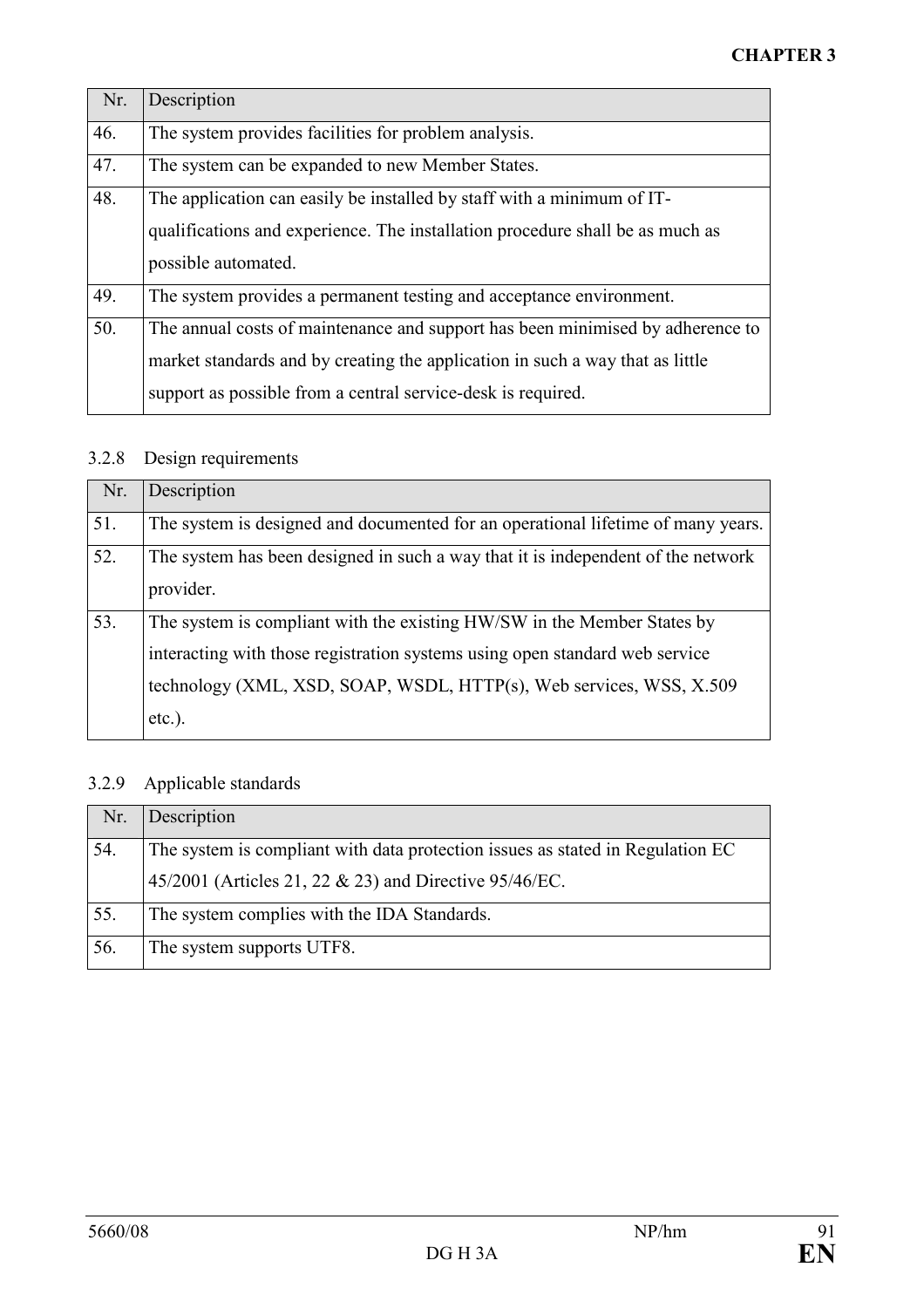| Nr. | Description                                                                                                                                                                                                                     |
|-----|---------------------------------------------------------------------------------------------------------------------------------------------------------------------------------------------------------------------------------|
| 46. | The system provides facilities for problem analysis.                                                                                                                                                                            |
| 47. | The system can be expanded to new Member States.                                                                                                                                                                                |
| 48. | The application can easily be installed by staff with a minimum of IT-<br>qualifications and experience. The installation procedure shall be as much as                                                                         |
|     | possible automated.                                                                                                                                                                                                             |
| 49. | The system provides a permanent testing and acceptance environment.                                                                                                                                                             |
| 50. | The annual costs of maintenance and support has been minimised by adherence to<br>market standards and by creating the application in such a way that as little<br>support as possible from a central service-desk is required. |

# 3.2.8 Design requirements

| Nr. | Description                                                                      |
|-----|----------------------------------------------------------------------------------|
| 51. | The system is designed and documented for an operational lifetime of many years. |
| 52. | The system has been designed in such a way that it is independent of the network |
|     | provider.                                                                        |
| 53. | The system is compliant with the existing HW/SW in the Member States by          |
|     | interacting with those registration systems using open standard web service      |
|     | technology (XML, XSD, SOAP, WSDL, HTTP(s), Web services, WSS, X.509              |
|     | $etc.$ ).                                                                        |

# 3.2.9 Applicable standards

| Nr. | Description                                                                    |
|-----|--------------------------------------------------------------------------------|
| 54. | The system is compliant with data protection issues as stated in Regulation EC |
|     | 45/2001 (Articles 21, 22 & 23) and Directive 95/46/EC.                         |
| 55. | The system complies with the IDA Standards.                                    |
| 56. | The system supports UTF8.                                                      |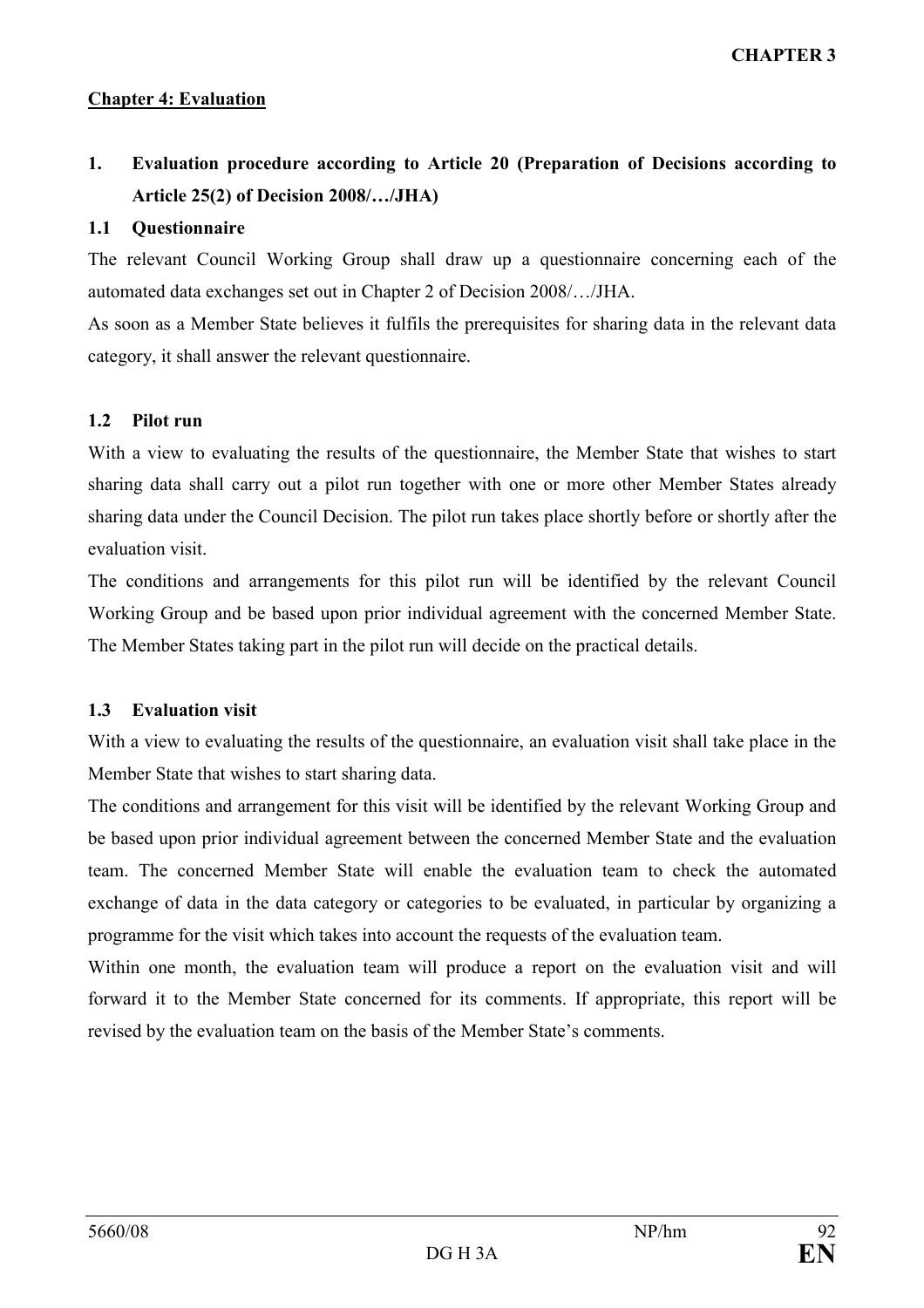CHAPTER 3

#### Chapter 4: Evaluation

## 1. Evaluation procedure according to Article 20 (Preparation of Decisions according to Article 25(2) of Decision 2008/…/JHA)

#### 1.1 Questionnaire

The relevant Council Working Group shall draw up a questionnaire concerning each of the automated data exchanges set out in Chapter 2 of Decision 2008/…/JHA.

As soon as a Member State believes it fulfils the prerequisites for sharing data in the relevant data category, it shall answer the relevant questionnaire.

#### 1.2 Pilot run

With a view to evaluating the results of the questionnaire, the Member State that wishes to start sharing data shall carry out a pilot run together with one or more other Member States already sharing data under the Council Decision. The pilot run takes place shortly before or shortly after the evaluation visit.

The conditions and arrangements for this pilot run will be identified by the relevant Council Working Group and be based upon prior individual agreement with the concerned Member State. The Member States taking part in the pilot run will decide on the practical details.

#### 1.3 Evaluation visit

With a view to evaluating the results of the questionnaire, an evaluation visit shall take place in the Member State that wishes to start sharing data.

The conditions and arrangement for this visit will be identified by the relevant Working Group and be based upon prior individual agreement between the concerned Member State and the evaluation team. The concerned Member State will enable the evaluation team to check the automated exchange of data in the data category or categories to be evaluated, in particular by organizing a programme for the visit which takes into account the requests of the evaluation team.

Within one month, the evaluation team will produce a report on the evaluation visit and will forward it to the Member State concerned for its comments. If appropriate, this report will be revised by the evaluation team on the basis of the Member State's comments.